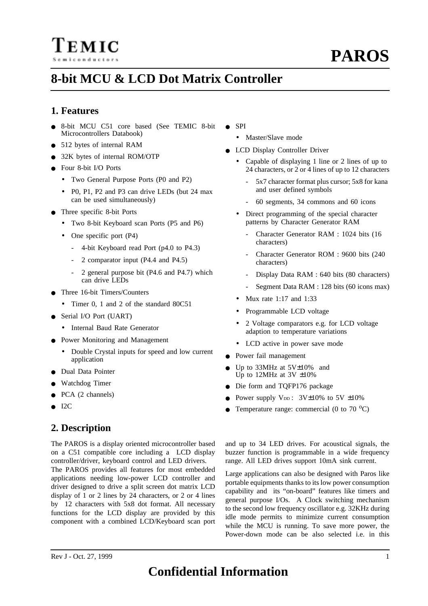# **8-bit MCU & LCD Dot Matrix Controller**

# **1. Features**

- 8-bit MCU C51 core based (See TEMIC 8-bit Microcontrollers Databook)
- 512 bytes of internal RAM
- 32K bytes of internal ROM/OTP
- Four 8-bit I/O Ports
	- Two General Purpose Ports (P0 and P2)
	- P0, P1, P2 and P3 can drive LEDs (but 24 max can be used simultaneously)
- Three specific 8-bit Ports
	- Two 8-bit Keyboard scan Ports (P5 and P6)
	- One specific port (P4)
		- 4-bit Keyboard read Port (p4.0 to P4.3)
		- 2 comparator input (P4.4 and P4.5)
		- 2 general purpose bit (P4.6 and P4.7) which can drive LEDs
- Three 16-bit Timers/Counters
	- Timer 0, 1 and 2 of the standard 80C51
- Serial I/O Port (UART)
	- Internal Baud Rate Generator
- Power Monitoring and Management
	- Double Crystal inputs for speed and low current application
- Dual Data Pointer
- Watchdog Timer
- PCA (2 channels)
- $\bullet$  I2C

# **2. Description**

The PAROS is a display oriented microcontroller based on a C51 compatible core including a LCD display controller/driver, keyboard control and LED drivers.

The PAROS provides all features for most embedded applications needing low-power LCD controller and driver designed to drive a split screen dot matrix LCD display of 1 or 2 lines by 24 characters, or 2 or 4 lines by 12 characters with 5x8 dot format. All necessary functions for the LCD display are provided by this component with a combined LCD/Keyboard scan port

- SPI
	- Master/Slave mode
- LCD Display Controller Driver
	- Capable of displaying 1 line or 2 lines of up to 24 characters, or 2 or 4 lines of up to 12 characters
		- 5x7 character format plus cursor; 5x8 for kana and user defined symbols
		- 60 segments, 34 commons and 60 icons
	- Direct programming of the special character patterns by Character Generator RAM
		- Character Generator RAM : 1024 bits (16) characters)
		- Character Generator ROM : 9600 bits (240) characters)
		- Display Data RAM : 640 bits (80 characters)
		- Segment Data RAM : 128 bits (60 icons max)
	- Mux rate 1:17 and 1:33
	- Programmable LCD voltage
	- 2 Voltage comparators e.g. for LCD voltage adaption to temperature variations
	- LCD active in power save mode
- Power fail management
- Up to 33MHz at 5V±10% and Up to 12MHz at  $3V \pm 10\%$
- Die form and TQFP176 package
- Power supply  $V_{DD}$ :  $3V\pm10\%$  to  $5V \pm10\%$
- Temperature range: commercial (0 to 70  $^{\circ}$ C)

and up to 34 LED drives. For acoustical signals, the buzzer function is programmable in a wide frequency range. All LED drives support 10mA sink current.

Large applications can also be designed with Paros like portable equipments thanks to its low power consumption capability and its "on-board" features like timers and general purpose I/Os. A Clock switching mechanism to the second low frequency oscillator e.g. 32KHz during idle mode permits to minimize current consumption while the MCU is running. To save more power, the Power-down mode can be also selected i.e. in this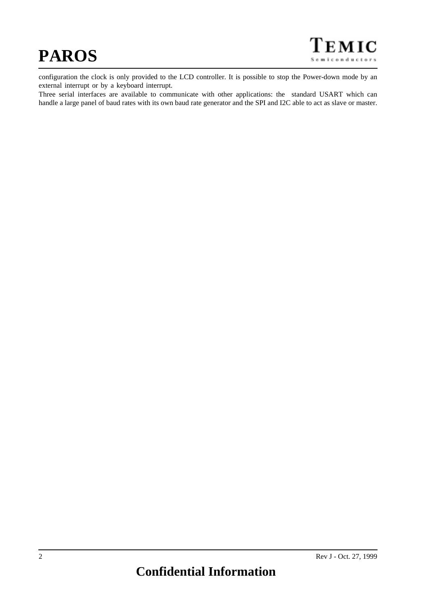configuration the clock is only provided to the LCD controller. It is possible to stop the Power-down mode by an external interrupt or by a keyboard interrupt.

Three serial interfaces are available to communicate with other applications: the standard USART which can handle a large panel of baud rates with its own baud rate generator and the SPI and I2C able to act as slave or master.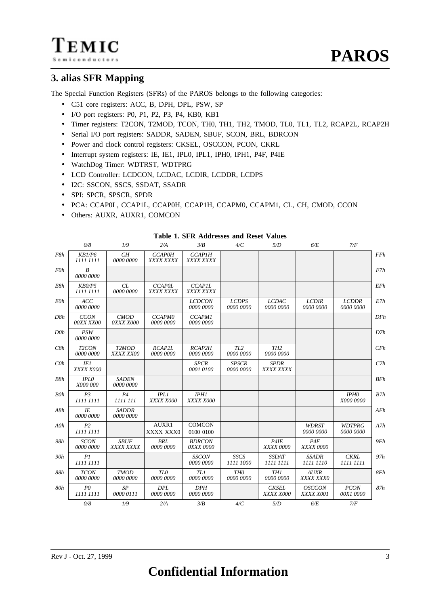# **3. alias SFR Mapping**

The Special Function Registers (SFRs) of the PAROS belongs to the following categories:

- C51 core registers: ACC, B, DPH, DPL, PSW, SP
- I/O port registers: P0, P1, P2, P3, P4, KB0, KB1
- Timer registers: T2CON, T2MOD, TCON, TH0, TH1, TH2, TMOD, TL0, TL1, TL2, RCAP2L, RCAP2H
- Serial I/O port registers: SADDR, SADEN, SBUF, SCON, BRL, BDRCON
- Power and clock control registers: CKSEL, OSCCON, PCON, CKRL
- Interrupt system registers: IE, IE1, IPL0, IPL1, IPH0, IPH1, P4F, P4IE
- WatchDog Timer: WDTRST, WDTPRG
- LCD Controller: LCDCON, LCDAC, LCDIR, LCDDR, LCDPS
- I2C: SSCON, SSCS, SSDAT, SSADR
- SPI: SPCR, SPSCR, SPDR
- PCA: CCAP0L, CCAP1L, CCAP0H, CCAP1H, CCAPM0, CCAPM1, CL, CH, CMOD, CCON
- Others: AUXR, AUXR1, COMCON

|                |                                 |                                 |                              | <b>Table 1. SFR Addresses and Reset Values</b> |                              |                                |                            |                               |
|----------------|---------------------------------|---------------------------------|------------------------------|------------------------------------------------|------------------------------|--------------------------------|----------------------------|-------------------------------|
|                | 0/8                             | 1/9                             | 2/A                          | 3/B                                            | 4/C                          | 5/D                            | 6/E                        | 7/F                           |
| F8h            | KB1/P6<br>1111 1111             | CH<br>0000 0000                 | <b>CCAPOH</b><br>XXXX XXXX   | <b>CCAP1H</b><br>XXXX XXXX                     |                              |                                |                            |                               |
| <b>FOh</b>     | B<br>0000 0000                  |                                 |                              |                                                |                              |                                |                            |                               |
| E8h            | KB0/P5<br>1111 1111             | CL<br>0000 0000                 | <b>CCAP0L</b><br>XXXX XXXX   | <b>CCAP1L</b><br>XXXX XXXX                     |                              |                                |                            |                               |
| EOh            | ACC<br>0000 0000                |                                 |                              | <b>LCDCON</b><br>0000 0000                     | <b>LCDPS</b><br>0000 0000    | <b>LCDAC</b><br>0000 0000      | <b>LCDIR</b><br>0000 0000  | <b>LCDDR</b><br>0000 0000     |
| D8h            | <b>CCON</b><br>OOXX XXOO        | <b>CMOD</b><br>OXXX X000        | CCAPM0<br>0000 0000          | <b>CCAPM1</b><br>0000 0000                     |                              |                                |                            |                               |
| D0h            | <b>PSW</b><br>0000 0000         |                                 |                              |                                                |                              |                                |                            |                               |
| C8h            | T <sub>2</sub> CON<br>0000 0000 | T <sub>2</sub> MOD<br>XXXX XX00 | RCAP2L<br>0000 0000          | RCAP2H<br>0000 0000                            | TL <sub>2</sub><br>0000 0000 | TH <sub>2</sub><br>0000 0000   |                            |                               |
| C <sub>0</sub> | <b>IE1</b><br>XXXX X000         |                                 |                              | <b>SPCR</b><br>0001 0100                       | <b>SPSCR</b><br>0000 0000    | <b>SPDR</b><br>XXXX XXXX       |                            |                               |
| B8h            | IPLO<br>X000 000                | <b>SADEN</b><br>0000 0000       |                              |                                                |                              |                                |                            |                               |
| B0h            | P <sub>3</sub><br>1111 1111     | P <sub>4</sub><br>1111 111      | <b>IPL1</b><br>XXXX X000     | <b>IPH1</b><br>XXXX X000                       |                              |                                |                            | IPH <sub>0</sub><br>X000 0000 |
| A8h            | IE<br>0000 0000                 | <b>SADDR</b><br>0000 0000       |                              |                                                |                              |                                |                            |                               |
| A0h            | P <sub>2</sub><br>1111 1111     |                                 | AUXR1<br>XXXX XXX0           | <b>COMCON</b><br>0100 0100                     |                              |                                | <b>WDRST</b><br>0000 0000  | <b>WDTPRG</b><br>0000 0000    |
| 98h            | <b>SCON</b><br>0000 0000        | <b>SBUF</b><br>XXXX XXXX        | <b>BRL</b><br>0000 0000      | <b>BDRCON</b><br>0XXX 0000                     |                              | P <sub>4</sub> IE<br>XXXX 0000 | P4F<br>XXXX 0000           |                               |
| 90h            | PI<br>1111 1111                 |                                 |                              | <b>SSCON</b><br>0000 0000                      | <b>SSCS</b><br>1111 1000     | <b>SSDAT</b><br>1111 1111      | <b>SSADR</b><br>1111 1110  | <b>CKRL</b><br>1111 1111      |
| 88h            | <b>TCON</b><br>0000 0000        | <b>TMOD</b><br>0000 0000        | TL <sub>0</sub><br>0000 0000 | TL1<br>0000 0000                               | TH <sub>0</sub><br>0000 0000 | TH1<br>0000 0000               | <b>AUXR</b><br>XXXX XXXO   |                               |
| 80h            | PQ<br>1111 1111                 | SP<br>0000 0111                 | <b>DPL</b><br>0000 0000      | <b>DPH</b><br>0000 0000                        |                              | <b>CKSEL</b><br>XXXX X000      | <b>OSCCON</b><br>XXXX X001 | <b>PCON</b><br>00X1 0000      |
|                | 0/8                             | 1/9                             | 2/A                          | 3/B                                            | 4/C                          | 5/D                            | 6/E                        | 7/F                           |

# **Table 1. SFR Addresses and Reset Values**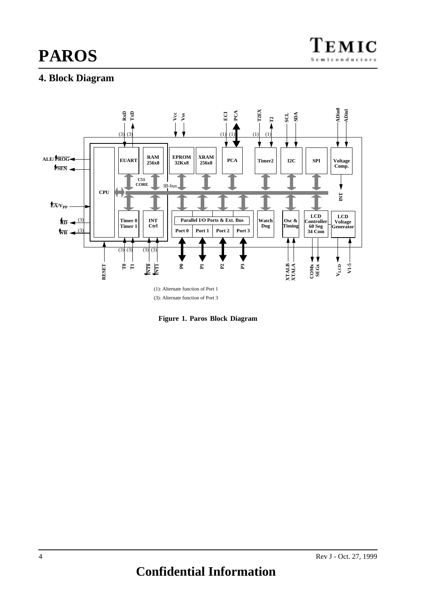# **4. Block Diagram**



**Figure 1. Paros Block Diagram**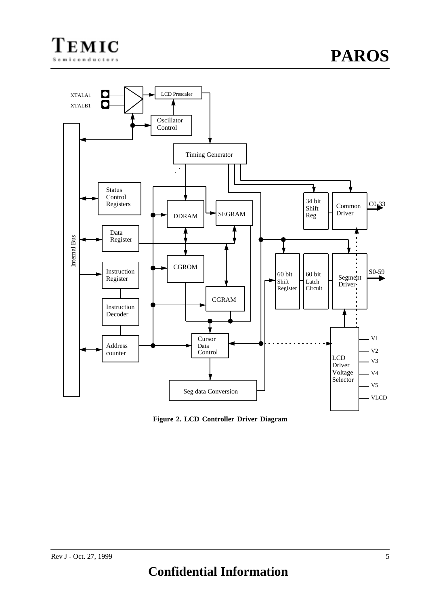



**Figure 2. LCD Controller Driver Diagram**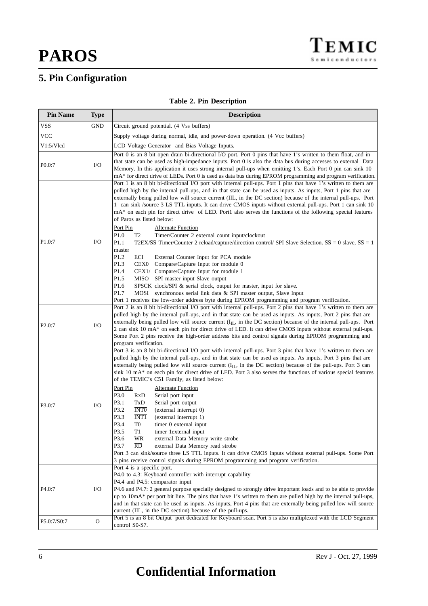# **5. Pin Configuration**

# **Table 2. Pin Description**

| <b>Pin Name</b><br><b>Description</b><br><b>Type</b> |            |                                                                                                                                                                                                                                                                                                                                                                                                                                                                                                                                                                                                                                                                                                                                                                                                                                                                                                                                                                                                                                                                                                                                                                  |  |  |  |  |  |  |  |
|------------------------------------------------------|------------|------------------------------------------------------------------------------------------------------------------------------------------------------------------------------------------------------------------------------------------------------------------------------------------------------------------------------------------------------------------------------------------------------------------------------------------------------------------------------------------------------------------------------------------------------------------------------------------------------------------------------------------------------------------------------------------------------------------------------------------------------------------------------------------------------------------------------------------------------------------------------------------------------------------------------------------------------------------------------------------------------------------------------------------------------------------------------------------------------------------------------------------------------------------|--|--|--|--|--|--|--|
| <b>VSS</b>                                           | <b>GND</b> | Circuit ground potential. (4 Vss buffers)                                                                                                                                                                                                                                                                                                                                                                                                                                                                                                                                                                                                                                                                                                                                                                                                                                                                                                                                                                                                                                                                                                                        |  |  |  |  |  |  |  |
| <b>VCC</b>                                           |            | Supply voltage during normal, idle, and power-down operation. (4 Vcc buffers)                                                                                                                                                                                                                                                                                                                                                                                                                                                                                                                                                                                                                                                                                                                                                                                                                                                                                                                                                                                                                                                                                    |  |  |  |  |  |  |  |
| V1:5/Vlcd                                            |            | LCD Voltage Generator and Bias Voltage Inputs.                                                                                                                                                                                                                                                                                                                                                                                                                                                                                                                                                                                                                                                                                                                                                                                                                                                                                                                                                                                                                                                                                                                   |  |  |  |  |  |  |  |
| P0.0:7                                               | I/O        | Port 0 is an 8 bit open drain bi-directional I/O port. Port 0 pins that have 1's written to them float, and in<br>that state can be used as high-impedance inputs. Port 0 is also the data bus during accesses to external Data<br>Memory. In this application it uses strong internal pull-ups when emitting 1's. Each Port 0 pin can sink 10<br>mA* for direct drive of LEDs. Port 0 is used as data bus during EPROM programming and program verification.                                                                                                                                                                                                                                                                                                                                                                                                                                                                                                                                                                                                                                                                                                    |  |  |  |  |  |  |  |
| P1.0:7                                               | I/O        | Port 1 is an 8 bit bi-directional I/O port with internal pull-ups. Port 1 pins that have 1's written to them are<br>pulled high by the internal pull-ups, and in that state can be used as inputs. As inputs, Port 1 pins that are<br>externally being pulled low will source current (IIL, in the DC section) because of the internal pull-ups. Port<br>1 can sink /source 3 LS TTL inputs. It can drive CMOS inputs without external pull-ups. Port 1 can sink 10<br>$mA^*$ on each pin for direct drive of LED. Port1 also serves the functions of the following special features<br>of Paros as listed below:<br><u>Port Pin</u><br><b>Alternate Function</b><br>P1.0<br>T <sub>2</sub><br>Timer/Counter 2 external count input/clockout<br>T2EX/ $\overline{SS}$ Timer/Counter 2 reload/capture/direction control/ SPI Slave Selection. $\overline{SS} = 0$ slave, $\overline{SS} = 1$<br>P1.1<br>master                                                                                                                                                                                                                                                    |  |  |  |  |  |  |  |
|                                                      |            | P1.2<br>ECI<br>External Counter Input for PCA module<br>P1.3<br>Compare/Capture Input for module 0<br>CEXO<br>P1.4<br>CEX1/ Compare/Capture Input for module 1<br>P1.5<br>SPI master input Slave output<br>MISO<br>P1.6<br>SPSCK clock/SPI & serial clock, output for master, input for slave.<br>P1.7<br>MOSI synchronous serial link data & SPI master output, Slave Input<br>Port 1 receives the low-order address byte during EPROM programming and program verification.                                                                                                                                                                                                                                                                                                                                                                                                                                                                                                                                                                                                                                                                                    |  |  |  |  |  |  |  |
| P <sub>2.0</sub> :7                                  | I/O        | Port 2 is an 8 bit bi-directional I/O port with internal pull-ups. Port 2 pins that have 1's written to them are<br>pulled high by the internal pull-ups, and in that state can be used as inputs. As inputs, Port 2 pins that are<br>externally being pulled low will source current $(I_{II})$ , in the DC section) because of the internal pull-ups. Port<br>2 can sink 10 mA* on each pin for direct drive of LED. It can drive CMOS inputs without external pull-ups.<br>Some Port 2 pins receive the high-order address bits and control signals during EPROM programming and<br>program verification.                                                                                                                                                                                                                                                                                                                                                                                                                                                                                                                                                     |  |  |  |  |  |  |  |
| P3.0:7                                               | I/O        | Port 3 is an 8 bit bi-directional I/O port with internal pull-ups. Port 3 pins that have 1's written to them are<br>pulled high by the internal pull-ups, and in that state can be used as inputs. As inputs, Port 3 pins that are<br>externally being pulled low will source current $(I_{II})$ , in the DC section) because of the pull-ups. Port 3 can<br>sink 10 mA* on each pin for direct drive of LED. Port 3 also serves the functions of various special features<br>of the TEMIC's C51 Family, as listed below:<br>Port Pin<br><b>Alternate Function</b><br>P3.0<br>RxD<br>Serial port input<br>P3.1<br>TxD<br>Serial port output<br><b>INTO</b><br>P3.2<br>(external interrupt 0)<br>P3.3<br>INT <sub>1</sub><br>(external interrupt 1)<br>P3.4<br>T0<br>timer 0 external input<br>$\mathbf{T}1$<br>P3.5<br>timer 1external input<br>P3.6<br>WR<br>external Data Memory write strobe<br>$\overline{RD}$<br>P3.7<br>external Data Memory read strobe<br>Port 3 can sink/source three LS TTL inputs. It can drive CMOS inputs without external pull-ups. Some Port<br>3 pins receive control signals during EPROM programming and program verification. |  |  |  |  |  |  |  |
| P <sub>4.0</sub> :7                                  | I/O        | Port 4 is a specific port.<br>P4.0 to 4.3: Keyboard controller with interrupt capability<br>P4.4 and P4.5: comparator input<br>P4.6 and P4.7: 2 general purpose specially designed to strongly drive important loads and to be able to provide<br>up to 10mA* per port bit line. The pins that have 1's written to them are pulled high by the internal pull-ups,<br>and in that state can be used as inputs. As inputs, Port 4 pins that are externally being pulled low will source<br>current (IIL, in the DC section) because of the pull-ups.<br>Port 5 is an 8 bit Output port dedicated for Keyboard scan. Port 5 is also multiplexed with the LCD Segment                                                                                                                                                                                                                                                                                                                                                                                                                                                                                                |  |  |  |  |  |  |  |
| P5.0:7/S0:7                                          | O          | control S0-S7.                                                                                                                                                                                                                                                                                                                                                                                                                                                                                                                                                                                                                                                                                                                                                                                                                                                                                                                                                                                                                                                                                                                                                   |  |  |  |  |  |  |  |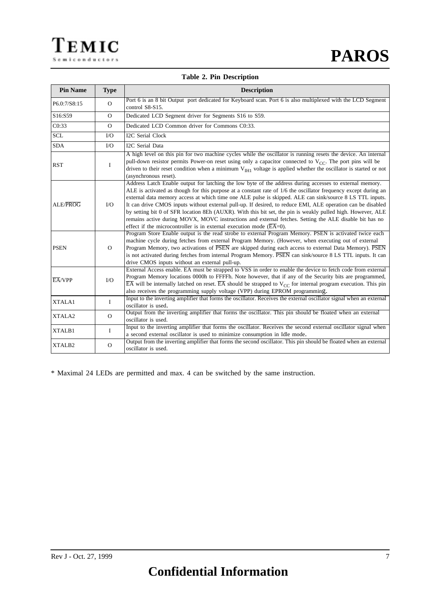# **Table 2. Pin Description**

| <b>Pin Name</b>      | <b>Type</b>  | <b>Description</b>                                                                                                                                                                                                                                                                                                                                                                                                                                                                                                                                                                                                                                                                                                                                                     |  |  |  |  |  |  |
|----------------------|--------------|------------------------------------------------------------------------------------------------------------------------------------------------------------------------------------------------------------------------------------------------------------------------------------------------------------------------------------------------------------------------------------------------------------------------------------------------------------------------------------------------------------------------------------------------------------------------------------------------------------------------------------------------------------------------------------------------------------------------------------------------------------------------|--|--|--|--|--|--|
| P6.0:7/S8:15         | $\Omega$     | Port 6 is an 8 bit Output port dedicated for Keyboard scan. Port 6 is also multiplexed with the LCD Segment<br>control S8-S15.                                                                                                                                                                                                                                                                                                                                                                                                                                                                                                                                                                                                                                         |  |  |  |  |  |  |
| S16:S59              | $\Omega$     | Dedicated LCD Segment driver for Segments S16 to S59.                                                                                                                                                                                                                                                                                                                                                                                                                                                                                                                                                                                                                                                                                                                  |  |  |  |  |  |  |
| C <sub>0:33</sub>    | $\Omega$     | Dedicated LCD Common driver for Commons C0:33.                                                                                                                                                                                                                                                                                                                                                                                                                                                                                                                                                                                                                                                                                                                         |  |  |  |  |  |  |
| <b>SCL</b>           | $\rm LO$     | I2C Serial Clock                                                                                                                                                                                                                                                                                                                                                                                                                                                                                                                                                                                                                                                                                                                                                       |  |  |  |  |  |  |
| <b>SDA</b>           | I/O          | I2C Serial Data                                                                                                                                                                                                                                                                                                                                                                                                                                                                                                                                                                                                                                                                                                                                                        |  |  |  |  |  |  |
| <b>RST</b>           | I            | A high level on this pin for two machine cycles while the oscillator is running resets the device. An internal<br>pull-down resistor permits Power-on reset using only a capacitor connected to $V_{CC}$ . The port pins will be<br>driven to their reset condition when a minimum V <sub>IH1</sub> voltage is applied whether the oscillator is started or not<br>(asynchronous reset).                                                                                                                                                                                                                                                                                                                                                                               |  |  |  |  |  |  |
| ALE/PROG             | $\rm LO$     | Address Latch Enable output for latching the low byte of the address during accesses to external memory.<br>ALE is activated as though for this purpose at a constant rate of 1/6 the oscillator frequency except during an<br>external data memory access at which time one ALE pulse is skipped. ALE can sink/source 8 LS TTL inputs.<br>It can drive CMOS inputs without external pull-up. If desired, to reduce EMI, ALE operation can be disabled<br>by setting bit 0 of SFR location 8Eh (AUXR). With this bit set, the pin is weakly pulled high. However, ALE<br>remains active during MOVX, MOVC instructions and external fetches. Setting the ALE disable bit has no<br>effect if the microcontroller is in external execution mode $(\overline{EA} = 0)$ . |  |  |  |  |  |  |
| <b>PSEN</b>          | $\Omega$     | Program Store Enable output is the read strobe to external Program Memory. PSEN is activated twice each<br>machine cycle during fetches from external Program Memory. (However, when executing out of external<br>Program Memory, two activations of PSEN are skipped during each access to external Data Memory). PSEN<br>is not activated during fetches from internal Program Memory. PSEN can sink/source 8 LS TTL inputs. It can<br>drive CMOS inputs without an external pull-up.                                                                                                                                                                                                                                                                                |  |  |  |  |  |  |
| $E\overline{A}$ /VPP | I/O          | External Access enable. EA must be strapped to VSS in order to enable the device to fetch code from external<br>Program Memory locations 0000h to FFFFh. Note however, that if any of the Security bits are programmed,<br>$\overline{EA}$ will be internally latched on reset. $\overline{EA}$ should be strapped to V <sub>CC</sub> for internal program execution. This pin<br>also receives the programming supply voltage (VPP) during EPROM programming.                                                                                                                                                                                                                                                                                                         |  |  |  |  |  |  |
| XTALA1               | $\mathbf{I}$ | Input to the inverting amplifier that forms the oscillator. Receives the external oscillator signal when an external<br>oscillator is used.                                                                                                                                                                                                                                                                                                                                                                                                                                                                                                                                                                                                                            |  |  |  |  |  |  |
| XTALA2               | $\Omega$     | Output from the inverting amplifier that forms the oscillator. This pin should be floated when an external<br>oscillator is used.                                                                                                                                                                                                                                                                                                                                                                                                                                                                                                                                                                                                                                      |  |  |  |  |  |  |
| XTALB1               | L            | Input to the inverting amplifier that forms the oscillator. Receives the second external oscillator signal when<br>a second external oscillator is used to minimize consumption in Idle mode.                                                                                                                                                                                                                                                                                                                                                                                                                                                                                                                                                                          |  |  |  |  |  |  |
| XTALB2               | $\Omega$     | Output from the inverting amplifier that forms the second oscillator. This pin should be floated when an external<br>oscillator is used.                                                                                                                                                                                                                                                                                                                                                                                                                                                                                                                                                                                                                               |  |  |  |  |  |  |

\* Maximal 24 LEDs are permitted and max. 4 can be switched by the same instruction.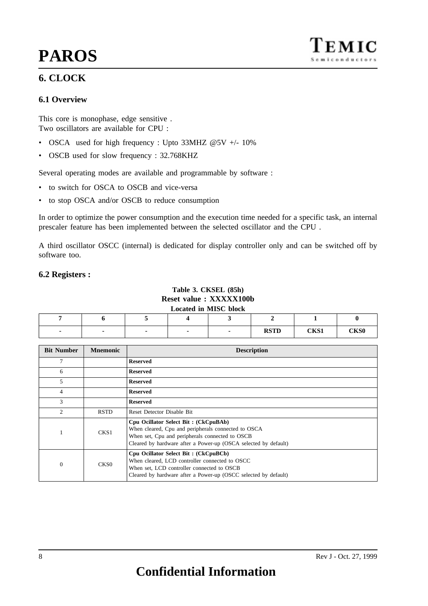# **6. CLOCK**

# **6.1 Overview**

This core is monophase, edge sensitive . Two oscillators are available for CPU :

- OSCA used for high frequency : Upto 33MHZ @5V +/- 10%
- OSCB used for slow frequency : 32.768KHZ

Several operating modes are available and programmable by software :

- to switch for OSCA to OSCB and vice-versa
- to stop OSCA and/or OSCB to reduce consumption

In order to optimize the power consumption and the execution time needed for a specific task, an internal prescaler feature has been implemented between the selected oscillator and the CPU .

A third oscillator OSCC (internal) is dedicated for display controller only and can be switched off by software too.

# **6.2 Registers :**

### **Table 3. CKSEL (85h) Reset value : XXXXX100b Located in MISC block**

|  |  |  |  | <b>RSTD</b> | CITZC14<br>Сиэт | <b>CKS0</b> |  |  |
|--|--|--|--|-------------|-----------------|-------------|--|--|

| <b>Bit Number</b> | <b>Mnemonic</b>  | <b>Description</b>                                                                                                                                                                                                |  |  |  |  |  |
|-------------------|------------------|-------------------------------------------------------------------------------------------------------------------------------------------------------------------------------------------------------------------|--|--|--|--|--|
| 7                 |                  | <b>Reserved</b>                                                                                                                                                                                                   |  |  |  |  |  |
| 6                 |                  | <b>Reserved</b>                                                                                                                                                                                                   |  |  |  |  |  |
| 5                 |                  | <b>Reserved</b>                                                                                                                                                                                                   |  |  |  |  |  |
| 4                 |                  | <b>Reserved</b>                                                                                                                                                                                                   |  |  |  |  |  |
| 3                 |                  | <b>Reserved</b>                                                                                                                                                                                                   |  |  |  |  |  |
| $\overline{c}$    | <b>RSTD</b>      | Reset Detector Disable Bit                                                                                                                                                                                        |  |  |  |  |  |
|                   | CKS1             | Cpu Ocillator Select Bit: (CkCpuBAb)<br>When cleared, Cpu and peripherals connected to OSCA<br>When set, Cpu and peripherals connected to OSCB<br>Cleared by hardware after a Power-up (OSCA selected by default) |  |  |  |  |  |
| 0                 | CKS <sub>0</sub> | Cpu Ocillator Select Bit: (CkCpuBCb)<br>When cleared, LCD controller connected to OSCC<br>When set, LCD controller connected to OSCB<br>Cleared by hardware after a Power-up (OSCC selected by default)           |  |  |  |  |  |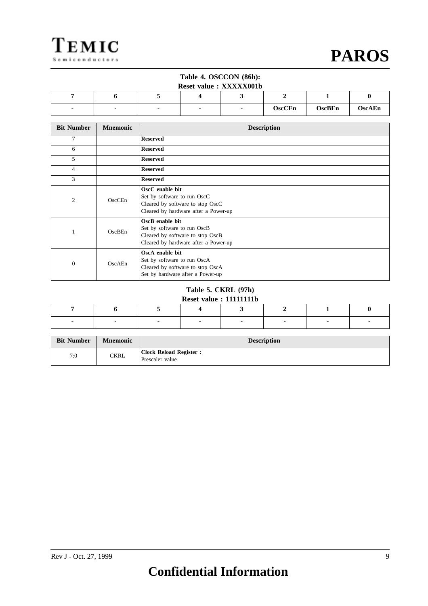

# **Table 4. OSCCON (86h):**

**Reset value : XXXXX001b**

|  |  | OscCEn | <b>OscBEn</b> | <b>OscAEn</b> |
|--|--|--------|---------------|---------------|

| <b>Bit Number</b> | <b>Mnemonic</b> | <b>Description</b>                                                                                                         |  |  |  |  |  |
|-------------------|-----------------|----------------------------------------------------------------------------------------------------------------------------|--|--|--|--|--|
| 7                 |                 | <b>Reserved</b>                                                                                                            |  |  |  |  |  |
| 6                 |                 | <b>Reserved</b>                                                                                                            |  |  |  |  |  |
| 5                 |                 | <b>Reserved</b>                                                                                                            |  |  |  |  |  |
| 4                 |                 | <b>Reserved</b>                                                                                                            |  |  |  |  |  |
| 3                 |                 | <b>Reserved</b>                                                                                                            |  |  |  |  |  |
| $\overline{2}$    | OscCEn          | OscC enable bit<br>Set by software to run OscC<br>Cleared by software to stop OscC<br>Cleared by hardware after a Power-up |  |  |  |  |  |
|                   | OscBEn          | OscB enable bit<br>Set by software to run OscB<br>Cleared by software to stop OscB<br>Cleared by hardware after a Power-up |  |  |  |  |  |
| $\theta$          | OscAEn          | OscA enable bit<br>Set by software to run OscA<br>Cleared by software to stop OscA<br>Set by hardware after a Power-up     |  |  |  |  |  |

#### **Table 5. CKRL (97h) Reset value : 11111111b**

| RESCU VAIUU , IIIIIIIIID |  |  |  |  |  |  |  |  |
|--------------------------|--|--|--|--|--|--|--|--|
|                          |  |  |  |  |  |  |  |  |
|                          |  |  |  |  |  |  |  |  |

| <b>Bit Number</b> | <b>Mnemonic</b> | <b>Description</b>                               |
|-------------------|-----------------|--------------------------------------------------|
| 7:0               | CKRL            | <b>Clock Reload Register:</b><br>Prescaler value |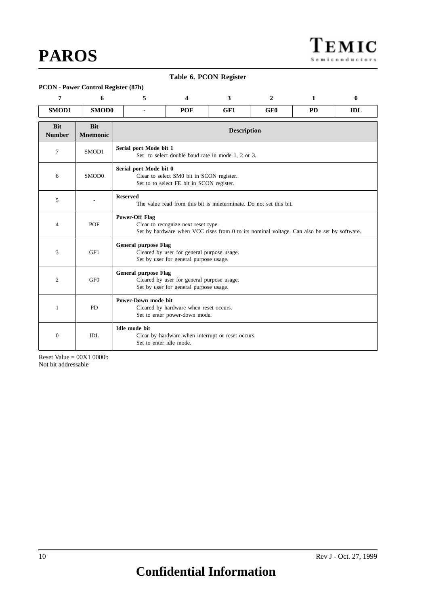### **Table 6. PCON Register**

### **PCON - Power Control Register (87h)**

| 7                           | 6                             | 5                     | 4                                                                                                                                 | 3   | $\mathbf{2}$    | $\mathbf{1}$ | $\bf{0}$   |  |  |
|-----------------------------|-------------------------------|-----------------------|-----------------------------------------------------------------------------------------------------------------------------------|-----|-----------------|--------------|------------|--|--|
| SMOD1                       | SMOD0                         |                       | <b>POF</b>                                                                                                                        | GF1 | GF <sub>0</sub> | <b>PD</b>    | <b>IDL</b> |  |  |
| <b>Bit</b><br><b>Number</b> | <b>Bit</b><br><b>Mnemonic</b> |                       | <b>Description</b>                                                                                                                |     |                 |              |            |  |  |
| 7                           | SMOD1                         |                       | Serial port Mode bit 1<br>Set to select double baud rate in mode 1, 2 or 3.                                                       |     |                 |              |            |  |  |
| 6                           | SMO <sub>D</sub> <sub>0</sub> |                       | Serial port Mode bit 0<br>Clear to select SM0 bit in SCON register.<br>Set to to select FE bit in SCON register.                  |     |                 |              |            |  |  |
| 5                           |                               | <b>Reserved</b>       | The value read from this bit is indeterminate. Do not set this bit.                                                               |     |                 |              |            |  |  |
| 4                           | POF                           | <b>Power-Off Flag</b> | Clear to recognize next reset type.<br>Set by hardware when VCC rises from 0 to its nominal voltage. Can also be set by software. |     |                 |              |            |  |  |
| 3                           | GF1                           |                       | <b>General purpose Flag</b><br>Cleared by user for general purpose usage.<br>Set by user for general purpose usage.               |     |                 |              |            |  |  |
| 2                           | GFO                           |                       | <b>General purpose Flag</b><br>Cleared by user for general purpose usage.<br>Set by user for general purpose usage.               |     |                 |              |            |  |  |
| 1                           | <b>PD</b>                     |                       | Power-Down mode bit<br>Cleared by hardware when reset occurs.<br>Set to enter power-down mode.                                    |     |                 |              |            |  |  |
| $\mathbf{0}$                | IDL                           | <b>Idle mode bit</b>  | Clear by hardware when interrupt or reset occurs.<br>Set to enter idle mode.                                                      |     |                 |              |            |  |  |

Reset Value  $= 00X1 0000b$ Not bit addressable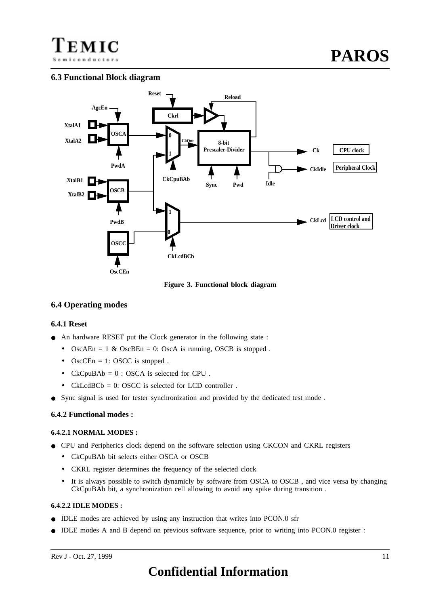

# **6.3 Functional Block diagram**



**Figure 3. Functional block diagram**

# **6.4 Operating modes**

### **6.4.1 Reset**

- An hardware RESET put the Clock generator in the following state :
	- OscAEn = 1 & OscBEn = 0: OscA is running, OSCB is stopped .
	- OscCEn = 1: OSCC is stopped.
	- CkCpuBAb =  $0:$  OSCA is selected for CPU.
	- CkLcdBCb = 0: OSCC is selected for LCD controller.
- Sync signal is used for tester synchronization and provided by the dedicated test mode .

# **6.4.2 Functional modes :**

### **6.4.2.1 NORMAL MODES :**

- CPU and Peripherics clock depend on the software selection using CKCON and CKRL registers
	- CkCpuBAb bit selects either OSCA or OSCB
	- CKRL register determines the frequency of the selected clock
	- It is always possible to switch dynamicly by software from OSCA to OSCB, and vice versa by changing CkCpuBAb bit, a synchronization cell allowing to avoid any spike during transition .

### **6.4.2.2 IDLE MODES :**

- IDLE modes are achieved by using any instruction that writes into PCON.0 sfr
- IDLE modes A and B depend on previous software sequence, prior to writing into PCON.0 register :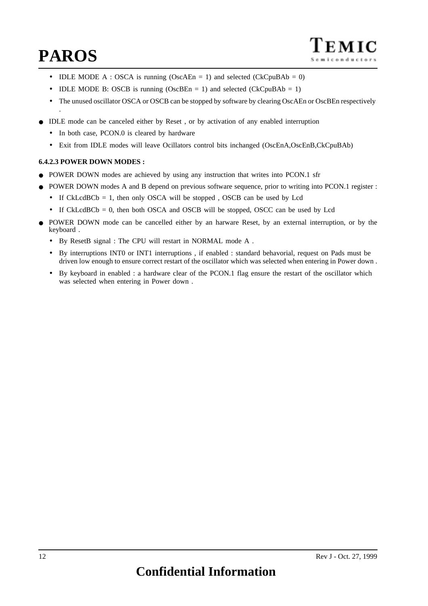.

- IDLE MODE A : OSCA is running (OscAEn = 1) and selected (CkCpuBAb = 0)
- IDLE MODE B: OSCB is running (OscBEn = 1) and selected (CkCpuBAb = 1)
- The unused oscillator OSCA or OSCB can be stopped by software by clearing OscAEn or OscBEn respectively
- IDLE mode can be canceled either by Reset , or by activation of any enabled interruption
	- In both case, PCON.0 is cleared by hardware
	- Exit from IDLE modes will leave Ocillators control bits inchanged (OscEnA,OscEnB,CkCpuBAb)

# **6.4.2.3 POWER DOWN MODES :**

- POWER DOWN modes are achieved by using any instruction that writes into PCON.1 sfr
- POWER DOWN modes A and B depend on previous software sequence, prior to writing into PCON.1 register :
	- If CkLcdBCb  $= 1$ , then only OSCA will be stopped, OSCB can be used by Lcd
	- If CkLcdBCb  $= 0$ , then both OSCA and OSCB will be stopped, OSCC can be used by Lcd
- POWER DOWN mode can be cancelled either by an harware Reset, by an external interruption, or by the keyboard .
	- By ResetB signal : The CPU will restart in NORMAL mode A .
	- By interruptions INT0 or INT1 interruptions , if enabled : standard behavorial, request on Pads must be driven low enough to ensure correct restart of the oscillator which was selected when entering in Power down .
	- By keyboard in enabled : a hardware clear of the PCON.1 flag ensure the restart of the oscillator which was selected when entering in Power down .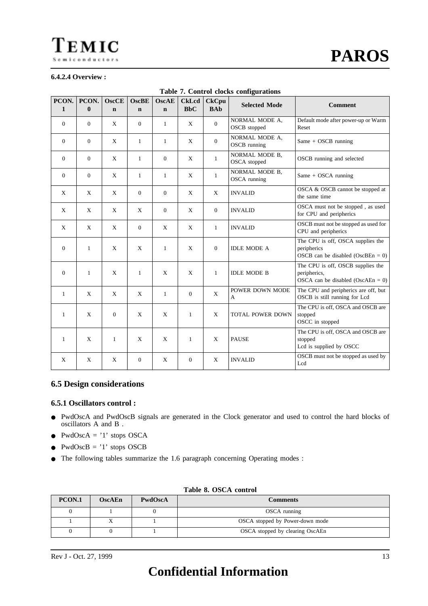# **6.4.2.4 Overview :**

| PCON.<br>$\mathbf{1}$ | PCON.<br>$\mathbf{0}$ | <b>OscCE</b><br>$\mathbf n$ | <b>OscBE</b><br>$\mathbf n$ | <b>OscAE</b><br>$\mathbf n$ | <b>CkLcd</b><br><b>BbC</b> | <b>CkCpu</b><br><b>BAb</b> | <b>Selected Mode</b>           | <b>Comment</b>                                                                            |
|-----------------------|-----------------------|-----------------------------|-----------------------------|-----------------------------|----------------------------|----------------------------|--------------------------------|-------------------------------------------------------------------------------------------|
| $\mathbf{0}$          | $\mathbf{0}$          | X                           | $\mathbf{0}$                | $\mathbf{1}$                | X                          | $\mathbf{0}$               | NORMAL MODE A,<br>OSCB stopped | Default mode after power-up or Warm<br>Reset                                              |
| $\mathbf{0}$          | $\Omega$              | X                           | $\mathbf{1}$                | $\mathbf{1}$                | X                          | $\mathbf{0}$               | NORMAL MODE A,<br>OSCB running | Same + OSCB running                                                                       |
| $\mathbf{0}$          | $\Omega$              | X                           | $\mathbf{1}$                | $\mathbf{0}$                | X                          | $\mathbf{1}$               | NORMAL MODE B.<br>OSCA stopped | OSCB running and selected                                                                 |
| $\mathbf{0}$          | $\mathbf{0}$          | X                           | $\mathbf{1}$                | $\mathbf{1}$                | X                          | 1                          | NORMAL MODE B,<br>OSCA running | $Same + OSCA$ running                                                                     |
| X                     | X                     | X                           | $\Omega$                    | $\mathbf{0}$                | X                          | X                          | <b>INVALID</b>                 | OSCA & OSCB cannot be stopped at<br>the same time                                         |
| X                     | X                     | X                           | X                           | $\Omega$                    | X                          | $\mathbf{0}$               | <b>INVALID</b>                 | OSCA must not be stopped, as used<br>for CPU and peripherics                              |
| X                     | X                     | X                           | $\mathbf{0}$                | X                           | X                          | $\mathbf{1}$               | <b>INVALID</b>                 | OSCB must not be stopped as used for<br>CPU and peripherics                               |
| $\mathbf{0}$          | 1                     | X                           | X                           | $\mathbf{1}$                | X                          | $\mathbf{0}$               | <b>IDLE MODE A</b>             | The CPU is off, OSCA supplies the<br>peripherics<br>OSCB can be disabled (OscBE $n = 0$ ) |
| $\Omega$              | 1                     | X                           | $\mathbf{1}$                | X                           | X                          | 1                          | <b>IDLE MODE B</b>             | The CPU is off, OSCB supplies the<br>peripherics,<br>OSCA can be disabled (OscAEn = 0)    |
| $\mathbf{1}$          | X                     | X                           | X                           | $\mathbf{1}$                | $\Omega$                   | $\mathbf{x}$               | POWER DOWN MODE<br>A           | The CPU and peripherics are off, but<br>OSCB is still running for Lcd                     |
| $\mathbf{1}$          | X                     | $\mathbf{0}$                | X                           | X                           | $\mathbf{1}$               | X                          | TOTAL POWER DOWN               | The CPU is off, OSCA and OSCB are<br>stopped<br>OSCC in stopped                           |
| $\mathbf{1}$          | X                     | $\mathbf{1}$                | X                           | $\mathbf{x}$                | $\mathbf{1}$               | X                          | <b>PAUSE</b>                   | The CPU is off, OSCA and OSCB are<br>stopped<br>Lcd is supplied by OSCC                   |
| X                     | X                     | X                           | $\Omega$                    | X                           | $\Omega$                   | X                          | <b>INVALID</b>                 | OSCB must not be stopped as used by<br>Lcd                                                |

### **Table 7. Control clocks configurations**

# **6.5 Design considerations**

### **6.5.1 Oscillators control :**

- PwdOscA and PwdOscB signals are generated in the Clock generator and used to control the hard blocks of oscillators A and B .
- $\bullet$  PwdOscA = '1' stops OSCA
- $\bullet$  PwdOscB = '1' stops OSCB
- The following tables summarize the 1.6 paragraph concerning Operating modes :

| PCON.1 | <b>OscAEn</b> | PwdOscA | <b>Comments</b>                 |
|--------|---------------|---------|---------------------------------|
|        |               |         | OSCA running                    |
|        |               |         | OSCA stopped by Power-down mode |
|        |               |         | OSCA stopped by clearing OscAEn |

# **Table 8. OSCA control**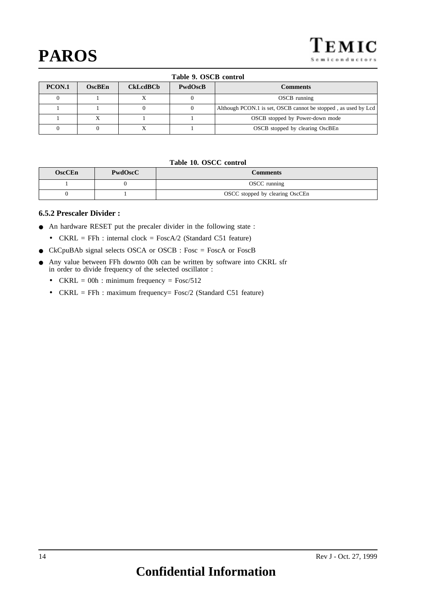|        | Table 9. OSCB control |                 |                |                                                                |  |  |  |  |  |  |
|--------|-----------------------|-----------------|----------------|----------------------------------------------------------------|--|--|--|--|--|--|
| PCON.1 | <b>OscBEn</b>         | <b>CkLcdBCb</b> | <b>PwdOscB</b> | <b>Comments</b>                                                |  |  |  |  |  |  |
|        |                       |                 |                | OSCB running                                                   |  |  |  |  |  |  |
|        |                       |                 |                | Although PCON.1 is set, OSCB cannot be stopped, as used by Lcd |  |  |  |  |  |  |
|        |                       |                 |                | OSCB stopped by Power-down mode                                |  |  |  |  |  |  |
|        |                       |                 |                | OSCB stopped by clearing OscBEn                                |  |  |  |  |  |  |

#### **Table 10. OSCC control**

| <b>OscCEn</b> | PwdOscC | <b>Comments</b>                 |
|---------------|---------|---------------------------------|
|               |         | OSCC running                    |
|               |         | OSCC stopped by clearing OscCEn |

# **6.5.2 Prescaler Divider :**

- An hardware RESET put the precaler divider in the following state :
	- CKRL = FFh : internal clock = FoscA/2 (Standard C51 feature)
- CkCpuBAb signal selects OSCA or OSCB : Fosc = FoscA or FoscB
- Any value between FFh downto 00h can be written by software into CKRL sfr in order to divide frequency of the selected oscillator :
	- CKRL = 00h : minimum frequency =  $Fose/512$
	- CKRL = FFh : maximum frequency= Fosc/2 (Standard C51 feature)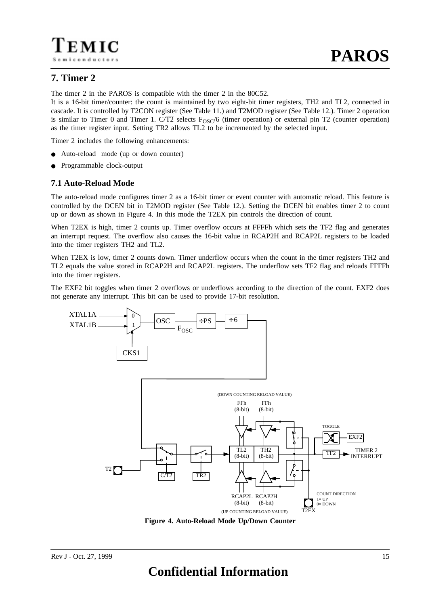# **7. Timer 2**

The timer 2 in the PAROS is compatible with the timer 2 in the 80C52.

It is a 16-bit timer/counter: the count is maintained by two eight-bit timer registers, TH2 and TL2, connected in cascade. It is controlled by T2CON register (See [Table 11.](#page-16-0)) and T2MOD register (See [Table 12.](#page-17-0)). Timer 2 operation is similar to Timer 0 and Timer 1.  $\overline{CT2}$  selects  $F_{OSC}/6$  (timer operation) or external pin T2 (counter operation) as the timer register input. Setting TR2 allows TL2 to be incremented by the selected input.

Timer 2 includes the following enhancements:

- Auto-reload mode (up or down counter)
- Programmable clock-output

# **7.1 Auto-Reload Mode**

The auto-reload mode configures timer 2 as a 16-bit timer or event counter with automatic reload. This feature is controlled by the DCEN bit in T2MOD register (See [Table 12.](#page-17-0)). Setting the DCEN bit enables timer 2 to count up or down as shown in Figure 4. In this mode the T2EX pin controls the direction of count.

When T2EX is high, timer 2 counts up. Timer overflow occurs at FFFFh which sets the TF2 flag and generates an interrupt request. The overflow also causes the 16-bit value in RCAP2H and RCAP2L registers to be loaded into the timer registers TH2 and TL2.

When T2EX is low, timer 2 counts down. Timer underflow occurs when the count in the timer registers TH2 and TL2 equals the value stored in RCAP2H and RCAP2L registers. The underflow sets TF2 flag and reloads FFFFh into the timer registers.

The EXF2 bit toggles when timer 2 overflows or underflows according to the direction of the count. EXF2 does not generate any interrupt. This bit can be used to provide 17-bit resolution.



**Figure 4. Auto-Reload Mode Up/Down Counter**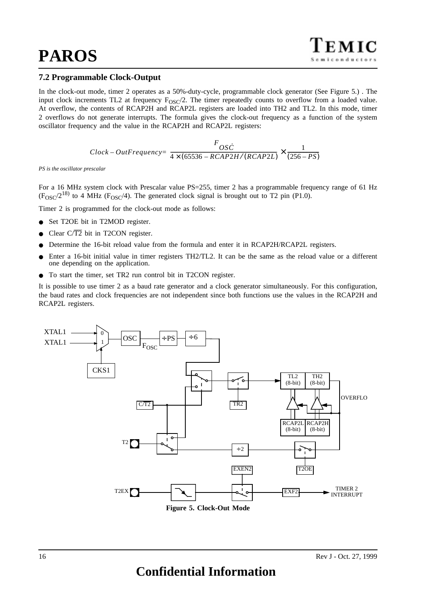# **7.2 Programmable Clock-Output**

In the clock-out mode, timer 2 operates as a 50%-duty-cycle, programmable clock generator (See Figure 5.) . The input clock increments TL2 at frequency  $F_{OSC}/2$ . The timer repeatedly counts to overflow from a loaded value. At overflow, the contents of RCAP2H and RCAP2L registers are loaded into TH2 and TL2. In this mode, timer 2 overflows do not generate interrupts. The formula gives the clock-out frequency as a function of the system oscillator frequency and the value in the RCAP2H and RCAP2L registers:

$$
Clock-OutFrequency=\frac{F_{OSC}}{4 \times (65536 - RCAP2H/(RCAP2L)} \times \frac{1}{(256 - PS)}
$$

*PS is the oscillator prescalar*

For a 16 MHz system clock with Prescalar value PS=255, timer 2 has a programmable frequency range of 61 Hz  $(F<sub>OSC</sub>/2<sup>18</sup>)$  to 4 MHz ( $F<sub>OSC</sub>/4$ ). The generated clock signal is brought out to T2 pin (P1.0).

Timer 2 is programmed for the clock-out mode as follows:

- Set T2OE bit in T2MOD register.
- Clear  $C/T2$  bit in T2CON register.
- Determine the 16-bit reload value from the formula and enter it in RCAP2H/RCAP2L registers.
- Enter a 16-bit initial value in timer registers TH2/TL2. It can be the same as the reload value or a different one depending on the application.
- To start the timer, set TR2 run control bit in T2CON register.

It is possible to use timer 2 as a baud rate generator and a clock generator simultaneously. For this configuration, the baud rates and clock frequencies are not independent since both functions use the values in the RCAP2H and RCAP2L registers.

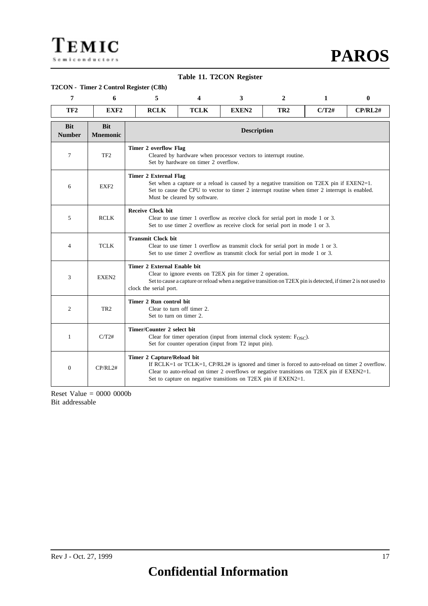<span id="page-16-0"></span>**TEMIC** Semiconductors

**PAROS**

# **Table 11. T2CON Register**

#### **T2CON - Timer 2 Control Register (C8h)**

| 7                           | 6                             | 5                                                                          | 4                                                                                                                                                                                                                                                           | 3                                                                                                                                                                                                                                                                | $\overline{2}$ | $\mathbf{1}$ | $\mathbf{0}$ |  |
|-----------------------------|-------------------------------|----------------------------------------------------------------------------|-------------------------------------------------------------------------------------------------------------------------------------------------------------------------------------------------------------------------------------------------------------|------------------------------------------------------------------------------------------------------------------------------------------------------------------------------------------------------------------------------------------------------------------|----------------|--------------|--------------|--|
| TF <sub>2</sub>             | EXF <sub>2</sub>              | <b>RCLK</b><br><b>TCLK</b><br>EXEN2<br>C/T2#<br>CP/RL2#<br>TR <sub>2</sub> |                                                                                                                                                                                                                                                             |                                                                                                                                                                                                                                                                  |                |              |              |  |
| <b>Bit</b><br><b>Number</b> | <b>Bit</b><br><b>Mnemonic</b> |                                                                            | <b>Description</b>                                                                                                                                                                                                                                          |                                                                                                                                                                                                                                                                  |                |              |              |  |
| 7                           | TF <sub>2</sub>               |                                                                            | <b>Timer 2 overflow Flag</b><br>Cleared by hardware when processor vectors to interrupt routine.<br>Set by hardware on timer 2 overflow.                                                                                                                    |                                                                                                                                                                                                                                                                  |                |              |              |  |
| 6                           | EXF <sub>2</sub>              |                                                                            | <b>Timer 2 External Flag</b><br>Set when a capture or a reload is caused by a negative transition on T2EX pin if EXEN2=1.<br>Set to cause the CPU to vector to timer 2 interrupt routine when timer 2 interrupt is enabled.<br>Must be cleared by software. |                                                                                                                                                                                                                                                                  |                |              |              |  |
| 5                           | <b>RCLK</b>                   | <b>Receive Clock bit</b>                                                   | Clear to use timer 1 overflow as receive clock for serial port in mode 1 or 3.<br>Set to use timer 2 overflow as receive clock for serial port in mode 1 or 3.                                                                                              |                                                                                                                                                                                                                                                                  |                |              |              |  |
| $\overline{4}$              | <b>TCLK</b>                   | <b>Transmit Clock bit</b>                                                  |                                                                                                                                                                                                                                                             | Clear to use timer 1 overflow as transmit clock for serial port in mode 1 or 3.<br>Set to use timer 2 overflow as transmit clock for serial port in mode 1 or 3.                                                                                                 |                |              |              |  |
| 3                           | EXEN2                         | Timer 2 External Enable bit<br>clock the serial port.                      |                                                                                                                                                                                                                                                             | Clear to ignore events on T2EX pin for timer 2 operation.<br>Set to cause a capture or reload when a negative transition on T2EX pin is detected, if timer 2 is not used to                                                                                      |                |              |              |  |
| $\overline{c}$              | TR <sub>2</sub>               | Timer 2 Run control bit<br>Set to turn on timer 2.                         | Clear to turn off timer 2.                                                                                                                                                                                                                                  |                                                                                                                                                                                                                                                                  |                |              |              |  |
| 1                           | C/T2#                         |                                                                            | Timer/Counter 2 select bit<br>Clear for timer operation (input from internal clock system: $F_{\rm OSC}$ ).<br>Set for counter operation (input from T2 input pin).                                                                                         |                                                                                                                                                                                                                                                                  |                |              |              |  |
| $\mathbf{0}$                | CP/RL2#                       | Timer 2 Capture/Reload bit                                                 |                                                                                                                                                                                                                                                             | If RCLK=1 or TCLK=1, $CP/RL2#$ is ignored and timer is forced to auto-reload on timer 2 overflow.<br>Clear to auto-reload on timer 2 overflows or negative transitions on T2EX pin if EXEN2=1.<br>Set to capture on negative transitions on T2EX pin if EXEN2=1. |                |              |              |  |

Reset Value = 0000 0000b Bit addressable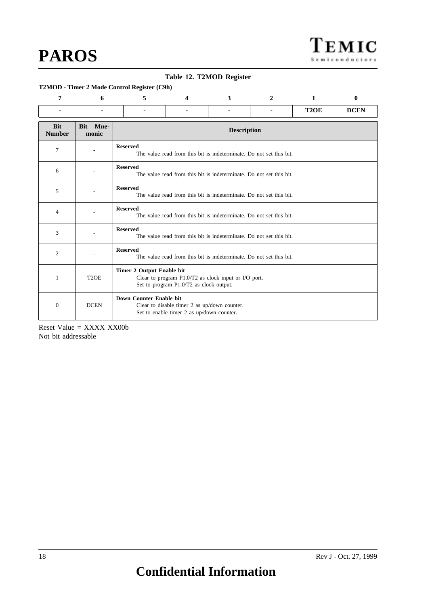<span id="page-17-0"></span>

|                             |                             | T2MOD - Timer 2 Mode Control Register (C9h) | Table 12. T2MOD Register                                                                        |   |                                                                     |                   |              |  |
|-----------------------------|-----------------------------|---------------------------------------------|-------------------------------------------------------------------------------------------------|---|---------------------------------------------------------------------|-------------------|--------------|--|
| 7                           | 6                           | 5                                           | 4                                                                                               | 3 | 2                                                                   | 1                 | $\mathbf{0}$ |  |
|                             |                             |                                             |                                                                                                 | ۰ |                                                                     | T <sub>2</sub> OE | <b>DCEN</b>  |  |
| <b>Bit</b><br><b>Number</b> | Mne-<br><b>Bit</b><br>monic |                                             | <b>Description</b>                                                                              |   |                                                                     |                   |              |  |
| 7                           |                             | <b>Reserved</b>                             |                                                                                                 |   | The value read from this bit is indeterminate. Do not set this bit. |                   |              |  |
| 6                           |                             | <b>Reserved</b>                             |                                                                                                 |   | The value read from this bit is indeterminate. Do not set this bit. |                   |              |  |
| 5                           |                             | <b>Reserved</b>                             |                                                                                                 |   | The value read from this bit is indeterminate. Do not set this bit. |                   |              |  |
| 4                           |                             | <b>Reserved</b>                             |                                                                                                 |   | The value read from this bit is indeterminate. Do not set this bit. |                   |              |  |
| 3                           |                             | <b>Reserved</b>                             |                                                                                                 |   | The value read from this bit is indeterminate. Do not set this bit. |                   |              |  |
| 2                           |                             | <b>Reserved</b>                             |                                                                                                 |   | The value read from this bit is indeterminate. Do not set this bit. |                   |              |  |
| 1                           | T <sub>2</sub> OE           | Timer 2 Output Enable bit                   | Clear to program P1.0/T2 as clock input or I/O port.<br>Set to program P1.0/T2 as clock output. |   |                                                                     |                   |              |  |
| $\mathbf{0}$                | <b>DCEN</b>                 | Down Counter Enable bit                     | Clear to disable timer 2 as up/down counter.<br>Set to enable timer 2 as up/down counter.       |   |                                                                     |                   |              |  |

Reset Value = XXXX XX00b Not bit addressable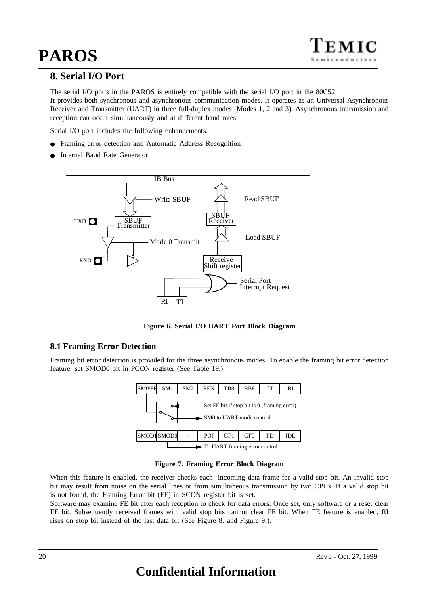# **8. Serial I/O Port**

The serial I/O ports in the PAROS is entirely compatible with the serial I/O port in the 80C52. It provides both synchronous and asynchronous communication modes. It operates as an Universal Asynchronous Receiver and Transmitter (UART) in three full-duplex modes (Modes 1, 2 and 3). Asynchronous transmission and reception can occur simultaneously and at different baud rates

Serial I/O port includes the following enhancements:

- Framing error detection and Automatic Address Recognition
- Internal Baud Rate Generator



**Figure 6. Serial I/O UART Port Block Diagram**

# **8.1 Framing Error Detection**

Framing bit error detection is provided for the three asynchronous modes. To enable the framing bit error detection feature, set SMOD0 bit in PCON register (See Ta[ble 19.\).](#page-25-0)



**Figure 7. Framing Error Block Diagram**

When this feature is enabled, the receiver checks each incoming data frame for a valid stop bit. An invalid stop bit may result from noise on the serial lines or from simultaneous transmission by two CPUs. If a valid stop bit is not found, the Framing Error bit (FE) in SCON register bit is set.

Software may examine FE bit after each reception to check for data errors. Once set, only software or a reset clear FE bit. Subsequently received frames with valid stop bits cannot clear FE bit. When FE feature is enabled, RI rises on stop bit instead of the last data bit (See Fig[ure 8. and](#page-19-0) Figu[re 9.\).](#page-19-0)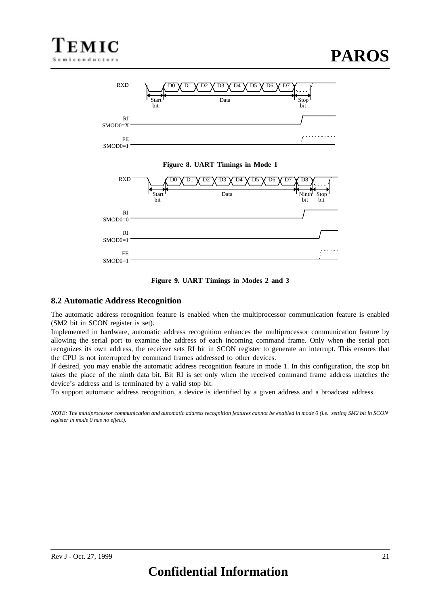<span id="page-19-0"></span>



# **8.2 Automatic Address Recognition**

The automatic address recognition feature is enabled when the multiprocessor communication feature is enabled (SM2 bit in SCON register is set).

Implemented in hardware, automatic address recognition enhances the multiprocessor communication feature by allowing the serial port to examine the address of each incoming command frame. Only when the serial port recognizes its own address, the receiver sets RI bit in SCON register to generate an interrupt. This ensures that the CPU is not interrupted by command frames addressed to other devices.

If desired, you may enable the automatic address recognition feature in mode 1. In this configuration, the stop bit takes the place of the ninth data bit. Bit RI is set only when the received command frame address matches the device's address and is terminated by a valid stop bit.

To support automatic address recognition, a device is identified by a given address and a broadcast address.

*NOTE: The multiprocessor communication and automatic address recognition features cannot be enabled in mode 0 (i.e. setting SM2 bit in SCON register in mode 0 has no effect).*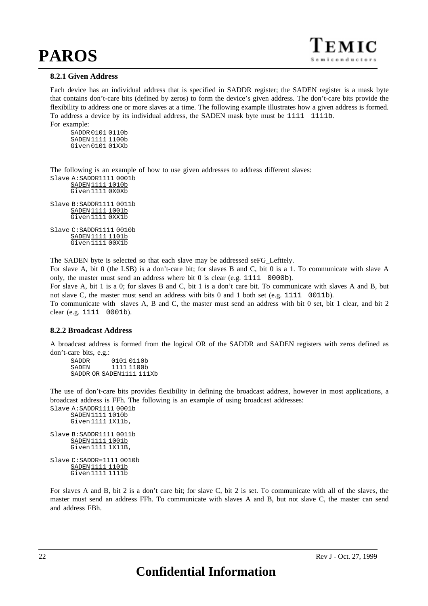

# **8.2.1 Given Address**

Each device has an individual address that is specified in SADDR register; the SADEN register is a mask byte that contains don't-care bits (defined by zeros) to form the device's given address. The don't-care bits provide the flexibility to address one or more slaves at a time. The following example illustrates how a given address is formed. To address a device by its individual address, the SADEN mask byte must be 1111 1111b. For example:

SADDR 0101 0110b SADEN1111 1100b Given 0101 01XXb

The following is an example of how to use given addresses to address different slaves:

```
Slave A:SADDR1111 0001b
     SADEN1111 1010b
     Given 1111 0X0Xb
Slave B:SADDR1111 0011b
     SADEN1111 1001b
     Given 1111 0XX1b
Slave C:SADDR1111 0010b
     SADEN1111 1101b
     Given 1111 00X1b
```
The SADEN byte is selected so that each slave may be addressed seFG\_Lefttely.

For slave A, bit 0 (the LSB) is a don't-care bit; for slaves B and C, bit 0 is a 1. To communicate with slave A only, the master must send an address where bit 0 is clear (e.g. 1111 0000b).

For slave A, bit 1 is a 0; for slaves B and C, bit 1 is a don't care bit. To communicate with slaves A and B, but not slave C, the master must send an address with bits 0 and 1 both set (e.g. 1111 0011b).

To communicate with slaves A, B and C, the master must send an address with bit 0 set, bit 1 clear, and bit 2 clear (e.g. 1111 0001b).

# **8.2.2 Broadcast Address**

A broadcast address is formed from the logical OR of the SADDR and SADEN registers with zeros defined as don't-care bits, e.g.:

SADDR 0101 0110b SADEN 1111 1100b SADDR OR SADEN1111 111Xb

The use of don't-care bits provides flexibility in defining the broadcast address, however in most applications, a broadcast address is FFh. The following is an example of using broadcast addresses:

```
Slave A:SADDR1111 0001b
     SADEN1111 1010b
     Given 1111 1X11b,
Slave B:SADDR1111 0011b
     SADEN1111 1001b
     Given 1111 1X11B,
Slave C:SADDR=1111 0010b
     SADEN1111 1101b
     Given 1111 1111b
```
For slaves A and B, bit 2 is a don't care bit; for slave C, bit 2 is set. To communicate with all of the slaves, the master must send an address FFh. To communicate with slaves A and B, but not slave C, the master can send and address FBh.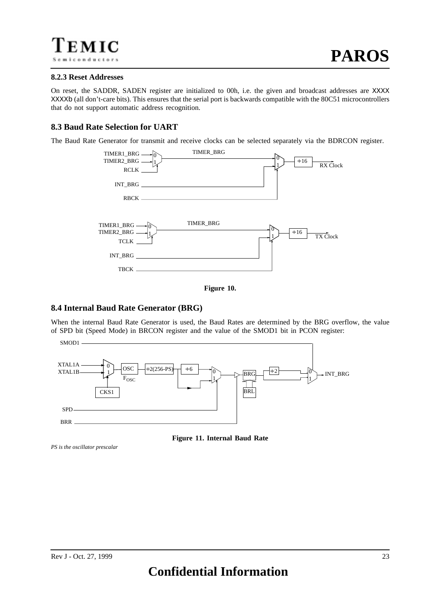# **8.2.3 Reset Addresses**

On reset, the SADDR, SADEN register are initialized to 00h, i.e. the given and broadcast addresses are XXXX XXXXb (all don't-care bits). This ensures that the serial port is backwards compatible with the 80C51 microcontrollers that do not support automatic address recognition.

# **8.3 Baud Rate Selection for UART**

The Baud Rate Generator for transmit and receive clocks can be selected separately via the BDRCON register.





# **8.4 Internal Baud Rate Generator (BRG)**

When the internal Baud Rate Generator is used, the Baud Rates are determined by the BRG overflow, the value of SPD bit (Speed Mode) in BRCON register and the value of the SMOD1 bit in PCON register:



**Figure 11. Internal Baud Rate**

*PS is the oscillator prescalar*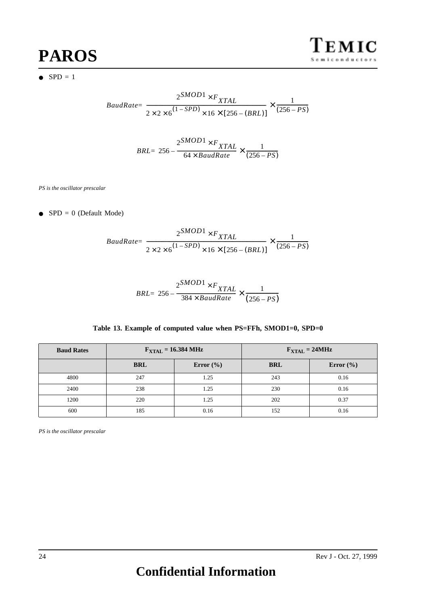

 $\bullet$  SPD = 1

$$
BaudRate = \frac{2^{SMOD1} \times F_{XTAL}}{2 \times 2 \times 6^{(1-SPD)} \times 16 \times [256 - (BRL)]} \times \frac{1}{(256 - PS)}
$$

$$
BRL = 256 - \frac{2^{SMOD1} \times F_{XTAL}}{64 \times BaudRate} \times \frac{1}{(256 - PS)}
$$

*PS is the oscillator prescalar*

 $\bullet$  SPD = 0 (Default Mode)

$$
BaudRate = \frac{2^{SMOD1} \times F_{XTAL}}{2 \times 2 \times 6^{(1-SPD)} \times 16 \times [256 - (BRL)]} \times \frac{1}{(256 - PS)}
$$

$$
BRL = 256 - \frac{2^{SMOD1} \times F_{XTAL}}{384 \times BaudRate} \times \frac{1}{(256 - PS)}
$$

| Table 13. Example of computed value when PS=FFh, SMOD1=0, SPD=0 |  |  |  |  |  |
|-----------------------------------------------------------------|--|--|--|--|--|
|-----------------------------------------------------------------|--|--|--|--|--|

| <b>Baud Rates</b> |            | $F_{\text{XTAL}} = 16.384 \text{ MHz}$ | $F_{\text{XTAL}} = 24 \text{MHz}$ |               |  |
|-------------------|------------|----------------------------------------|-----------------------------------|---------------|--|
|                   | <b>BRL</b> | Error $(\% )$                          |                                   | Error $(\% )$ |  |
| 4800              | 247        | 1.25                                   | 243                               | 0.16          |  |
| 2400              | 238        | 1.25                                   | 230                               | 0.16          |  |
| 1200              | 220        | 1.25                                   | 202                               | 0.37          |  |
| 600               | 185        | 0.16                                   | 152                               | 0.16          |  |

*PS is the oscillator prescalar*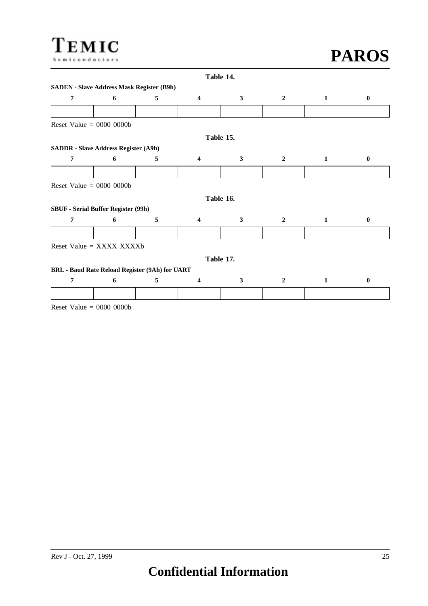# TEMIC Semiconductors

|                                             |                  |                                                       |                         | Table 14.    |                |              |          |
|---------------------------------------------|------------------|-------------------------------------------------------|-------------------------|--------------|----------------|--------------|----------|
| 7                                           | $\boldsymbol{6}$ | <b>SADEN - Slave Address Mask Register (B9h)</b><br>5 | $\overline{\mathbf{4}}$ | $\mathbf{3}$ | $\overline{2}$ | $\mathbf{1}$ | $\bf{0}$ |
|                                             |                  |                                                       |                         |              |                |              |          |
| Reset Value = $0000 0000$                   |                  |                                                       |                         |              |                |              |          |
|                                             |                  |                                                       |                         | Table 15.    |                |              |          |
| <b>SADDR</b> - Slave Address Register (A9h) |                  |                                                       |                         |              |                |              |          |
| 7                                           | 6                | 5                                                     | 4                       | 3            | $\overline{2}$ | 1            | $\bf{0}$ |
|                                             |                  |                                                       |                         |              |                |              |          |
| Reset Value = $0000 0000$                   |                  |                                                       |                         |              |                |              |          |
|                                             |                  |                                                       |                         | Table 16.    |                |              |          |
| <b>SBUF</b> - Serial Buffer Register (99h)  |                  |                                                       |                         |              |                |              |          |
| 7                                           | 6                | 5                                                     | $\overline{\mathbf{4}}$ | $\mathbf{3}$ | $\overline{2}$ | $\mathbf{1}$ | $\bf{0}$ |
|                                             |                  |                                                       |                         |              |                |              |          |
| Reset Value = XXXX XXXXb                    |                  |                                                       |                         |              |                |              |          |
|                                             |                  |                                                       |                         | Table 17.    |                |              |          |
|                                             |                  | BRL - Baud Rate Reload Register (9Ah) for UART        |                         |              |                |              |          |
| 7                                           | 6                | 5                                                     | 4                       | 3            | $\overline{2}$ | 1            | $\bf{0}$ |
|                                             |                  |                                                       |                         |              |                |              |          |
| Reset Value = $0000 0000$                   |                  |                                                       |                         |              |                |              |          |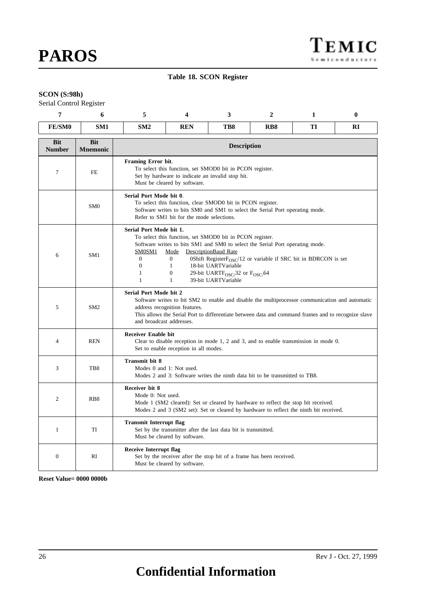# **Table 18. SCON Register**

# **SCON (S:98h)**

Serial Control Register

| $\overline{7}$              | 6                             | 5                                                              | $\overline{2}$<br>4<br>3<br>$\mathbf{1}$<br>$\bf{0}$                                                                                                                                                                                                                                                                                                                                                                                     |                                                                |                                                                                                                                                                                                        |  |  |  |  |
|-----------------------------|-------------------------------|----------------------------------------------------------------|------------------------------------------------------------------------------------------------------------------------------------------------------------------------------------------------------------------------------------------------------------------------------------------------------------------------------------------------------------------------------------------------------------------------------------------|----------------------------------------------------------------|--------------------------------------------------------------------------------------------------------------------------------------------------------------------------------------------------------|--|--|--|--|
| FE/SM0                      | SM1                           | SM2                                                            | TB8<br>TI<br><b>REN</b><br>R <sub>B</sub> 8<br><b>RI</b>                                                                                                                                                                                                                                                                                                                                                                                 |                                                                |                                                                                                                                                                                                        |  |  |  |  |
| <b>Bit</b><br><b>Number</b> | <b>Bit</b><br><b>Mnemonic</b> |                                                                |                                                                                                                                                                                                                                                                                                                                                                                                                                          | <b>Description</b>                                             |                                                                                                                                                                                                        |  |  |  |  |
| 7                           | FE                            | Framing Error bit.                                             | Set by hardware to indicate an invalid stop bit.<br>Must be cleared by software.                                                                                                                                                                                                                                                                                                                                                         | To select this function, set SMOD0 bit in PCON register.       |                                                                                                                                                                                                        |  |  |  |  |
|                             | SM <sub>0</sub>               |                                                                | Serial Port Mode bit 0.<br>To select this function, clear SMOD0 bit in PCON register.<br>Software writes to bits SM0 and SM1 to select the Serial Port operating mode.<br>Refer to SM1 bit for the mode selections.                                                                                                                                                                                                                      |                                                                |                                                                                                                                                                                                        |  |  |  |  |
| 6                           | SM <sub>1</sub>               | SM0SM1<br>$\Omega$<br>$\Omega$<br>$\mathbf{1}$<br>$\mathbf{1}$ | Serial Port Mode bit 1.<br>To select this function, set SMOD0 bit in PCON register.<br>Software writes to bits SM1 and SM0 to select the Serial Port operating mode.<br>Mode<br>DescriptionBaud Rate<br>$\theta$<br>0Shift Register $F_{OSC}/12$ or variable if SRC bit in BDRCON is set<br>18-bit UARTVariable<br>1<br>$\overline{0}$<br>29-bit UARTF <sub>OSC</sub> /32 or F <sub>OSC</sub> /64<br>$\mathbf{1}$<br>39-bit UARTVariable |                                                                |                                                                                                                                                                                                        |  |  |  |  |
| 5                           | SM <sub>2</sub>               | <b>Serial Port Mode bit 2</b><br>and broadcast addresses.      | address recognition features.                                                                                                                                                                                                                                                                                                                                                                                                            |                                                                | Software writes to bit SM2 to enable and disable the multiprocessor communication and automatic<br>This allows the Serial Port to differentiate between data and command frames and to recognize slave |  |  |  |  |
| $\overline{4}$              | <b>REN</b>                    | <b>Receiver Enable bit</b>                                     | Set to enable reception in all modes.                                                                                                                                                                                                                                                                                                                                                                                                    |                                                                | Clear to disable reception in mode 1, 2 and 3, and to enable transmission in mode 0.                                                                                                                   |  |  |  |  |
| 3                           | TB8                           | <b>Transmit bit 8</b>                                          | Modes 0 and 1: Not used.                                                                                                                                                                                                                                                                                                                                                                                                                 |                                                                | Modes 2 and 3: Software writes the ninth data bit to be transmitted to TB8.                                                                                                                            |  |  |  |  |
| $\overline{2}$              | R <sub>B</sub> 8              | Receiver bit 8<br>Mode 0: Not used.                            |                                                                                                                                                                                                                                                                                                                                                                                                                                          |                                                                | Mode 1 (SM2 cleared): Set or cleared by hardware to reflect the stop bit received.<br>Modes 2 and 3 (SM2 set): Set or cleared by hardware to reflect the ninth bit received.                           |  |  |  |  |
| $\mathbf{1}$                | TI                            | <b>Transmit Interrupt flag</b>                                 | Must be cleared by software.                                                                                                                                                                                                                                                                                                                                                                                                             | Set by the transmitter after the last data bit is transmitted. |                                                                                                                                                                                                        |  |  |  |  |
| $\mathbf{0}$                | <b>RI</b>                     | <b>Receive Interrupt flag</b>                                  | Must be cleared by software.                                                                                                                                                                                                                                                                                                                                                                                                             |                                                                | Set by the receiver after the stop bit of a frame has been received.                                                                                                                                   |  |  |  |  |

**Reset Value= 0000 0000b**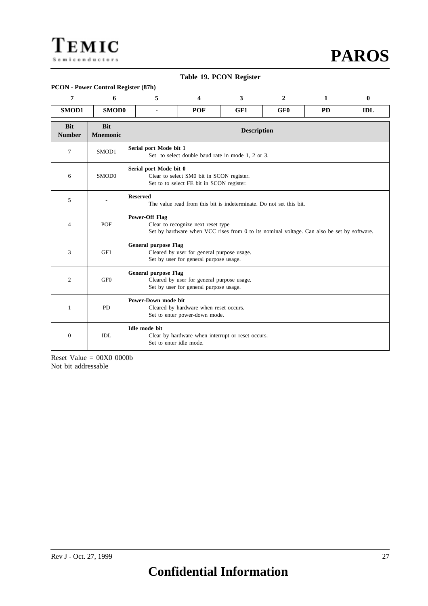<span id="page-25-0"></span>

### **Table 19. PCON Register**

# **PCON - Power Control Register (87h)**

| 7                           | 6                             | 5                                               | 3<br>4<br>$\mathbf{2}$<br>1                                                                                                      |                                                   |                 |           |            |  |
|-----------------------------|-------------------------------|-------------------------------------------------|----------------------------------------------------------------------------------------------------------------------------------|---------------------------------------------------|-----------------|-----------|------------|--|
| SMOD1                       | <b>SMOD0</b>                  |                                                 | <b>POF</b>                                                                                                                       | GF1                                               | GF <sub>0</sub> | <b>PD</b> | <b>IDL</b> |  |
| <b>Bit</b><br><b>Number</b> | <b>Bit</b><br><b>Mnemonic</b> |                                                 | <b>Description</b>                                                                                                               |                                                   |                 |           |            |  |
| 7                           | SMOD1                         | Serial port Mode bit 1                          |                                                                                                                                  | Set to select double baud rate in mode 1, 2 or 3. |                 |           |            |  |
| 6                           | SMOD0                         |                                                 | Serial port Mode bit 0<br>Clear to select SM0 bit in SCON register.<br>Set to to select FE bit in SCON register.                 |                                                   |                 |           |            |  |
| 5                           |                               | <b>Reserved</b>                                 | The value read from this bit is indeterminate. Do not set this bit.                                                              |                                                   |                 |           |            |  |
| 4                           | POF                           | <b>Power-Off Flag</b>                           | Clear to recognize next reset type<br>Set by hardware when VCC rises from 0 to its nominal voltage. Can also be set by software. |                                                   |                 |           |            |  |
| 3                           | GF1                           | <b>General purpose Flag</b>                     | Cleared by user for general purpose usage.<br>Set by user for general purpose usage.                                             |                                                   |                 |           |            |  |
| $\overline{c}$              | GFO                           |                                                 | <b>General purpose Flag</b><br>Cleared by user for general purpose usage.<br>Set by user for general purpose usage.              |                                                   |                 |           |            |  |
| 1                           | PD                            |                                                 | Power-Down mode bit<br>Cleared by hardware when reset occurs.<br>Set to enter power-down mode.                                   |                                                   |                 |           |            |  |
| $\mathbf{0}$                | IDL                           | <b>Idle</b> mode bit<br>Set to enter idle mode. |                                                                                                                                  | Clear by hardware when interrupt or reset occurs. |                 |           |            |  |

Reset Value = 00X0 0000b Not bit addressable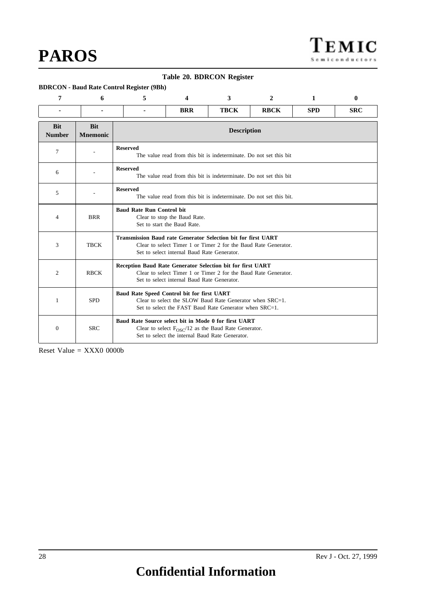### **Table 20. BDRCON Register**

# **BDRCON - Baud Rate Control Register (9Bh)**

| 7                           | 6                             | 5                                                                    | 3<br>$\mathbf{2}$<br>1<br>4                                                                                                                                                  |                                                                    |             |            | 0          |  |
|-----------------------------|-------------------------------|----------------------------------------------------------------------|------------------------------------------------------------------------------------------------------------------------------------------------------------------------------|--------------------------------------------------------------------|-------------|------------|------------|--|
|                             |                               |                                                                      | <b>BRR</b>                                                                                                                                                                   | <b>TBCK</b>                                                        | <b>RBCK</b> | <b>SPD</b> | <b>SRC</b> |  |
| <b>Bit</b><br><b>Number</b> | <b>Bit</b><br><b>Mnemonic</b> |                                                                      | <b>Description</b>                                                                                                                                                           |                                                                    |             |            |            |  |
| 7                           |                               | <b>Reserved</b>                                                      | The value read from this bit is indeterminate. Do not set this bit                                                                                                           |                                                                    |             |            |            |  |
| 6                           |                               | <b>Reserved</b>                                                      |                                                                                                                                                                              | The value read from this bit is indeterminate. Do not set this bit |             |            |            |  |
| 5                           |                               | <b>Reserved</b>                                                      | The value read from this bit is indeterminate. Do not set this bit.                                                                                                          |                                                                    |             |            |            |  |
| 4                           | <b>BRR</b>                    | <b>Baud Rate Run Control bit</b>                                     | Clear to stop the Baud Rate.<br>Set to start the Baud Rate.                                                                                                                  |                                                                    |             |            |            |  |
| 3                           | <b>TBCK</b>                   | <b>Transmission Baud rate Generator Selection bit for first UART</b> | Set to select internal Baud Rate Generator.                                                                                                                                  | Clear to select Timer 1 or Timer 2 for the Baud Rate Generator.    |             |            |            |  |
| 2                           | <b>RBCK</b>                   |                                                                      | Reception Baud Rate Generator Selection bit for first UART<br>Clear to select Timer 1 or Timer 2 for the Baud Rate Generator.<br>Set to select internal Baud Rate Generator. |                                                                    |             |            |            |  |
| 1                           | <b>SPD</b>                    |                                                                      | <b>Baud Rate Speed Control bit for first UART</b><br>Clear to select the SLOW Baud Rate Generator when $SRC=1$ .<br>Set to select the FAST Baud Rate Generator when SRC=1.   |                                                                    |             |            |            |  |
| $\mathbf{0}$                | <b>SRC</b>                    | Baud Rate Source select bit in Mode 0 for first UART                 | Set to select the internal Baud Rate Generator.                                                                                                                              | Clear to select $F_{OSC}/12$ as the Baud Rate Generator.           |             |            |            |  |

Reset Value = XXX0 0000b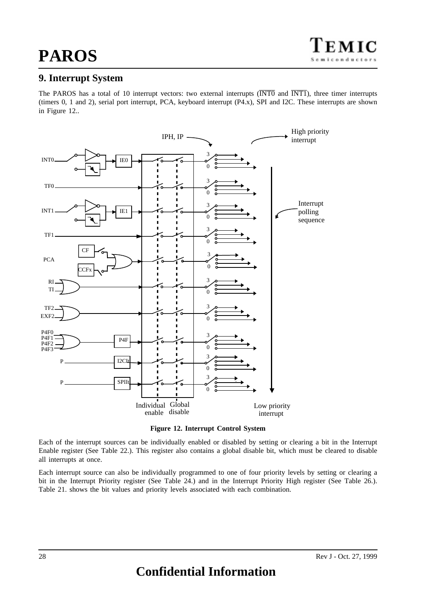# **9. Interrupt System**

The PAROS has a total of 10 interrupt vectors: two external interrupts  $(\overline{INT0}$  and  $\overline{INT1})$ , three timer interrupts (timers 0, 1 and 2), serial port interrupt, PCA, keyboard interrupt (P4.x), SPI and I2C. These interrupts are shown in Figure 12..



**Figure 12. Interrupt Control System**

Each of the interrupt sources can be individually enabled or disabled by setting or clearing a bit in the Interrupt Enable register (See [Table 22.](#page-29-0)). This register also contains a global disable bit, which must be cleared to disable all interrupts at once.

Each interrupt source can also be individually programmed to one of four priority levels by setting or clearing a bit in the Interrupt Priority register (See [Table 24.\)](#page-31-0) and in the Interrupt Priority High register (See [Table 26.](#page-33-0)). [Table 21.](#page-28-0) shows the bit values and priority levels associated with each combination.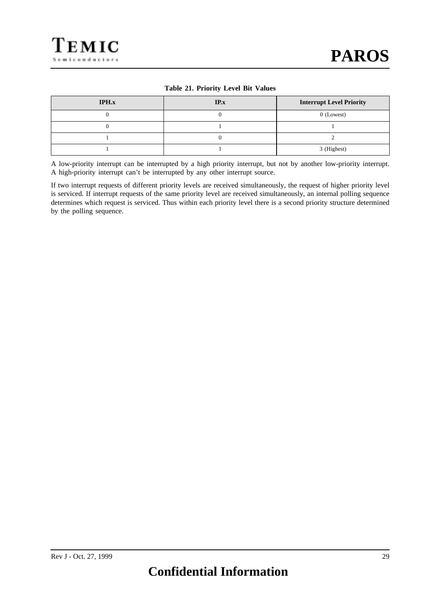# **Table 21. Priority Level Bit Values**

<span id="page-28-0"></span>

| IPH.x | IP.x | <b>Interrupt Level Priority</b> |
|-------|------|---------------------------------|
|       |      | $0$ (Lowest)                    |
|       |      |                                 |
|       |      |                                 |
|       |      | 3 (Highest)                     |

A low-priority interrupt can be interrupted by a high priority interrupt, but not by another low-priority interrupt. A high-priority interrupt can't be interrupted by any other interrupt source.

If two interrupt requests of different priority levels are received simultaneously, the request of higher priority level is serviced. If interrupt requests of the same priority level are received simultaneously, an internal polling sequence determines which request is serviced. Thus within each priority level there is a second priority structure determined by the polling sequence.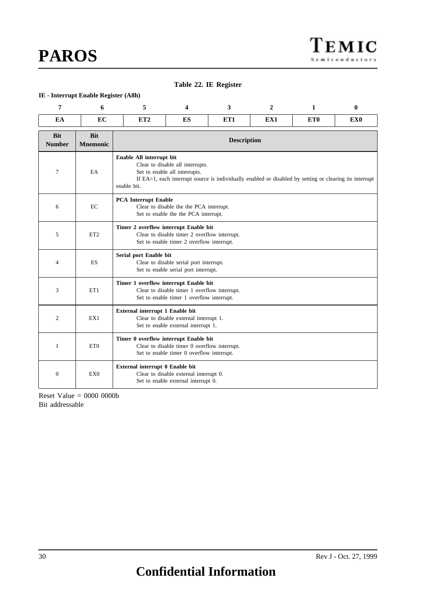# **Table 22. IE Register**

#### <span id="page-29-0"></span>**IE - Interrupt Enable Register (A8h)**

| 7                           | 6                             | 5                                     | 4                                                                                                                                                                                                        | 3 | 2 | 1 | 0 |  |  |
|-----------------------------|-------------------------------|---------------------------------------|----------------------------------------------------------------------------------------------------------------------------------------------------------------------------------------------------------|---|---|---|---|--|--|
| EA                          | EC                            | ET <sub>2</sub>                       | ES<br>ET1<br>EX1<br>ET <sub>0</sub><br>EX <sub>0</sub>                                                                                                                                                   |   |   |   |   |  |  |
| <b>Bit</b><br><b>Number</b> | <b>Bit</b><br><b>Mnemonic</b> |                                       | <b>Description</b>                                                                                                                                                                                       |   |   |   |   |  |  |
| 7                           | EA                            | enable bit.                           | Enable All interrupt bit<br>Clear to disable all interrupts.<br>Set to enable all interrupts.<br>If EA=1, each interrupt source is individually enabled or disabled by setting or clearing its interrupt |   |   |   |   |  |  |
| 6                           | EC                            |                                       | PCA Interrupt Enable<br>Clear to disable the the PCA interrupt.<br>Set to enable the the PCA interrupt.                                                                                                  |   |   |   |   |  |  |
| 5                           | ET <sub>2</sub>               |                                       | Timer 2 overflow interrupt Enable bit<br>Clear to disable timer 2 overflow interrupt.<br>Set to enable timer 2 overflow interrupt.                                                                       |   |   |   |   |  |  |
| $\overline{4}$              | <b>ES</b>                     | Serial port Enable bit                | Clear to disable serial port interrupt.<br>Set to enable serial port interrupt.                                                                                                                          |   |   |   |   |  |  |
| 3                           | ET1                           | Timer 1 overflow interrupt Enable bit | Clear to disable timer 1 overflow interrupt.<br>Set to enable timer 1 overflow interrupt.                                                                                                                |   |   |   |   |  |  |
| 2                           | EX1                           |                                       | External interrupt 1 Enable bit<br>Clear to disable external interrupt 1.<br>Set to enable external interrupt 1.                                                                                         |   |   |   |   |  |  |
| $\mathbf{1}$                | ET <sub>0</sub>               | Timer 0 overflow interrupt Enable bit | Clear to disable timer 0 overflow interrupt.<br>Set to enable timer 0 overflow interrupt.                                                                                                                |   |   |   |   |  |  |
| $\mathbf{0}$                | EX <sub>0</sub>               | External interrupt 0 Enable bit       | Clear to disable external interrupt 0.<br>Set to enable external interrupt 0.                                                                                                                            |   |   |   |   |  |  |

Reset Value  $= 0000 0000$ Bit addressable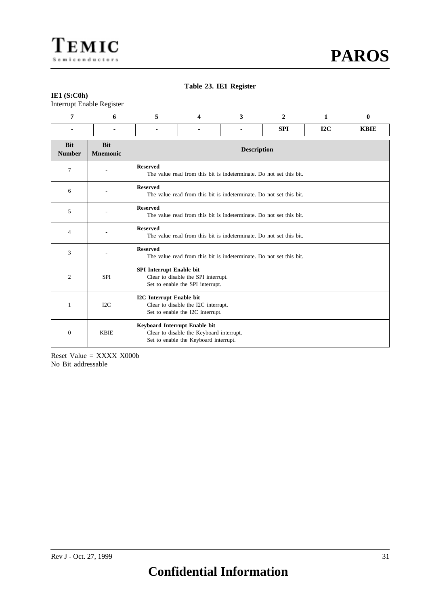# **Table 23. IE1 Register**

# **IE1 (S:C0h)**

| 7                           | 6                             | 5                  | 4                                                                                                                  | 3 | $\mathbf{2}$ | 1   | 0           |  |  |  |
|-----------------------------|-------------------------------|--------------------|--------------------------------------------------------------------------------------------------------------------|---|--------------|-----|-------------|--|--|--|
| ٠                           |                               | ٠                  | ٠                                                                                                                  | ۰ | <b>SPI</b>   | 12C | <b>KBIE</b> |  |  |  |
| <b>Bit</b><br><b>Number</b> | <b>Bit</b><br><b>Mnemonic</b> | <b>Description</b> |                                                                                                                    |   |              |     |             |  |  |  |
| 7                           | L                             | <b>Reserved</b>    | The value read from this bit is indeterminate. Do not set this bit.                                                |   |              |     |             |  |  |  |
| 6                           |                               | <b>Reserved</b>    | The value read from this bit is indeterminate. Do not set this bit.                                                |   |              |     |             |  |  |  |
| 5                           |                               | <b>Reserved</b>    | The value read from this bit is indeterminate. Do not set this bit.                                                |   |              |     |             |  |  |  |
| $\overline{4}$              |                               | <b>Reserved</b>    | The value read from this bit is indeterminate. Do not set this bit.                                                |   |              |     |             |  |  |  |
| 3                           |                               | <b>Reserved</b>    | The value read from this bit is indeterminate. Do not set this bit.                                                |   |              |     |             |  |  |  |
| 2                           | <b>SPI</b>                    |                    | <b>SPI</b> Interrupt Enable bit<br>Clear to disable the SPI interrupt.<br>Set to enable the SPI interrupt.         |   |              |     |             |  |  |  |
| $\mathbf{1}$                | 12C                           |                    | <b>I2C</b> Interrupt Enable bit<br>Clear to disable the I2C interrupt.<br>Set to enable the I2C interrupt.         |   |              |     |             |  |  |  |
| $\boldsymbol{0}$            | <b>KBIE</b>                   |                    | Keyboard Interrupt Enable bit<br>Clear to disable the Keyboard interrupt.<br>Set to enable the Keyboard interrupt. |   |              |     |             |  |  |  |

Reset Value = XXXX X000b No Bit addressable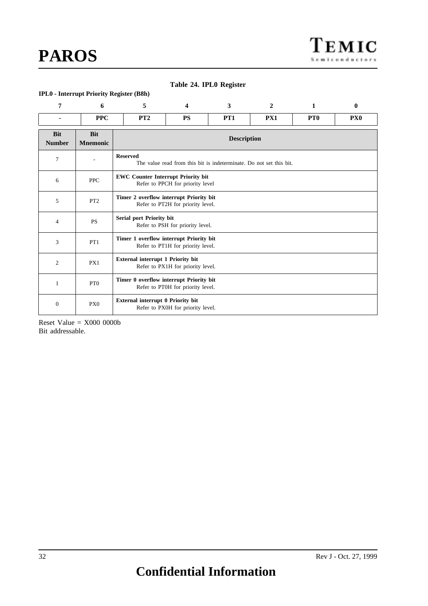# **Table 24. IPL0 Register**

# <span id="page-31-0"></span>**IPL0 - Interrupt Priority Register (B8h)**

| 7                           | 6                             | 5                                                                      | 4                                                                             | 3               | $\mathbf{2}$ | $\mathbf{1}$    | $\bf{0}$        |  |  |  |
|-----------------------------|-------------------------------|------------------------------------------------------------------------|-------------------------------------------------------------------------------|-----------------|--------------|-----------------|-----------------|--|--|--|
|                             | <b>PPC</b>                    | PT2                                                                    | <b>PS</b>                                                                     | PT <sub>1</sub> | PX1          | PT <sub>0</sub> | PX <sub>0</sub> |  |  |  |
| <b>Bit</b><br><b>Number</b> | <b>Bit</b><br><b>Mnemonic</b> | <b>Description</b>                                                     |                                                                               |                 |              |                 |                 |  |  |  |
| 7                           |                               | <b>Reserved</b>                                                        | The value read from this bit is indeterminate. Do not set this bit.           |                 |              |                 |                 |  |  |  |
| 6                           | <b>PPC</b>                    |                                                                        | <b>EWC Counter Interrupt Priority bit</b><br>Refer to PPCH for priority level |                 |              |                 |                 |  |  |  |
| 5                           | PT <sub>2</sub>               |                                                                        | Timer 2 overflow interrupt Priority bit<br>Refer to PT2H for priority level.  |                 |              |                 |                 |  |  |  |
| 4                           | <b>PS</b>                     |                                                                        | Serial port Priority bit<br>Refer to PSH for priority level.                  |                 |              |                 |                 |  |  |  |
| 3                           | PT1                           |                                                                        | Timer 1 overflow interrupt Priority bit<br>Refer to PT1H for priority level.  |                 |              |                 |                 |  |  |  |
| 2                           | PX1                           | External interrupt 1 Priority bit<br>Refer to PX1H for priority level. |                                                                               |                 |              |                 |                 |  |  |  |
| 1                           | PT <sub>0</sub>               |                                                                        | Timer 0 overflow interrupt Priority bit<br>Refer to PT0H for priority level.  |                 |              |                 |                 |  |  |  |
| $\mathbf{0}$                | PX <sub>0</sub>               |                                                                        | External interrupt 0 Priority bit<br>Refer to PX0H for priority level.        |                 |              |                 |                 |  |  |  |

Reset Value  $=$  X000 0000b Bit addressable.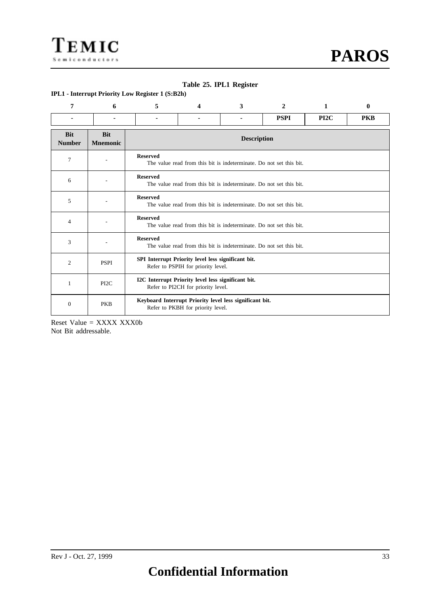# **Table 25. IPL1 Register**

# **IPL1 - Interrupt Priority Low Register 1 (S:B2h)**

| 7                           | 6                             | 5                                                                                            | 4                                                                                        | 3 | $\mathbf{2}$ | 1    | 0          |  |  |  |
|-----------------------------|-------------------------------|----------------------------------------------------------------------------------------------|------------------------------------------------------------------------------------------|---|--------------|------|------------|--|--|--|
|                             |                               | ٠                                                                                            |                                                                                          |   | <b>PSPI</b>  | PI2C | <b>PKB</b> |  |  |  |
| <b>Bit</b><br><b>Number</b> | <b>Bit</b><br><b>Mnemonic</b> | <b>Description</b>                                                                           |                                                                                          |   |              |      |            |  |  |  |
| 7                           |                               | <b>Reserved</b>                                                                              | The value read from this bit is indeterminate. Do not set this bit.                      |   |              |      |            |  |  |  |
| 6                           |                               | <b>Reserved</b>                                                                              | The value read from this bit is indeterminate. Do not set this bit.                      |   |              |      |            |  |  |  |
| 5                           |                               | <b>Reserved</b><br>The value read from this bit is indeterminate. Do not set this bit.       |                                                                                          |   |              |      |            |  |  |  |
| 4                           |                               | <b>Reserved</b><br>The value read from this bit is indeterminate. Do not set this bit.       |                                                                                          |   |              |      |            |  |  |  |
| 3                           |                               | <b>Reserved</b><br>The value read from this bit is indeterminate. Do not set this bit.       |                                                                                          |   |              |      |            |  |  |  |
| 2                           | <b>PSPI</b>                   | SPI Interrupt Priority level less significant bit.<br>Refer to PSPIH for priority level.     |                                                                                          |   |              |      |            |  |  |  |
| 1                           | PI <sub>2C</sub>              |                                                                                              | I2C Interrupt Priority level less significant bit.<br>Refer to PI2CH for priority level. |   |              |      |            |  |  |  |
| $\theta$                    | <b>PKB</b>                    | Keyboard Interrupt Priority level less significant bit.<br>Refer to PKBH for priority level. |                                                                                          |   |              |      |            |  |  |  |

Reset Value = XXXX XXX0b Not Bit addressable.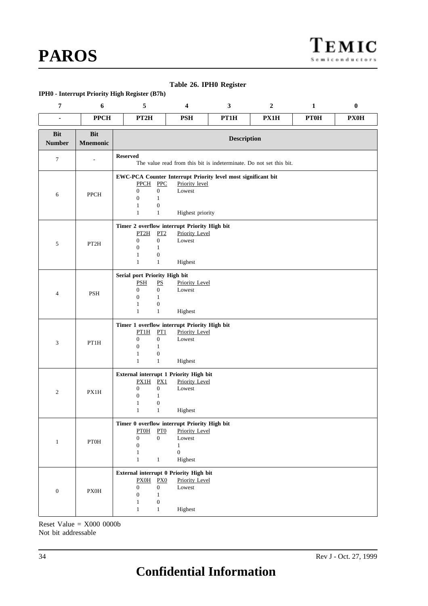| $\overline{7}$       | 6                             | 5                                                                                                                        | $\boldsymbol{4}$                                                                                                     |                                    | 3    | $\boldsymbol{2}$ | $\mathbf 1$ | $\bf{0}$    |  |  |  |  |
|----------------------|-------------------------------|--------------------------------------------------------------------------------------------------------------------------|----------------------------------------------------------------------------------------------------------------------|------------------------------------|------|------------------|-------------|-------------|--|--|--|--|
| $\blacksquare$       | <b>PPCH</b>                   | PT <sub>2</sub> H                                                                                                        | <b>PSH</b>                                                                                                           |                                    | PT1H | PX1H             | <b>PT0H</b> | <b>PX0H</b> |  |  |  |  |
| Bit<br><b>Number</b> | <b>Bit</b><br><b>Mnemonic</b> | <b>Description</b>                                                                                                       |                                                                                                                      |                                    |      |                  |             |             |  |  |  |  |
| $\boldsymbol{7}$     |                               | <b>Reserved</b>                                                                                                          | The value read from this bit is indeterminate. Do not set this bit.                                                  |                                    |      |                  |             |             |  |  |  |  |
| 6                    | PPCH                          | EWC-PCA Counter Interrupt Priority level most significant bit<br><b>PPCH</b><br>$\overline{0}$<br>0<br>1<br>$\mathbf{1}$ | <b>PPC</b><br>$\boldsymbol{0}$<br>Lowest<br>$\mathbf{1}$<br>$\boldsymbol{0}$<br>$\mathbf{1}$                         | Priority level<br>Highest priority |      |                  |             |             |  |  |  |  |
| 5                    | PT2H                          | Timer 2 overflow interrupt Priority High bit<br>PT2H<br>$\mathbf{0}$<br>0<br>1<br>$\mathbf{1}$                           | PT2<br>$\boldsymbol{0}$<br>Lowest<br>$\mathbf{1}$<br>$\boldsymbol{0}$<br>$\mathbf{1}$<br>Highest                     | <b>Priority Level</b>              |      |                  |             |             |  |  |  |  |
| $\overline{4}$       | <b>PSH</b>                    | Serial port Priority High bit<br><b>PSH</b><br>$\Omega$<br>$\boldsymbol{0}$<br>$\mathbf{1}$<br>$\mathbf{1}$              | $\underline{\mathbf{PS}}$<br>$\overline{0}$<br>Lowest<br>$\mathbf{1}$<br>$\boldsymbol{0}$<br>$\mathbf{1}$<br>Highest | <b>Priority Level</b>              |      |                  |             |             |  |  |  |  |
| 3                    | PT1H                          | Timer 1 overflow interrupt Priority High bit<br>PT1H<br>$\overline{0}$<br>0<br>1<br>$\mathbf{1}$                         | PT1<br>$\boldsymbol{0}$<br>Lowest<br>$\mathbf{1}$<br>$\boldsymbol{0}$<br>$\mathbf{1}$<br>Highest                     | <b>Priority Level</b>              |      |                  |             |             |  |  |  |  |
| $\overline{c}$       | PX1H                          | External interrupt 1 Priority High bit<br>PX1H<br>$\overline{0}$<br>$\overline{0}$<br>1<br>$\mathbf{1}$                  | PX1<br>$\mathbf{0}$<br>Lowest<br>1<br>$\boldsymbol{0}$<br>$\mathbf{1}$<br>Highest                                    | <b>Priority Level</b>              |      |                  |             |             |  |  |  |  |
| $\mathbf{1}$         | <b>PTOH</b>                   | Timer 0 overflow interrupt Priority High bit<br>PTOH<br>$\mathbf{0}$<br>$\boldsymbol{0}$<br>$\mathbf{1}$<br>$\mathbf{1}$ | PT0<br>$\overline{0}$<br>Lowest<br>$\mathbf{1}$<br>$\boldsymbol{0}$<br>$\mathbf{1}$<br>Highest                       | Priority Level                     |      |                  |             |             |  |  |  |  |
| $\boldsymbol{0}$     | <b>PX0H</b>                   | External interrupt 0 Priority High bit<br>PXOH<br>$\overline{0}$<br>$\boldsymbol{0}$<br>$\mathbf{1}$<br>$\mathbf{1}$     | PX0<br>${\rm Lowest}$<br>$\mathbf{0}$<br>$\mathbf{1}$<br>$\mathbf{0}$<br>Highest<br>$\mathbf{1}$                     | <b>Priority Level</b>              |      |                  |             |             |  |  |  |  |

**Table 26. IPH0 Register**

#### <span id="page-33-0"></span>**IPH0 - Interrupt Priority High Register (B7h)**

Reset Value = X000 0000b Not bit addressable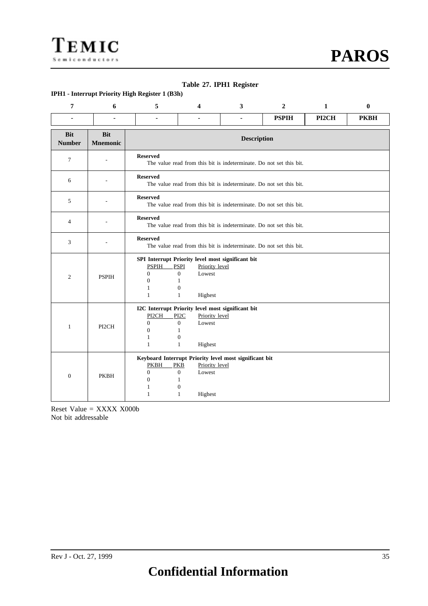# **Table 27. IPH1 Register**

# **IPH1 - Interrupt Priority High Register 1 (B3h)**

| 7                           | 6                             | 5                                                                                                                            | 4                                                                                                                                                                    | 3                                                      | $\overline{2}$ | 1     | $\bf{0}$    |  |  |  |  |
|-----------------------------|-------------------------------|------------------------------------------------------------------------------------------------------------------------------|----------------------------------------------------------------------------------------------------------------------------------------------------------------------|--------------------------------------------------------|----------------|-------|-------------|--|--|--|--|
| ٠                           | $\blacksquare$                | $\blacksquare$                                                                                                               | ٠                                                                                                                                                                    | $\blacksquare$                                         | <b>PSPIH</b>   | PI2CH | <b>PKBH</b> |  |  |  |  |
| <b>Bit</b><br><b>Number</b> | <b>Bit</b><br><b>Mnemonic</b> | <b>Description</b>                                                                                                           |                                                                                                                                                                      |                                                        |                |       |             |  |  |  |  |
| $\overline{7}$              |                               | <b>Reserved</b>                                                                                                              | The value read from this bit is indeterminate. Do not set this bit.                                                                                                  |                                                        |                |       |             |  |  |  |  |
| 6                           |                               | <b>Reserved</b>                                                                                                              | The value read from this bit is indeterminate. Do not set this bit.                                                                                                  |                                                        |                |       |             |  |  |  |  |
| 5                           |                               | <b>Reserved</b>                                                                                                              | The value read from this bit is indeterminate. Do not set this bit.                                                                                                  |                                                        |                |       |             |  |  |  |  |
| 4                           |                               | <b>Reserved</b>                                                                                                              | The value read from this bit is indeterminate. Do not set this bit.                                                                                                  |                                                        |                |       |             |  |  |  |  |
| 3                           |                               | <b>Reserved</b>                                                                                                              | The value read from this bit is indeterminate. Do not set this bit.                                                                                                  |                                                        |                |       |             |  |  |  |  |
| $\mathfrak{2}$              | <b>PSPIH</b>                  | <b>PSPIH</b><br>$\overline{0}$<br>$\boldsymbol{0}$<br>$\mathbf{1}$<br>$\mathbf{1}$                                           | SPI Interrupt Priority level most significant bit<br>Priority level<br><b>PSPI</b><br>$\boldsymbol{0}$<br>Lowest<br>1<br>$\boldsymbol{0}$<br>Highest<br>$\mathbf{1}$ |                                                        |                |       |             |  |  |  |  |
| $\mathbf{1}$                | PI2CH                         | I2C Interrupt Priority level most significant bit<br>PI2CH<br>$\mathbf{0}$<br>$\overline{0}$<br>$\mathbf{1}$<br>$\mathbf{1}$ | PI <sub>2C</sub><br>Priority level<br>$\mathbf{0}$<br>Lowest<br>$\mathbf{1}$<br>$\boldsymbol{0}$<br>$\mathbf{1}$<br>Highest                                          |                                                        |                |       |             |  |  |  |  |
| $\mathbf{0}$                | <b>PKBH</b>                   | <b>PKBH</b><br>$\overline{0}$<br>$\boldsymbol{0}$<br>1<br>1                                                                  | Priority level<br><b>PKB</b><br>$\boldsymbol{0}$<br>Lowest<br>$\mathbf{1}$<br>$\mathbf{0}$<br>1<br>Highest                                                           | Keyboard Interrupt Priority level most significant bit |                |       |             |  |  |  |  |

Reset Value = XXXX X000b Not bit addressable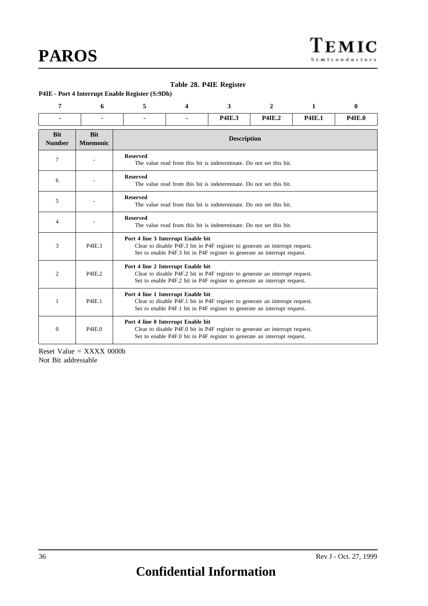# **Table 28. P4IE Register**

# **P4IE - Port 4 Interrupt Enable Register (S:9Dh)**

| 7                           | 6                             | 5                                                                                                                                                                                               | 4                                                                                                                                                                                               | 3             | 2             | 1             | $\bf{0}$      |  |  |  |  |
|-----------------------------|-------------------------------|-------------------------------------------------------------------------------------------------------------------------------------------------------------------------------------------------|-------------------------------------------------------------------------------------------------------------------------------------------------------------------------------------------------|---------------|---------------|---------------|---------------|--|--|--|--|
|                             |                               |                                                                                                                                                                                                 |                                                                                                                                                                                                 | <b>P4IE.3</b> | <b>P4IE.2</b> | <b>P4IE.1</b> | <b>P4IE.0</b> |  |  |  |  |
| <b>Bit</b><br><b>Number</b> | <b>Bit</b><br><b>Mnemonic</b> |                                                                                                                                                                                                 | <b>Description</b>                                                                                                                                                                              |               |               |               |               |  |  |  |  |
| 7                           |                               | <b>Reserved</b>                                                                                                                                                                                 | The value read from this bit is indeterminate. Do not set this bit.                                                                                                                             |               |               |               |               |  |  |  |  |
| 6                           |                               | <b>Reserved</b>                                                                                                                                                                                 | The value read from this bit is indeterminate. Do not set this bit.                                                                                                                             |               |               |               |               |  |  |  |  |
| 5                           |                               | <b>Reserved</b>                                                                                                                                                                                 | The value read from this bit is indeterminate. Do not set this bit.                                                                                                                             |               |               |               |               |  |  |  |  |
| 4                           |                               | <b>Reserved</b>                                                                                                                                                                                 | The value read from this bit is indeterminate. Do not set this bit.                                                                                                                             |               |               |               |               |  |  |  |  |
| 3                           | <b>P4IE.3</b>                 |                                                                                                                                                                                                 | Port 4 line 3 Interrupt Enable bit<br>Clear to disable P4F.3 bit in P4F register to generate an interrupt request.<br>Set to enable P4F.3 bit in P4F register to generate an interrupt request. |               |               |               |               |  |  |  |  |
| $\overline{c}$              | <b>P4IE.2</b>                 | Port 4 line 2 Interrupt Enable bit<br>Clear to disable P4F.2 bit in P4F register to generate an interrupt request.<br>Set to enable P4F.2 bit in P4F register to generate an interrupt request. |                                                                                                                                                                                                 |               |               |               |               |  |  |  |  |
| 1                           | <b>P4IE.1</b>                 |                                                                                                                                                                                                 | Port 4 line 1 Interrupt Enable bit<br>Clear to disable P4F.1 bit in P4F register to generate an interrupt request.<br>Set to enable P4F.1 bit in P4F register to generate an interrupt request. |               |               |               |               |  |  |  |  |
| $\mathbf{0}$                | P <sub>4</sub> IE.0           | Port 4 line 0 Interrupt Enable bit<br>Clear to disable P4F.0 bit in P4F register to generate an interrupt request.<br>Set to enable P4F.0 bit in P4F register to generate an interrupt request. |                                                                                                                                                                                                 |               |               |               |               |  |  |  |  |

Reset Value = XXXX 0000b Not Bit addressable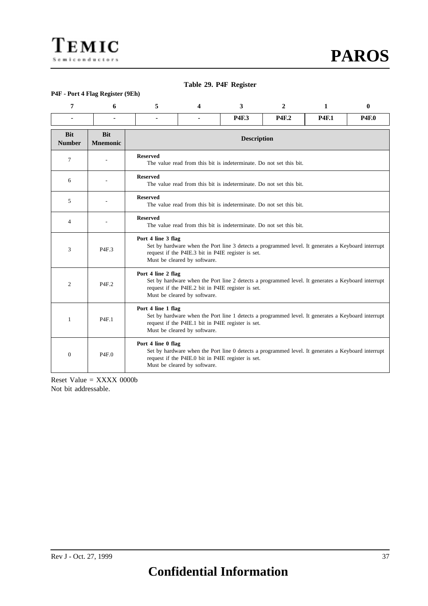#### **Table 29. P4F Register**

#### **P4F - Port 4 Flag Register (9Eh)**

| 7                           | 6                             | 5                                                                                                                                                                                                              | Δ                                                                                                                                                                                                              | 3                                                                                                                                                        | $\mathbf{2}$ | 1            | $\bf{0}$     |  |
|-----------------------------|-------------------------------|----------------------------------------------------------------------------------------------------------------------------------------------------------------------------------------------------------------|----------------------------------------------------------------------------------------------------------------------------------------------------------------------------------------------------------------|----------------------------------------------------------------------------------------------------------------------------------------------------------|--------------|--------------|--------------|--|
| ۰                           |                               |                                                                                                                                                                                                                |                                                                                                                                                                                                                | <b>P4F.3</b>                                                                                                                                             | <b>P4F.2</b> | <b>P4F.1</b> | <b>P4F.0</b> |  |
| <b>Bit</b><br><b>Number</b> | <b>Bit</b><br><b>Mnemonic</b> |                                                                                                                                                                                                                | <b>Description</b>                                                                                                                                                                                             |                                                                                                                                                          |              |              |              |  |
| $\tau$                      |                               | <b>Reserved</b>                                                                                                                                                                                                | The value read from this bit is indeterminate. Do not set this bit.                                                                                                                                            |                                                                                                                                                          |              |              |              |  |
| 6                           |                               | <b>Reserved</b>                                                                                                                                                                                                | The value read from this bit is indeterminate. Do not set this bit.                                                                                                                                            |                                                                                                                                                          |              |              |              |  |
| 5                           |                               | <b>Reserved</b>                                                                                                                                                                                                | The value read from this bit is indeterminate. Do not set this bit.                                                                                                                                            |                                                                                                                                                          |              |              |              |  |
| 4                           |                               | <b>Reserved</b>                                                                                                                                                                                                | The value read from this bit is indeterminate. Do not set this bit.                                                                                                                                            |                                                                                                                                                          |              |              |              |  |
| 3                           | P <sub>4F.3</sub>             |                                                                                                                                                                                                                | Port 4 line 3 flag<br>Set by hardware when the Port line 3 detects a programmed level. It generates a Keyboard interrupt<br>request if the P4IE.3 bit in P4IE register is set.<br>Must be cleared by software. |                                                                                                                                                          |              |              |              |  |
| 2                           | P4F.2                         | Port 4 line 2 flag                                                                                                                                                                                             | Must be cleared by software.                                                                                                                                                                                   | Set by hardware when the Port line 2 detects a programmed level. It generates a Keyboard interrupt<br>request if the P4IE.2 bit in P4IE register is set. |              |              |              |  |
| 1                           | P <sub>4</sub> F <sub>1</sub> | Port 4 line 1 flag<br>Set by hardware when the Port line 1 detects a programmed level. It generates a Keyboard interrupt<br>request if the P4IE.1 bit in P4IE register is set.<br>Must be cleared by software. |                                                                                                                                                                                                                |                                                                                                                                                          |              |              |              |  |
| $\theta$                    | P4F.0                         | Port 4 line 0 flag                                                                                                                                                                                             | Must be cleared by software.                                                                                                                                                                                   | Set by hardware when the Port line 0 detects a programmed level. It generates a Keyboard interrupt<br>request if the P4IE.0 bit in P4IE register is set. |              |              |              |  |

Reset Value = XXXX 0000b Not bit addressable.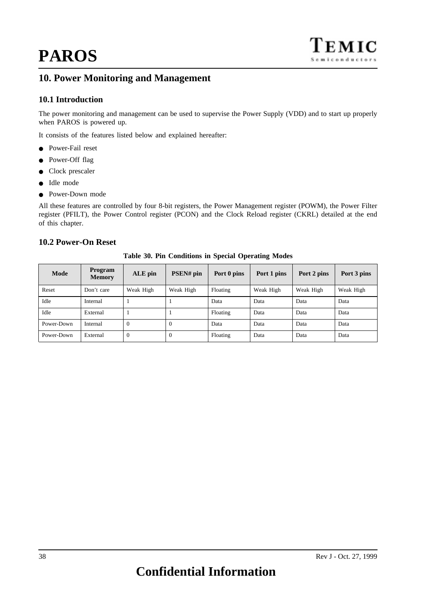## **10. Power Monitoring and Management**

## **10.1 Introduction**

The power monitoring and management can be used to supervise the Power Supply (VDD) and to start up properly when PAROS is powered up.

It consists of the features listed below and explained hereafter:

- Power-Fail reset
- Power-Off flag
- Clock prescaler
- Idle mode
- Power-Down mode

All these features are controlled by four 8-bit registers, the Power Management register (POWM), the Power Filter register (PFILT), the Power Control register (PCON) and the Clock Reload register (CKRL) detailed at the end of this chapter.

## **10.2 Power-On Reset**

| Mode       | <b>Program</b><br><b>Memory</b> | ALE pin        | <b>PSEN#</b> pin | Port 0 pins | Port 1 pins | Port 2 pins | Port 3 pins |
|------------|---------------------------------|----------------|------------------|-------------|-------------|-------------|-------------|
| Reset      | Don't care                      | Weak High      | Weak High        | Floating    | Weak High   | Weak High   | Weak High   |
| Idle       | Internal                        |                |                  | Data        | Data        | Data        | Data        |
| Idle       | External                        |                |                  | Floating    | Data        | Data        | Data        |
| Power-Down | Internal                        | $\Omega$       | $\Omega$         | Data        | Data        | Data        | Data        |
| Power-Down | External                        | $\overline{0}$ | $\Omega$         | Floating    | Data        | Data        | Data        |

**Table 30. Pin Conditions in Special Operating Modes**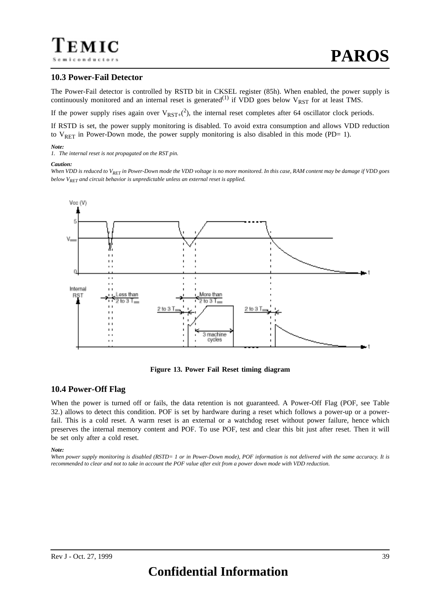### **10.3 Power-Fail Detector**

The Power-Fail detector is controlled by RSTD bit in CKSEL register (85h). When enabled, the power supply is continuously monitored and an internal reset is generated<sup>(1)</sup> if VDD goes below  $V_{RST}$  for at least TMS.

If the power supply rises again over  $V_{RST+}$ <sup>(2</sup>), the internal reset completes after 64 oscillator clock periods.

If RSTD is set, the power supply monitoring is disabled. To avoid extra consumption and allows VDD reduction to  $V<sub>RET</sub>$  in Power-Down mode, the power supply monitoring is also disabled in this mode (PD= 1).

#### *Note:*

*1. The internal reset is not propagated on the RST pin.*

#### *Caution:*

*When VDD is reduced to V<sub>RET</sub> in Power-Down mode the VDD voltage is no more monitored. In this case, RAM content may be damage if VDD goes below V<sub>RET</sub> and circuit behavior is unpredictable unless an external reset is applied.* 



**Figure 13. Power Fail Reset timing diagram**

#### **10.4 Power-Off Flag**

When the power is turned off or fails, the data retention is not guaranteed. A Power-Off Flag (POF, see [Table](#page-39-0) [32.\)](#page-39-0) allows to detect this condition. POF is set by hardware during a reset which follows a power-up or a powerfail. This is a cold reset. A warm reset is an external or a watchdog reset without power failure, hence which preserves the internal memory content and POF. To use POF, test and clear this bit just after reset. Then it will be set only after a cold reset.

#### *Note:*

*When power supply monitoring is disabled (RSTD= 1 or in Power-Down mode), POF information is not delivered with the same accuracy. It is recommended to clear and not to take in account the POF value after exit from a power down mode with VDD reduction.*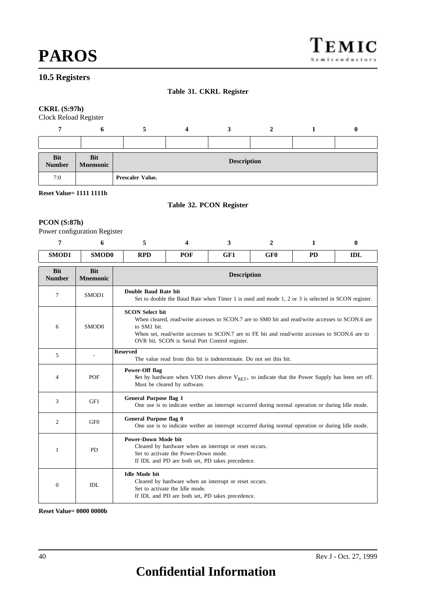## <span id="page-39-0"></span>**10.5 Registers**

#### **Table 31. CKRL Register**

#### **CKRL (S:97h)**

Clock Reload Register

| <b>Bit</b><br>Number | <b>Bit</b><br>Mnemonic | <b>Description</b> |  |  |  |  |  |
|----------------------|------------------------|--------------------|--|--|--|--|--|
| 7:0                  |                        | Prescaler Value.   |  |  |  |  |  |

**Reset Value= 1111 1111b**

### **Table 32. PCON Register**

#### **PCON (S:87h)**

Power configuration Register

| 7                           | 6                             | 5                                                                                                                                                                                | 4                                                                                                                                                                                                                                                                              | 3                                                                                                          | $\mathbf{2}$    | 1         | 0          |  |
|-----------------------------|-------------------------------|----------------------------------------------------------------------------------------------------------------------------------------------------------------------------------|--------------------------------------------------------------------------------------------------------------------------------------------------------------------------------------------------------------------------------------------------------------------------------|------------------------------------------------------------------------------------------------------------|-----------------|-----------|------------|--|
| SMOD1                       | <b>SMOD0</b>                  | <b>RPD</b>                                                                                                                                                                       | <b>POF</b>                                                                                                                                                                                                                                                                     | GF1                                                                                                        | GF <sub>0</sub> | <b>PD</b> | <b>IDL</b> |  |
| <b>Bit</b><br><b>Number</b> | <b>Bit</b><br><b>Mnemonic</b> |                                                                                                                                                                                  | <b>Description</b>                                                                                                                                                                                                                                                             |                                                                                                            |                 |           |            |  |
| 7                           | SMOD1                         |                                                                                                                                                                                  | Double Baud Rate bit<br>Set to double the Baud Rate when Timer 1 is used and mode 1, 2 or 3 is selected in SCON register.                                                                                                                                                      |                                                                                                            |                 |           |            |  |
| 6                           | SMOD0                         | to SM1 bit.                                                                                                                                                                      | <b>SCON Select bit</b><br>When cleared, read/write accesses to SCON.7 are to SM0 bit and read/write accesses to SCON.6 are<br>When set, read/write accesses to SCON.7 are to FE bit and read/write accesses to SCON.6 are to<br>OVR bit. SCON is Serial Port Control register. |                                                                                                            |                 |           |            |  |
| 5                           |                               | <b>Reserved</b><br>The value read from this bit is indeterminate. Do not set this bit.                                                                                           |                                                                                                                                                                                                                                                                                |                                                                                                            |                 |           |            |  |
| 4                           | POF                           | Power-Off flag                                                                                                                                                                   | Set by hardware when VDD rises above $V_{RET+}$ to indicate that the Power Supply has been set off.<br>Must be cleared by software.                                                                                                                                            |                                                                                                            |                 |           |            |  |
| 3                           | GF1                           | <b>General Purpose flag 1</b>                                                                                                                                                    |                                                                                                                                                                                                                                                                                | One use is to indicate wether an interrupt occurred during normal operation or during Idle mode.           |                 |           |            |  |
| 2                           | GF <sub>0</sub>               | General Purpose flag 0                                                                                                                                                           |                                                                                                                                                                                                                                                                                | One use is to indicate wether an interrupt occurred during normal operation or during Idle mode.           |                 |           |            |  |
| 1                           | PD                            | <b>Power-Down Mode bit</b><br>Cleared by hardware when an interrupt or reset occurs.<br>Set to activate the Power-Down mode.<br>If IDL and PD are both set, PD takes precedence. |                                                                                                                                                                                                                                                                                |                                                                                                            |                 |           |            |  |
| $\boldsymbol{0}$            | IDL                           | <b>Idle Mode bit</b>                                                                                                                                                             | Set to activate the Idle mode.                                                                                                                                                                                                                                                 | Cleared by hardware when an interrupt or reset occurs.<br>If IDL and PD are both set, PD takes precedence. |                 |           |            |  |

**Reset Value= 0000 0000b**

# **Confidential Information**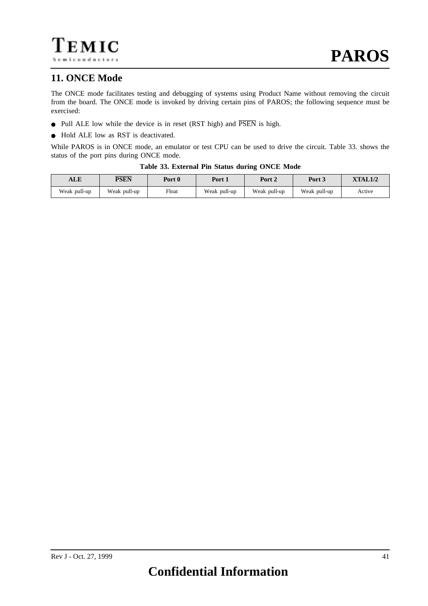## **11. ONCE Mode**

The ONCE mode facilitates testing and debugging of systems using Product Name without removing the circuit from the board. The ONCE mode is invoked by driving certain pins of PAROS; the following sequence must be exercised:

- Pull ALE low while the device is in reset (RST high) and  $\overline{PSEN}$  is high.
- Hold ALE low as RST is deactivated.

While PAROS is in ONCE mode, an emulator or test CPU can be used to drive the circuit. Table 33. shows the status of the port pins during ONCE mode.

| ALE          | <b>PSEN</b>  | Port 0 | Port 1       | Port 2       | Port 3       | <b>XTAL1/2</b> |
|--------------|--------------|--------|--------------|--------------|--------------|----------------|
| Weak pull-up | Weak pull-up | Float  | Weak pull-up | Weak pull-up | Weak pull-up | Active         |

**Table 33. External Pin Status during ONCE Mode**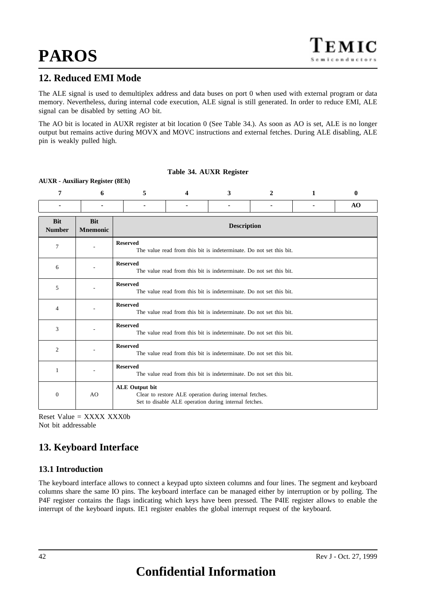## **12. Reduced EMI Mode**

The ALE signal is used to demultiplex address and data buses on port 0 when used with external program or data memory. Nevertheless, during internal code execution, ALE signal is still generated. In order to reduce EMI, ALE signal can be disabled by setting AO bit.

The AO bit is located in AUXR register at bit location 0 (See Table 34.). As soon as AO is set, ALE is no longer output but remains active during MOVX and MOVC instructions and external fetches. During ALE disabling, ALE pin is weakly pulled high.

**Table 34. AUXR Register**

#### **7 6 5 4 3 2 1 0 - - - - - - - AO Bit Number Bit Mnemonic Description** <sup>7</sup> - **Reserved** The value read from this bit is indeterminate. Do not set this bit. <sup>6</sup> - **Reserved** The value read from this bit is indeterminate. Do not set this bit. <sup>5</sup> - **Reserved** The value read from this bit is indeterminate. Do not set this bit. <sup>4</sup> - **Reserved** The value read from this bit is indeterminate. Do not set this bit. <sup>3</sup> - **Reserved** The value read from this bit is indeterminate. Do not set this bit. 2 **Reserved** The value read from this bit is indeterminate. Do not set this bit. 1 **Reserved** The value read from this bit is indeterminate. Do not set this bit.  $0$   $AO$ **ALE Output bit** Clear to restore ALE operation during internal fetches. Set to disable ALE operation during internal fetches.

#### **AUXR - Auxiliary Register (8Eh)**

Reset Value  $=$  XXXX XXX0b Not bit addressable

## **13. Keyboard Interface**

## **13.1 Introduction**

The keyboard interface allows to connect a keypad upto sixteen columns and four lines. The segment and keyboard columns share the same IO pins. The keyboard interface can be managed either by interruption or by polling. The P4F register contains the flags indicating which keys have been pressed. The P4IE register allows to enable the interrupt of the keyboard inputs. IE1 register enables the global interrupt request of the keyboard.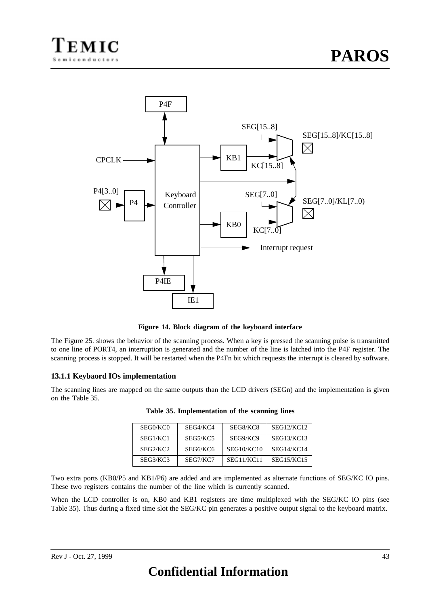

**Figure 14. Block diagram of the keyboard interface**

The Figure 25. shows the behavior of the scanning process. When a key is pressed the scanning pulse is transmitted to one line of PORT4, an interruption is generated and the number of the line is latched into the P4F register. The scanning process is stopped. It will be restarted when the P4Fn bit which requests the interrupt is cleared by software.

#### **13.1.1 Keybaord IOs implementation**

The scanning lines are mapped on the same outputs than the LCD drivers (SEGn) and the implementation is given on the Table 35.

| SEG0/KC0 | SEG4/KC4 | SEG8/KC8          | SEG12/KC12        |
|----------|----------|-------------------|-------------------|
| SEG1/KC1 | SEG5/KC5 | SEG9/KC9          | SEG13/KC13        |
| SEG2/KC2 | SEG6/KC6 | <b>SEG10/KC10</b> | SEG14/KC14        |
| SEG3/KC3 | SEG7/KC7 | <b>SEG11/KC11</b> | <b>SEG15/KC15</b> |

|  |  | Table 35. Implementation of the scanning lines |  |  |  |  |
|--|--|------------------------------------------------|--|--|--|--|
|--|--|------------------------------------------------|--|--|--|--|

Two extra ports (KB0/P5 and KB1/P6) are added and are implemented as alternate functions of SEG/KC IO pins. These two registers contains the number of the line which is currently scanned.

When the LCD controller is on, KB0 and KB1 registers are time multiplexed with the SEG/KC IO pins (see Table 35). Thus during a fixed time slot the SEG/KC pin generates a positive output signal to the keyboard matrix.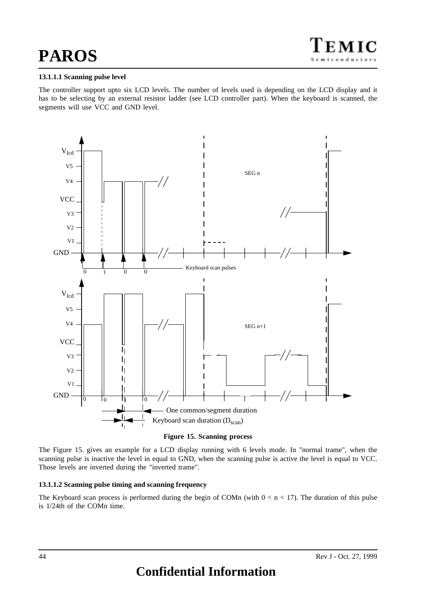#### **13.1.1.1 Scanning pulse level**

The controller support upto six LCD levels. The number of levels used is depending on the LCD display and it has to be selecting by an external resistor ladder (see LCD controller part). When the keyboard is scanned, the segments will use VCC and GND level.



**Figure 15. Scanning process**

The Figure 15. gives an example for a LCD display running with 6 levels mode. In "normal trame", when the scanning pulse is inactive the level in equal to GND, when the scanning pulse is active the level is equal to VCC. Those levels are inverted during the "inverted trame".

#### **13.1.1.2 Scanning pulse timing and scanning frequency**

The Keyboard scan process is performed during the begin of COMn (with  $0 < n < 17$ ). The duration of this pulse is 1/24th of the COMn time.

# **Confidential Information**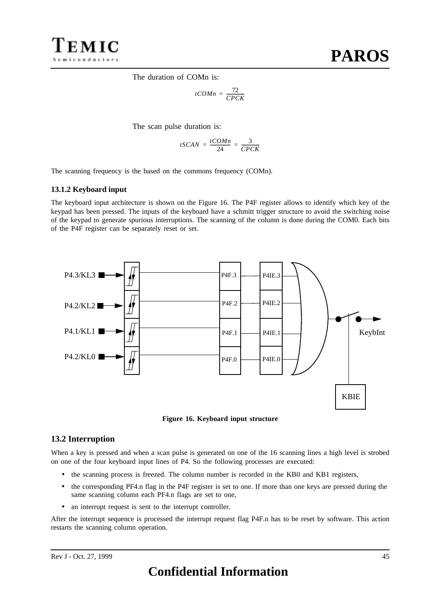

The duration of COMn is:

$$
tCOMn = \frac{72}{CPCK}
$$

The scan pulse duration is:

$$
tSCAN = \frac{tCOMn}{24} = \frac{3}{CPCK}
$$

The scanning frequency is the based on the commons frequency (COMn).

#### **13.1.2 Keyboard input**

The keyboard input architecture is shown on the Figure 16. The P4F register allows to identify which key of the keypad has been pressed. The inputs of the keyboard have a schmitt trigger structure to avoid the switching noise of the keypad to generate spurious interruptions. The scanning of the column is done during the COM0. Each bits of the P4F register can be separately reset or set.



**Figure 16. Keyboard input structure**

#### **13.2 Interruption**

When a key is pressed and when a scan pulse is generated on one of the 16 scanning lines a high level is strobed on one of the four keyboard input lines of P4. So the following processes are executed:

- the scanning process is freezed. The column number is recorded in the KB0 and KB1 registers,
- the corresponding PF4.n flag in the P4F register is set to one. If more than one keys are pressed during the same scanning column each PF4.n flags are set to one,
- an interrupt request is sent to the interrupt controller.

After the interrupt sequence is processed the interrupt request flag P4F.n has to be reset by software. This action restarts the scanning column operation.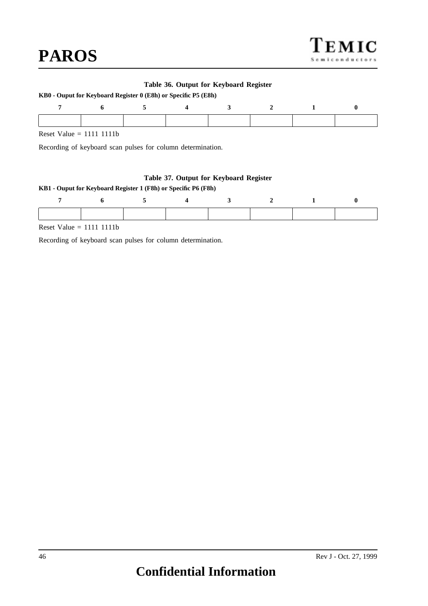#### **Table 36. Output for Keyboard Register**

#### **KB0 - Ouput for Keyboard Register 0 (E8h) or Specific P5 (E8h)**

| $\mathbf{r}$<br>$\mathbf{X}$ |  |  |  |  |
|------------------------------|--|--|--|--|

Reset Value = 1111 1111b

Recording of keyboard scan pulses for column determination.

#### **Table 37. Output for Keyboard Register**

#### **KB1 - Ouput for Keyboard Register 1 (F8h) or Specific P6 (F8h)**

Reset Value = 1111 1111b

Recording of keyboard scan pulses for column determination.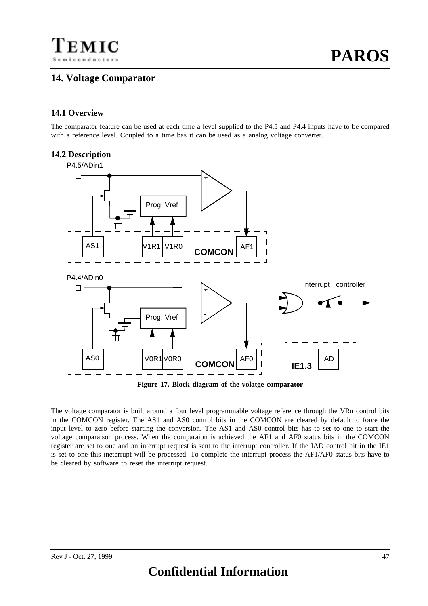## **14. Voltage Comparator**

### **14.1 Overview**

The comparator feature can be used at each time a level supplied to the P4.5 and P4.4 inputs have to be compared with a reference level. Coupled to a time bas it can be used as a analog voltage converter.

## **14.2 Description**



**Figure 17. Block diagram of the volatge comparator**

The voltage comparator is built around a four level programmable voltage reference through the VRn control bits in the COMCON register. The AS1 and AS0 control bits in the COMCON are cleared by default to force the input level to zero before starting the conversion. The AS1 and AS0 control bits has to set to one to start the voltage comparaison process. When the comparaion is achieved the AF1 and AF0 status bits in the COMCON register are set to one and an interrupt request is sent to the interrupt controller. If the IAD control bit in the IE1 is set to one this ineterrupt will be processed. To complete the interrupt process the AF1/AF0 status bits have to be cleared by software to reset the interrupt request.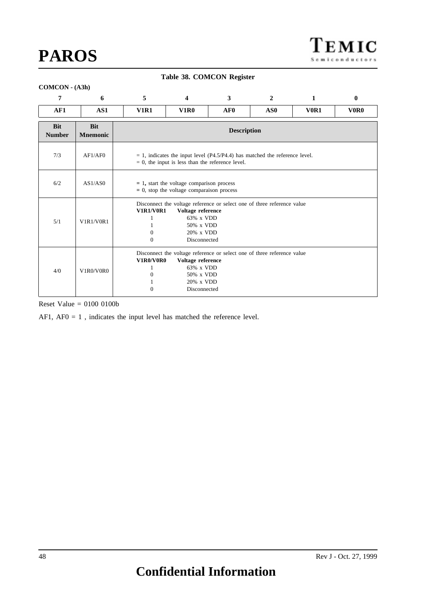### **Table 38. COMCON Register**

#### **COMCON - (A3h)**

| 7                           | 6                             | 5                          | $\boldsymbol{\Delta}$                                                                                                                                                      | 3                                                                       | $\mathbf{2}$    | 1           | $\mathbf{0}$                  |  |
|-----------------------------|-------------------------------|----------------------------|----------------------------------------------------------------------------------------------------------------------------------------------------------------------------|-------------------------------------------------------------------------|-----------------|-------------|-------------------------------|--|
| AF1                         | AS1                           | <b>V1R1</b>                | <b>V1R0</b>                                                                                                                                                                | AF0                                                                     | AS <sub>0</sub> | <b>V0R1</b> | V <sub>0</sub> R <sub>0</sub> |  |
| <b>Bit</b><br><b>Number</b> | <b>Bit</b><br><b>Mnemonic</b> |                            | <b>Description</b>                                                                                                                                                         |                                                                         |                 |             |                               |  |
| 7/3                         | AF1/AF0                       |                            | $= 1$ , indicates the input level (P4.5/P4.4) has matched the reference level.<br>$= 0$ , the input is less than the reference level.                                      |                                                                         |                 |             |                               |  |
| 6/2                         | AS1/AS0                       |                            | $= 1$ , start the voltage comparison process<br>$= 0$ , stop the voltage comparaison process                                                                               |                                                                         |                 |             |                               |  |
| 5/1                         | V1R1/V0R1                     | $\Omega$<br>0              | Disconnect the voltage reference or select one of three reference value<br><b>V1R1/V0R1</b><br>Voltage reference<br>$63\%$ x VDD<br>50% x VDD<br>20% x VDD<br>Disconnected |                                                                         |                 |             |                               |  |
| 4/0                         | V1R0/V0R0                     | <b>V1R0/V0R0</b><br>0<br>0 | Voltage reference<br>$63\%$ x VDD<br>50% x VDD<br>20% x VDD<br>Disconnected                                                                                                | Disconnect the voltage reference or select one of three reference value |                 |             |                               |  |

Reset Value = 0100 0100b

AF1,  $AF0 = 1$ , indicates the input level has matched the reference level.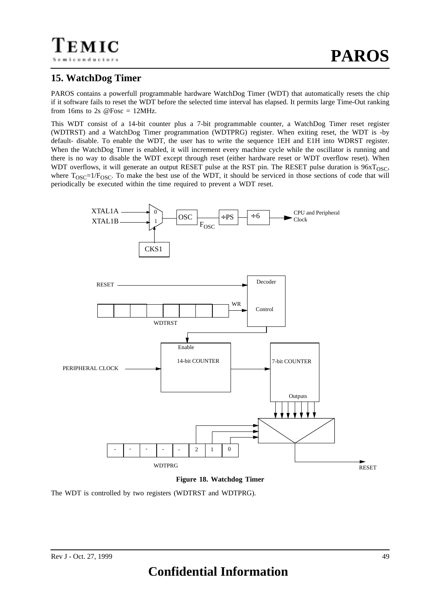## **15. WatchDog Timer**

PAROS contains a powerfull programmable hardware WatchDog Timer (WDT) that automatically resets the chip if it software fails to reset the WDT before the selected time interval has elapsed. It permits large Time-Out ranking from 16ms to 2s  $\omega$ Fosc = 12MHz.

This WDT consist of a 14-bit counter plus a 7-bit programmable counter, a WatchDog Timer reset register (WDTRST) and a WatchDog Timer programmation (WDTPRG) register. When exiting reset, the WDT is -by default- disable. To enable the WDT, the user has to write the sequence 1EH and E1H into WDRST register. When the WatchDog Timer is enabled, it will increment every machine cycle while the oscillator is running and there is no way to disable the WDT except through reset (either hardware reset or WDT overflow reset). When WDT overflows, it will generate an output RESET pulse at the RST pin. The RESET pulse duration is  $96xT<sub>OSC</sub>$ , where  $T_{\text{OSC}}=1/F_{\text{OSC}}$ . To make the best use of the WDT, it should be serviced in those sections of code that will periodically be executed within the time required to prevent a WDT reset.



**Figure 18. Watchdog Timer**

The WDT is controlled by two registers (WDTRST and WDTPRG).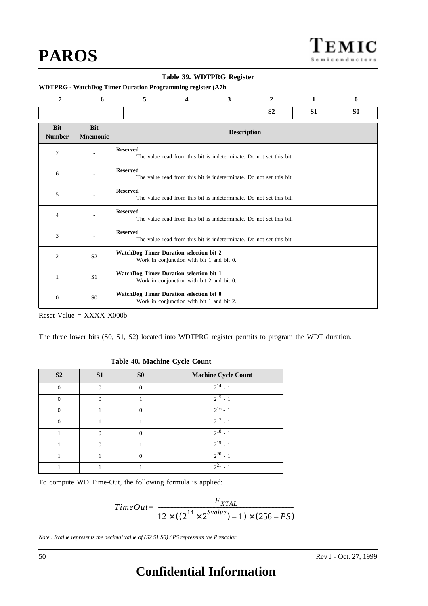| Table 39. WDTPRG Register   |                               |                                                                                             |                                                                                             |   |                |                |                |  |
|-----------------------------|-------------------------------|---------------------------------------------------------------------------------------------|---------------------------------------------------------------------------------------------|---|----------------|----------------|----------------|--|
|                             |                               | <b>WDTPRG</b> - WatchDog Timer Duration Programming register (A7h                           |                                                                                             |   |                |                |                |  |
| 7                           | 6                             | 5                                                                                           | 4                                                                                           | 3 | $\mathbf{2}$   | 1              | $\mathbf{0}$   |  |
| $\blacksquare$              |                               | ۰                                                                                           | ٠                                                                                           |   | S <sub>2</sub> | S <sub>1</sub> | S <sub>0</sub> |  |
| <b>Bit</b><br><b>Number</b> | <b>Bit</b><br><b>Mnemonic</b> |                                                                                             | <b>Description</b>                                                                          |   |                |                |                |  |
| 7                           |                               | <b>Reserved</b><br>The value read from this bit is indeterminate. Do not set this bit.      |                                                                                             |   |                |                |                |  |
| 6                           |                               | <b>Reserved</b><br>The value read from this bit is indeterminate. Do not set this bit.      |                                                                                             |   |                |                |                |  |
| 5                           |                               | <b>Reserved</b>                                                                             | The value read from this bit is indeterminate. Do not set this bit.                         |   |                |                |                |  |
| 4                           |                               | <b>Reserved</b>                                                                             | The value read from this bit is indeterminate. Do not set this bit.                         |   |                |                |                |  |
| 3                           |                               | <b>Reserved</b>                                                                             | The value read from this bit is indeterminate. Do not set this bit.                         |   |                |                |                |  |
| 2                           | S <sub>2</sub>                | <b>WatchDog Timer Duration selection bit 2</b><br>Work in conjunction with bit 1 and bit 0. |                                                                                             |   |                |                |                |  |
| 1                           | S <sub>1</sub>                |                                                                                             | <b>WatchDog Timer Duration selection bit 1</b><br>Work in conjunction with bit 2 and bit 0. |   |                |                |                |  |
| 0                           | S <sub>0</sub>                | WatchDog Timer Duration selection bit 0                                                     | Work in conjunction with bit 1 and bit 2.                                                   |   |                |                |                |  |

Reset Value = XXXX X000b

The three lower bits (S0, S1, S2) located into WDTPRG register permits to program the WDT duration.

| S <sub>2</sub> | S <sub>1</sub> | S <sub>0</sub> | <b>Machine Cycle Count</b> |
|----------------|----------------|----------------|----------------------------|
| $\Omega$       | $\Omega$       | $\Omega$       | $2^{14} - 1$               |
| $\Omega$       | $\Omega$       |                | $2^{15} - 1$               |
| $\Omega$       |                | $\Omega$       | $2^{16} - 1$               |
| $\Omega$       |                |                | $2^{17} - 1$               |
|                | $\Omega$       | 0              | $2^{18} - 1$               |
|                | $\Omega$       |                | $2^{19} - 1$               |
|                |                | $\Omega$       | $2^{20} - 1$               |
|                |                |                | 2 <sup>21</sup>            |

#### **Table 40. Machine Cycle Count**

To compute WD Time-Out, the following formula is applied:

$$
TimeOut = \frac{F_{XTAL}}{12 \times ((2^{14} \times 2^{Svalue}) - 1) \times (256 - PS)}
$$

*Note : Svalue represents the decimal value of (S2 S1 S0) / PS represents the Prescalar*

# **Confidential Information**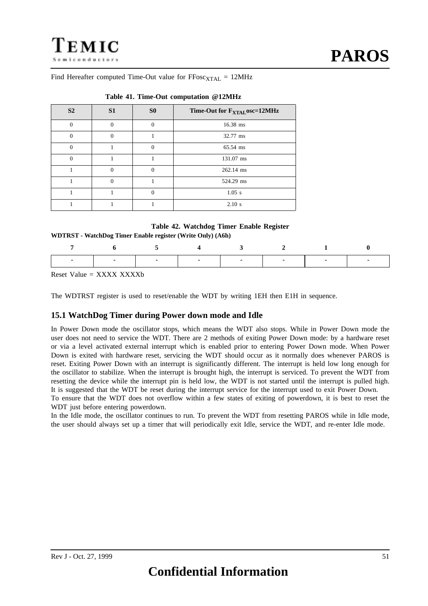Find Hereafter computed Time-Out value for  $FFosc<sub>XTAL</sub> = 12MHz$ 

| S <sub>2</sub> | S1       | S <sub>0</sub> | Time-Out for F <sub>XTAL</sub> osc=12MHz |
|----------------|----------|----------------|------------------------------------------|
| $\theta$       |          | 0              | 16.38 ms                                 |
| $\overline{0}$ | $\Omega$ |                | 32.77 ms                                 |
| $\theta$       |          | $\Omega$       | 65.54 ms                                 |
| $\theta$       |          |                | 131.07 ms                                |
|                | $\Omega$ | $\Omega$       | 262.14 ms                                |
|                | 0        |                | 524.29 ms                                |
|                |          | $\Omega$       | $1.05$ s                                 |
|                |          |                | 2.10 s                                   |

#### **Table 41. Time-Out computation @12MHz**

#### **Table 42. Watchdog Timer Enable Register**

#### **WDTRST - WatchDog Timer Enable register (Write Only) (A6h)**

Reset Value  $=$  XXXX XXXXb

The WDTRST register is used to reset/enable the WDT by writing 1EH then E1H in sequence.

### **15.1 WatchDog Timer during Power down mode and Idle**

In Power Down mode the oscillator stops, which means the WDT also stops. While in Power Down mode the user does not need to service the WDT. There are 2 methods of exiting Power Down mode: by a hardware reset or via a level activated external interrupt which is enabled prior to entering Power Down mode. When Power Down is exited with hardware reset, servicing the WDT should occur as it normally does whenever PAROS is reset. Exiting Power Down with an interrupt is significantly different. The interrupt is held low long enough for the oscillator to stabilize. When the interrupt is brought high, the interrupt is serviced. To prevent the WDT from resetting the device while the interrupt pin is held low, the WDT is not started until the interrupt is pulled high. It is suggested that the WDT be reset during the interrupt service for the interrupt used to exit Power Down.

To ensure that the WDT does not overflow within a few states of exiting of powerdown, it is best to reset the WDT just before entering powerdown.

In the Idle mode, the oscillator continues to run. To prevent the WDT from resetting PAROS while in Idle mode, the user should always set up a timer that will periodically exit Idle, service the WDT, and re-enter Idle mode.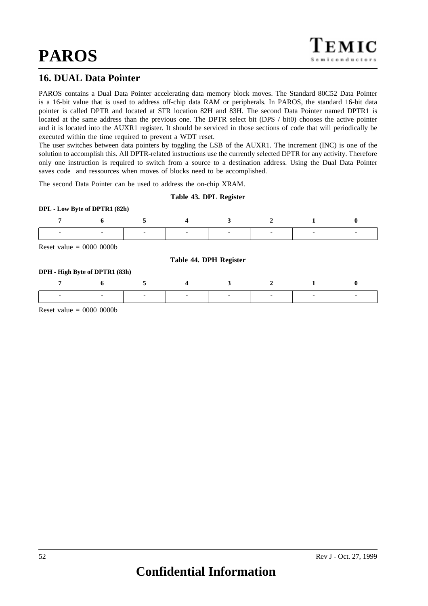## **16. DUAL Data Pointer**

PAROS contains a Dual Data Pointer accelerating data memory block moves. The Standard 80C52 Data Pointer is a 16-bit value that is used to address off-chip data RAM or peripherals. In PAROS, the standard 16-bit data pointer is called DPTR and located at SFR location 82H and 83H. The second Data Pointer named DPTR1 is located at the same address than the previous one. The DPTR select bit (DPS / bit0) chooses the active pointer and it is located into the AUXR1 register. It should be serviced in those sections of code that will periodically be executed within the time required to prevent a WDT reset.

The user switches between data pointers by toggling the LSB of the AUXR1. The increment (INC) is one of the solution to accomplish this. All DPTR-related instructions use the currently selected DPTR for any activity. Therefore only one instruction is required to switch from a source to a destination address. Using the Dual Data Pointer saves code and ressources when moves of blocks need to be accomplished.

The second Data Pointer can be used to address the on-chip XRAM.

**Table 43. DPL Register**

#### **DPL - Low Byte of DPTR1 (82h)**

|                                          |                                |  | $\overline{\phantom{0}}$ |  |  | ٠ |   |  |  |  |
|------------------------------------------|--------------------------------|--|--------------------------|--|--|---|---|--|--|--|
| Reset value $= 0000 0000$                |                                |  |                          |  |  |   |   |  |  |  |
| Table 44. DPH Register                   |                                |  |                          |  |  |   |   |  |  |  |
|                                          | DPH - High Byte of DPTR1 (83h) |  |                          |  |  |   |   |  |  |  |
|                                          |                                |  |                          |  |  |   | 0 |  |  |  |
|                                          |                                |  |                          |  |  |   |   |  |  |  |
| $\mathbf{r}$ , the state of $\mathbf{r}$ | 0000000001                     |  |                          |  |  |   |   |  |  |  |

Reset value  $= 0000 0000$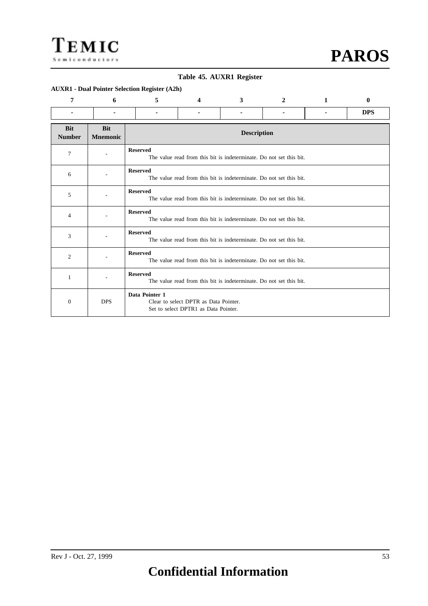

#### **Table 45. AUXR1 Register**

#### **AUXR1 - Dual Pointer Selection Register (A2h)**

| 7                           | 6                             | 5               | 4                                                                             | 3 | $\mathbf{2}$ | 1 | $\mathbf{0}$ |  |  |  |  |  |
|-----------------------------|-------------------------------|-----------------|-------------------------------------------------------------------------------|---|--------------|---|--------------|--|--|--|--|--|
| ۰                           |                               | ٠               | $\sim$                                                                        |   | ۰            | ٠ | <b>DPS</b>   |  |  |  |  |  |
| <b>Bit</b><br><b>Number</b> | <b>Bit</b><br><b>Mnemonic</b> |                 | <b>Description</b>                                                            |   |              |   |              |  |  |  |  |  |
| $\overline{7}$              |                               | <b>Reserved</b> | The value read from this bit is indeterminate. Do not set this bit.           |   |              |   |              |  |  |  |  |  |
| 6                           | $\overline{\phantom{a}}$      | <b>Reserved</b> | The value read from this bit is indeterminate. Do not set this bit.           |   |              |   |              |  |  |  |  |  |
| 5                           |                               | <b>Reserved</b> | The value read from this bit is indeterminate. Do not set this bit.           |   |              |   |              |  |  |  |  |  |
| $\overline{4}$              |                               | <b>Reserved</b> | The value read from this bit is indeterminate. Do not set this bit.           |   |              |   |              |  |  |  |  |  |
| 3                           |                               | <b>Reserved</b> | The value read from this bit is indeterminate. Do not set this bit.           |   |              |   |              |  |  |  |  |  |
| $\overline{c}$              |                               | <b>Reserved</b> | The value read from this bit is indeterminate. Do not set this bit.           |   |              |   |              |  |  |  |  |  |
| 1                           |                               | <b>Reserved</b> | The value read from this bit is indeterminate. Do not set this bit.           |   |              |   |              |  |  |  |  |  |
| $\boldsymbol{0}$            | <b>DPS</b>                    | Data Pointer 1  | Clear to select DPTR as Data Pointer.<br>Set to select DPTR1 as Data Pointer. |   |              |   |              |  |  |  |  |  |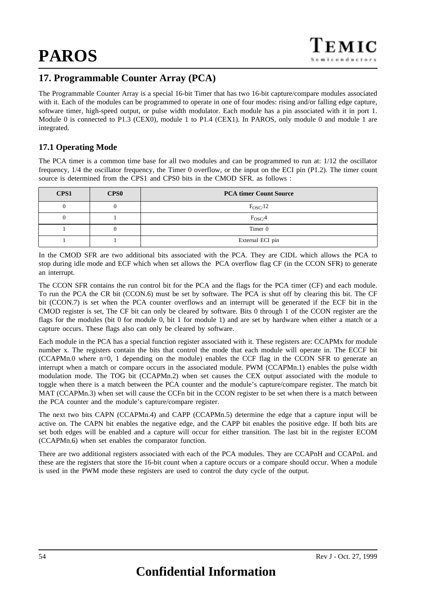## **17. Programmable Counter Array (PCA)**

The Programmable Counter Array is a special 16-bit Timer that has two 16-bit capture/compare modules associated with it. Each of the modules can be programmed to operate in one of four modes: rising and/or falling edge capture, software timer, high-speed output, or pulse width modulator. Each module has a pin associated with it in port 1. Module 0 is connected to P1.3 (CEX0), module 1 to P1.4 (CEX1). In PAROS, only module 0 and module 1 are integrated.

## **17.1 Operating Mode**

The PCA timer is a common time base for all two modules and can be programmed to run at: 1/12 the oscillator frequency, 1/4 the oscillator frequency, the Timer 0 overflow, or the input on the ECI pin (P1.2). The timer count source is determined from the CPS1 and CPS0 bits in the CMOD SFR. as follows :

| CPS1 | <b>CPS0</b> | <b>PCA timer Count Source</b> |  |  |  |  |  |
|------|-------------|-------------------------------|--|--|--|--|--|
|      |             | $F_{\rm OSC}/12$              |  |  |  |  |  |
|      |             | $F_{\rm OSC}$ /4              |  |  |  |  |  |
|      |             | Timer 0                       |  |  |  |  |  |
|      |             | External ECI pin              |  |  |  |  |  |

In the CMOD SFR are two additional bits associated with the PCA. They are CIDL which allows the PCA to stop during idle mode and ECF which when set allows the PCA overflow flag CF (in the CCON SFR) to generate an interrupt.

The CCON SFR contains the run control bit for the PCA and the flags for the PCA timer (CF) and each module. To run the PCA the CR bit (CCON.6) must be set by software. The PCA is shut off by clearing this bit. The CF bit (CCON.7) is set when the PCA counter overflows and an interrupt will be generated if the ECF bit in the CMOD register is set, The CF bit can only be cleared by software. Bits 0 through 1 of the CCON register are the flags for the modules (bit 0 for module 0, bit 1 for module 1) and are set by hardware when either a match or a capture occurs. These flags also can only be cleared by software.

Each module in the PCA has a special function register associated with it. These registers are: CCAPMx for module number x. The registers contain the bits that control the mode that each module will operate in. The ECCF bit (CCAPMn.0 where n=0, 1 depending on the module) enables the CCF flag in the CCON SFR to generate an interrupt when a match or compare occurs in the associated module. PWM (CCAPMn.1) enables the pulse width modulation mode. The TOG bit (CCAPMn.2) when set causes the CEX output associated with the module to toggle when there is a match between the PCA counter and the module's capture/compare register. The match bit MAT (CCAPMn.3) when set will cause the CCFn bit in the CCON register to be set when there is a match between the PCA counter and the module's capture/compare register.

The next two bits CAPN (CCAPMn.4) and CAPP (CCAPMn.5) determine the edge that a capture input will be active on. The CAPN bit enables the negative edge, and the CAPP bit enables the positive edge. If both bits are set both edges will be enabled and a capture will occur for either transition. The last bit in the register ECOM (CCAPMn.6) when set enables the comparator function.

There are two additional registers associated with each of the PCA modules. They are CCAPnH and CCAPnL and these are the registers that store the 16-bit count when a capture occurs or a compare should occur. When a module is used in the PWM mode these registers are used to control the duty cycle of the output.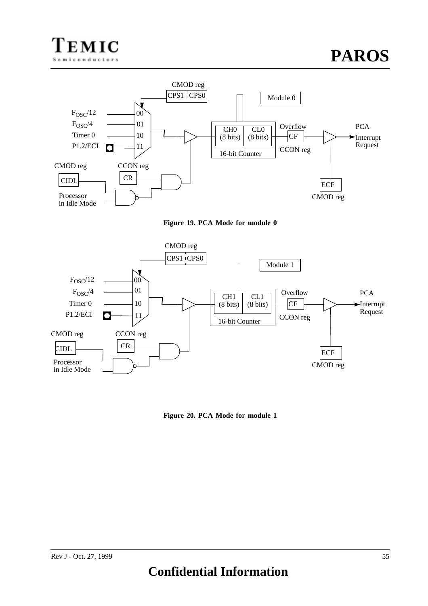

**Figure 19. PCA Mode for module 0**



**Figure 20. PCA Mode for module 1**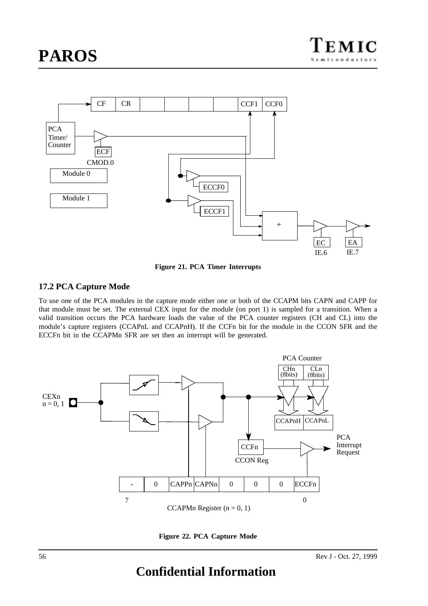

**Figure 21. PCA Timer Interrupts**

## **17.2 PCA Capture Mode**

To use one of the PCA modules in the capture mode either one or both of the CCAPM bits CAPN and CAPP for that module must be set. The external CEX input for the module (on port 1) is sampled for a transition. When a valid transition occurs the PCA hardware loads the value of the PCA counter registers (CH and CL) into the module's capture registers (CCAPnL and CCAPnH). If the CCFn bit for the module in the CCON SFR and the ECCFn bit in the CCAPMn SFR are set then an interrupt will be generated.



**Figure 22. PCA Capture Mode**

# **Confidential Information**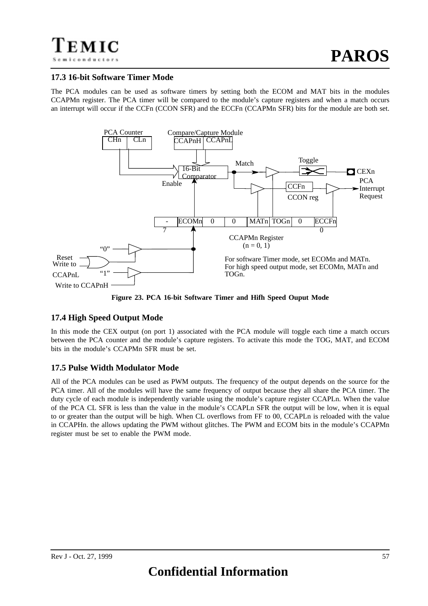## **17.3 16-bit Software Timer Mode**

The PCA modules can be used as software timers by setting both the ECOM and MAT bits in the modules CCAPMn register. The PCA timer will be compared to the module's capture registers and when a match occurs an interrupt will occur if the CCFn (CCON SFR) and the ECCFn (CCAPMn SFR) bits for the module are both set.



**Figure 23. PCA 16-bit Software Timer and Hifh Speed Ouput Mode**

## **17.4 High Speed Output Mode**

In this mode the CEX output (on port 1) associated with the PCA module will toggle each time a match occurs between the PCA counter and the module's capture registers. To activate this mode the TOG, MAT, and ECOM bits in the module's CCAPMn SFR must be set.

### **17.5 Pulse Width Modulator Mode**

All of the PCA modules can be used as PWM outputs. The frequency of the output depends on the source for the PCA timer. All of the modules will have the same frequency of output because they all share the PCA timer. The duty cycle of each module is independently variable using the module's capture register CCAPLn. When the value of the PCA CL SFR is less than the value in the module's CCAPLn SFR the output will be low, when it is equal to or greater than the output will be high. When CL overflows from FF to 00, CCAPLn is reloaded with the value in CCAPHn. the allows updating the PWM without glitches. The PWM and ECOM bits in the module's CCAPMn register must be set to enable the PWM mode.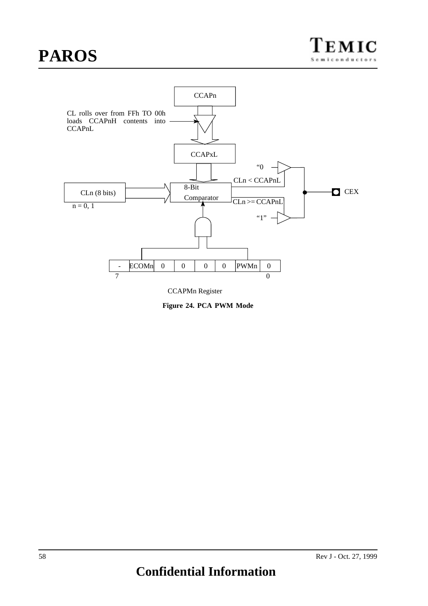

CCAPMn Register

**Figure 24. PCA PWM Mode**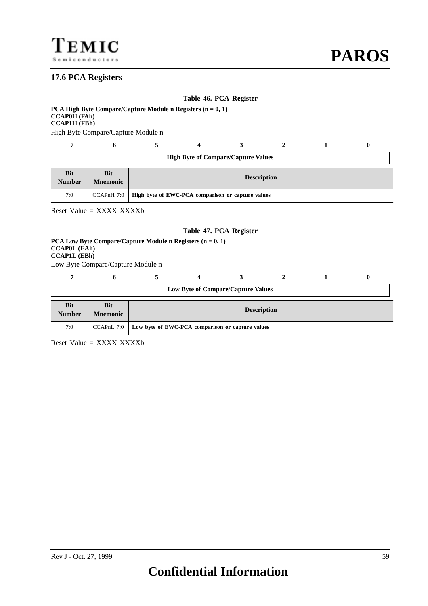## **17.6 PCA Registers**

#### **Table 46. PCA Register**

**PCA High Byte Compare/Capture Module n Registers (n = 0, 1) CCAP0H (FAh) CCAP1H (FBh)** High Byte Compare/Capture Module n

|                             | <b>High Byte of Compare/Capture Values</b>          |                                                                |  |  |  |  |  |  |  |  |  |
|-----------------------------|-----------------------------------------------------|----------------------------------------------------------------|--|--|--|--|--|--|--|--|--|
| <b>Bit</b><br><b>Number</b> | <b>Bit</b><br><b>Description</b><br><b>Mnemonic</b> |                                                                |  |  |  |  |  |  |  |  |  |
| 7:0                         |                                                     | CCAPnH 7:0   High byte of EWC-PCA comparison or capture values |  |  |  |  |  |  |  |  |  |

Reset Value = XXXX XXXXb

#### **Table 47. PCA Register**

### **PCA Low Byte Compare/Capture Module n Registers (n = 0, 1) CCAP0L (EAh) CCAP1L (EBh)**

Low Byte Compare/Capture Module n

| Low Byte of Compare/Capture Values |                                                     |                                                                 |  |  |  |  |  |  |  |  |
|------------------------------------|-----------------------------------------------------|-----------------------------------------------------------------|--|--|--|--|--|--|--|--|
| <b>Bit</b><br><b>Number</b>        | <b>Bit</b><br><b>Description</b><br><b>Mnemonic</b> |                                                                 |  |  |  |  |  |  |  |  |
| 7:0                                |                                                     | $CCAPnL$ 7:0   Low byte of EWC-PCA comparison or capture values |  |  |  |  |  |  |  |  |

Reset Value  $=$  XXXX XXXXb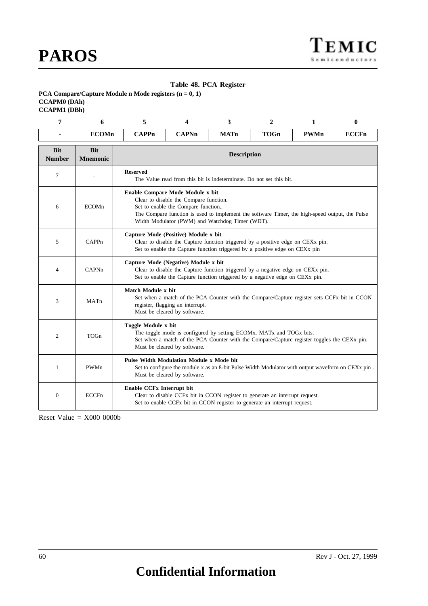#### **Table 48. PCA Register**

**PCA Compare/Capture Module n Mode registers (n = 0, 1) CCAPM0 (DAh) CCAPM1 (DBh)**

| 7                           | 6                             | 5<br>3<br>$\mathbf{2}$<br>4 |                                                                                                                                                                                                                                                                       |             | 1                                                                                                                                                         | $\bf{0}$                                                                                    |              |  |  |  |  |  |
|-----------------------------|-------------------------------|-----------------------------|-----------------------------------------------------------------------------------------------------------------------------------------------------------------------------------------------------------------------------------------------------------------------|-------------|-----------------------------------------------------------------------------------------------------------------------------------------------------------|---------------------------------------------------------------------------------------------|--------------|--|--|--|--|--|
| $\blacksquare$              | <b>ECOMn</b>                  | <b>CAPPn</b>                | <b>CAPNn</b>                                                                                                                                                                                                                                                          | <b>MATn</b> | <b>TOGn</b>                                                                                                                                               | <b>PWMn</b>                                                                                 | <b>ECCFn</b> |  |  |  |  |  |
| <b>Bit</b><br><b>Number</b> | <b>Bit</b><br><b>Mnemonic</b> |                             | <b>Description</b>                                                                                                                                                                                                                                                    |             |                                                                                                                                                           |                                                                                             |              |  |  |  |  |  |
| $\tau$                      |                               | <b>Reserved</b>             | The Value read from this bit is indeterminate. Do not set this bit.                                                                                                                                                                                                   |             |                                                                                                                                                           |                                                                                             |              |  |  |  |  |  |
| 6                           | <b>ECOM</b> <sub>n</sub>      |                             | Enable Compare Mode Module x bit<br>Clear to disable the Compare function.<br>Set to enable the Compare function<br>The Compare function is used to implement the software Timer, the high-speed output, the Pulse<br>Width Modulator (PWM) and Watchdog Timer (WDT). |             |                                                                                                                                                           |                                                                                             |              |  |  |  |  |  |
| 5                           | CAPPn                         |                             | Capture Mode (Positive) Module x bit<br>Clear to disable the Capture function triggered by a positive edge on CEX <sub>x</sub> pin.<br>Set to enable the Capture function triggered by a positive edge on CEX <sub>x</sub> pin                                        |             |                                                                                                                                                           |                                                                                             |              |  |  |  |  |  |
| 4                           | CAPNn                         |                             | Capture Mode (Negative) Module x bit<br>Clear to disable the Capture function triggered by a negative edge on CEXx pin.<br>Set to enable the Capture function triggered by a negative edge on CEX <sub>x</sub> pin.                                                   |             |                                                                                                                                                           |                                                                                             |              |  |  |  |  |  |
| 3                           | MATn                          | Match Module x bit          | register, flagging an interrupt.<br>Must be cleared by software.                                                                                                                                                                                                      |             |                                                                                                                                                           | Set when a match of the PCA Counter with the Compare/Capture register sets CCFx bit in CCON |              |  |  |  |  |  |
| 2                           | <b>TOGn</b>                   | Toggle Module x bit         | Must be cleared by software.                                                                                                                                                                                                                                          |             | The toggle mode is configured by setting ECOMx, MATx and TOGx bits.                                                                                       | Set when a match of the PCA Counter with the Compare/Capture register toggles the CEXx pin. |              |  |  |  |  |  |
| $\mathbf{1}$                | PWMn                          |                             | <b>Pulse Width Modulation Module x Mode bit</b><br>Set to configure the module x as an 8-bit Pulse Width Modulator with output waveform on CEXx pin.<br>Must be cleared by software.                                                                                  |             |                                                                                                                                                           |                                                                                             |              |  |  |  |  |  |
| $\boldsymbol{0}$            | <b>ECCFn</b>                  | Enable CCFx Interrupt bit   |                                                                                                                                                                                                                                                                       |             | Clear to disable CCFx bit in CCON register to generate an interrupt request.<br>Set to enable CCFx bit in CCON register to generate an interrupt request. |                                                                                             |              |  |  |  |  |  |

Reset Value  $=$  X000 0000b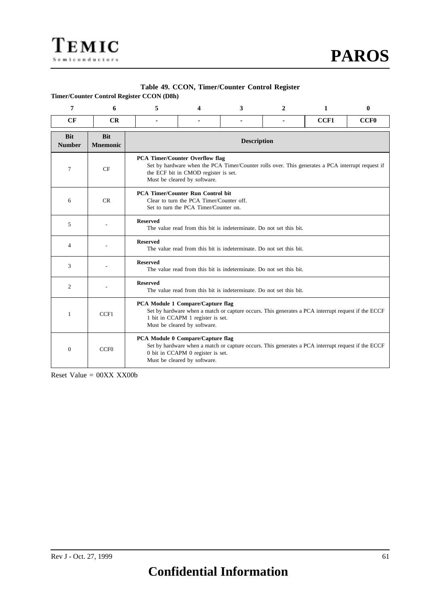

#### **Table 49. CCON, Timer/Counter Control Register**

**Timer/Counter Control Register CCON (D8h)**

| 7                           | 6                             | 5                                                                                                                             | 4<br>3<br>2<br>1                                                                                                                                                                                                   |                                                                                                    |  | 0    |             |  |  |  |
|-----------------------------|-------------------------------|-------------------------------------------------------------------------------------------------------------------------------|--------------------------------------------------------------------------------------------------------------------------------------------------------------------------------------------------------------------|----------------------------------------------------------------------------------------------------|--|------|-------------|--|--|--|
| CF                          | CR                            |                                                                                                                               |                                                                                                                                                                                                                    |                                                                                                    |  | CCF1 | <b>CCF0</b> |  |  |  |
| <b>Bit</b><br><b>Number</b> | <b>Bit</b><br><b>Mnemonic</b> | <b>Description</b>                                                                                                            |                                                                                                                                                                                                                    |                                                                                                    |  |      |             |  |  |  |
| 7                           | CF                            |                                                                                                                               | <b>PCA Timer/Counter Overflow flag</b><br>Set by hardware when the PCA Timer/Counter rolls over. This generates a PCA interrupt request if<br>the ECF bit in CMOD register is set.<br>Must be cleared by software. |                                                                                                    |  |      |             |  |  |  |
| 6                           | CR                            | <b>PCA Timer/Counter Run Control bit</b><br>Clear to turn the PCA Timer/Counter off.<br>Set to turn the PCA Timer/Counter on. |                                                                                                                                                                                                                    |                                                                                                    |  |      |             |  |  |  |
| 5                           |                               | <b>Reserved</b><br>The value read from this bit is indeterminate. Do not set this bit.                                        |                                                                                                                                                                                                                    |                                                                                                    |  |      |             |  |  |  |
| $\overline{4}$              |                               | <b>Reserved</b>                                                                                                               |                                                                                                                                                                                                                    | The value read from this bit is indeterminate. Do not set this bit.                                |  |      |             |  |  |  |
| 3                           |                               | <b>Reserved</b>                                                                                                               |                                                                                                                                                                                                                    | The value read from this bit is indeterminate. Do not set this bit.                                |  |      |             |  |  |  |
| $\overline{c}$              |                               | <b>Reserved</b>                                                                                                               |                                                                                                                                                                                                                    | The value read from this bit is indeterminate. Do not set this bit.                                |  |      |             |  |  |  |
| 1                           | CCF1                          |                                                                                                                               | PCA Module 1 Compare/Capture flag<br>Set by hardware when a match or capture occurs. This generates a PCA interrupt request if the ECCF<br>1 bit in CCAPM 1 register is set.<br>Must be cleared by software.       |                                                                                                    |  |      |             |  |  |  |
| $\mathbf{0}$                | CCF <sub>0</sub>              | PCA Module 0 Compare/Capture flag                                                                                             | 0 bit in CCAPM 0 register is set.<br>Must be cleared by software.                                                                                                                                                  | Set by hardware when a match or capture occurs. This generates a PCA interrupt request if the ECCF |  |      |             |  |  |  |

Reset Value = 00XX XX00b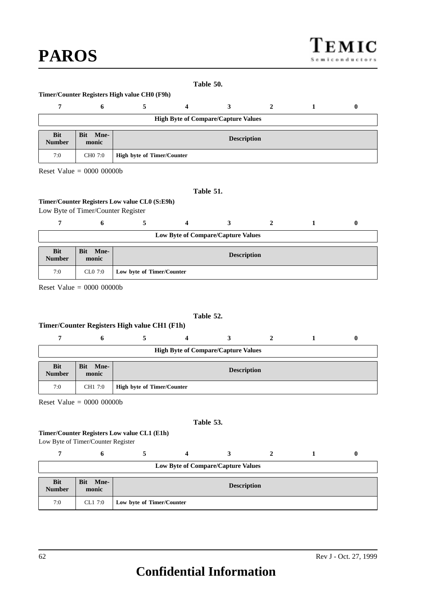#### **Table 50.**

#### **Timer/Counter Registers High value CH0 (F9h)**

|                             | <b>High Byte of Compare/Capture Values</b> |                                   |                    |  |  |  |  |  |  |  |  |  |
|-----------------------------|--------------------------------------------|-----------------------------------|--------------------|--|--|--|--|--|--|--|--|--|
| <b>Bit</b><br><b>Number</b> | <b>Bit</b><br>Mne-<br>monic                |                                   | <b>Description</b> |  |  |  |  |  |  |  |  |  |
| 7:0                         | CH <sub>0</sub> 7:0                        | <b>High byte of Timer/Counter</b> |                    |  |  |  |  |  |  |  |  |  |

Reset Value = 0000 00000b

#### **Table 51.**

#### **Timer/Counter Registers Low value CL0 (S:E9h)**

Low Byte of Timer/Counter Register

| Low Byte of Compare/Capture Values |                                                   |                           |  |  |  |  |  |  |  |  |  |
|------------------------------------|---------------------------------------------------|---------------------------|--|--|--|--|--|--|--|--|--|
| <b>Bit</b><br><b>Number</b>        | <b>Bit</b><br>Mne-<br><b>Description</b><br>monic |                           |  |  |  |  |  |  |  |  |  |
| 7:0                                | CL0 7:0                                           | Low byte of Timer/Counter |  |  |  |  |  |  |  |  |  |

Reset Value  $= 0000 00000$ 

#### **Table 52.**

#### **Timer/Counter Registers High value CH1 (F1h)**

|                             | <b>High Byte of Compare/Capture Values</b> |                             |                                   |                    |  |  |  |  |  |  |  |  |
|-----------------------------|--------------------------------------------|-----------------------------|-----------------------------------|--------------------|--|--|--|--|--|--|--|--|
| <b>Bit</b><br><b>Number</b> |                                            | Mne-<br><b>Bit</b><br>monic |                                   | <b>Description</b> |  |  |  |  |  |  |  |  |
| 7:0                         |                                            | CH1 7:0                     | <b>High byte of Timer/Counter</b> |                    |  |  |  |  |  |  |  |  |

Reset Value = 0000 00000b

#### **Table 53.**

#### **Timer/Counter Registers Low value CL1 (E1h)**

Low Byte of Timer/Counter Register

|                             | n                           |                           |                                    |  | 0 |
|-----------------------------|-----------------------------|---------------------------|------------------------------------|--|---|
|                             |                             |                           | Low Byte of Compare/Capture Values |  |   |
|                             |                             |                           |                                    |  |   |
| <b>Bit</b><br><b>Number</b> | <b>Bit</b><br>Mne-<br>monic |                           | <b>Description</b>                 |  |   |
| 7:0                         | CL1 7:0                     | Low byte of Timer/Counter |                                    |  |   |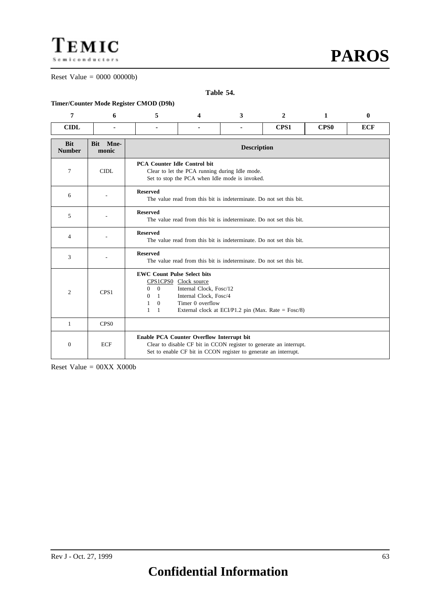TEMIC Semiconductors

Reset Value = 0000 00000b)

**PAROS**

**Table 54.**

| Timer/Counter Mode Register CMOD (D9h) |  |  |
|----------------------------------------|--|--|

| 7                           | 6                           | 5                                                                                                                                                                                                                                                                                            | 3<br>$\overline{2}$<br>1<br>$\mathbf{0}$<br>4                                                                                           |                                                                     |  |  |  |  |  |  |
|-----------------------------|-----------------------------|----------------------------------------------------------------------------------------------------------------------------------------------------------------------------------------------------------------------------------------------------------------------------------------------|-----------------------------------------------------------------------------------------------------------------------------------------|---------------------------------------------------------------------|--|--|--|--|--|--|
| <b>CIDL</b>                 |                             |                                                                                                                                                                                                                                                                                              | CPS1<br><b>CPS0</b><br>٠                                                                                                                |                                                                     |  |  |  |  |  |  |
| <b>Bit</b><br><b>Number</b> | Mne-<br><b>Bit</b><br>monic |                                                                                                                                                                                                                                                                                              | <b>Description</b>                                                                                                                      |                                                                     |  |  |  |  |  |  |
| 7                           | <b>CIDL</b>                 |                                                                                                                                                                                                                                                                                              | <b>PCA Counter Idle Control bit</b><br>Clear to let the PCA running during Idle mode.<br>Set to stop the PCA when Idle mode is invoked. |                                                                     |  |  |  |  |  |  |
| 6                           |                             | <b>Reserved</b>                                                                                                                                                                                                                                                                              | The value read from this bit is indeterminate. Do not set this bit.                                                                     |                                                                     |  |  |  |  |  |  |
| 5                           |                             | <b>Reserved</b>                                                                                                                                                                                                                                                                              | The value read from this bit is indeterminate. Do not set this bit.                                                                     |                                                                     |  |  |  |  |  |  |
| $\overline{4}$              |                             | <b>Reserved</b>                                                                                                                                                                                                                                                                              | The value read from this bit is indeterminate. Do not set this bit.                                                                     |                                                                     |  |  |  |  |  |  |
| 3                           |                             | <b>Reserved</b>                                                                                                                                                                                                                                                                              |                                                                                                                                         | The value read from this bit is indeterminate. Do not set this bit. |  |  |  |  |  |  |
| $\overline{c}$              | CPS1                        | <b>EWC Count Pulse Select bits</b><br>CPS1CPS0 Clock source<br>$\overline{0}$<br>Internal Clock, Fosc/12<br>$\Omega$<br>Internal Clock, Fosc/4<br>$\overline{0}$<br>$\overline{1}$<br>Timer 0 overflow<br>$\Omega$<br>1<br>1<br>External clock at ECI/P1.2 pin (Max. Rate = $Fose/8$ )<br>-1 |                                                                                                                                         |                                                                     |  |  |  |  |  |  |
| 1                           | CPS <sub>0</sub>            |                                                                                                                                                                                                                                                                                              |                                                                                                                                         |                                                                     |  |  |  |  |  |  |
| $\mathbf{0}$                | <b>ECF</b>                  | Enable PCA Counter Overflow Interrupt bit<br>Clear to disable CF bit in CCON register to generate an interrupt.<br>Set to enable CF bit in CCON register to generate an interrupt.                                                                                                           |                                                                                                                                         |                                                                     |  |  |  |  |  |  |

Reset Value = 00XX X000b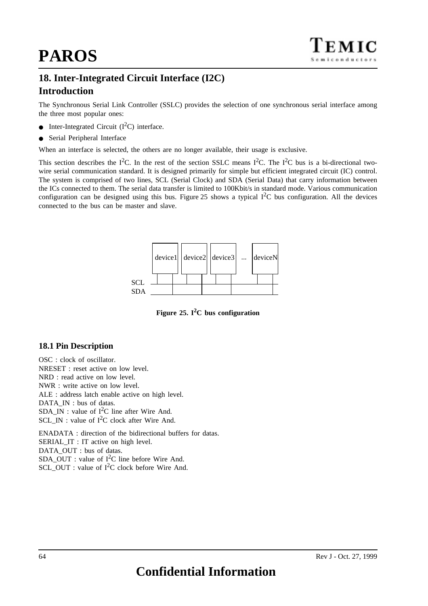## **18. Inter-Integrated Circuit Interface (I2C) Introduction**

The Synchronous Serial Link Controller (SSLC) provides the selection of one synchronous serial interface among the three most popular ones:

- Inter-Integrated Circuit  $(I<sup>2</sup>C)$  interface.
- Serial Peripheral Interface

When an interface is selected, the others are no longer available, their usage is exclusive.

This section describes the I<sup>2</sup>C. In the rest of the section SSLC means I<sup>2</sup>C. The I<sup>2</sup>C bus is a bi-directional twowire serial communication standard. It is designed primarily for simple but efficient integrated circuit (IC) control. The system is comprised of two lines, SCL (Serial Clock) and SDA (Serial Data) that carry information between the ICs connected to them. The serial data transfer is limited to 100Kbit/s in standard mode. Various communication configuration can be designed using this bus. Figure 25 shows a typical  $I<sup>2</sup>C$  bus configuration. All the devices connected to the bus can be master and slave.



**Figure 25.**  $I^2C$  bus configuration

### **18.1 Pin Description**

OSC : clock of oscillator. NRESET : reset active on low level. NRD : read active on low level. NWR : write active on low level. ALE : address latch enable active on high level. DATA IN : bus of datas. SDA IN : value of  $I^2C$  line after Wire And. SCL. IN : value of  $I^2C$  clock after Wire And. ENADATA : direction of the bidirectional buffers for datas. SERIAL IT : IT active on high level.

DATA\_OUT : bus of datas. SDA\_OUT : value of  $I^2C$  line before Wire And. SCL OUT : value of  $I^2C$  clock before Wire And.

# **Confidential Information**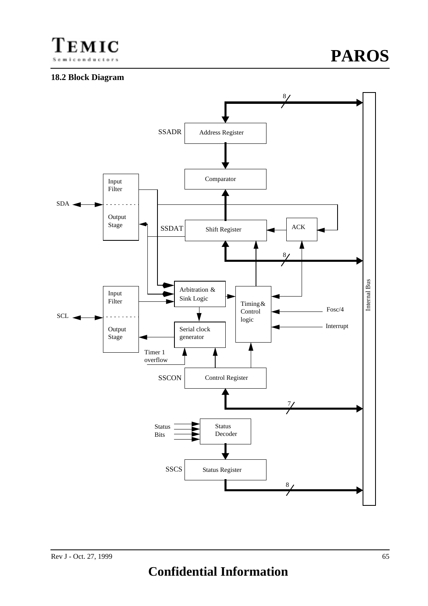

## **18.2 Block Diagram**

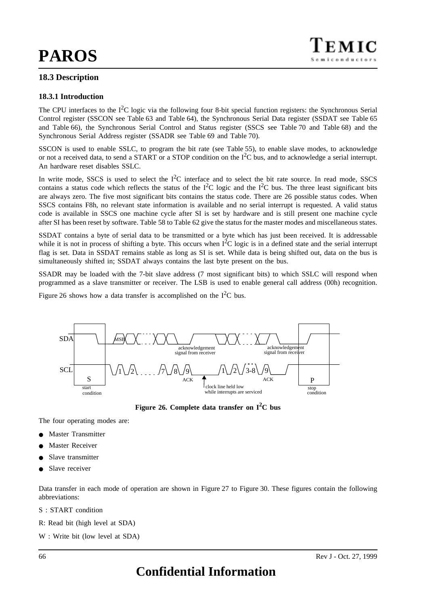## **18.3 Description**

The CPU interfaces to the  $I^2C$  logic via the following four 8-bit special function registers: the Synchronous Serial Control register (SSCON see [Table 63](#page-78-0) and [Table 64\)](#page-78-0), the Synchronous Serial Data register (SSDAT see [Table 65](#page-78-0) and [Table 66](#page-78-0)), the Synchronous Serial Control and Status register (SSCS see Table 70 and [Table 68\)](#page-79-0) and the Synchronous Serial Address register (SSADR see T[able 69 an](#page-79-0)d T[able 70\).](#page-79-0)

SSCON is used to enable SSLC, to program the bit rate (see Table 55), to enable slave modes, to acknowledge or not a received data, to send a START or a STOP condition on the  $I<sup>2</sup>C$  bus, and to acknowledge a serial interrupt. An hardware reset disables SSLC.

In write mode, SSCS is used to select the  $I^2C$  interface and to select the bit rate source. In read mode, SSCS contains a status code which reflects the status of the  $I^2C$  logic and the  $I^2C$  bus. The three least significant bits are always zero. The five most significant bits contains the status code. There are 26 possible status codes. When SSCS contains F8h, no relevant state information is available and no serial interrupt is requested. A valid status code is available in SSCS one machine cycle after SI is set by hardware and is still present one machine cycle after SI has been reset by software. [Table 58](#page-69-0) to [Table 62](#page-77-0) give the status for the master modes and miscellaneous states.

SSDAT contains a byte of serial data to be transmitted or a byte which has just been received. It is addressable while it is not in process of shifting a byte. This occurs when  $I<sup>2</sup>C$  logic is in a defined state and the serial interrupt flag is set. Data in SSDAT remains stable as long as SI is set. While data is being shifted out, data on the bus is simultaneously shifted in; SSDAT always contains the last byte present on the bus.

SSADR may be loaded with the 7-bit slave address (7 most significant bits) to which SSLC will respond when programmed as a slave transmitter or receiver. The LSB is used to enable general call address (00h) recognition.

Figure 26 shows how a data transfer is accomplished on the  $I^2C$  bus.





The four operating modes are:

- **Master Transmitter**
- **Master Receiver**
- Slave transmitter
- Slave receiver

Data transfer in each mode of operation are shown i[n Figure 27](#page-70-0) to [Figure 30](#page-77-0). These figures contain the following abbreviations:

- S : START condition
- R: Read bit (high level at SDA)
- W : Write bit (low level at SDA)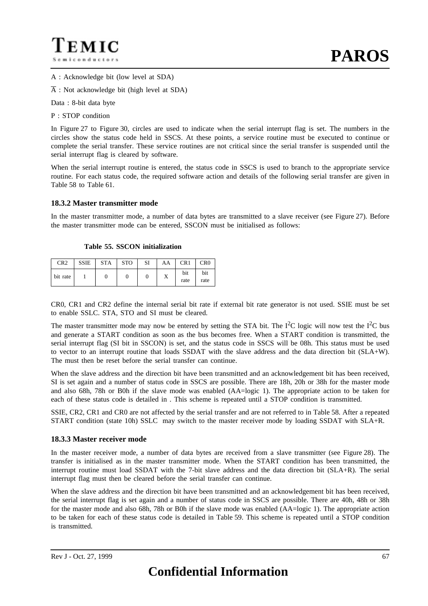A : Acknowledge bit (low level at SDA)

 $\overline{A}$  : Not acknowledge bit (high level at SDA)

Data : 8-bit data byte

P : STOP condition

In [Figure 27](#page-70-0) to [Figure 30,](#page-77-0) circles are used to indicate when the serial interrupt flag is set. The numbers in the circles show the status code held in SSCS. At these points, a service routine must be executed to continue or complete the serial transfer. These service routines are not critical since the serial transfer is suspended until the serial interrupt flag is cleared by software.

When the serial interrupt routine is entered, the status code in SSCS is used to branch to the appropriate service routine. For each status code, the required software action and details of the following serial transfer are given in [Table 58](#page-69-0) to [Table 61.](#page-76-0)

#### **18.3.2 Master transmitter mode**

In the master transmitter mode, a number of data bytes are transmitted to a slave receiver (see [Figure 27\)](#page-70-0). Before the master transmitter mode can be entered, SSCON must be initialised as follows:

|  |  |  |  | Table 55. SSCON initialization |
|--|--|--|--|--------------------------------|
|--|--|--|--|--------------------------------|

| CR <sub>2</sub> | <b>SSIE</b> | <b>STA</b> | <b>STO</b> | SI | AA | CR <sub>1</sub> | CR <sub>0</sub> |
|-----------------|-------------|------------|------------|----|----|-----------------|-----------------|
| bit rate        |             |            |            |    | л  | bit<br>rate     | bit<br>rate     |

CR0, CR1 and CR2 define the internal serial bit rate if external bit rate generator is not used. SSIE must be set to enable SSLC. STA, STO and SI must be cleared.

The master transmitter mode may now be entered by setting the STA bit. The  $I^2C$  logic will now test the  $I^2C$  bus and generate a START condition as soon as the bus becomes free. When a START condition is transmitted, the serial interrupt flag (SI bit in SSCON) is set, and the status code in SSCS will be 08h. This status must be used to vector to an interrupt routine that loads SSDAT with the slave address and the data direction bit (SLA+W). The must then be reset before the serial transfer can continue.

When the slave address and the direction bit have been transmitted and an acknowledgement bit has been received, SI is set again and a number of status code in SSCS are possible. There are 18h, 20h or 38h for the master mode and also 68h, 78h or B0h if the slave mode was enabled (AA=logic 1). The appropriate action to be taken for each of these status code is detailed in . This scheme is repeated until a STOP condition is transmitted.

SSIE, CR2, CR1 and CR0 are not affected by the serial transfer and are not referred to in [Table 58](#page-69-0). After a repeated START condition (state 10h) SSLC may switch to the master receiver mode by loading SSDAT with SLA+R.

#### **18.3.3 Master receiver mode**

In the master receiver mode, a number of data bytes are received from a slave transmitter (see [Figure 28\)](#page-72-0). The transfer is initialised as in the master transmitter mode. When the START condition has been transmitted, the interrupt routine must load SSDAT with the 7-bit slave address and the data direction bit (SLA+R). The serial interrupt flag must then be cleared before the serial transfer can continue.

When the slave address and the direction bit have been transmitted and an acknowledgement bit has been received, the serial interrupt flag is set again and a number of status code in SSCS are possible. There are 40h, 48h or 38h for the master mode and also 68h, 78h or B0h if the slave mode was enabled (AA=logic 1). The appropriate action to be taken for each of these status code is detailed in [Table 59.](#page-71-0) This scheme is repeated until a STOP condition is transmitted.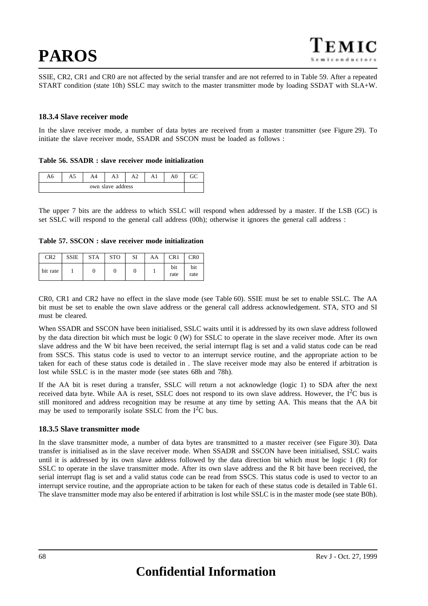SSIE, CR2, CR1 and CR0 are not affected by the serial transfer and are not referred to in [Table 59](#page-71-0). After a repeated START condition (state 10h) SSLC may switch to the master transmitter mode by loading SSDAT with SLA+W.

#### **18.3.4 Slave receiver mode**

In the slave receiver mode, a number of data bytes are received from a master transmitter (see [Figure 29](#page-75-0)). To initiate the slave receiver mode, SSADR and SSCON must be loaded as follows :

#### **Table 56. SSADR : slave receiver mode initialization**

| AU |                   |  |  |  |  |  |  |  |
|----|-------------------|--|--|--|--|--|--|--|
|    | own slave address |  |  |  |  |  |  |  |

The upper 7 bits are the address to which SSLC will respond when addressed by a master. If the LSB (GC) is set SSLC will respond to the general call address (00h); otherwise it ignores the general call address :

**Table 57. SSCON : slave receiver mode initialization**

| CR <sub>2</sub> | <b>SSIE</b> | <b>STA</b> | <b>STO</b> | SI | AA | CR <sub>1</sub> | CR <sub>0</sub> |
|-----------------|-------------|------------|------------|----|----|-----------------|-----------------|
| bit rate        |             |            |            |    |    | bit<br>rate     | bit<br>rate     |

CR0, CR1 and CR2 have no effect in the slave mode (see [Table 60](#page-73-0)). SSIE must be set to enable SSLC. The AA bit must be set to enable the own slave address or the general call address acknowledgement. STA, STO and SI must be cleared.

When SSADR and SSCON have been initialised, SSLC waits until it is addressed by its own slave address followed by the data direction bit which must be logic 0 (W) for SSLC to operate in the slave receiver mode. After its own slave address and the W bit have been received, the serial interrupt flag is set and a valid status code can be read from SSCS. This status code is used to vector to an interrupt service routine, and the appropriate action to be taken for each of these status code is detailed in . The slave receiver mode may also be entered if arbitration is lost while SSLC is in the master mode (see states 68h and 78h).

If the AA bit is reset during a transfer, SSLC will return a not acknowledge (logic 1) to SDA after the next received data byte. While AA is reset, SSLC does not respond to its own slave address. However, the  $I<sup>2</sup>C$  bus is still monitored and address recognition may be resume at any time by setting AA. This means that the AA bit may be used to temporarily isolate SSLC from the  $I<sup>2</sup>C$  bus.

#### **18.3.5 Slave transmitter mode**

In the slave transmitter mode, a number of data bytes are transmitted to a master receiver (see [Figure 30](#page-77-0)). Data transfer is initialised as in the slave receiver mode. When SSADR and SSCON have been initialised, SSLC waits until it is addressed by its own slave address followed by the data direction bit which must be logic 1 (R) for SSLC to operate in the slave transmitter mode. After its own slave address and the R bit have been received, the serial interrupt flag is set and a valid status code can be read from SSCS. This status code is used to vector to an interrupt service routine, and the appropriate action to be taken for each of these status code is detailed in [Table 61](#page-76-0). The slave transmitter mode may also be entered if arbitration is lost while SSLC is in the master mode (see state B0h).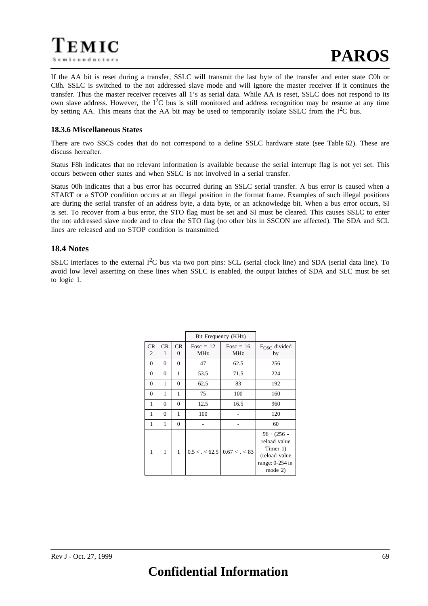If the AA bit is reset during a transfer, SSLC will transmit the last byte of the transfer and enter state C0h or C8h. SSLC is switched to the not addressed slave mode and will ignore the master receiver if it continues the transfer. Thus the master receiver receives all 1's as serial data. While AA is reset, SSLC does not respond to its own slave address. However, the  $I^2C$  bus is still monitored and address recognition may be resume at any time by setting AA. This means that the AA bit may be used to temporarily isolate SSLC from the  $I<sup>2</sup>C$  bus.

#### **18.3.6 Miscellaneous States**

There are two SSCS codes that do not correspond to a define SSLC hardware state (see [Table 62\)](#page-77-0). These are discuss hereafter.

Status F8h indicates that no relevant information is available because the serial interrupt flag is not yet set. This occurs between other states and when SSLC is not involved in a serial transfer.

Status 00h indicates that a bus error has occurred during an SSLC serial transfer. A bus error is caused when a START or a STOP condition occurs at an illegal position in the format frame. Examples of such illegal positions are during the serial transfer of an address byte, a data byte, or an acknowledge bit. When a bus error occurs, SI is set. To recover from a bus error, the STO flag must be set and SI must be cleared. This causes SSLC to enter the not addressed slave mode and to clear the STO flag (no other bits in SSCON are affected). The SDA and SCL lines are released and no STOP condition is transmitted.

### **18.4 Notes**

SSLC interfaces to the external  $I^2C$  bus via two port pins: SCL (serial clock line) and SDA (serial data line). To avoid low level asserting on these lines when SSLC is enabled, the output latches of SDA and SLC must be set to logic 1.

|              |              |                       |                           | Bit Frequency (KHz)                |                                                                                                |  |
|--------------|--------------|-----------------------|---------------------------|------------------------------------|------------------------------------------------------------------------------------------------|--|
| CR<br>2      | CR<br>1      | <b>CR</b><br>$\Omega$ | $Fosc = 12$<br><b>MHz</b> | $Fosc = 16$<br><b>MHz</b>          | F <sub>OSC</sub> divided<br>by                                                                 |  |
| $\mathbf{0}$ | $\Omega$     | 0                     | 47                        | 62.5                               | 256                                                                                            |  |
| $\Omega$     | $\Omega$     | 1                     | 53.5                      | 71.5                               | 224                                                                                            |  |
| $\Omega$     | 1            | $\Omega$              | 62.5                      | 83                                 | 192                                                                                            |  |
| $\mathbf{0}$ | 1            | 1                     | 75                        | 100                                | 160                                                                                            |  |
| 1            | $\mathbf{0}$ | $\mathbf{0}$          | 12.5                      | 16.5                               | 960                                                                                            |  |
| 1            | $\mathbf{0}$ | 1                     | 100                       |                                    | 120                                                                                            |  |
| 1            | 1            | 0                     |                           |                                    | 60                                                                                             |  |
| 1            | 1            | 1                     |                           | $0.5 < . < 62.5$   $0.67 < . < 83$ | $96 \cdot (256 -$<br>reload value<br>Timer 1)<br>(reload value<br>range: $0-254$ in<br>mode 2) |  |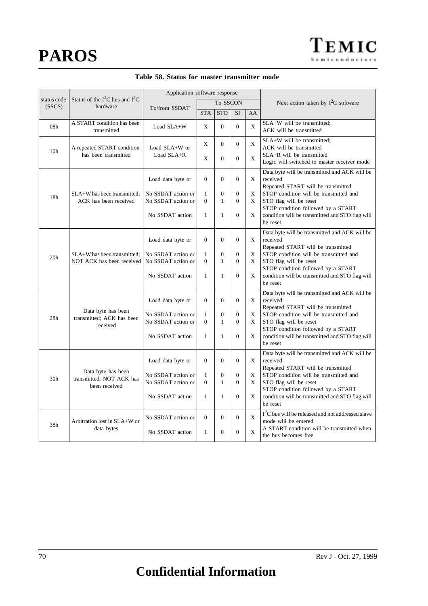| Table 58. Status for master transmitter mode |  |  |  |
|----------------------------------------------|--|--|--|
|----------------------------------------------|--|--|--|

<span id="page-69-0"></span>

|                       |                                                      |                                          | Application software response |                              |                          |        |                                                                                                                                              |
|-----------------------|------------------------------------------------------|------------------------------------------|-------------------------------|------------------------------|--------------------------|--------|----------------------------------------------------------------------------------------------------------------------------------------------|
| status code<br>(SSCS) | Status of the $I^2C$ bus and $I^2C$<br>hardware      |                                          |                               | To SSCON                     |                          |        | Next action taken by $I^2C$ software                                                                                                         |
|                       |                                                      | To/from SSDAT                            | <b>STA</b>                    | <b>STO</b>                   | <b>SI</b>                | AA     |                                                                                                                                              |
| 08h                   | A START condition has been<br>transmitted            | Load SLA+W                               | X                             | $\Omega$                     | $\overline{0}$           | X      | SLA+W will be transmitted;<br>ACK will be transmitted                                                                                        |
| 10 <sub>h</sub>       | A repeated START condition<br>has been transmitted   | Load SLA+W or<br>Load SLA+R              | X<br>X                        | $\overline{0}$<br>$\Omega$   | $\Omega$<br>$\Omega$     | X<br>X | SLA+W will be transmitted;<br>ACK will be transmitted<br>SLA+R will be transmitted                                                           |
|                       |                                                      | Load data byte or                        | $\overline{0}$                | $\Omega$                     | $\overline{0}$           | X      | Logic will switched to master receiver mode<br>Data byte will be transmitted and ACK will be<br>received                                     |
| 18 <sub>h</sub>       | SLA+W has been transmitted:<br>ACK has been received | No SSDAT action or<br>No SSDAT action or | 1<br>$\Omega$                 | $\Omega$<br>$\mathbf{1}$     | $\mathbf{0}$<br>$\Omega$ | X<br>X | Repeated START will be transmitted<br>STOP condition will be transmitted and<br>STO flag will be reset<br>STOP condition followed by a START |
|                       |                                                      | No SSDAT action                          | $\mathbf{1}$                  | 1                            | $\mathbf{0}$             | X      | condition will be transmitted and STO flag will<br>be reset.                                                                                 |
|                       |                                                      | Load data byte or                        | $\overline{0}$                | $\mathbf{0}$                 | $\overline{0}$           | X      | Data byte will be transmitted and ACK will be<br>received<br>Repeated START will be transmitted                                              |
| 20 <sub>h</sub>       | SLA+W has been transmitted;                          | No SSDAT action or                       | 1<br>$\overline{0}$           | $\mathbf{0}$                 | $\mathbf{0}$<br>$\Omega$ | X      | STOP condition will be transmitted and                                                                                                       |
|                       | NOT ACK has been received                            | No SSDAT action or<br>No SSDAT action    | $\mathbf{1}$                  | $\mathbf{1}$<br>$\mathbf{1}$ | $\overline{0}$           | X<br>X | STO flag will be reset<br>STOP condition followed by a START<br>condition will be transmitted and STO flag will<br>be reset                  |
|                       |                                                      |                                          |                               |                              |                          |        | Data byte will be transmitted and ACK will be                                                                                                |
|                       |                                                      | Load data byte or                        | $\Omega$                      | $\Omega$                     | $\Omega$                 | X      | received<br>Repeated START will be transmitted                                                                                               |
| 28 <sub>h</sub>       | Data byte has been<br>transmitted; ACK has been      | No SSDAT action or                       | 1                             | $\overline{0}$               | $\overline{0}$           | X      | STOP condition will be transmitted and                                                                                                       |
|                       | received                                             | No SSDAT action or                       | $\Omega$                      | $\mathbf{1}$                 | $\overline{0}$           | X      | STO flag will be reset<br>STOP condition followed by a START                                                                                 |
|                       |                                                      | No SSDAT action                          | $\mathbf{1}$                  | $\mathbf{1}$                 | $\overline{0}$           | X      | condition will be transmitted and STO flag will<br>be reset                                                                                  |
|                       |                                                      | Load data byte or                        | $\Omega$                      | $\Omega$                     | $\theta$                 | X      | Data byte will be transmitted and ACK will be<br>received<br>Repeated START will be transmitted                                              |
| 30 <sub>h</sub>       | Data byte has been<br>transmitted; NOT ACK has       | No SSDAT action or                       | 1                             | $\mathbf{0}$                 | $\overline{0}$           | X      | STOP condition will be transmitted and                                                                                                       |
|                       | been received                                        | No SSDAT action or                       | $\overline{0}$                | 1                            | $\mathbf{0}$             | X      | STO flag will be reset                                                                                                                       |
|                       |                                                      | No SSDAT action                          | $\mathbf{1}$                  | $\mathbf{1}$                 | $\mathbf{0}$             | X      | STOP condition followed by a START<br>condition will be transmitted and STO flag will<br>be reset                                            |
| 38h                   | Arbitration lost in SLA+W or                         | No SSDAT action or                       | $\Omega$                      | $\theta$                     | $\mathbf{0}$             | X      | $I2C$ bus will be released and not addressed slave<br>mode will be entered                                                                   |
|                       | data bytes                                           | No SSDAT action                          | $\mathbf{1}$                  | $\Omega$                     | $\Omega$                 | X      | A START condition will be transmitted when<br>the bus becomes free                                                                           |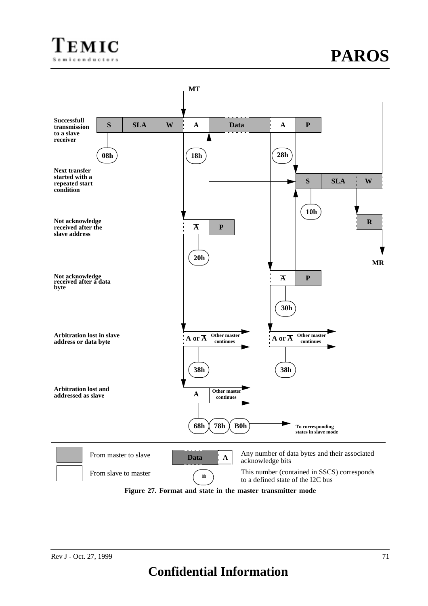<span id="page-70-0"></span>

**Figure 27. Format and state in the master transmitter mode**

# **Confidential Information**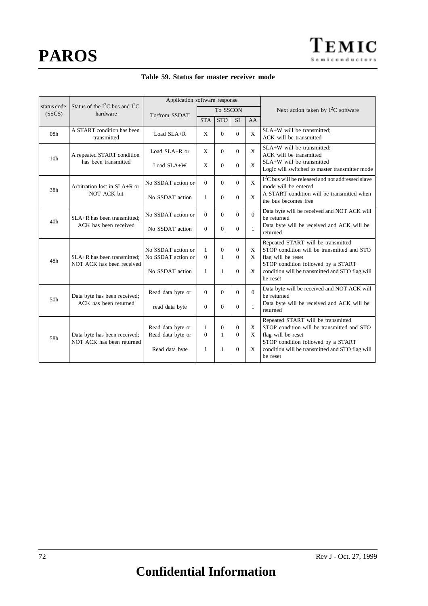| Table 59. Status for master receiver mode |
|-------------------------------------------|
|-------------------------------------------|

<span id="page-71-0"></span>

|                       |                                                          | Application software response          |               |              |                          |                                                                    |                                                                                  |
|-----------------------|----------------------------------------------------------|----------------------------------------|---------------|--------------|--------------------------|--------------------------------------------------------------------|----------------------------------------------------------------------------------|
| status code<br>(SSCS) | Status of the $I^2C$ bus and $I^2C$<br>hardware          |                                        |               | To SSCON     |                          |                                                                    | Next action taken by $I2C$ software                                              |
|                       |                                                          | To/from SSDAT                          | <b>STA</b>    | <b>STO</b>   | <b>SI</b>                | AA                                                                 |                                                                                  |
| 08h                   | A START condition has been<br>transmitted                | Load SLA+R                             | X             | $\Omega$     | $\Omega$                 | X                                                                  | SLA+W will be transmitted;<br>ACK will be transmitted                            |
| 10 <sub>h</sub>       | A repeated START condition                               | Load $SLA+R$ or                        | X             | $\Omega$     | $\mathbf{0}$             | X                                                                  | SLA+W will be transmitted;<br>ACK will be transmitted                            |
|                       | has been transmitted                                     | Load SLA+W                             | X             | $\Omega$     | $\Omega$                 | X                                                                  | $SLA+W$ will be transmitted<br>Logic will switched to master transmitter mode    |
| 38h                   | Arbitration lost in SLA+R or                             | No SSDAT action or                     | $\Omega$      | $\Omega$     | $\Omega$                 | $\mathbf{x}$                                                       | $I2C$ bus will be released and not addressed slave<br>mode will be entered       |
| NOT ACK bit           | No SSDAT action                                          | $\mathbf{1}$                           | $\Omega$      | $\mathbf{0}$ | X                        | A START condition will be transmitted when<br>the bus becomes free |                                                                                  |
| 40h                   | $SLA+R$ has been transmitted:                            | No SSDAT action or                     | $\Omega$      | $\Omega$     | $\Omega$                 | $\Omega$                                                           | Data byte will be received and NOT ACK will<br>be returned                       |
| ACK has been received |                                                          | No SSDAT action                        | $\Omega$      | $\Omega$     | $\Omega$                 | $\mathbf{1}$                                                       | Data byte will be received and ACK will be<br>returned                           |
|                       |                                                          | No SSDAT action or                     | 1<br>$\Omega$ | $\Omega$     | $\mathbf{0}$             | X                                                                  | Repeated START will be transmitted<br>STOP condition will be transmitted and STO |
| 48h                   | SLA+R has been transmitted;<br>NOT ACK has been received | No SSDAT action or                     |               | 1            | $\theta$                 | X                                                                  | flag will be reset<br>STOP condition followed by a START                         |
|                       |                                                          | No SSDAT action                        | 1             | 1            | $\Omega$                 | X                                                                  | condition will be transmitted and STO flag will<br>be reset                      |
| 50h                   | Data byte has been received;                             | Read data byte or                      | $\Omega$      | $\Omega$     | $\Omega$                 | $\Omega$                                                           | Data byte will be received and NOT ACK will<br>be returned                       |
|                       | ACK has been returned                                    | read data byte                         | $\Omega$      | $\Omega$     | $\Omega$                 | $\mathbf{1}$                                                       | Data byte will be received and ACK will be<br>returned                           |
|                       |                                                          |                                        | 1             | $\Omega$     |                          | X                                                                  | Repeated START will be transmitted<br>STOP condition will be transmitted and STO |
|                       | Data byte has been received;                             | Read data byte or<br>Read data byte or | $\Omega$      | $\mathbf{1}$ | $\mathbf{0}$<br>$\Omega$ | X                                                                  | flag will be reset                                                               |
| 58h                   | NOT ACK has been returned                                |                                        |               |              |                          |                                                                    | STOP condition followed by a START                                               |
|                       |                                                          | Read data byte                         | 1             | 1            | $\Omega$                 | X                                                                  | condition will be transmitted and STO flag will<br>be reset                      |
|                       |                                                          |                                        |               |              |                          |                                                                    |                                                                                  |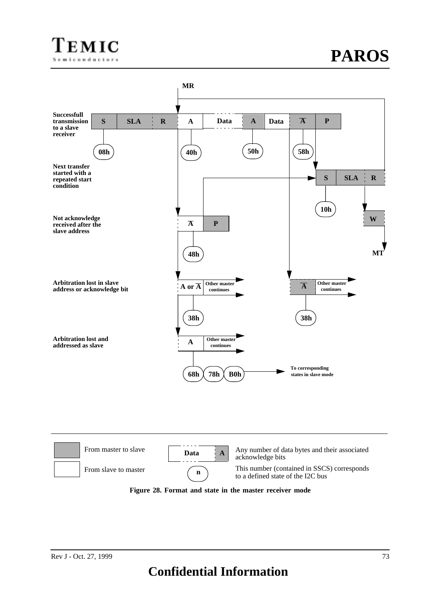



**Figure 28. Format and state in the master receiver mode**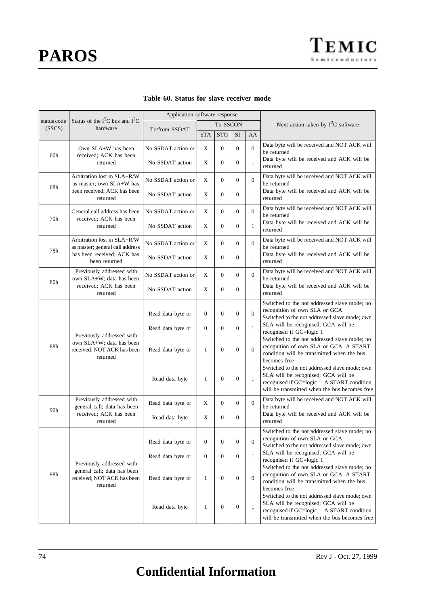|  |  |  |  | Table 60. Status for slave receiver mode |  |
|--|--|--|--|------------------------------------------|--|
|--|--|--|--|------------------------------------------|--|

|                       |                                                                    | Application software response |                  |                  |                  |              |                                                                                                                                                                                      |
|-----------------------|--------------------------------------------------------------------|-------------------------------|------------------|------------------|------------------|--------------|--------------------------------------------------------------------------------------------------------------------------------------------------------------------------------------|
| status code<br>(SSCS) | Status of the $I^2C$ bus and $I^2C$<br>hardware                    | To/from SSDAT                 |                  | To SSCON         |                  |              | Next action taken by $I2C$ software                                                                                                                                                  |
|                       |                                                                    |                               | <b>STA</b>       | <b>STO</b>       | SI               | AA           |                                                                                                                                                                                      |
| 60h                   | Own $SLA+W$ has been<br>received; ACK has been                     | No SSDAT action or            | X                | $\overline{0}$   | $\mathbf{0}$     | $\Omega$     | Data byte will be received and NOT ACK will<br>be returned                                                                                                                           |
|                       | returned                                                           | No SSDAT action               | X                | $\mathbf{0}$     | $\boldsymbol{0}$ | 1            | Data byte will be received and ACK will be<br>returned                                                                                                                               |
| 68h                   | Arbitration lost in SLA+R/W<br>as master; own SLA+W has            | No SSDAT action or            | X                | $\overline{0}$   | $\mathbf{0}$     | $\Omega$     | Data byte will be received and NOT ACK will<br>be returned                                                                                                                           |
|                       | been received; ACK has been<br>returned                            | No SSDAT action               | X                | $\overline{0}$   | $\mathbf{0}$     | $\mathbf{1}$ | Data byte will be received and ACK will be<br>returned                                                                                                                               |
| 70h                   | General call address has been<br>received; ACK has been            | No SSDAT action or            | X                | $\overline{0}$   | $\mathbf{0}$     | $\Omega$     | Data byte will be received and NOT ACK will<br>be returned                                                                                                                           |
|                       | returned                                                           | No SSDAT action               | X                | $\mathbf{0}$     | $\mathbf{0}$     | $\mathbf{1}$ | Data byte will be received and ACK will be<br>returned                                                                                                                               |
| 78h                   | Arbitration lost in SLA+R/W<br>as master; general call address     | No SSDAT action or            | X                | $\overline{0}$   | $\Omega$         | $\Omega$     | Data byte will be received and NOT ACK will<br>be returned                                                                                                                           |
|                       | has been received; ACK has<br>been returned                        | No SSDAT action               | X                | $\mathbf{0}$     | $\mathbf{0}$     | 1            | Data byte will be received and ACK will be<br>returned                                                                                                                               |
| 80 <sub>h</sub>       | Previously addressed with<br>own SLA+W; data has been              | No SSDAT action or            | X                | $\overline{0}$   | $\mathbf{0}$     | $\Omega$     | Data byte will be received and NOT ACK will<br>be returned                                                                                                                           |
|                       | received; ACK has been<br>returned                                 | No SSDAT action               | X                | $\overline{0}$   | $\mathbf{0}$     | $\mathbf{1}$ | Data byte will be received and ACK will be<br>returned                                                                                                                               |
|                       |                                                                    | Read data byte or             | $\overline{0}$   | $\overline{0}$   | $\overline{0}$   | $\Omega$     | Switched to the not addressed slave mode; no<br>recognition of own SLA or GCA<br>Switched to the not addressed slave mode; own                                                       |
|                       | Previously addressed with                                          | Read data byte or             | $\overline{0}$   | $\mathbf{0}$     | $\mathbf{0}$     | $\mathbf{1}$ | SLA will be recognised; GCA will be<br>recognised if GC=logic 1<br>Switched to the not addressed slave mode; no                                                                      |
| 88h                   | own SLA+W; data has been<br>received; NOT ACK has been<br>returned | Read data byte or             | $\mathbf{1}$     | $\overline{0}$   | $\overline{0}$   | $\Omega$     | recognition of own SLA or GCA. A START<br>condition will be transmitted when the bus<br>becomes free                                                                                 |
|                       |                                                                    | Read data byte                | $\mathbf{1}$     | $\mathbf{0}$     | $\boldsymbol{0}$ | $\mathbf{1}$ | Switched to the not addressed slave mode; own<br>SLA will be recognised; GCA will be<br>recognised if GC=logic 1. A START condition<br>will be transmitted when the bus becomes free |
| 90 <sub>h</sub>       | Previously addressed with<br>general call; data has been           | Read data byte or             | X                | $\mathbf{0}$     | $\mathbf{0}$     | $\Omega$     | Data byte will be received and NOT ACK will<br>be returned                                                                                                                           |
|                       | received; ACK has been<br>returned                                 | Read data byte                | X                | $\overline{0}$   | $\boldsymbol{0}$ | 1            | Data byte will be received and ACK will be<br>returned                                                                                                                               |
|                       |                                                                    | Read data byte or             | $\overline{0}$   | $\boldsymbol{0}$ | $\boldsymbol{0}$ | $\theta$     | Switched to the not addressed slave mode; no<br>recognition of own SLA or GCA                                                                                                        |
|                       |                                                                    | Read data byte or             | $\boldsymbol{0}$ | $\overline{0}$   | $\boldsymbol{0}$ | 1            | Switched to the not addressed slave mode; own<br>SLA will be recognised; GCA will be                                                                                                 |
|                       | Previously addressed with<br>general call; data has been           |                               |                  |                  |                  |              | recognised if GC=logic 1<br>Switched to the not addressed slave mode; no                                                                                                             |
| 98h                   | received; NOT ACK has been<br>returned                             | Read data byte or             | $\mathbf{1}$     | $\theta$         | $\boldsymbol{0}$ | $\mathbf{0}$ | recognition of own SLA or GCA. A START<br>condition will be transmitted when the bus<br>becomes free                                                                                 |
|                       |                                                                    | Read data byte                | 1                | $\mathbf{0}$     | $\boldsymbol{0}$ | 1            | Switched to the not addressed slave mode; own<br>SLA will be recognised; GCA will be<br>recognised if GC=logic 1. A START condition<br>will be transmitted when the bus becomes free |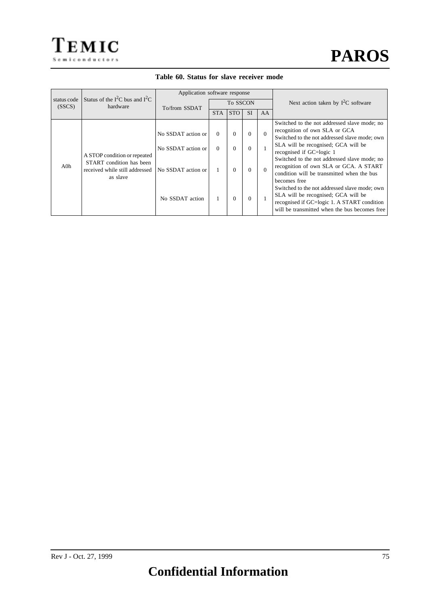

|                                                    |                                                            | Application software response |            |                               |          |          |                                                                                                                                                                                      |  |
|----------------------------------------------------|------------------------------------------------------------|-------------------------------|------------|-------------------------------|----------|----------|--------------------------------------------------------------------------------------------------------------------------------------------------------------------------------------|--|
| status code<br>(SSCS)                              | Status of the $I^2C$ bus and $I^2C$<br>hardware            | To/from SSDAT                 |            | To SSCON                      |          |          | Next action taken by $I^2C$ software                                                                                                                                                 |  |
|                                                    |                                                            |                               | <b>STA</b> | <b>SI</b><br>AA<br><b>STO</b> |          |          |                                                                                                                                                                                      |  |
|                                                    |                                                            | No SSDAT action or            |            | $\Omega$                      | $\Omega$ | $\Omega$ | Switched to the not addressed slave mode; no<br>recognition of own SLA or GCA<br>Switched to the not addressed slave mode; own                                                       |  |
|                                                    |                                                            | No SSDAT action or            | $\Omega$   | $\Omega$                      | $\Omega$ |          | SLA will be recognised; GCA will be<br>recognised if GC=logic 1                                                                                                                      |  |
| A STOP condition or repeated<br>$A0$ h<br>as slave | START condition has been<br>received while still addressed | No SSDAT action or            |            | $\Omega$                      | $\theta$ | $\Omega$ | Switched to the not addressed slave mode; no<br>recognition of own SLA or GCA. A START<br>condition will be transmitted when the bus<br>becomes free                                 |  |
|                                                    |                                                            | No SSDAT action               |            | $\Omega$                      | $\Omega$ |          | Switched to the not addressed slave mode; own<br>SLA will be recognised; GCA will be<br>recognised if GC=logic 1. A START condition<br>will be transmitted when the bus becomes free |  |

#### **Table 60. Status for slave receiver mode**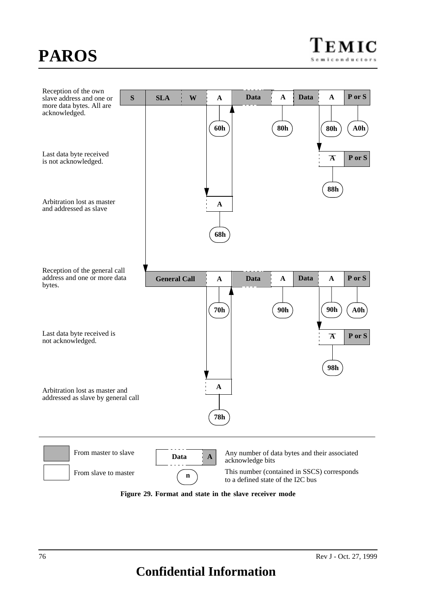# **PAROS**

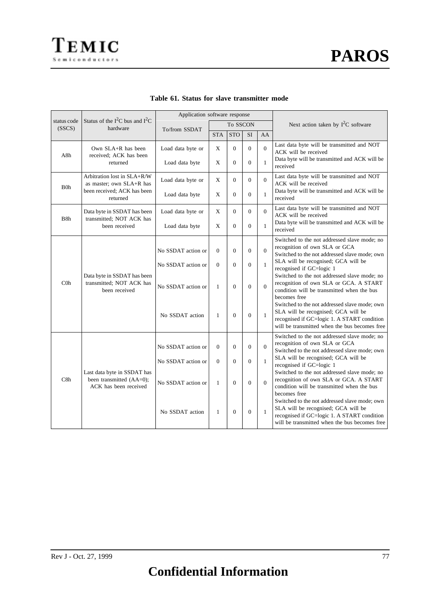|                       |                                                                                  | Application software response |              |                |                |              |                                                                                                                                                                                      |
|-----------------------|----------------------------------------------------------------------------------|-------------------------------|--------------|----------------|----------------|--------------|--------------------------------------------------------------------------------------------------------------------------------------------------------------------------------------|
| status code<br>(SSCS) | Status of the $I^2C$ bus and $I^2C$<br>hardware                                  | To/from SSDAT                 |              | To SSCON       |                |              | Next action taken by $I^2C$ software                                                                                                                                                 |
|                       |                                                                                  |                               | <b>STA</b>   | <b>STO</b>     | <b>SI</b>      | AA           |                                                                                                                                                                                      |
| A8h                   | Own SLA+R has been<br>received; ACK has been                                     | Load data byte or             | X            | $\overline{0}$ | $\overline{0}$ | $\theta$     | Last data byte will be transmitted and NOT<br>ACK will be received                                                                                                                   |
|                       | returned                                                                         | Load data byte                | X            | $\overline{0}$ | $\Omega$       | $\mathbf{1}$ | Data byte will be transmitted and ACK will be<br>received                                                                                                                            |
| B <sub>Oh</sub>       | Arbitration lost in SLA+R/W<br>as master; own SLA+R has                          | Load data byte or             | X            | $\overline{0}$ | $\Omega$       | $\Omega$     | Last data byte will be transmitted and NOT<br>ACK will be received                                                                                                                   |
|                       | been received; ACK has been<br>returned                                          | Load data byte                | X            | $\overline{0}$ | $\overline{0}$ | $\mathbf{1}$ | Data byte will be transmitted and ACK will be<br>received                                                                                                                            |
| B8h                   | Data byte in SSDAT has been<br>transmitted; NOT ACK has                          | Load data byte or             | X            | $\Omega$       | $\Omega$       | $\Omega$     | Last data byte will be transmitted and NOT<br>ACK will be received                                                                                                                   |
|                       | been received                                                                    | Load data byte                | X            | $\Omega$       | $\Omega$       | $\mathbf{1}$ | Data byte will be transmitted and ACK will be<br>received                                                                                                                            |
|                       |                                                                                  | No SSDAT action or            | $\mathbf{0}$ | $\overline{0}$ | $\Omega$       | $\Omega$     | Switched to the not addressed slave mode; no<br>recognition of own SLA or GCA<br>Switched to the not addressed slave mode; own                                                       |
|                       | Data byte in SSDAT has been                                                      | No SSDAT action or            | $\Omega$     | $\overline{0}$ | $\Omega$       | $\mathbf{1}$ | SLA will be recognised; GCA will be<br>recognised if GC=logic 1<br>Switched to the not addressed slave mode; no                                                                      |
| C <sub>0</sub>        | transmitted; NOT ACK has<br>been received                                        | No SSDAT action or            | $\mathbf{1}$ | $\overline{0}$ | $\Omega$       | $\theta$     | recognition of own SLA or GCA. A START<br>condition will be transmitted when the bus<br>becomes free                                                                                 |
|                       |                                                                                  | No SSDAT action               | $\mathbf{1}$ | $\theta$       | $\Omega$       | $\mathbf{1}$ | Switched to the not addressed slave mode; own<br>SLA will be recognised; GCA will be<br>recognised if GC=logic 1. A START condition<br>will be transmitted when the bus becomes free |
|                       |                                                                                  | No SSDAT action or            | $\mathbf{0}$ | $\overline{0}$ | $\Omega$       | $\Omega$     | Switched to the not addressed slave mode; no<br>recognition of own SLA or GCA<br>Switched to the not addressed slave mode; own                                                       |
|                       |                                                                                  | No SSDAT action or            | $\Omega$     | $\overline{0}$ | $\Omega$       | $\mathbf{1}$ | SLA will be recognised; GCA will be<br>recognised if GC=logic 1                                                                                                                      |
| C8h                   | Last data byte in SSDAT has<br>been transmitted (AA=0);<br>ACK has been received | No SSDAT action or            | $\mathbf{1}$ | $\theta$       | $\Omega$       | $\Omega$     | Switched to the not addressed slave mode: no<br>recognition of own SLA or GCA. A START<br>condition will be transmitted when the bus<br>becomes free                                 |
|                       |                                                                                  | No SSDAT action               | $\mathbf{1}$ | $\Omega$       | $\mathbf{0}$   | $\mathbf{1}$ | Switched to the not addressed slave mode; own<br>SLA will be recognised; GCA will be<br>recognised if GC=logic 1. A START condition<br>will be transmitted when the bus becomes free |

## **Table 61. Status for slave transmitter mode**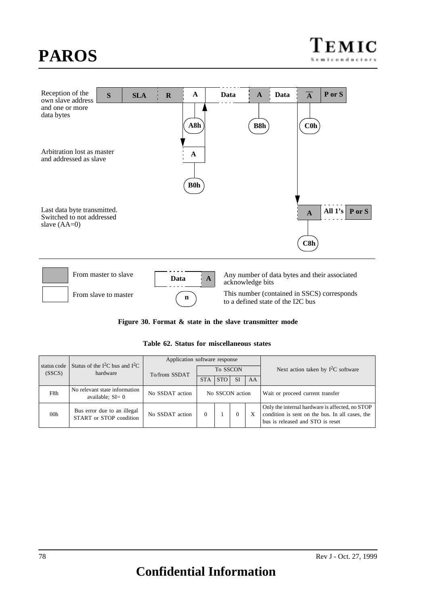<span id="page-77-0"></span>



| Figure 30. Format & state in the slave transmitter mode |  |  |  |  |
|---------------------------------------------------------|--|--|--|--|
|---------------------------------------------------------|--|--|--|--|

| Status of the $I^2C$ bus and $I^2C$<br>status code |                                                        | Application software response |                 |            |           |                                  |                                                                                                                                        |
|----------------------------------------------------|--------------------------------------------------------|-------------------------------|-----------------|------------|-----------|----------------------------------|----------------------------------------------------------------------------------------------------------------------------------------|
| (SSCS)                                             | hardware                                               | To/from SSDAT                 | To SSCON        |            |           |                                  | Next action taken by $I^2C$ software                                                                                                   |
|                                                    |                                                        |                               | <b>STA</b>      | <b>STO</b> | <b>SI</b> | AA                               |                                                                                                                                        |
| F8h                                                | No relevant state information<br>available; $SI = 0$   | No SSDAT action               | No SSCON action |            |           | Wait or proceed current transfer |                                                                                                                                        |
| 00h                                                | Bus error due to an illegal<br>START or STOP condition | No SSDAT action               |                 |            | $\Omega$  | $\boldsymbol{\mathrm{X}}$        | Only the internal hardware is affected, no STOP<br>condition is sent on the bus. In all cases, the<br>bus is released and STO is reset |

**Table 62. Status for miscellaneous states**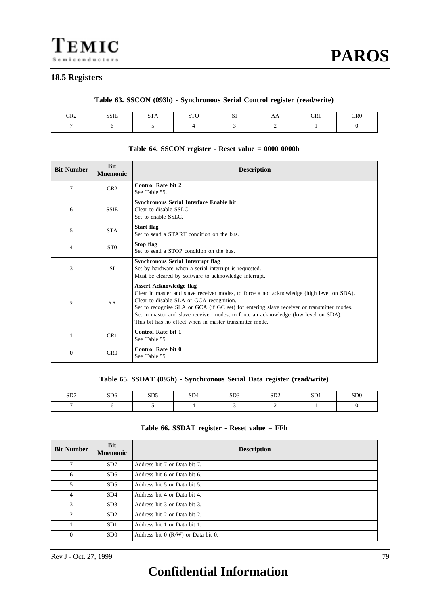## **18.5 Registers**

#### **Table 63. SSCON (093h) - Synchronous Serial Control register (read/write)**

| CR <sub>2</sub> | SSIE | $\sim$<br>$- - -$ | CDO<br>010 | $\sim$ $\sim$<br>υı | AД | $\cap$<br>$\sim$ | CR <sub>0</sub> |
|-----------------|------|-------------------|------------|---------------------|----|------------------|-----------------|
|                 |      |                   |            |                     |    |                  |                 |

#### **Table 64. SSCON register - Reset value = 0000 0000b**

| <b>Bit Number</b> | <b>Bit</b><br><b>Mnemonic</b> | <b>Description</b>                                                                                                                                                                                                                                                                                                                                                                                                     |
|-------------------|-------------------------------|------------------------------------------------------------------------------------------------------------------------------------------------------------------------------------------------------------------------------------------------------------------------------------------------------------------------------------------------------------------------------------------------------------------------|
| 7                 | CR2                           | <b>Control Rate bit 2</b><br>See Table 55.                                                                                                                                                                                                                                                                                                                                                                             |
| 6                 | <b>SSIE</b>                   | <b>Synchronous Serial Interface Enable bit</b><br>Clear to disable SSLC.<br>Set to enable SSLC.                                                                                                                                                                                                                                                                                                                        |
| 5                 | <b>STA</b>                    | <b>Start flag</b><br>Set to send a START condition on the bus.                                                                                                                                                                                                                                                                                                                                                         |
| $\overline{4}$    | <b>STO</b>                    | Stop flag<br>Set to send a STOP condition on the bus.                                                                                                                                                                                                                                                                                                                                                                  |
| 3                 | <b>SI</b>                     | <b>Synchronous Serial Interrupt flag</b><br>Set by hardware when a serial interrupt is requested.<br>Must be cleared by software to acknowledge interrupt.                                                                                                                                                                                                                                                             |
| 2                 | AA                            | <b>Assert Acknowledge flag</b><br>Clear in master and slave receiver modes, to force a not acknowledge (high level on SDA).<br>Clear to disable SLA or GCA recognition.<br>Set to recognise SLA or GCA (if GC set) for entering slave receiver or transmitter modes.<br>Set in master and slave receiver modes, to force an acknowledge (low level on SDA).<br>This bit has no effect when in master transmitter mode. |
| 1                 | CR <sub>1</sub>               | <b>Control Rate bit 1</b><br>See Table 55                                                                                                                                                                                                                                                                                                                                                                              |
| 0                 | CR <sub>0</sub>               | Control Rate bit 0<br>See Table 55                                                                                                                                                                                                                                                                                                                                                                                     |

#### **Table 65. SSDAT (095h) - Synchronous Serial Data register (read/write)**

| SD7 | SD <sub>6</sub> | C <sub>D</sub><br>ر برن | SD <sub>4</sub> | SD <sub>3</sub> | CD <sub>2</sub><br>∠ىرد | $\alpha$<br>ו עט | SD <sub>0</sub> |
|-----|-----------------|-------------------------|-----------------|-----------------|-------------------------|------------------|-----------------|
|     |                 |                         |                 |                 |                         |                  |                 |

#### **Table 66. SSDAT register - Reset value = FFh**

| <b>Bit Number</b> | <b>Bit</b><br><b>Mnemonic</b> | <b>Description</b>                   |
|-------------------|-------------------------------|--------------------------------------|
| 7                 | SD <sub>7</sub>               | Address bit 7 or Data bit 7.         |
| 6                 | SD <sub>6</sub>               | Address bit 6 or Data bit 6.         |
| 5                 | SD5                           | Address bit 5 or Data bit 5.         |
| $\overline{4}$    | SD4                           | Address bit 4 or Data bit 4.         |
| 3                 | SD3                           | Address bit 3 or Data bit 3.         |
| $\overline{2}$    | SD2                           | Address bit 2 or Data bit 2.         |
|                   | SD1                           | Address bit 1 or Data bit 1.         |
| $\theta$          | SD <sub>0</sub>               | Address bit $0$ (R/W) or Data bit 0. |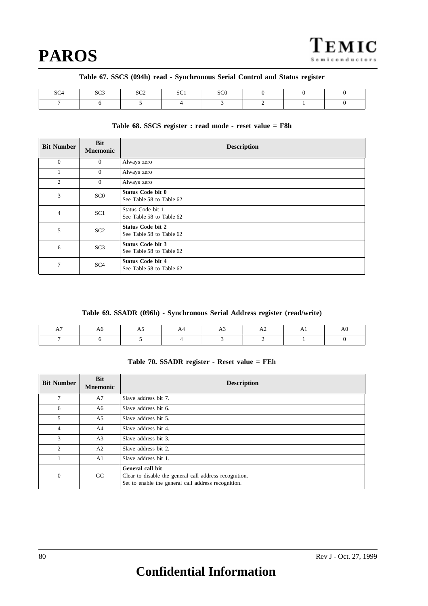#### **Table 67. SSCS (094h) read - Synchronous Serial Control and Status register**

| $\sim$ $\sim$ $\sim$<br>N.<br>$ -$ | 000<br>su | 000<br>∠بα | $\sim$ $\sim$ $\sim$<br>2C1 | SC <sub>0</sub> |  |  |
|------------------------------------|-----------|------------|-----------------------------|-----------------|--|--|
|                                    |           |            |                             |                 |  |  |

#### **Table 68. SSCS register : read mode - reset value = F8h**

| <b>Bit Number</b> | <b>Bit</b><br><b>Mnemonic</b> | <b>Description</b>                                   |
|-------------------|-------------------------------|------------------------------------------------------|
| $\mathbf{0}$      | $\Omega$                      | Always zero                                          |
| $\mathbf{1}$      | $\theta$                      | Always zero                                          |
| 2                 | $\Omega$                      | Always zero                                          |
| 3                 | SC <sub>0</sub>               | <b>Status Code bit 0</b><br>See Table 58 to Table 62 |
| $\overline{4}$    | SC1                           | Status Code bit 1<br>See Table 58 to Table 62        |
| 5                 | SC <sub>2</sub>               | <b>Status Code bit 2</b><br>See Table 58 to Table 62 |
| 6                 | SC <sub>3</sub>               | <b>Status Code bit 3</b><br>See Table 58 to Table 62 |
| 7                 | SC <sub>4</sub>               | <b>Status Code bit 4</b><br>See Table 58 to Table 62 |

#### **Table 69. SSADR (096h) - Synchronous Serial Address register (read/write)**

| гν<br>$\sim$ | .<br>$\sim$ |  | . | AO<br>$\sim$ |
|--------------|-------------|--|---|--------------|
|              |             |  |   |              |

#### **Table 70. SSADR register - Reset value = FEh**

| <b>Bit Number</b> | <b>Bit</b><br><b>Mnemonic</b> | <b>Description</b>                                                                                                                |
|-------------------|-------------------------------|-----------------------------------------------------------------------------------------------------------------------------------|
| 7                 | A7                            | Slave address bit 7.                                                                                                              |
| 6                 | A6                            | Slave address bit 6.                                                                                                              |
| 5                 | A5                            | Slave address bit 5.                                                                                                              |
| $\overline{4}$    | A4                            | Slave address bit 4.                                                                                                              |
| 3                 | A <sub>3</sub>                | Slave address bit 3.                                                                                                              |
| 2                 | A2                            | Slave address bit 2.                                                                                                              |
|                   | A1                            | Slave address bit 1.                                                                                                              |
| $\overline{0}$    | GC.                           | General call bit<br>Clear to disable the general call address recognition.<br>Set to enable the general call address recognition. |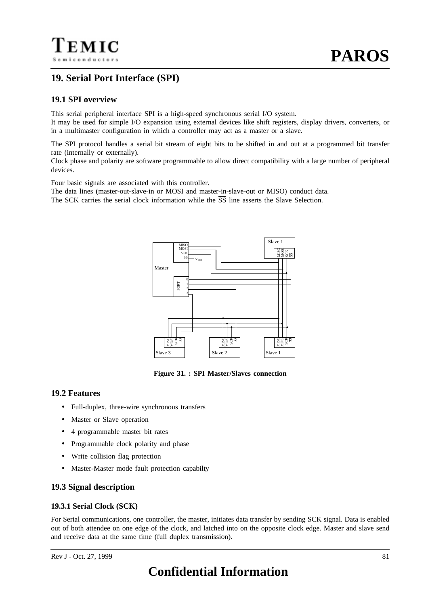## **19. Serial Port Interface (SPI)**

## **19.1 SPI overview**

This serial peripheral interface SPI is a high-speed synchronous serial I/O system. It may be used for simple I/O expansion using external devices like shift registers, display drivers, converters, or in a multimaster configuration in which a controller may act as a master or a slave.

The SPI protocol handles a serial bit stream of eight bits to be shifted in and out at a programmed bit transfer rate (internally or externally).

Clock phase and polarity are software programmable to allow direct compatibility with a large number of peripheral devices.

Four basic signals are associated with this controller.

The data lines (master-out-slave-in or MOSI and master-in-slave-out or MISO) conduct data.

The SCK carries the serial clock information while the  $\overline{SS}$  line asserts the Slave Selection.



**Figure 31. : SPI Master/Slaves connection**

## **19.2 Features**

- Full-duplex, three-wire synchronous transfers
- Master or Slave operation
- 4 programmable master bit rates
- Programmable clock polarity and phase
- Write collision flag protection
- Master-Master mode fault protection capabilty

## **19.3 Signal description**

## **19.3.1 Serial Clock (SCK)**

For Serial communications, one controller, the master, initiates data transfer by sending SCK signal. Data is enabled out of both attendee on one edge of the clock, and latched into on the opposite clock edge. Master and slave send and receive data at the same time (full duplex transmission).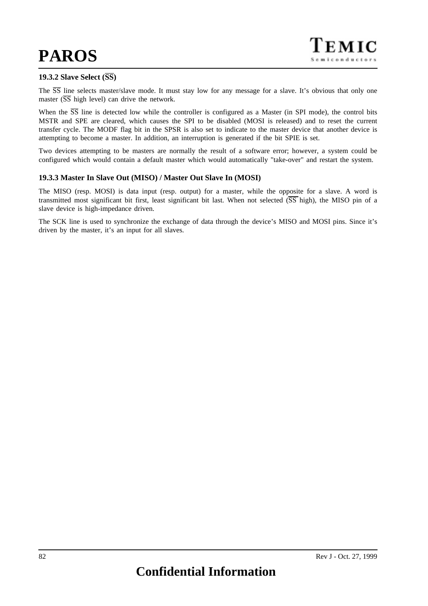## **19.3.2 Slave Select (SS)**

The  $\overline{SS}$  line selects master/slave mode. It must stay low for any message for a slave. It's obvious that only one master  $(\overline{SS}$  high level) can drive the network.

When the  $\overline{SS}$  line is detected low while the controller is configured as a Master (in SPI mode), the control bits MSTR and SPE are cleared, which causes the SPI to be disabled (MOSI is released) and to reset the current transfer cycle. The MODF flag bit in the SPSR is also set to indicate to the master device that another device is attempting to become a master. In addition, an interruption is generated if the bit SPIE is set.

Two devices attempting to be masters are normally the result of a software error; however, a system could be configured which would contain a default master which would automatically "take-over" and restart the system.

#### **19.3.3 Master In Slave Out (MISO) / Master Out Slave In (MOSI)**

The MISO (resp. MOSI) is data input (resp. output) for a master, while the opposite for a slave. A word is transmitted most significant bit first, least significant bit last. When not selected  $(\overline{SS} \text{ high})$ , the MISO pin of a slave device is high-impedance driven.

The SCK line is used to synchronize the exchange of data through the device's MISO and MOSI pins. Since it's driven by the master, it's an input for all slaves.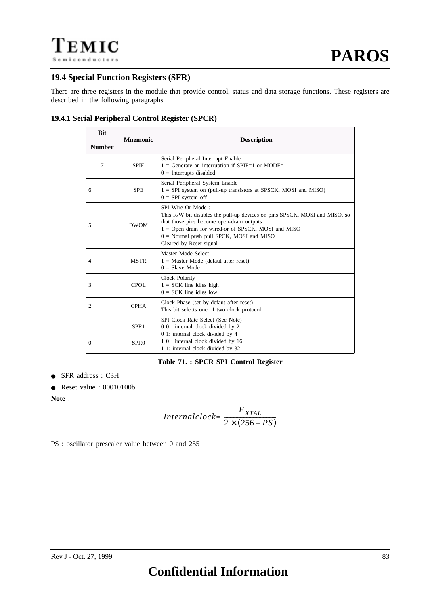## **19.4 Special Function Registers (SFR)**

There are three registers in the module that provide control, status and data storage functions. These registers are described in the following paragraphs

| <b>Bit</b><br><b>Number</b> | <b>Mnemonic</b>  | <b>Description</b>                                                                                                                                                                                                                                                            |
|-----------------------------|------------------|-------------------------------------------------------------------------------------------------------------------------------------------------------------------------------------------------------------------------------------------------------------------------------|
| 7                           | <b>SPIE</b>      | Serial Peripheral Interrupt Enable<br>$1 =$ Generate an interruption if SPIF=1 or MODF=1<br>$0 =$ Interrupts disabled                                                                                                                                                         |
| 6                           | <b>SPE</b>       | Serial Peripheral System Enable<br>$1 = SPI$ system on (pull-up transistors at SPSCK, MOSI and MISO)<br>$0 = SPI$ system off                                                                                                                                                  |
| 5                           | <b>DWOM</b>      | SPI Wire-Or Mode :<br>This R/W bit disables the pull-up devices on pins SPSCK, MOSI and MISO, so<br>that those pins become open-drain outputs<br>1 = Open drain for wired-or of SPSCK, MOSI and MISO<br>$0 =$ Normal push pull SPCK, MOSI and MISO<br>Cleared by Reset signal |
| $\overline{4}$              | <b>MSTR</b>      | Master Mode Select<br>$1 =$ Master Mode (defaut after reset)<br>$0 =$ Slave Mode                                                                                                                                                                                              |
| 3                           | CPOL.            | Clock Polarity<br>$1 =$ SCK line idles high<br>$0 = \text{SCK}$ line idles low                                                                                                                                                                                                |
| $\overline{2}$              | <b>CPHA</b>      | Clock Phase (set by defaut after reset)<br>This bit selects one of two clock protocol                                                                                                                                                                                         |
| 1                           | SPR <sub>1</sub> | SPI Clock Rate Select (See Note)<br>0 0 : internal clock divided by 2                                                                                                                                                                                                         |
| 0                           | SPR <sub>0</sub> | 0 1: internal clock divided by 4<br>1 0 : internal clock divided by 16<br>1 1: internal clock divided by 32                                                                                                                                                                   |

## **19.4.1 Serial Peripheral Control Register (SPCR)**

**Table 71. : SPCR SPI Control Register**

● SFR address : C3H

● Reset value : 00010100b

**Note** :

$$
International clock = \frac{F_{XTAL}}{2 \times (256 - PS)}
$$

PS : oscillator prescaler value between 0 and 255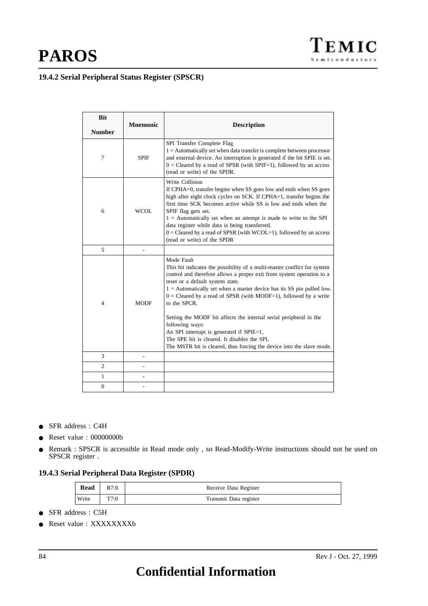## **19.4.2 Serial Peripheral Status Register (SPSCR)**

| <b>Bit</b>       |                 |                                                                                                                                                                                                                                                                                                                                                                                                                                                                                                                                                                                                                                    |
|------------------|-----------------|------------------------------------------------------------------------------------------------------------------------------------------------------------------------------------------------------------------------------------------------------------------------------------------------------------------------------------------------------------------------------------------------------------------------------------------------------------------------------------------------------------------------------------------------------------------------------------------------------------------------------------|
| <b>Number</b>    | <b>Mnemonic</b> | <b>Description</b>                                                                                                                                                                                                                                                                                                                                                                                                                                                                                                                                                                                                                 |
| 7                | <b>SPIF</b>     | SPI Transfer Complete Flag<br>$1 =$ Automatically set when data transfer is complete between processor<br>and external device. An interruption is generated if the bit SPIE is set.<br>$0 =$ Cleared by a read of SPSR (with SPIF=1), followed by an access<br>(read or write) of the SPDR.                                                                                                                                                                                                                                                                                                                                        |
| 6                | WCOL.           | Write Collision<br>If CPHA=0, transfer begins when SS goes low and ends when SS goes<br>high after eight clock cycles on SCK. If CPHA=1, transfer begins the<br>first time SCK becomes active while SS is low and ends when the<br>SPIF flag gets set.<br>$1 =$ Automatically set when an attempt is made to write to the SPI<br>data register while data is being transferred.<br>$0 =$ Cleared by a read of SPSR (with WCOL=1), followed by an access<br>(read or write) of the SPDR                                                                                                                                             |
| 5                |                 |                                                                                                                                                                                                                                                                                                                                                                                                                                                                                                                                                                                                                                    |
| 4                | <b>MODF</b>     | Mode Fault<br>This bit indicates the possibility of a multi-master conflict for system<br>control and therefore allows a proper exit from system operation to a<br>reset or a default system state.<br>$1 =$ Automatically set when a master device has its SS pin pulled low.<br>$0 =$ Cleared by a read of SPSR (with MODF=1), followed by a write<br>to the SPCR.<br>Setting the MODF bit affects the internal serial peripheral in the<br>following ways:<br>An SPI interrupt is generated if SPIE=1,<br>The SPE bit is cleared. It disables the SPI,<br>The MSTR bit is cleared, thus forcing the device into the slave mode. |
| 3                |                 |                                                                                                                                                                                                                                                                                                                                                                                                                                                                                                                                                                                                                                    |
| $\overline{c}$   |                 |                                                                                                                                                                                                                                                                                                                                                                                                                                                                                                                                                                                                                                    |
| 1                |                 |                                                                                                                                                                                                                                                                                                                                                                                                                                                                                                                                                                                                                                    |
| $\boldsymbol{0}$ |                 |                                                                                                                                                                                                                                                                                                                                                                                                                                                                                                                                                                                                                                    |

- SFR address : C4H
- Reset value : 00000000b
- Remark : SPSCR is accessible in Read mode only , so Read-Modify-Write instructions should not be used on SPSCR register .

## **19.4.3 Serial Peripheral Data Register (SPDR)**

| Read  | R7:0 | Receive Data Register  |
|-------|------|------------------------|
| Write | T7:0 | Transmit Data register |

- SFR address : C5H
- Reset value : XXXXXXXXb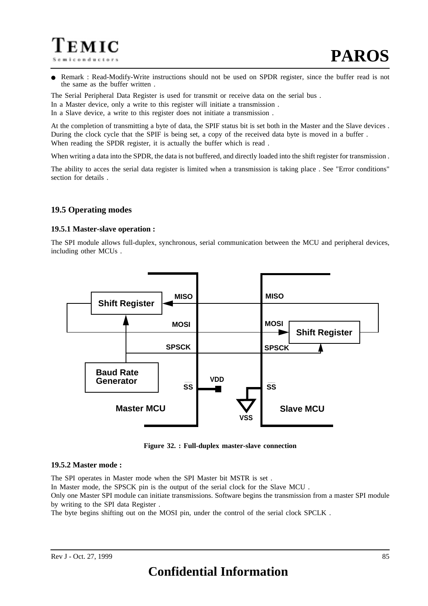Remark : Read-Modify-Write instructions should not be used on SPDR register, since the buffer read is not the same as the buffer written .

The Serial Peripheral Data Register is used for transmit or receive data on the serial bus . In a Master device, only a write to this register will initiate a transmission . In a Slave device, a write to this register does not initiate a transmission .

At the completion of transmitting a byte of data, the SPIF status bit is set both in the Master and the Slave devices . During the clock cycle that the SPIF is being set, a copy of the received data byte is moved in a buffer . When reading the SPDR register, it is actually the buffer which is read .

When writing a data into the SPDR, the data is not buffered, and directly loaded into the shift register for transmission.

The ability to acces the serial data register is limited when a transmission is taking place . See "Error conditions" section for details .

## **19.5 Operating modes**

#### **19.5.1 Master-slave operation :**

The SPI module allows full-duplex, synchronous, serial communication between the MCU and peripheral devices, including other MCUs .



**Figure 32. : Full-duplex master-slave connection**

#### **19.5.2 Master mode :**

The SPI operates in Master mode when the SPI Master bit MSTR is set .

In Master mode, the SPSCK pin is the output of the serial clock for the Slave MCU .

Only one Master SPI module can initiate transmissions. Software begins the transmission from a master SPI module by writing to the SPI data Register .

The byte begins shifting out on the MOSI pin, under the control of the serial clock SPCLK .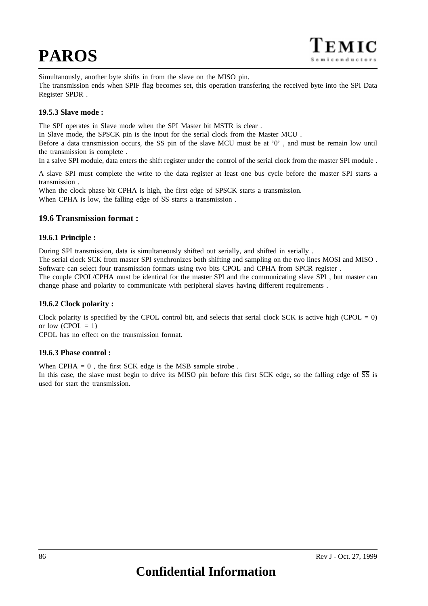Simultanously, another byte shifts in from the slave on the MISO pin.

The transmission ends when SPIF flag becomes set, this operation transfering the received byte into the SPI Data Register SPDR .

#### **19.5.3 Slave mode :**

The SPI operates in Slave mode when the SPI Master bit MSTR is clear .

In Slave mode, the SPSCK pin is the input for the serial clock from the Master MCU .

Before a data transmission occurs, the  $\overline{SS}$  pin of the slave MCU must be at '0', and must be remain low until the transmission is complete .

In a salve SPI module, data enters the shift register under the control of the serial clock from the master SPI module .

A slave SPI must complete the write to the data register at least one bus cycle before the master SPI starts a transmission .

When the clock phase bit CPHA is high, the first edge of SPSCK starts a transmission. When CPHA is low, the falling edge of  $\overline{SS}$  starts a transmission.

## **19.6 Transmission format :**

## **19.6.1 Principle :**

During SPI transmission, data is simultaneously shifted out serially, and shifted in serially . The serial clock SCK from master SPI synchronizes both shifting and sampling on the two lines MOSI and MISO . Software can select four transmission formats using two bits CPOL and CPHA from SPCR register .

The couple CPOL/CPHA must be identical for the master SPI and the communicating slave SPI , but master can change phase and polarity to communicate with peripheral slaves having different requirements .

## **19.6.2 Clock polarity :**

Clock polarity is specified by the CPOL control bit, and selects that serial clock SCK is active high (CPOL =  $0$ ) or low  $(CPOL = 1)$ 

CPOL has no effect on the transmission format.

## **19.6.3 Phase control :**

When CPHA  $= 0$ , the first SCK edge is the MSB sample strobe.

In this case, the slave must begin to drive its MISO pin before this first SCK edge, so the falling edge of  $\overline{SS}$  is used for start the transmission.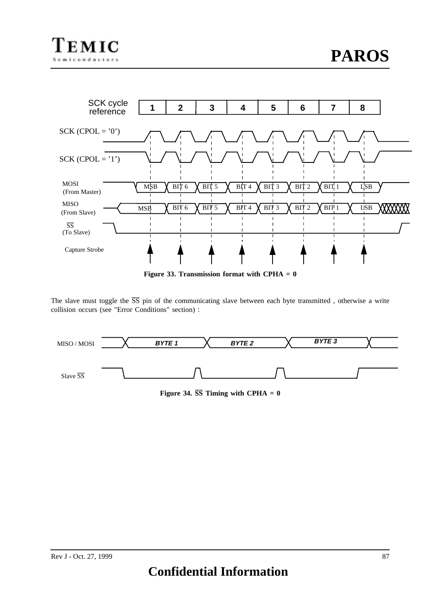

**Figure 33. Transmission format with CPHA = 0**

The slave must toggle the  $\overline{SS}$  pin of the communicating slave between each byte transmitted, otherwise a write collision occurs (see "Error Conditions" section) :



**Figure 34.**  $\overline{\text{SS}}$  Timing with CPHA = 0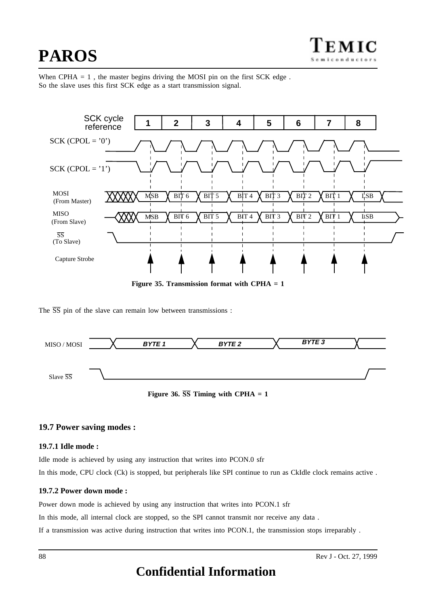

When CPHA  $= 1$ , the master begins driving the MOSI pin on the first SCK edge. So the slave uses this first SCK edge as a start transmission signal.



**Figure 35. Transmission format with CPHA = 1**

The  $\overline{SS}$  pin of the slave can remain low between transmissions :



**Figure 36.**  $\overline{SS}$  Timing with CPHA = 1

## **19.7 Power saving modes :**

## **19.7.1 Idle mode :**

Idle mode is achieved by using any instruction that writes into PCON.0 sfr

In this mode, CPU clock (Ck) is stopped, but peripherals like SPI continue to run as CkIdle clock remains active .

## **19.7.2 Power down mode :**

Power down mode is achieved by using any instruction that writes into PCON.1 sfr

In this mode, all internal clock are stopped, so the SPI cannot transmit nor receive any data .

If a transmission was active during instruction that writes into PCON.1, the transmission stops irreparably .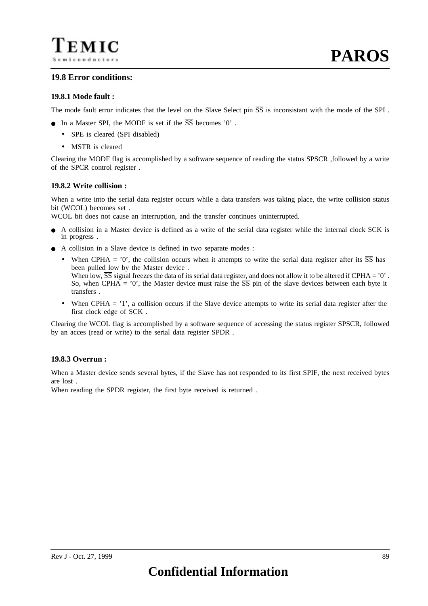## **19.8 Error conditions:**

## **19.8.1 Mode fault :**

The mode fault error indicates that the level on the Slave Select pin  $\overline{SS}$  is inconsistant with the mode of the SPI.

- In a Master SPI, the MODF is set if the  $\overline{SS}$  becomes '0'.
	- SPE is cleared (SPI disabled)
	- MSTR is cleared

Clearing the MODF flag is accomplished by a software sequence of reading the status SPSCR ,followed by a write of the SPCR control register .

#### **19.8.2 Write collision :**

When a write into the serial data register occurs while a data transfers was taking place, the write collision status bit (WCOL) becomes set .

WCOL bit does not cause an interruption, and the transfer continues uninterrupted.

- A collision in a Master device is defined as a write of the serial data register while the internal clock SCK is in progress .
- A collision in a Slave device is defined in two separate modes :
	- When CPHA = '0', the collision occurs when it attempts to write the serial data register after its  $\overline{SS}$  has been pulled low by the Master device . When low,  $\overline{SS}$  signal freezes the data of its serial data register, and does not allow it to be altered if CPHA = '0'. So, when CPHA = '0', the Master device must raise the  $\overline{SS}$  pin of the slave devices between each byte it transfers .
	- When CPHA = '1', a collision occurs if the Slave device attempts to write its serial data register after the first clock edge of SCK .

Clearing the WCOL flag is accomplished by a software sequence of accessing the status register SPSCR, followed by an acces (read or write) to the serial data register SPDR .

## **19.8.3 Overrun :**

When a Master device sends several bytes, if the Slave has not responded to its first SPIF, the next received bytes are lost .

When reading the SPDR register, the first byte received is returned .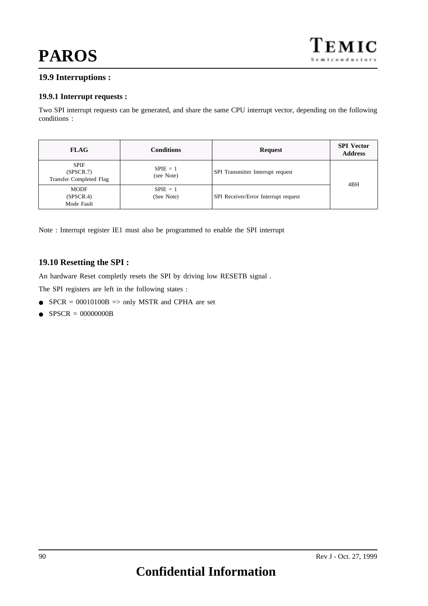## **19.9 Interruptions :**

## **19.9.1 Interrupt requests :**

Two SPI interrupt requests can be generated, and share the same CPU interrupt vector, depending on the following conditions :

| <b>FLAG</b>                                                | <b>Conditions</b>        | <b>Request</b>                       | <b>SPI</b> Vector<br><b>Address</b> |
|------------------------------------------------------------|--------------------------|--------------------------------------|-------------------------------------|
| <b>SPIF</b><br>(SPSCR.7)<br><b>Transfer Completed Flag</b> | $SPIE = 1$<br>(see Note) | SPI Transmitter Interrupt request    | 4BH                                 |
| <b>MODF</b><br>(SPSCR.4)<br>Mode Fault                     | $SPIE = 1$<br>(See Note) | SPI Receiver/Error Interrupt request |                                     |

Note : Interrupt register IE1 must also be programmed to enable the SPI interrupt

## **19.10 Resetting the SPI :**

An hardware Reset completly resets the SPI by driving low RESETB signal .

The SPI registers are left in the following states :

- SPCR =  $00010100B$  => only MSTR and CPHA are set
- $\bullet$  SPSCR = 00000000B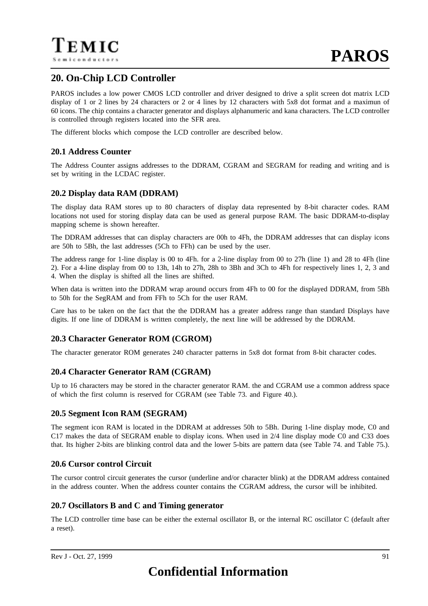## **20. On-Chip LCD Controller**

PAROS includes a low power CMOS LCD controller and driver designed to drive a split screen dot matrix LCD display of 1 or 2 lines by 24 characters or 2 or 4 lines by 12 characters with 5x8 dot format and a maximun of 60 icons. The chip contains a character generator and displays alphanumeric and kana characters. The LCD controller is controlled through registers located into the SFR area.

The different blocks which compose the LCD controller are described below.

## **20.1 Address Counter**

The Address Counter assigns addresses to the DDRAM, CGRAM and SEGRAM for reading and writing and is set by writing in the LCDAC register.

## **20.2 Display data RAM (DDRAM)**

The display data RAM stores up to 80 characters of display data represented by 8-bit character codes. RAM locations not used for storing display data can be used as general purpose RAM. The basic DDRAM-to-display mapping scheme is shown hereafter.

The DDRAM addresses that can display characters are 00h to 4Fh, the DDRAM addresses that can display icons are 50h to 5Bh, the last addresses (5Ch to FFh) can be used by the user.

The address range for 1-line display is 00 to 4Fh. for a 2-line display from 00 to 27h (line 1) and 28 to 4Fh (line 2). For a 4-line display from 00 to 13h, 14h to 27h, 28h to 3Bh and 3Ch to 4Fh for respectively lines 1, 2, 3 and 4. When the display is shifted all the lines are shifted.

When data is written into the DDRAM wrap around occurs from 4Fh to 00 for the displayed DDRAM, from 5Bh to 50h for the SegRAM and from FFh to 5Ch for the user RAM.

Care has to be taken on the fact that the the DDRAM has a greater address range than standard Displays have digits. If one line of DDRAM is written completely, the next line will be addressed by the DDRAM.

## **20.3 Character Generator ROM (CGROM)**

The character generator ROM generates 240 character patterns in 5x8 dot format from 8-bit character codes.

## **20.4 Character Generator RAM (CGRAM)**

Up to 16 characters may be stored in the character generator RAM. the and CGRAM use a common address space of which the first column is reserved for CGRAM (see Tab[le 73. and](#page-97-0) Figu[re 40.\).](#page-97-0)

## **20.5 Segment Icon RAM (SEGRAM)**

The segment icon RAM is located in the DDRAM at addresses 50h to 5Bh. During 1-line display mode, C0 and C17 makes the data of SEGRAM enable to display icons. When used in 2/4 line display mode C0 and C33 does that. Its higher 2-bits are blinking control data and the lower 5-bits are pattern data (see [Table 74.](#page-98-0) and [Table 75.](#page-99-0)).

## **20.6 Cursor control Circuit**

The cursor control circuit generates the cursor (underline and/or character blink) at the DDRAM address contained in the address counter. When the address counter contains the CGRAM address, the cursor will be inhibited.

## **20.7 Oscillators B and C and Timing generator**

The LCD controller time base can be either the external oscillator B, or the internal RC oscillator C (default after a reset).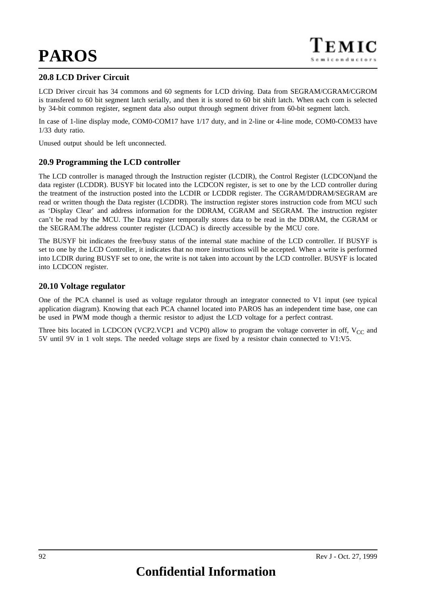## **20.8 LCD Driver Circuit**

LCD Driver circuit has 34 commons and 60 segments for LCD driving. Data from SEGRAM/CGRAM/CGROM is transfered to 60 bit segment latch serially, and then it is stored to 60 bit shift latch. When each com is selected by 34-bit common register, segment data also output through segment driver from 60-bit segment latch.

In case of 1-line display mode, COM0-COM17 have 1/17 duty, and in 2-line or 4-line mode, COM0-COM33 have 1/33 duty ratio.

Unused output should be left unconnected.

## **20.9 Programming the LCD controller**

The LCD controller is managed through the Instruction register (LCDIR), the Control Register (LCDCON)and the data register (LCDDR). BUSYF bit located into the LCDCON register, is set to one by the LCD controller during the treatment of the instruction posted into the LCDIR or LCDDR register. The CGRAM/DDRAM/SEGRAM are read or written though the Data register (LCDDR). The instruction register stores instruction code from MCU such as 'Display Clear' and address information for the DDRAM, CGRAM and SEGRAM. The instruction register can't be read by the MCU. The Data register temporally stores data to be read in the DDRAM, the CGRAM or the SEGRAM.The address counter register (LCDAC) is directly accessible by the MCU core.

The BUSYF bit indicates the free/busy status of the internal state machine of the LCD controller. If BUSYF is set to one by the LCD Controller, it indicates that no more instructions will be accepted. When a write is performed into LCDIR during BUSYF set to one, the write is not taken into account by the LCD controller. BUSYF is located into LCDCON register.

## **20.10 Voltage regulator**

One of the PCA channel is used as voltage regulator through an integrator connected to V1 input (see typical application diagram). Knowing that each PCA channel located into PAROS has an independent time base, one can be used in PWM mode though a thermic resistor to adjust the LCD voltage for a perfect contrast.

Three bits located in LCDCON (VCP2.VCP1 and VCP0) allow to program the voltage converter in off,  $V_{CC}$  and 5V until 9V in 1 volt steps. The needed voltage steps are fixed by a resistor chain connected to V1:V5.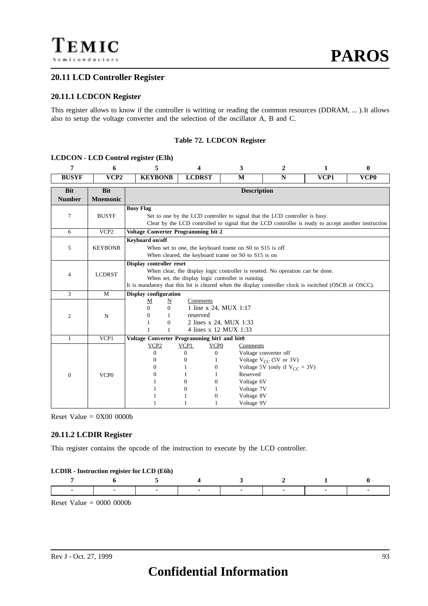## **20.11 LCD Controller Register**

## **20.11.1 LCDCON Register**

This register allows to know if the controller is writting or reading the common resources (DDRAM, ... ).It allows also to setup the voltage converter and the selection of the oscillator A, B and C.

#### **Table 72. LCDCON Register**

#### **LCDCON - LCD Control register (E3h)**

| 7                           | 6                             | 5                                           |                                                                                                                                                                                                                                                                            |                                                                                       | 3                                                                            | $\mathbf{2}$                                                                                | 1                | $\mathbf{0}$                                                                                         |  |  |  |  |  |
|-----------------------------|-------------------------------|---------------------------------------------|----------------------------------------------------------------------------------------------------------------------------------------------------------------------------------------------------------------------------------------------------------------------------|---------------------------------------------------------------------------------------|------------------------------------------------------------------------------|---------------------------------------------------------------------------------------------|------------------|------------------------------------------------------------------------------------------------------|--|--|--|--|--|
| <b>BUSYF</b>                | VCP <sub>2</sub>              | <b>KEYBONB</b>                              | <b>LCDRST</b><br>M<br>N                                                                                                                                                                                                                                                    |                                                                                       |                                                                              | VCP1                                                                                        | VCP <sub>0</sub> |                                                                                                      |  |  |  |  |  |
| <b>Bit</b><br><b>Number</b> | <b>Bit</b><br><b>Mnemonic</b> |                                             | <b>Description</b>                                                                                                                                                                                                                                                         |                                                                                       |                                                                              |                                                                                             |                  |                                                                                                      |  |  |  |  |  |
| 7                           | <b>BUSYF</b>                  | <b>Busy Flag</b>                            |                                                                                                                                                                                                                                                                            |                                                                                       |                                                                              | Set to one by the LCD controller to signal that the LCD controller is busy.                 |                  | Clear by the LCD controlled to signal that the LCD controller is ready to accept another instruction |  |  |  |  |  |
| 6                           | VCP <sub>2</sub>              |                                             | Voltage Converter Programming bit 2                                                                                                                                                                                                                                        |                                                                                       |                                                                              |                                                                                             |                  |                                                                                                      |  |  |  |  |  |
| 5                           | <b>KEYBONB</b>                | Keyboard on/off                             | When set to one, the keyboard trame on S0 to S15 is off<br>When cleared, the keyboard trame on S0 to S15 is on                                                                                                                                                             |                                                                                       |                                                                              |                                                                                             |                  |                                                                                                      |  |  |  |  |  |
| 4                           | <b>LCDRST</b>                 |                                             | Display controller reset<br>When clear, the display logic controller is reseted. No operation can be done.<br>When set, the display logic controller is running.<br>It is mandatory that this bit is cleared when the display controller clock is switched (OSCB or OSCC). |                                                                                       |                                                                              |                                                                                             |                  |                                                                                                      |  |  |  |  |  |
| 3                           | M                             |                                             | <b>Display configuration</b>                                                                                                                                                                                                                                               |                                                                                       |                                                                              |                                                                                             |                  |                                                                                                      |  |  |  |  |  |
| 2                           | N                             | М<br>$\overline{0}$<br>$\Omega$             | Comments<br>$\overline{\mathbf{N}}$<br>$\mathbf{0}$<br>reserved<br>1.<br>0<br>1                                                                                                                                                                                            | 1 line x 24, MUX 1:17<br>2 lines x 24, MUX 1:33<br>4 lines x 12 MUX 1:33              |                                                                              |                                                                                             |                  |                                                                                                      |  |  |  |  |  |
| $\mathbf{1}$                | VCP1                          | Voltage Converter Programming bit1 and bit0 |                                                                                                                                                                                                                                                                            |                                                                                       |                                                                              |                                                                                             |                  |                                                                                                      |  |  |  |  |  |
| $\boldsymbol{0}$            | VCP <sub>0</sub>              | VCP2<br>$\overline{0}$<br>0<br>0<br>0       | VCP1<br>$\mathbf{0}$<br>$\overline{0}$<br>$\Omega$<br>$\theta$                                                                                                                                                                                                             | VCP <sub>0</sub><br>$\boldsymbol{0}$<br>$\boldsymbol{0}$<br>$^{(1)}$<br>$\theta$<br>1 | Comments<br>Reserved<br>Voltage 6V<br>Voltage 7V<br>Voltage 8V<br>Voltage 9V | Voltage converter off<br>Voltage $V_{CC}$ (5V or 3V)<br>Voltage 5V (only if $V_{CC} = 3V$ ) |                  |                                                                                                      |  |  |  |  |  |

Reset Value  $= 0X00 0000$ 

#### **20.11.2 LCDIR Register**

This register contains the opcode of the instruction to execute by the LCD controller.

#### **LCDIR - Instruction register for LCD (E6h)**



Reset Value  $= 0000 0000$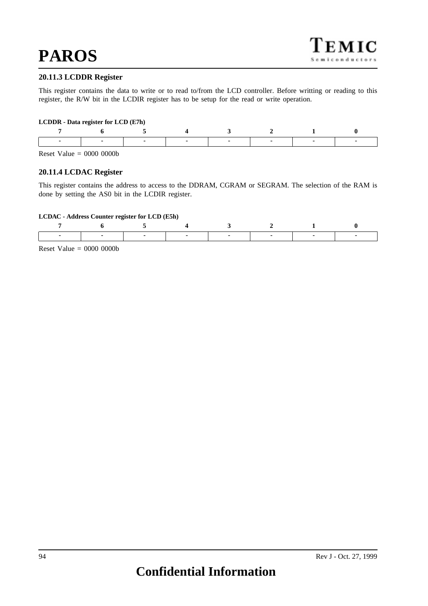**PAROS**

## **20.11.3 LCDDR Register**

This register contains the data to write or to read to/from the LCD controller. Before writting or reading to this register, the R/W bit in the LCDIR register has to be setup for the read or write operation.

#### **LCDDR - Data register for LCD (E7h)**

|                                                                                                                                                                                                                                |  | $\sim$ 3 $\sim$ 2 |  |
|--------------------------------------------------------------------------------------------------------------------------------------------------------------------------------------------------------------------------------|--|-------------------|--|
| the second contract of the second contract of the second contract of the second contract of the second contract of the second contract of the second contract of the second contract of the second contract of the second cont |  |                   |  |
|                                                                                                                                                                                                                                |  |                   |  |

Reset Value  $= 0000 0000$ 

## **20.11.4 LCDAC Register**

This register contains the address to access to the DDRAM, CGRAM or SEGRAM. The selection of the RAM is done by setting the AS0 bit in the LCDIR register.

#### **LCDAC - Address Counter register for LCD (E5h)**

|  | the contract of the contract of the contract of |  |  |
|--|-------------------------------------------------|--|--|

Reset Value  $= 0000 0000$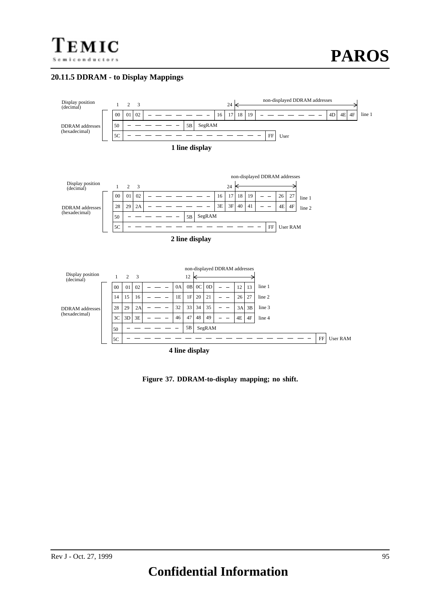

## **20.11.5 DDRAM - to Display Mappings**



**Figure 37. DDRAM-to-display mapping; no shift.**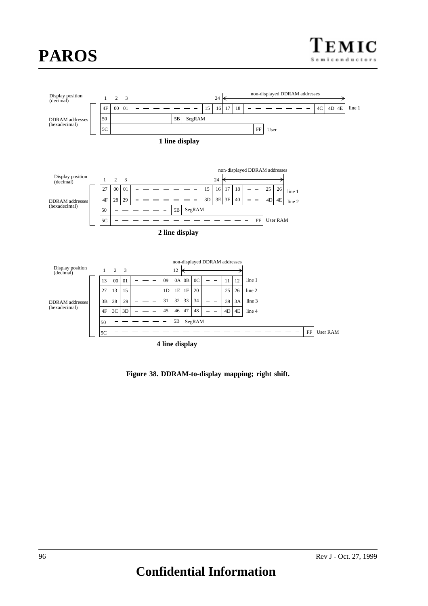# **PAROS**



**Figure 38. DDRAM-to-display mapping; right shift.**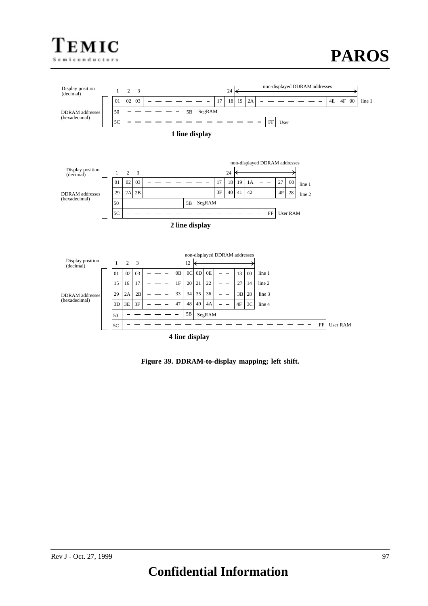



**Figure 39. DDRAM-to-display mapping; left shift.**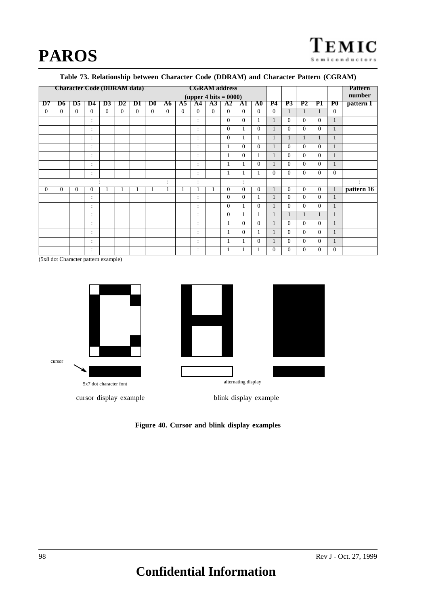<span id="page-97-0"></span>**PAROS**

## **Table 73. Relationship between Character Code (DDRAM) and Character Pattern (CGRAM)**

|          | <b>Character Code (DDRAM data)</b> |          |                      |                |               |          |               |                |          | <b>CGRAM</b> address            |          |                |                |                 |              |                |                |                |              | <b>Pattern</b>       |
|----------|------------------------------------|----------|----------------------|----------------|---------------|----------|---------------|----------------|----------|---------------------------------|----------|----------------|----------------|-----------------|--------------|----------------|----------------|----------------|--------------|----------------------|
|          |                                    |          |                      |                |               |          |               |                |          | (upper 4 bits $= 0000$ )        |          |                |                |                 |              |                |                |                |              | number               |
| D7       | D6                                 | D5       | D4                   | D3             | $\mathbf{D2}$ | D1       | $\mathbf{D0}$ | A6             | A5       | A4                              | A3       | A2             | A1             | $\overline{A0}$ | <b>P4</b>    | <b>P3</b>      | P <sub>2</sub> | P1             | $_{\rm P0}$  | pattern 1            |
| $\Omega$ | $\Omega$                           | $\theta$ | $\theta$             | $\Omega$       | $\Omega$      | $\theta$ | $\Omega$      | $\Omega$       | $\theta$ | $\Omega$                        | $\theta$ | $\Omega$       | $\theta$       | $\theta$        | $\Omega$     | $\mathbf{1}$   | $\mathbf{1}$   | $\mathbf{1}$   | $\Omega$     |                      |
|          |                                    |          | $\bullet$<br>٠       |                |               |          |               |                |          | ٠<br>$\blacksquare$             |          | $\Omega$       | $\theta$       | 1               | $\mathbf{1}$ | $\theta$       | $\Omega$       | $\theta$       | $\mathbf{1}$ |                      |
|          |                                    |          | $\ddot{\phantom{a}}$ |                |               |          |               |                |          | ٠<br>$\ddot{\phantom{a}}$       |          | $\Omega$       | 1              | $\Omega$        | $\mathbf{1}$ | $\theta$       | $\Omega$       | $\Omega$       | $\mathbf{1}$ |                      |
|          |                                    |          | $\ddot{\cdot}$       |                |               |          |               |                |          | $\cdot$<br>$\blacksquare$       |          | $\Omega$       | 1              | 1               | 1            | 1              | 1              | 1              | 1            |                      |
|          |                                    |          | $\bullet$            |                |               |          |               |                |          | ٠                               |          | 1              | $\Omega$       | $\theta$        | $\mathbf{1}$ | $\Omega$       | $\Omega$       | $\theta$       | 1            |                      |
|          |                                    |          | $\ddot{\phantom{a}}$ |                |               |          |               |                |          | ٠<br>$\ddot{\phantom{a}}$       |          |                | $\Omega$       | $\mathbf{1}$    | $\mathbf{1}$ | $\Omega$       | $\Omega$       | $\theta$       | $\mathbf{1}$ |                      |
|          |                                    |          | $\ddot{\phantom{a}}$ |                |               |          |               |                |          | ٠<br>$\blacksquare$             |          |                | 1              | $\Omega$        | $\mathbf{1}$ | $\Omega$       | $\Omega$       | $\Omega$       | $\mathbf{1}$ |                      |
|          |                                    |          | ÷                    |                |               |          |               |                |          | ٠                               |          |                |                | 1               | $\Omega$     | $\Omega$       | $\Omega$       | $\Omega$       | $\Omega$     |                      |
|          |                                    |          |                      | $\bullet$<br>÷ |               |          |               | $\ddot{\cdot}$ |          | ٠<br>$\ddot{\phantom{a}}$       |          |                | $\bullet$      |                 |              |                |                |                |              | $\ddot{\phantom{a}}$ |
| $\theta$ | 0                                  | $\Omega$ | $\theta$             |                |               |          |               |                |          |                                 |          | $\overline{0}$ | $\overline{0}$ | $\overline{0}$  | 1            | $\overline{0}$ | $\overline{0}$ | $\overline{0}$ | $\perp$      | pattern 16           |
|          |                                    |          | $\ddot{\cdot}$       |                |               |          |               |                |          | $\cdot$<br>$\blacksquare$       |          | $\Omega$       | $\theta$       | 1               | 1            | $\Omega$       | $\Omega$       | $\theta$       | 1            |                      |
|          |                                    |          | $\bullet$<br>٠       |                |               |          |               |                |          | ٠                               |          | $\Omega$       | 1              | $\Omega$        | $\mathbf{1}$ | $\Omega$       | $\Omega$       | $\Omega$       | $\mathbf{1}$ |                      |
|          |                                    |          | $\ddot{\phantom{a}}$ |                |               |          |               |                |          | ٠<br>ä,                         |          | $\Omega$       | 1              | 1               | $\mathbf{1}$ | 1              |                |                | 1            |                      |
|          |                                    |          | $\bullet$<br>$\cdot$ |                |               |          |               |                |          | ٠<br>٠                          |          |                | $\Omega$       | $\theta$        | $\mathbf{1}$ | $\Omega$       | $\Omega$       | $\theta$       | $\mathbf{1}$ |                      |
|          |                                    |          | $\bullet$<br>$\cdot$ |                |               |          |               |                |          | ٠<br>٠                          |          |                | $\Omega$       | 1               | $\mathbf{1}$ | $\Omega$       | $\Omega$       | $\Omega$       | $\mathbf{1}$ |                      |
|          |                                    |          | $\ddot{\phantom{a}}$ |                |               |          |               |                |          | $\cdot$<br>$\ddot{\phantom{a}}$ |          |                | 1              | $\theta$        | $\mathbf{1}$ | $\Omega$       | $\Omega$       | $\Omega$       | $\mathbf{1}$ |                      |
|          |                                    |          | $\bullet$<br>$\cdot$ |                |               |          |               |                |          |                                 |          |                |                |                 | $\Omega$     | $\Omega$       | $\Omega$       | $\Omega$       | $\Omega$     |                      |

(5x8 dot Character pattern example)



**Figure 40. Cursor and blink display examples**

EMIC

Semi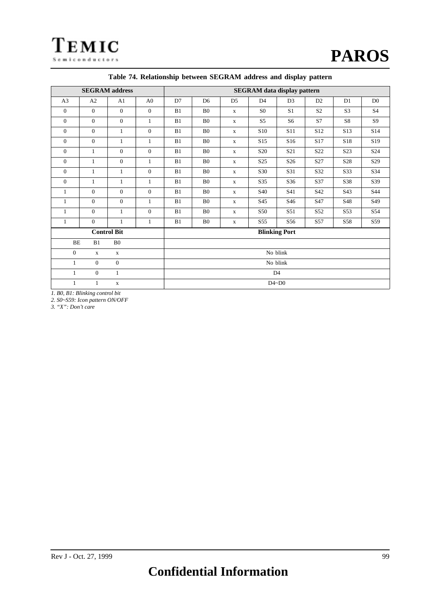<span id="page-98-0"></span>**TEMIC** Semiconductors

|                |                | <b>SEGRAM</b> address |                |    |                | <b>SEGRAM</b> data display pattern |                 |                      |                 |                  |                 |  |  |
|----------------|----------------|-----------------------|----------------|----|----------------|------------------------------------|-----------------|----------------------|-----------------|------------------|-----------------|--|--|
| A <sub>3</sub> | A2             | A1                    | A <sub>0</sub> | D7 | D <sub>6</sub> | D <sub>5</sub>                     | D <sub>4</sub>  | D <sub>3</sub>       | D2              | D1               | D <sub>0</sub>  |  |  |
| $\mathbf{0}$   | $\overline{0}$ | $\mathbf{0}$          | $\mathbf{0}$   | B1 | B <sub>0</sub> | $\mathbf X$                        | S <sub>0</sub>  | S <sub>1</sub>       | S <sub>2</sub>  | S <sub>3</sub>   | S <sub>4</sub>  |  |  |
| $\mathbf{0}$   | $\Omega$       | $\Omega$              | $\mathbf{1}$   | B1 | B <sub>0</sub> | $\mathbf X$                        | S <sub>5</sub>  | S <sub>6</sub>       | S7              | S8               | <b>S9</b>       |  |  |
| $\mathbf{0}$   | $\overline{0}$ | $\mathbf{1}$          | $\mathbf{0}$   | B1 | B <sub>0</sub> | $\mathbf{x}$                       | S <sub>10</sub> | S <sub>11</sub>      | S <sub>12</sub> | S <sub>13</sub>  | S14             |  |  |
| $\mathbf{0}$   | $\overline{0}$ | $\mathbf{1}$          | $\mathbf{1}$   | B1 | B <sub>0</sub> | X                                  | S <sub>15</sub> | S <sub>16</sub>      | S <sub>17</sub> | S18              | S <sub>19</sub> |  |  |
| $\mathbf{0}$   | $\mathbf{1}$   | $\overline{0}$        | $\mathbf{0}$   | B1 | B <sub>0</sub> | X                                  | S <sub>20</sub> | S <sub>21</sub>      | S22             | S <sub>2</sub> 3 | S <sub>24</sub> |  |  |
| $\mathbf{0}$   | 1              | $\overline{0}$        | $\mathbf{1}$   | B1 | B <sub>0</sub> | $\mathbf X$                        | S <sub>25</sub> | S <sub>26</sub>      | S27             | S <sub>28</sub>  | S <sub>29</sub> |  |  |
| $\Omega$       | $\mathbf{1}$   | $\mathbf{1}$          | $\Omega$       | B1 | B <sub>0</sub> | X                                  | S30             | S31                  | S32             | S33              | S34             |  |  |
| $\mathbf{0}$   | $\mathbf{1}$   | $\mathbf{1}$          | $\mathbf{1}$   | B1 | B <sub>0</sub> | X                                  | S35             | S36                  | S37             | S38              | S39             |  |  |
| 1              | $\overline{0}$ | $\overline{0}$        | $\mathbf{0}$   | B1 | B <sub>0</sub> | X                                  | S <sub>40</sub> | S41                  | S42             | S43              | S44             |  |  |
| 1              | $\overline{0}$ | $\overline{0}$        | 1              | B1 | B <sub>0</sub> | $\mathbf X$                        | S45             | S46                  | S <sub>47</sub> | S48              | S49             |  |  |
| $\mathbf{1}$   | $\overline{0}$ | $\mathbf{1}$          | $\mathbf{0}$   | B1 | B <sub>0</sub> | $\mathbf X$                        | S50             | S51                  | S52             | S53              | S54             |  |  |
| $\mathbf{1}$   | $\overline{0}$ | $\mathbf{1}$          | $\mathbf{1}$   | B1 | B <sub>0</sub> | $\mathbf X$                        | S <sub>55</sub> | S <sub>56</sub>      | S <sub>57</sub> | S58              | S59             |  |  |
|                |                | <b>Control Bit</b>    |                |    |                |                                    |                 | <b>Blinking Port</b> |                 |                  |                 |  |  |
| $\rm BE$       | B1             | B <sub>0</sub>        |                |    |                |                                    |                 |                      |                 |                  |                 |  |  |
| $\overline{0}$ | $\mathbf X$    | $\mathbf x$           |                |    |                |                                    |                 | No blink             |                 |                  |                 |  |  |
| $\mathbf{1}$   | $\theta$       | $\boldsymbol{0}$      |                |    |                |                                    |                 | No blink             |                 |                  |                 |  |  |
| 1              | $\theta$       | $\mathbf{1}$          |                |    |                |                                    |                 | D <sub>4</sub>       |                 |                  |                 |  |  |
| $\mathbf{1}$   | $\mathbf{1}$   | $\mathbf X$           |                |    |                |                                    |                 | $D4\neg D0$          |                 |                  |                 |  |  |

#### **Table 74. Relationship between SEGRAM address and display pattern**

*1. B0, B1: Blinking control bit*

*2. S0~S59: Icon pattern ON/OFF*

*3. "X": Don't care*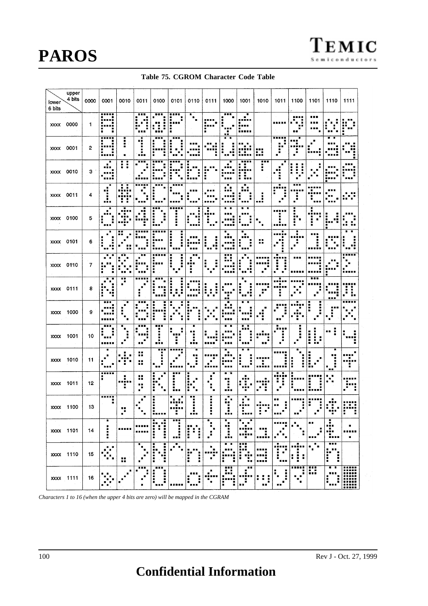|  | Table 75. CGROM Character Code Table |  |
|--|--------------------------------------|--|
|  |                                      |  |

<span id="page-99-0"></span>

| lower<br>6 bits | upper<br>4 bits    | 0000 | 0001               | 0010                | 0011                           | 0100                          | 0101                  | 0110                                                         | 0111                        | 1000                        | 1001                       | 1010                         | 1011      | 1100                                         | 1101             | 1110                                   | 1111              |
|-----------------|--------------------|------|--------------------|---------------------|--------------------------------|-------------------------------|-----------------------|--------------------------------------------------------------|-----------------------------|-----------------------------|----------------------------|------------------------------|-----------|----------------------------------------------|------------------|----------------------------------------|-------------------|
| <b>XXXX</b>     | 0000               | 1    | <br>п<br>г<br>п    |                     |                                | <br>٠<br>Î<br>:               | ₩<br>i'''<br>!        | $\overline{\mathbf{r}}_i$                                    | <br>$\blacksquare$<br><br>п | m                           | n.                         |                              |           | п.                                           |                  |                                        |                   |
| XXXX            | 0001               | 2    |                    | i<br>$\blacksquare$ |                                | <br>٠                         |                       |                                                              |                             | п                           | п                          | ш                            | <br><br>٠ | г                                            |                  |                                        |                   |
| <b>XXXX</b>     | 0010               | З    |                    | H<br>į<br>٠         |                                |                               |                       |                                                              |                             |                             |                            | <br>Ξ                        |           | I                                            |                  |                                        |                   |
| <b>XXXX</b>     | 0011               | 4    | ٠<br>. .<br>       | p<br>               |                                | ×                             |                       |                                                              |                             | л                           |                            | ı                            |           | <br>٠<br>п                                   |                  |                                        |                   |
| <b>XXXX</b>     | 0100               | 5    |                    |                     |                                | $\bullet$                     | .<br>п                |                                                              | п                           |                             | ۵                          |                              |           |                                              |                  |                                        |                   |
| XXXX            | 0101               | 6    |                    |                     |                                |                               | Ξ<br>٠<br>::::<br>i   |                                                              | i                           |                             |                            | н.<br>                       |           |                                              | в                |                                        | п                 |
| XXXX            | 0110               | 7    |                    |                     |                                |                               | i                     |                                                              | E,<br>$\blacksquare$        | m m                         | п<br>u a                   |                              |           |                                              |                  |                                        | .<br>.            |
| XXXX            | 0111               | 8    | ٠<br>i<br>8 U      | ш<br>ж              | .                              | <br>ì                         | i                     |                                                              | I<br>š                      |                             | ٠,                         |                              |           |                                              | .                |                                        |                   |
| <b>XXXX</b>     | 1000               | 9    |                    | ш<br>٠              |                                | Ì<br>٠                        |                       | Ξ                                                            |                             |                             | ٠                          | Ξ                            |           |                                              | ۲                | я                                      |                   |
| <b>XXXX</b>     | 1001               | 10   | <br>г<br>٠         | ■                   | <br>                           | <br>٠<br>.:.                  | ---                   | в<br>6 H<br>Ľ<br>J.                                          | п.                          | $\blacksquare$              | . .                        |                              |           |                                              | H<br>i<br>i<br>÷ | <br>٠                                  | в                 |
| <b>XXXX</b>     | 1010               | 11   | ×                  |                     | . .<br><br>.,<br>              | .                             | .                     | <b>N W</b><br>п                                              | .                           |                             | ۰                          |                              | Ξ<br>ь    |                                              | i                | H                                      | Η                 |
| <b>XXXX</b>     | 1011               | 12   | ,,,,,<br>I         | Ξ                   | ∺<br>.,<br>в<br>$\blacksquare$ | ■<br>i                        |                       | ٠<br>٠                                                       |                             | $\blacksquare$<br><br>٠<br> | H                          | ׃                            |           |                                              | H                |                                        | . .<br>ï          |
| <b>XXXX</b>     | 1100               | 13   | <br>$\blacksquare$ |                     | ۰                              | ÷                             | sī s<br>H             | <br>п<br>.:.                                                 | ÷<br>ē<br>H                 | . .<br>日長<br>               |                            | Ξ                            | m         |                                              | F<br>$\ddot{ }$  | <br>÷<br>٠<br>÷                        | ::<br>٠<br>÷<br>н |
| xxx 1101        |                    | 14   | ٠<br>I             |                     |                                | Ĩ<br>H<br>Ī<br>$\blacksquare$ | .<br>в<br>            | <br>İ<br>η<br>۰                                              | ٠                           | в.<br>H<br>                 |                            | "¦<br>                       |           |                                              |                  |                                        | ٠                 |
|                 | $\sim$<br>xxx 1110 | 15   |                    | ×                   |                                | I<br>i.<br>ă<br>ī             |                       | H<br>п<br>$\blacksquare$<br>$\blacksquare$<br>$\blacksquare$ |                             | ٠<br>$\blacksquare$         | :"<br>ш<br>٠<br><b>MM1</b> | ,,,,<br>п.<br><br>           |           | <br>i<br>п<br>٠                              | п                | <br>m.<br>i<br>ш<br>■                  |                   |
| xxx 1111        |                    | 16   | . .<br>Ë           |                     | m                              | 86 B<br>i<br>                 | $\blacksquare$<br>--- |                                                              |                             | <br>H<br>H                  | <br>有害                     | $\frac{\pi}{\pi}$<br>٠<br>変更 |           | $\frac{1}{2}$<br>$\blacksquare$<br>$\bullet$ | ₩                | ٠<br>п<br>ī<br>$\blacksquare$<br>π<br> | m<br>"            |

*Characters 1 to 16 (when the upper 4 bits are zero) will be mapped in the CGRAM*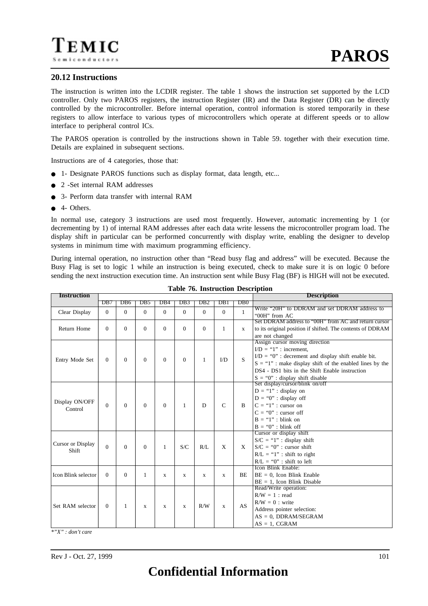## **20.12 Instructions**

The instruction is written into the LCDIR register. The table 1 shows the instruction set supported by the LCD controller. Only two PAROS registers, the instruction Register (IR) and the Data Register (DR) can be directly controlled by the microcontroller. Before internal operation, control information is stored temporarily in these registers to allow interface to various types of microcontrollers which operate at different speeds or to allow interface to peripheral control ICs.

The PAROS operation is controlled by the instructions shown in Table 59. together with their execution time. Details are explained in subsequent sections.

Instructions are of 4 categories, those that:

- 1- Designate PAROS functions such as display format, data length, etc...
- 2 -Set internal RAM addresses
- 3- Perform data transfer with internal RAM
- 4- Others.

In normal use, category 3 instructions are used most frequently. However, automatic incrementing by 1 (or decrementing by 1) of internal RAM addresses after each data write lessens the microcontroller program load. The display shift in particular can be performed concurrently with display write, enabling the designer to develop systems in minimum time with maximum programming efficiency.

During internal operation, no instruction other than "Read busy flag and address" will be executed. Because the Busy Flag is set to logic 1 while an instruction is being executed, check to make sure it is on logic 0 before sending the next instruction execution time. An instruction sent while Busy Flag (BF) is HIGH will not be executed.

| <b>Instruction</b>         |                |                 |                 |                |                 |                |              |              | <b>Description</b>                                         |  |  |  |
|----------------------------|----------------|-----------------|-----------------|----------------|-----------------|----------------|--------------|--------------|------------------------------------------------------------|--|--|--|
|                            | DB7            | DB <sub>6</sub> | D <sub>B5</sub> | DB4            | DB <sub>3</sub> | DB2            | DB1          | DB0          |                                                            |  |  |  |
| Clear Display              | $\overline{0}$ | $\overline{0}$  | $\Omega$        | $\overline{0}$ | $\overline{0}$  | $\overline{0}$ | $\mathbf{0}$ | $\mathbf{1}$ | Write "20H" to DDRAM and set DDRAM address to              |  |  |  |
|                            |                |                 |                 |                |                 |                |              |              | "00H" from AC                                              |  |  |  |
|                            |                |                 |                 |                |                 |                |              |              | Set DDRAM address to "00H" from AC and return cursor       |  |  |  |
| Return Home                | $\Omega$       | $\Omega$        | $\Omega$        | $\Omega$       | $\Omega$        | $\Omega$       | $\mathbf{1}$ | $\mathbf x$  | to its original position if shifted. The contents of DDRAM |  |  |  |
|                            |                |                 |                 |                |                 |                |              |              | are not changed                                            |  |  |  |
|                            |                |                 |                 |                |                 |                |              |              | Assign cursor moving direction                             |  |  |  |
|                            |                |                 |                 |                |                 |                |              |              | $I/D = "1"$ : increment.                                   |  |  |  |
| Entry Mode Set             | $\mathbf{0}$   | $\theta$        | $\Omega$        | $\Omega$       | $\mathbf{0}$    | 1              | I/D          | S            | $I/D = "0"$ : decrement and display shift enable bit.      |  |  |  |
|                            |                |                 |                 |                |                 |                |              |              | $S = "1"$ : make display shift of the enabled lines by the |  |  |  |
|                            |                |                 |                 |                |                 |                |              |              | DS4 - DS1 bits in the Shift Enable instruction             |  |  |  |
|                            |                |                 |                 |                |                 |                |              |              | $S = "0"$ : display shift disable                          |  |  |  |
|                            |                |                 |                 |                |                 |                |              |              | Set display/cursor/blink on/off                            |  |  |  |
|                            |                |                 |                 |                |                 |                |              |              | $D = "1"$ : display on                                     |  |  |  |
| Display ON/OFF             |                |                 |                 |                |                 |                |              |              | $D = "0"$ : display off                                    |  |  |  |
| Control                    | $\mathbf{0}$   | $\mathbf{0}$    | $\Omega$        | $\Omega$       | $\mathbf{1}$    | D              | $\mathsf{C}$ | B            | $C = "1" : cursor on$                                      |  |  |  |
|                            |                |                 |                 |                |                 |                |              |              | $C = "0"$ : cursor off                                     |  |  |  |
|                            |                |                 |                 |                |                 |                |              |              | $B = "1" : blink$ on                                       |  |  |  |
|                            |                |                 |                 |                |                 |                |              |              | $B = "0"$ : blink off                                      |  |  |  |
|                            |                |                 |                 |                |                 |                |              |              | Cursor or display shift                                    |  |  |  |
| Cursor or Display          |                |                 |                 |                |                 |                |              |              | $S/C = "1"$ : display shift                                |  |  |  |
| <b>Shift</b>               | $\Omega$       | $\overline{0}$  | $\Omega$        | 1              | S/C             | R/L            | X            | X            | $S/C = "0"$ : cursor shift                                 |  |  |  |
|                            |                |                 |                 |                |                 |                |              |              | $R/L = "1"$ : shift to right                               |  |  |  |
|                            |                |                 |                 |                |                 |                |              |              | $R/L = "0"$ : shift to left<br>Icon Blink Enable:          |  |  |  |
| <b>Icon Blink selector</b> | $\mathbf{0}$   | $\Omega$        | 1               |                | $\mathbf x$     |                |              | <b>BE</b>    | $BE = 0$ , Icon Blink Enable                               |  |  |  |
|                            |                |                 |                 | X              |                 | X              | X            |              | $BE = 1$ , Icon Blink Disable                              |  |  |  |
|                            |                |                 |                 |                |                 |                |              |              | Read/Write operation:                                      |  |  |  |
|                            |                |                 |                 |                |                 |                |              |              | $R/W = 1$ : read                                           |  |  |  |
|                            |                |                 |                 |                |                 |                |              |              | $R/W = 0$ : write                                          |  |  |  |
| Set RAM selector           | $\Omega$       | 1               | $\mathbf{x}$    | X              | X               | R/W            | X            | AS           | Address pointer selection:                                 |  |  |  |
|                            |                |                 |                 |                |                 |                |              |              | $AS = 0$ , DDRAM/SEGRAM                                    |  |  |  |
|                            |                |                 |                 |                |                 |                |              |              | $AS = 1$ , CGRAM                                           |  |  |  |
|                            |                |                 |                 |                |                 |                |              |              |                                                            |  |  |  |

|  |  |  | <b>Table 76. Instruction Description</b> |
|--|--|--|------------------------------------------|
|--|--|--|------------------------------------------|

*\*"X" : don't care*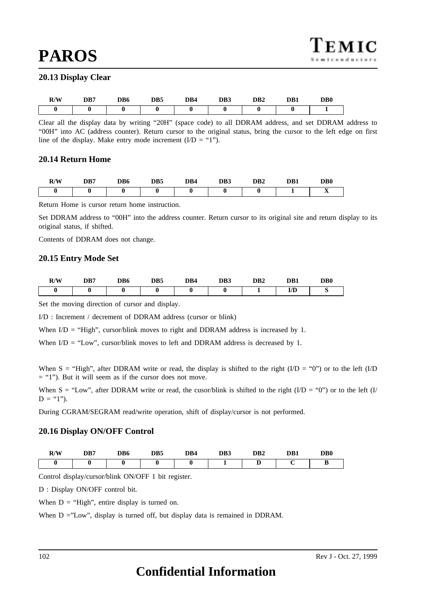## **20.13 Display Clear**

| R/W | D <sub>B7</sub> | DB6 | DB5 | DB4 | DB <sub>3</sub> | DB <sub>2</sub> | DB1 | D <sub>B</sub> 0 |
|-----|-----------------|-----|-----|-----|-----------------|-----------------|-----|------------------|
|     |                 |     |     |     |                 |                 |     |                  |

Clear all the display data by writing "20H" (space code) to all DDRAM address, and set DDRAM address to "00H" into AC (address counter). Return cursor to the original status, bring the cursor to the left edge on first line of the display. Make entry mode increment  $(I/D = "1"')$ .

## **20.14 Return Home**

| R/W | D <sub>B7</sub> | DB6 | D <sub>B5</sub> | DB4 | DB <sub>3</sub> | D <sub>B2</sub> | DB1 | D <sub>B</sub> 0 |
|-----|-----------------|-----|-----------------|-----|-----------------|-----------------|-----|------------------|
|     |                 |     |                 |     |                 |                 |     | . .              |

Return Home is cursor return home instruction.

Set DDRAM address to "00H" into the address counter. Return cursor to its original site and return display to its original status, if shifted.

Contents of DDRAM does not change.

## **20.15 Entry Mode Set**

| R/W | DB7 | DB6 | D <sub>B5</sub> | DB4 | DB <sub>3</sub> | DB <sub>2</sub> | DB1         | D <sub>B</sub> 0 |
|-----|-----|-----|-----------------|-----|-----------------|-----------------|-------------|------------------|
|     |     |     |                 |     |                 |                 | T/T<br>IJIJ |                  |

Set the moving direction of cursor and display.

I/D : Increment / decrement of DDRAM address (cursor or blink)

When  $ID = "High"$ , cursor/blink moves to right and DDRAM address is increased by 1.

When  $ID = "Low", cursor/blink moves to left and DDRAM address is decreased by 1.$ 

When  $S =$  "High", after DDRAM write or read, the display is shifted to the right (I/D = "0") or to the left (I/D = "1"). But it will seem as if the cursor does not move.

When  $S = "Low"$ , after DDRAM write or read, the cusor/blink is shifted to the right (I/D = "0") or to the left (I/  $D = "1"$ ).

During CGRAM/SEGRAM read/write operation, shift of display/cursor is not performed.

## **20.16 Display ON/OFF Control**

| R/W | DB7<br>-- | DB <sub>6</sub> | DB5 | DB <sub>4</sub> | DB <sub>3</sub> | D <sub>B2</sub><br>--- | DB1 | D <sub>B</sub> 0 |
|-----|-----------|-----------------|-----|-----------------|-----------------|------------------------|-----|------------------|
|     |           |                 |     |                 |                 |                        |     | ш,               |

Control display/cursor/blink ON/OFF 1 bit register.

D : Display ON/OFF control bit.

When  $D =$  "High", entire display is turned on.

When  $D = "Low",$  display is turned off, but display data is remained in DDRAM.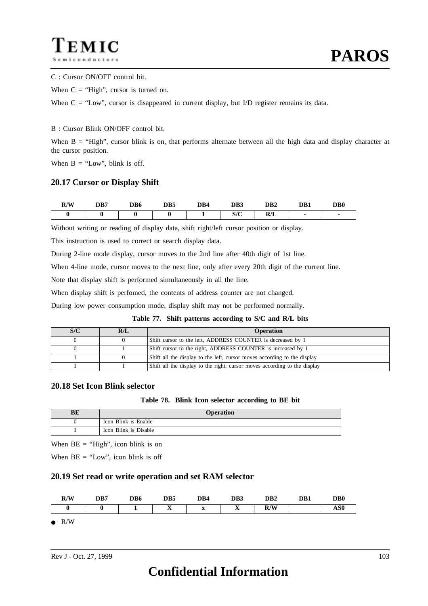C : Cursor ON/OFF control bit.

When  $C =$  "High", cursor is turned on.

When  $C = "Low"$ , cursor is disappeared in current display, but I/D register remains its data.

B : Cursor Blink ON/OFF control bit.

When B = "High", cursor blink is on, that performs alternate between all the high data and display character at the cursor position.

When  $B = "Low",$  blink is off.

## **20.17 Cursor or Display Shift**

| R/W | DD7 | nne | DB4 | DB3                | DB2 | DB1 | $\neg$ D $\alpha$ |
|-----|-----|-----|-----|--------------------|-----|-----|-------------------|
|     |     |     |     | $\mathbf{C}$<br>on | R/L |     |                   |

Without writing or reading of display data, shift right/left cursor position or display.

This instruction is used to correct or search display data.

During 2-line mode display, cursor moves to the 2nd line after 40th digit of 1st line.

When 4-line mode, cursor moves to the next line, only after every 20th digit of the current line.

Note that display shift is performed simultaneously in all the line.

When display shift is perfomed, the contents of address counter are not changed.

During low power consumption mode, display shift may not be performed normally.

#### **Table 77. Shift patterns according to S/C and R/L bits**

| S/C | R/L | <b>Operation</b>                                                          |
|-----|-----|---------------------------------------------------------------------------|
|     |     | Shift cursor to the left, ADDRESS COUNTER is decreased by 1               |
|     |     | Shift cursor to the right, ADDRESS COUNTER is increased by 1              |
|     |     | Shift all the display to the left, cursor moves according to the display  |
|     |     | Shift all the display to the right, cursor moves according to the display |

## **20.18 Set Icon Blink selector**

| Table 78. Blink Icon selector according to BE bit |  |  |  |  |  |  |  |
|---------------------------------------------------|--|--|--|--|--|--|--|
|---------------------------------------------------|--|--|--|--|--|--|--|

| BЕ | <b>Operation</b>      |
|----|-----------------------|
|    | Icon Blink is Enable  |
|    | Icon Blink is Disable |

When  $BE = "High",$  icon blink is on

When  $BE = "Low",$  icon blink is off

#### **20.19 Set read or write operation and set RAM selector**



 $R/W$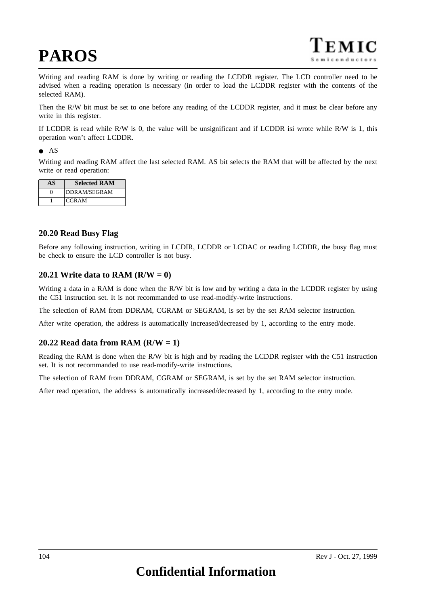

Writing and reading RAM is done by writing or reading the LCDDR register. The LCD controller need to be advised when a reading operation is necessary (in order to load the LCDDR register with the contents of the selected RAM).

Then the R/W bit must be set to one before any reading of the LCDDR register, and it must be clear before any write in this register.

If LCDDR is read while R/W is 0, the value will be unsignificant and if LCDDR isi wrote while R/W is 1, this operation won't affect LCDDR.

#### ● AS

Writing and reading RAM affect the last selected RAM. AS bit selects the RAM that will be affected by the next write or read operation:

| AS | <b>Selected RAM</b> |
|----|---------------------|
|    | DDRAM/SEGRAM        |
|    | CGRAM               |

## **20.20 Read Busy Flag**

Before any following instruction, writing in LCDIR, LCDDR or LCDAC or reading LCDDR, the busy flag must be check to ensure the LCD controller is not busy.

#### **20.21 Write data to RAM (R/W = 0)**

Writing a data in a RAM is done when the R/W bit is low and by writing a data in the LCDDR register by using the C51 instruction set. It is not recommanded to use read-modify-write instructions.

The selection of RAM from DDRAM, CGRAM or SEGRAM, is set by the set RAM selector instruction.

After write operation, the address is automatically increased/decreased by 1, according to the entry mode.

## **20.22 Read data from RAM (R/W = 1)**

Reading the RAM is done when the R/W bit is high and by reading the LCDDR register with the C51 instruction set. It is not recommanded to use read-modify-write instructions.

The selection of RAM from DDRAM, CGRAM or SEGRAM, is set by the set RAM selector instruction.

After read operation, the address is automatically increased/decreased by 1, according to the entry mode.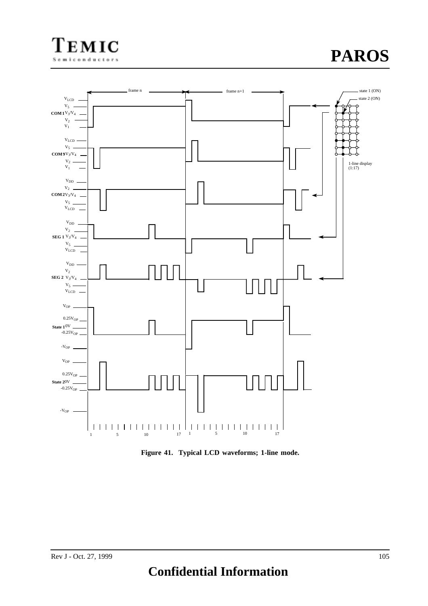



**Figure 41. Typical LCD waveforms; 1-line mode.**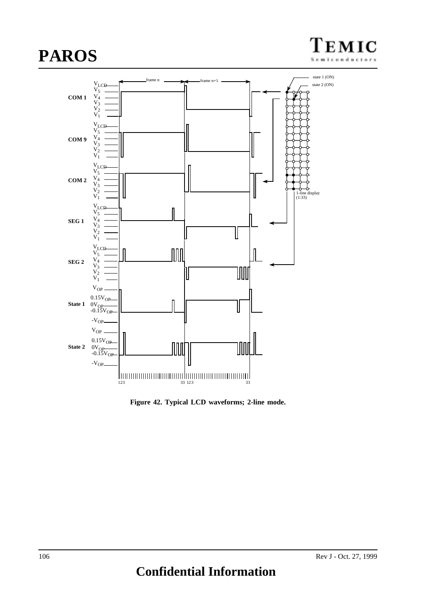# **PAROS**

7 S e  $\mathbf{m}$ 



**Figure 42. Typical LCD waveforms; 2-line mode.**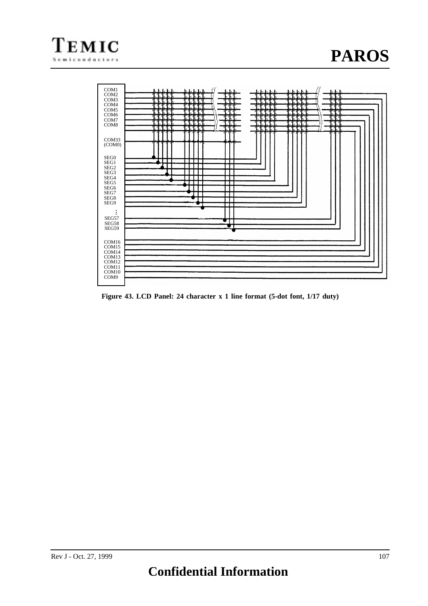

**Figure 43. LCD Panel: 24 character x 1 line format (5-dot font, 1/17 duty)**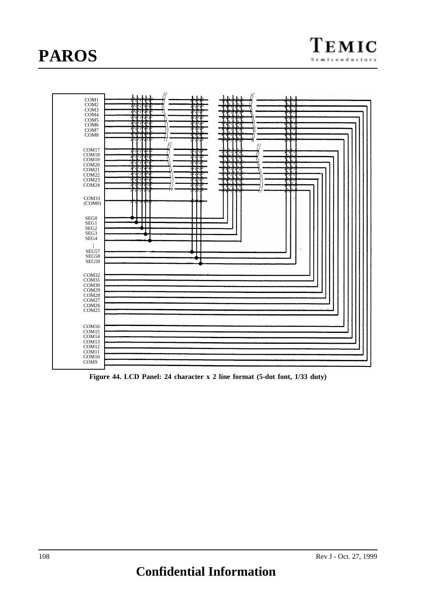

**Figure 44. LCD Panel: 24 character x 2 line format (5-dot font, 1/33 duty)**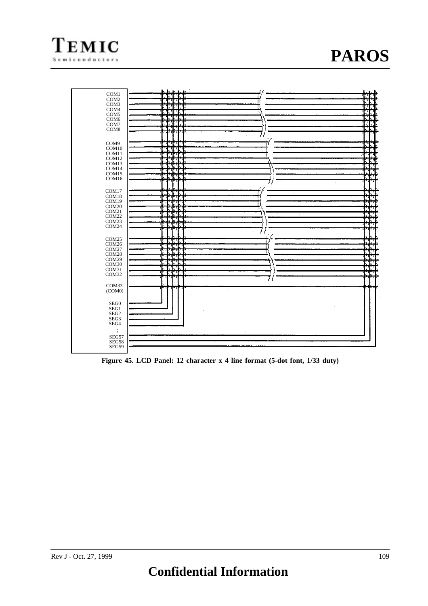

**Figure 45. LCD Panel: 12 character x 4 line format (5-dot font, 1/33 duty)**

TEMIC Semiconductors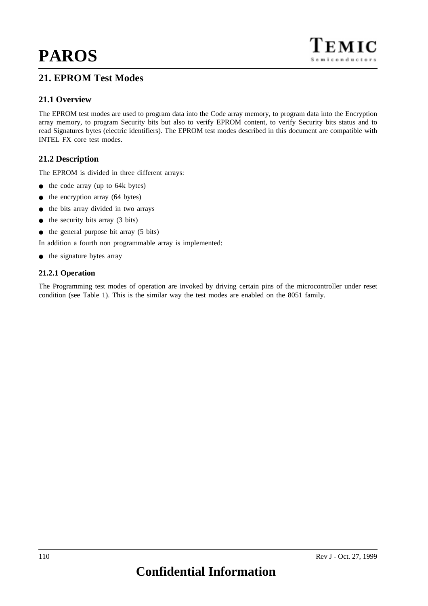### **21. EPROM Test Modes**

The EPROM test modes are used to program data into the Code array memory, to program data into the Encryption array memory, to program Security bits but also to verify EPROM content, to verify Security bits status and to read Signatures bytes (electric identifiers). The EPROM test modes described in this document are compatible with

### **21.2 Description**

INTEL FX core test modes.

The EPROM is divided in three different arrays:

- the code array (up to 64k bytes)
- the encryption array (64 bytes)
- the bits array divided in two arrays
- $\bullet$  the security bits array (3 bits)
- the general purpose bit array (5 bits)

In addition a fourth non programmable array is implemented:

● the signature bytes array

#### **21.2.1 Operation**

The Programming test modes of operation are invoked by driving certain pins of the microcontroller under reset condition (see Table 1). This is the similar way the test modes are enabled on the 8051 family.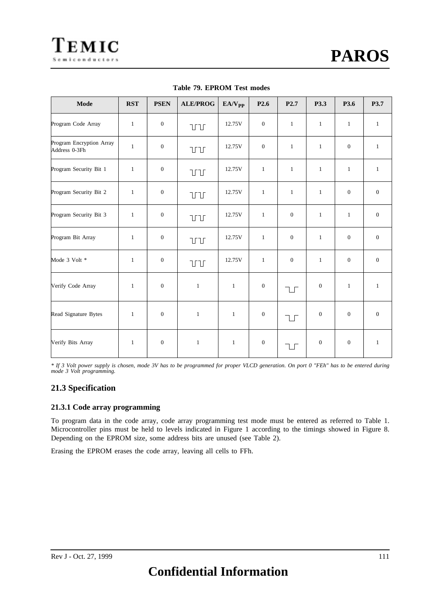| <b>Mode</b>                               | <b>RST</b>   | <b>PSEN</b>      | <b>ALE/PROG</b> | $E A/V_{PP}$ | P <sub>2.6</sub> | P <sub>2.7</sub> | P3.3             | P3.6             | P3.7           |
|-------------------------------------------|--------------|------------------|-----------------|--------------|------------------|------------------|------------------|------------------|----------------|
| Program Code Array                        | $\mathbf{1}$ | $\mathbf{0}$     | ЪЛ              | 12.75V       | $\mathbf{0}$     | $\mathbf{1}$     | $\mathbf{1}$     | $\mathbf{1}$     | $\mathbf{1}$   |
| Program Encryption Array<br>Address 0-3Fh | $\mathbf{1}$ | $\mathbf{0}$     | UТ              | 12.75V       | $\mathbf{0}$     | $\mathbf{1}$     | $\mathbf{1}$     | $\mathbf{0}$     | $\mathbf{1}$   |
| Program Security Bit 1                    | $\mathbf{1}$ | $\mathbf{0}$     | ЪЛ              | 12.75V       | $\mathbf{1}$     | $\mathbf{1}$     | $\mathbf{1}$     | $\mathbf{1}$     | $\mathbf{1}$   |
| Program Security Bit 2                    | $\mathbf{1}$ | $\mathbf{0}$     | ЪЛ              | 12.75V       | $\mathbf{1}$     | $\mathbf{1}$     | $\mathbf{1}$     | $\mathbf{0}$     | $\overline{0}$ |
| Program Security Bit 3                    | $\mathbf{1}$ | $\boldsymbol{0}$ | ЪЛ              | 12.75V       | $\mathbf{1}$     | $\mathbf{0}$     | $\mathbf{1}$     | $\mathbf{1}$     | $\mathbf{0}$   |
| Program Bit Array                         | $\mathbf{1}$ | $\mathbf{0}$     | UТ              | 12.75V       | $\mathbf{1}$     | $\overline{0}$   | $\mathbf{1}$     | $\overline{0}$   | $\mathbf{0}$   |
| Mode 3 Volt *                             | $\mathbf{1}$ | $\boldsymbol{0}$ | <b>TLT</b>      | 12.75V       | $\mathbf{1}$     | $\overline{0}$   | $\mathbf{1}$     | $\boldsymbol{0}$ | $\mathbf{0}$   |
| Verify Code Array                         | $\mathbf{1}$ | $\mathbf{0}$     | $\mathbf{1}$    | $\mathbf{1}$ | $\mathbf{0}$     | $\sqcup$         | $\mathbf{0}$     | $\mathbf{1}$     | $\mathbf{1}$   |
| Read Signature Bytes                      | $\mathbf{1}$ | $\mathbf{0}$     | $\mathbf{1}$    | $\mathbf{1}$ | $\mathbf{0}$     | $\sqcup$         | $\mathbf{0}$     | $\overline{0}$   | $\overline{0}$ |
| Verify Bits Array                         | $\mathbf{1}$ | $\mathbf{0}$     | $\mathbf{1}$    | $\mathbf{1}$ | $\mathbf{0}$     | $\Box$           | $\boldsymbol{0}$ | $\mathbf{0}$     | $\mathbf{1}$   |

**Table 79. EPROM Test modes**

*\* If 3 Volt power supply is chosen, mode 3V has to be programmed for proper VLCD generation. On port 0 "FEh" has to be entered during mode 3 Volt programming.*

### **21.3 Specification**

#### **21.3.1 Code array programming**

To program data in the code array, code array programming test mode must be entered as referred to Table 1. Microcontroller pins must be held to levels indicated in Figure 1 according to the timings showed in Figure 8. Depending on the EPROM size, some address bits are unused (see Table 2).

Erasing the EPROM erases the code array, leaving all cells to FFh.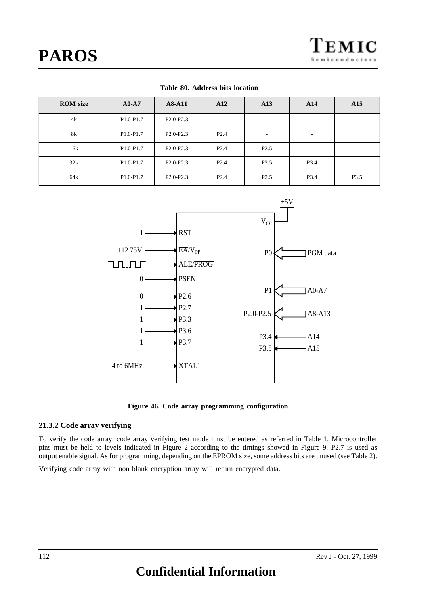| <b>ROM</b> size | $A0-A7$       | $A8-A11$    | A12  | A13              | A14                      | A15  |
|-----------------|---------------|-------------|------|------------------|--------------------------|------|
| 4k              | $P1.0 - P1.7$ | $P2.0-P2.3$ | ۰.   | ٠.               | $\overline{\phantom{a}}$ |      |
| 8k              | $P1.0 - P1.7$ | $P2.0-P2.3$ | P2.4 |                  |                          |      |
| 16k             | $P1.0 - P1.7$ | $P2.0-P2.3$ | P2.4 | P <sub>2.5</sub> |                          |      |
| 32k             | $P1.0 - P1.7$ | $P2.0-P2.3$ | P2.4 | P <sub>2.5</sub> | P3.4                     |      |
| 64k             | P1.0-P1.7     | $P2.0-P2.3$ | P2.4 | P <sub>2.5</sub> | P3.4                     | P3.5 |

**Table 80. Address bits location**



**Figure 46. Code array programming configuration**

#### **21.3.2 Code array verifying**

To verify the code array, code array verifying test mode must be entered as referred in Table 1. Microcontroller pins must be held to levels indicated in Figure 2 according to the timings showed in Figure 9. P2.7 is used as output enable signal. As for programming, depending on the EPROM size, some address bits are unused (see Table 2).

Verifying code array with non blank encryption array will return encrypted data.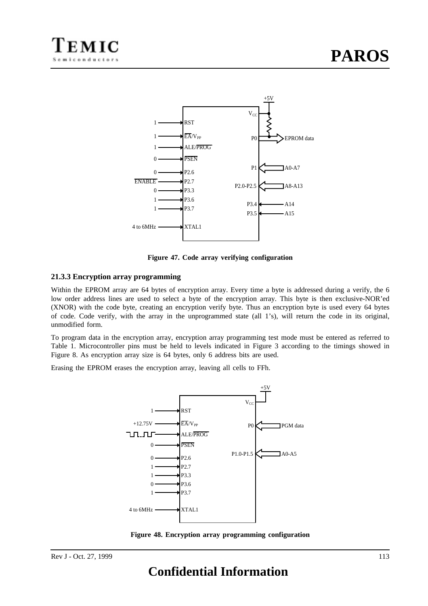

**Figure 47. Code array verifying configuration**

#### **21.3.3 Encryption array programming**

Within the EPROM array are 64 bytes of encryption array. Every time a byte is addressed during a verify, the 6 low order address lines are used to select a byte of the encryption array. This byte is then exclusive-NOR'ed (XNOR) with the code byte, creating an encryption verify byte. Thus an encryption byte is used every 64 bytes of code. Code verify, with the array in the unprogrammed state (all 1's), will return the code in its original, unmodified form.

To program data in the encryption array, encryption array programming test mode must be entered as referred to Table 1. Microcontroller pins must be held to levels indicated in Figure 3 according to the timings showed in Figure 8. As encryption array size is 64 bytes, only 6 address bits are used.

Erasing the EPROM erases the encryption array, leaving all cells to FFh.



**Figure 48. Encryption array programming configuration**

# **Confidential Information**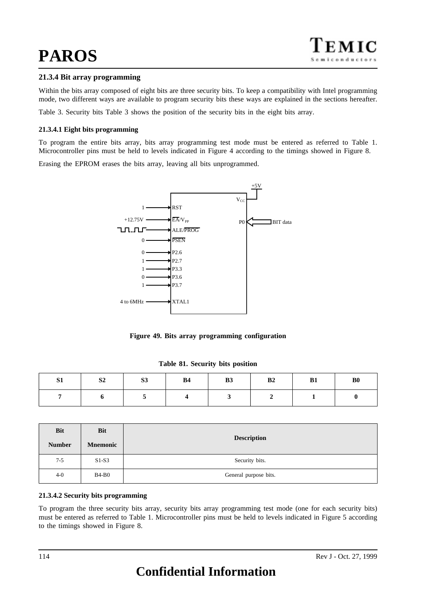#### **21.3.4 Bit array programming**

Within the bits array composed of eight bits are three security bits. To keep a compatibility with Intel programming mode, two different ways are available to program security bits these ways are explained in the sections hereafter.

Table 3. Security bits Table 3 shows the position of the security bits in the eight bits array.

#### **21.3.4.1 Eight bits programming**

To program the entire bits array, bits array programming test mode must be entered as referred to Table 1. Microcontroller pins must be held to levels indicated in Figure 4 according to the timings showed in Figure 8.

Erasing the EPROM erases the bits array, leaving all bits unprogrammed.



**Figure 49. Bits array programming configuration**

|  |  | Table 81. Security bits position |  |  |
|--|--|----------------------------------|--|--|
|--|--|----------------------------------|--|--|

| S <sub>1</sub> | S <sub>2</sub> | S <sub>3</sub> | <b>B4</b> | B3 | B2 | B1 | B <sub>0</sub> |
|----------------|----------------|----------------|-----------|----|----|----|----------------|
|                |                |                |           |    |    |    |                |

| <b>Bit</b><br><b>Number</b> | <b>Bit</b><br><b>Mnemonic</b> | <b>Description</b>    |
|-----------------------------|-------------------------------|-----------------------|
| $7 - 5$                     | $S1-S3$                       | Security bits.        |
| $4-0$                       | $B4-B0$                       | General purpose bits. |

#### **21.3.4.2 Security bits programming**

To program the three security bits array, security bits array programming test mode (one for each security bits) must be entered as referred to Table 1. Microcontroller pins must be held to levels indicated in Figure 5 according to the timings showed in Figure 8.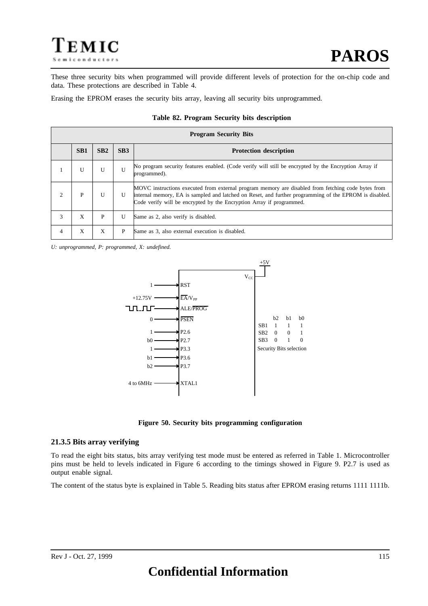These three security bits when programmed will provide different levels of protection for the on-chip code and data. These protections are described in Table 4.

Erasing the EPROM erases the security bits array, leaving all security bits unprogrammed.

|                                                                            | <b>Program Security Bits</b> |   |              |                                                                                                                                                                                                                                                                                      |  |  |  |  |  |  |  |
|----------------------------------------------------------------------------|------------------------------|---|--------------|--------------------------------------------------------------------------------------------------------------------------------------------------------------------------------------------------------------------------------------------------------------------------------------|--|--|--|--|--|--|--|
| SB <sub>1</sub><br>SB2<br>SB <sub>3</sub><br><b>Protection description</b> |                              |   |              |                                                                                                                                                                                                                                                                                      |  |  |  |  |  |  |  |
|                                                                            |                              | U |              | No program security features enabled. (Code verify will still be encrypted by the Encryption Array if<br>programmed).                                                                                                                                                                |  |  |  |  |  |  |  |
| $\mathfrak{D}$                                                             | P                            | U | $\mathbf{U}$ | MOVC instructions executed from external program memory are disabled from fetching code bytes from<br>internal memory, EA is sampled and latched on Reset, and further programming of the EPROM is disabled.<br>Code verify will be encrypted by the Encryption Array if programmed. |  |  |  |  |  |  |  |
| 3                                                                          | X                            | P | U            | Same as 2, also verify is disabled.                                                                                                                                                                                                                                                  |  |  |  |  |  |  |  |
| 4                                                                          | X                            | X | P            | Same as 3, also external execution is disabled.                                                                                                                                                                                                                                      |  |  |  |  |  |  |  |

#### **Table 82. Program Security bits description**

*U: unprogrammed, P: programmed, X: undefined.*



**Figure 50. Security bits programming configuration**

#### **21.3.5 Bits array verifying**

To read the eight bits status, bits array verifying test mode must be entered as referred in Table 1. Microcontroller pins must be held to levels indicated in Figure 6 according to the timings showed in Figure 9. P2.7 is used as output enable signal.

The content of the status byte is explained in Table 5. Reading bits status after EPROM erasing returns 1111 1111b.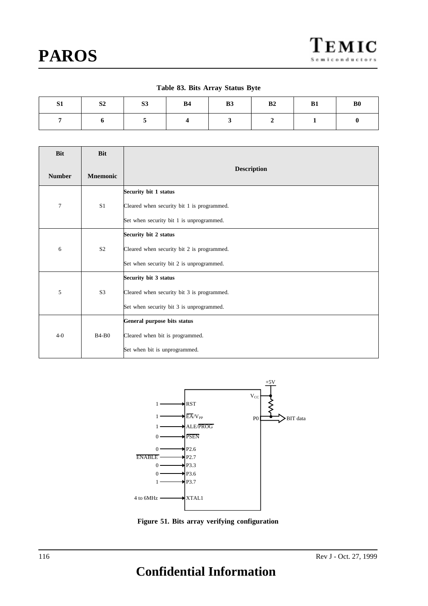#### **Table 83. Bits Array Status Byte**

| S1 | c٦<br>OZ. | $\sim$<br>53 | <b>B4</b> | <b>B3</b> | B2 | B1 | <b>B</b> <sub>0</sub> |
|----|-----------|--------------|-----------|-----------|----|----|-----------------------|
|    |           |              |           |           |    |    |                       |

| <b>Bit</b>     | <b>Bit</b>      |                                                                                                                 |
|----------------|-----------------|-----------------------------------------------------------------------------------------------------------------|
| <b>Number</b>  | <b>Mnemonic</b> | <b>Description</b>                                                                                              |
| $\overline{7}$ | S <sub>1</sub>  | Security bit 1 status<br>Cleared when security bit 1 is programmed.<br>Set when security bit 1 is unprogrammed. |
| 6              | S <sub>2</sub>  | Security bit 2 status<br>Cleared when security bit 2 is programmed.<br>Set when security bit 2 is unprogrammed. |
| 5              | S <sub>3</sub>  | Security bit 3 status<br>Cleared when security bit 3 is programmed.<br>Set when security bit 3 is unprogrammed. |
| $4-0$          | $B4-B0$         | General purpose bits status<br>Cleared when bit is programmed.<br>Set when bit is unprogrammed.                 |



**Figure 51. Bits array verifying configuration**

# **Confidential Information**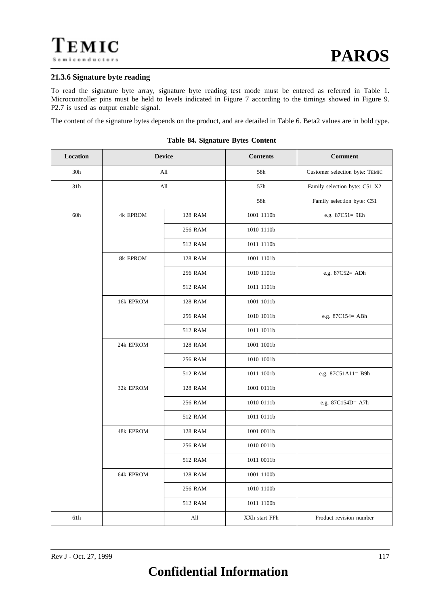#### **21.3.6 Signature byte reading**

To read the signature byte array, signature byte reading test mode must be entered as referred in Table 1. Microcontroller pins must be held to levels indicated in Figure 7 according to the timings showed in Figure 9. P2.7 is used as output enable signal.

The content of the signature bytes depends on the product, and are detailed in Table 6. Beta2 values are in bold type.

| Location | <b>Device</b> |                | <b>Contents</b> | <b>Comment</b>                 |
|----------|---------------|----------------|-----------------|--------------------------------|
| 30h      |               | All            | 58h             | Customer selection byte: TEMIC |
| 31h      |               | All            | 57h             | Family selection byte: C51 X2  |
|          |               |                | 58h             | Family selection byte: C51     |
| 60h      | 4k EPROM      | 128 RAM        | 1001 1110b      | e.g. 87C51= 9Eh                |
|          |               | 256 RAM        | 1010 1110b      |                                |
|          |               | 512 RAM        | 1011 1110b      |                                |
|          | 8k EPROM      | 128 RAM        | 1001 1101b      |                                |
|          |               | 256 RAM        | 1010 1101b      | e.g. 87C52= ADh                |
|          |               | 512 RAM        | 1011 1101b      |                                |
|          | 16k EPROM     | 128 RAM        | 1001 1011b      |                                |
|          |               | 256 RAM        | 1010 1011b      | e.g. 87C154= ABh               |
|          |               | 512 RAM        | 1011 1011b      |                                |
|          | 24k EPROM     | <b>128 RAM</b> | 1001 1001b      |                                |
|          |               | 256 RAM        | 1010 1001b      |                                |
|          |               | 512 RAM        | 1011 1001b      | e.g. 87C51A11= B9h             |
|          | 32k EPROM     | 128 RAM        | 1001 0111b      |                                |
|          |               | 256 RAM        | 1010 0111b      | e.g. 87C154D= A7h              |
|          |               | 512 RAM        | 1011 0111b      |                                |
|          | 48k EPROM     | 128 RAM        | 1001 0011b      |                                |
|          |               | 256 RAM        | 1010 0011b      |                                |
|          |               | 512 RAM        | 1011 0011b      |                                |
|          | 64k EPROM     | 128 RAM        | 1001 1100b      |                                |
|          |               | 256 RAM        | 1010 1100b      |                                |
|          |               | 512 RAM        | 1011 1100b      |                                |
| 61h      |               | All            | XXh start FFh   | Product revision number        |

**Table 84. Signature Bytes Content**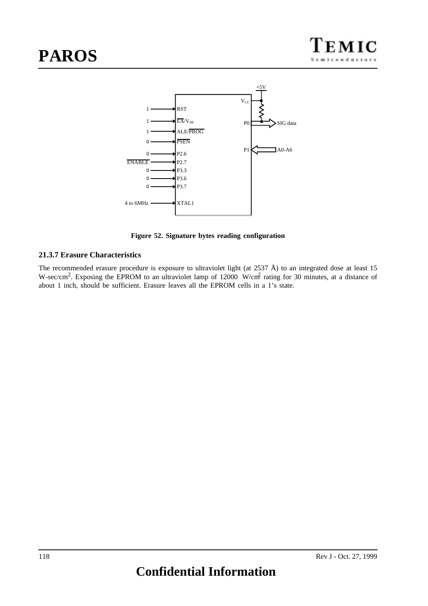

**Figure 52. Signature bytes reading configuration**

#### **21.3.7 Erasure Characteristics**

The recommended erasure procedure is exposure to ultraviolet light (at 2537 Å) to an integrated dose at least 15 W-sec/cm<sup>2</sup>. Exposing the EPROM to an ultraviolet lamp of 12000 W/cm<sup>2</sup> rating for 30 minutes, at a distance of about 1 inch, should be sufficient. Erasure leaves all the EPROM cells in a 1's state.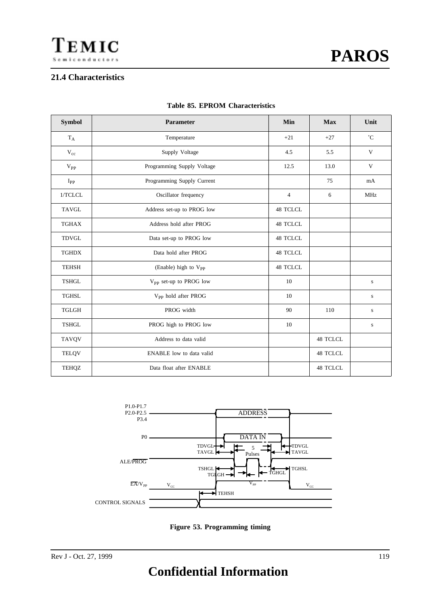

### **21.4 Characteristics**

#### **Table 85. EPROM Characteristics**

| <b>Symbol</b> | Parameter                          | Min             | <b>Max</b> | Unit         |
|---------------|------------------------------------|-----------------|------------|--------------|
| $\rm T_A$     | Temperature                        | $+21$           | $+27$      | $^{\circ}C$  |
| $\rm V_{cc}$  | Supply Voltage                     | 4.5             | 5.5        | $\mathbf{V}$ |
| $V_{PP}$      | Programming Supply Voltage         | 12.5            | 13.0       | $\mathbf{V}$ |
| $I_{\rm PP}$  | Programming Supply Current         |                 | 75         | mA           |
| 1/TCLCL       | Oscillator frequency               | $\overline{4}$  | 6          | <b>MHz</b>   |
| <b>TAVGL</b>  | Address set-up to PROG low         | 48 TCLCL        |            |              |
| <b>TGHAX</b>  | Address hold after PROG            | <b>48 TCLCL</b> |            |              |
| <b>TDVGL</b>  | Data set-up to PROG low            | <b>48 TCLCL</b> |            |              |
| <b>TGHDX</b>  | Data hold after PROG               | <b>48 TCLCL</b> |            |              |
| <b>TEHSH</b>  | (Enable) high to V <sub>PP</sub>   | <b>48 TCLCL</b> |            |              |
| <b>TSHGL</b>  | V <sub>PP</sub> set-up to PROG low | 10              |            | ${\bf S}$    |
| <b>TGHSL</b>  | V <sub>PP</sub> hold after PROG    | 10              |            | ${\bf S}$    |
| <b>TGLGH</b>  | PROG width                         | 90              | 110        | ${\bf S}$    |
| <b>TSHGL</b>  | PROG high to PROG low              | 10              |            | ${\bf S}$    |
| <b>TAVQV</b>  | Address to data valid              |                 | 48 TCLCL   |              |
| <b>TELQV</b>  | ENABLE low to data valid           |                 | 48 TCLCL   |              |
| <b>TEHQZ</b>  | Data float after ENABLE            |                 | 48 TCLCL   |              |



**Figure 53. Programming timing**

# **Confidential Information**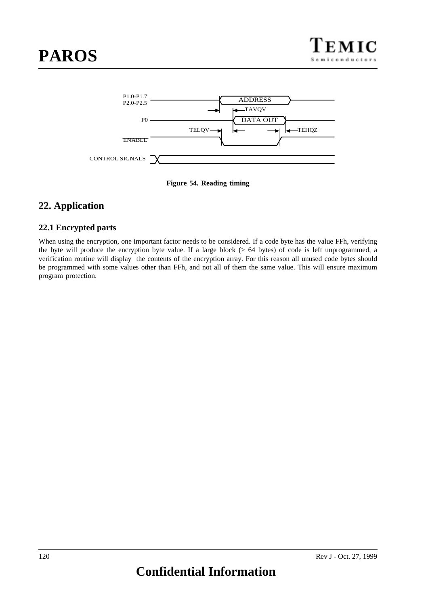

**Figure 54. Reading timing**

### **22. Application**

### **22.1 Encrypted parts**

When using the encryption, one important factor needs to be considered. If a code byte has the value FFh, verifying the byte will produce the encryption byte value. If a large block (> 64 bytes) of code is left unprogrammed, a verification routine will display the contents of the encryption array. For this reason all unused code bytes should be programmed with some values other than FFh, and not all of them the same value. This will ensure maximum program protection.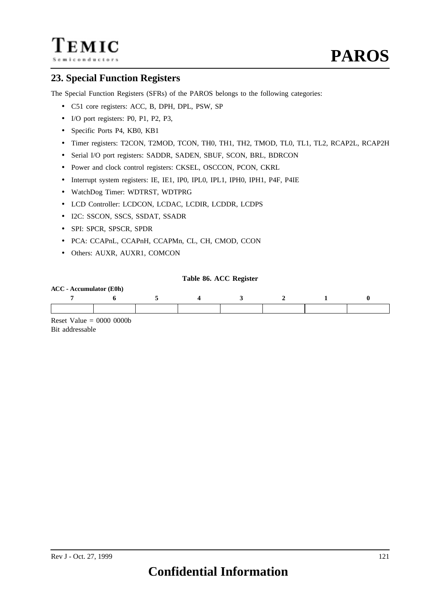### **23. Special Function Registers**

The Special Function Registers (SFRs) of the PAROS belongs to the following categories:

- C51 core registers: ACC, B, DPH, DPL, PSW, SP
- I/O port registers: P0, P1, P2, P3,
- Specific Ports P4, KB0, KB1
- Timer registers: T2CON, T2MOD, TCON, TH0, TH1, TH2, TMOD, TL0, TL1, TL2, RCAP2L, RCAP2H
- Serial I/O port registers: SADDR, SADEN, SBUF, SCON, BRL, BDRCON
- Power and clock control registers: CKSEL, OSCCON, PCON, CKRL
- Interrupt system registers: IE, IE1, IP0, IPL0, IPL1, IPH0, IPH1, P4F, P4IE
- WatchDog Timer: WDTRST, WDTPRG
- LCD Controller: LCDCON, LCDAC, LCDIR, LCDDR, LCDPS
- I2C: SSCON, SSCS, SSDAT, SSADR
- SPI: SPCR, SPSCR, SPDR
- PCA: CCAPnL, CCAPnH, CCAPMn, CL, CH, CMOD, CCON
- Others: AUXR, AUXR1, COMCON

#### **Table 86. ACC Register**

| <b>ACC</b> - Accumulator (E0h) |  |  |  |  |  |  |  |  |  |  |
|--------------------------------|--|--|--|--|--|--|--|--|--|--|
|                                |  |  |  |  |  |  |  |  |  |  |
|                                |  |  |  |  |  |  |  |  |  |  |

Reset Value  $= 0000 0000$ Bit addressable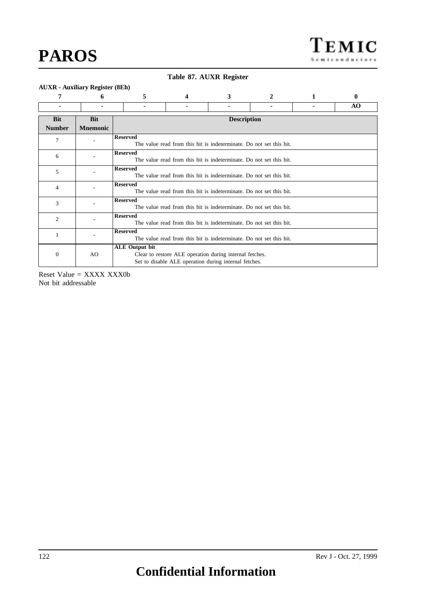#### **Table 87. AUXR Register**

#### **AUXR - Auxiliary Register (8Eh)**

| 7                           | 6                             | 5                     | 4 | 3                                                                                                                |   |   | 0  |
|-----------------------------|-------------------------------|-----------------------|---|------------------------------------------------------------------------------------------------------------------|---|---|----|
|                             | ۰                             |                       | ۰ |                                                                                                                  | ۰ | ٠ | AO |
| <b>Bit</b><br><b>Number</b> | <b>Bit</b><br><b>Mnemonic</b> |                       |   | <b>Description</b>                                                                                               |   |   |    |
| 7                           |                               | <b>Reserved</b>       |   | The value read from this bit is indeterminate. Do not set this bit.                                              |   |   |    |
| 6                           |                               | <b>Reserved</b>       |   | The value read from this bit is indeterminate. Do not set this bit.                                              |   |   |    |
| 5                           |                               | <b>Reserved</b>       |   | The value read from this bit is indeterminate. Do not set this bit.                                              |   |   |    |
| 4                           |                               | <b>Reserved</b>       |   | The value read from this bit is indeterminate. Do not set this bit.                                              |   |   |    |
| 3                           |                               | <b>Reserved</b>       |   | The value read from this bit is indeterminate. Do not set this bit.                                              |   |   |    |
| $\overline{2}$              |                               | <b>Reserved</b>       |   | The value read from this bit is indeterminate. Do not set this bit.                                              |   |   |    |
|                             |                               | <b>Reserved</b>       |   | The value read from this bit is indeterminate. Do not set this bit.                                              |   |   |    |
| $\mathbf{0}$                | AO.                           | <b>ALE</b> Output bit |   | Clear to restore ALE operation during internal fetches.<br>Set to disable ALE operation during internal fetches. |   |   |    |

Reset Value = XXXX XXX0b Not bit addressable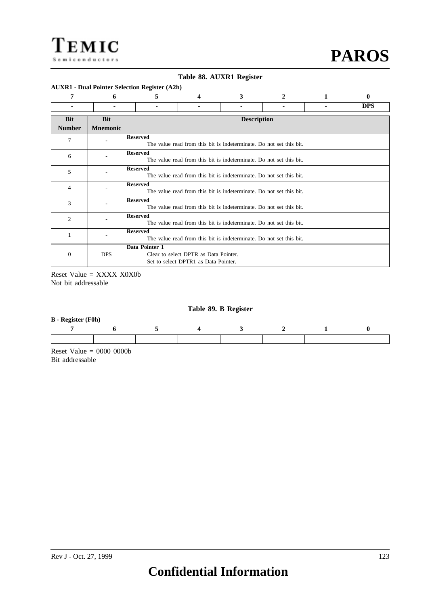#### **Table 88. AUXR1 Register**

#### **AUXR1 - Dual Pointer Selection Register (A2h)**

| 7                           | 6                             | 5               | 4                                                                             | 3                                                                   |   | 1 | 0          |  |  |  |  |
|-----------------------------|-------------------------------|-----------------|-------------------------------------------------------------------------------|---------------------------------------------------------------------|---|---|------------|--|--|--|--|
| ۰                           |                               | ۰               | ٠                                                                             | ۰.                                                                  | ۰ | ۰ | <b>DPS</b> |  |  |  |  |
| <b>Bit</b><br><b>Number</b> | <b>Bit</b><br><b>Mnemonic</b> |                 | <b>Description</b>                                                            |                                                                     |   |   |            |  |  |  |  |
| 7                           |                               | <b>Reserved</b> |                                                                               | The value read from this bit is indeterminate. Do not set this bit. |   |   |            |  |  |  |  |
| 6                           |                               | <b>Reserved</b> | The value read from this bit is indeterminate. Do not set this bit.           |                                                                     |   |   |            |  |  |  |  |
| 5                           |                               | <b>Reserved</b> | The value read from this bit is indeterminate. Do not set this bit.           |                                                                     |   |   |            |  |  |  |  |
| 4                           |                               | <b>Reserved</b> | The value read from this bit is indeterminate. Do not set this bit.           |                                                                     |   |   |            |  |  |  |  |
| 3                           |                               | <b>Reserved</b> |                                                                               | The value read from this bit is indeterminate. Do not set this bit. |   |   |            |  |  |  |  |
| $\overline{c}$              |                               | <b>Reserved</b> |                                                                               | The value read from this bit is indeterminate. Do not set this bit. |   |   |            |  |  |  |  |
|                             |                               | <b>Reserved</b> |                                                                               | The value read from this bit is indeterminate. Do not set this bit. |   |   |            |  |  |  |  |
| 0                           | <b>DPS</b>                    | Data Pointer 1  | Clear to select DPTR as Data Pointer.<br>Set to select DPTR1 as Data Pointer. |                                                                     |   |   |            |  |  |  |  |

Reset Value = XXXX X0X0b Not bit addressable

#### **Table 89. B Register**

| <b>B</b> - Register (F0h) |  |  |  |
|---------------------------|--|--|--|
|                           |  |  |  |
|                           |  |  |  |
|                           |  |  |  |

Reset Value  $= 0000 0000$ Bit addressable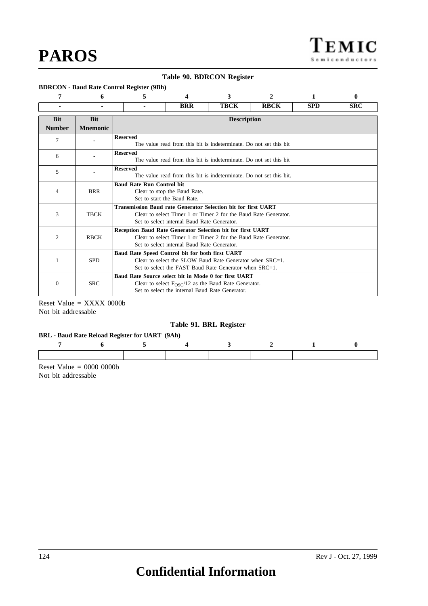#### **Table 90. BDRCON Register**

#### **BDRCON - Baud Rate Control Register (9Bh)**

| 7                           | 6                             | 5                                                                    |                                                                                                                                                                                     | 3                                                                                                                     |             | 1          | 0          |  |  |  |  |
|-----------------------------|-------------------------------|----------------------------------------------------------------------|-------------------------------------------------------------------------------------------------------------------------------------------------------------------------------------|-----------------------------------------------------------------------------------------------------------------------|-------------|------------|------------|--|--|--|--|
|                             |                               |                                                                      | <b>BRR</b>                                                                                                                                                                          | <b>TBCK</b>                                                                                                           | <b>RBCK</b> | <b>SPD</b> | <b>SRC</b> |  |  |  |  |
| <b>Bit</b><br><b>Number</b> | <b>Bit</b><br><b>Mnemonic</b> |                                                                      | <b>Description</b>                                                                                                                                                                  |                                                                                                                       |             |            |            |  |  |  |  |
| 7                           |                               | <b>Reserved</b>                                                      | The value read from this bit is indeterminate. Do not set this bit                                                                                                                  |                                                                                                                       |             |            |            |  |  |  |  |
| 6                           |                               | <b>Reserved</b>                                                      | The value read from this bit is indeterminate. Do not set this bit                                                                                                                  |                                                                                                                       |             |            |            |  |  |  |  |
| 5                           |                               | <b>Reserved</b>                                                      | The value read from this bit is indeterminate. Do not set this bit.                                                                                                                 |                                                                                                                       |             |            |            |  |  |  |  |
| 4                           | <b>BRR</b>                    |                                                                      | <b>Baud Rate Run Control bit</b><br>Clear to stop the Baud Rate.<br>Set to start the Baud Rate.                                                                                     |                                                                                                                       |             |            |            |  |  |  |  |
| 3                           | <b>TBCK</b>                   | <b>Transmission Baud rate Generator Selection bit for first UART</b> | Set to select internal Baud Rate Generator.                                                                                                                                         | Clear to select Timer 1 or Timer 2 for the Baud Rate Generator.                                                       |             |            |            |  |  |  |  |
| 2                           | <b>RBCK</b>                   |                                                                      | <b>Reception Baud Rate Generator Selection bit for first UART</b><br>Clear to select Timer 1 or Timer 2 for the Baud Rate Generator.<br>Set to select internal Baud Rate Generator. |                                                                                                                       |             |            |            |  |  |  |  |
|                             | <b>SPD</b>                    | Baud Rate Speed Control bit for both first UART                      |                                                                                                                                                                                     | Clear to select the SLOW Baud Rate Generator when $SRC=1$ .<br>Set to select the FAST Baud Rate Generator when SRC=1. |             |            |            |  |  |  |  |
| $\Omega$                    | <b>SRC</b>                    | Baud Rate Source select bit in Mode 0 for first UART                 | Set to select the internal Baud Rate Generator.                                                                                                                                     | Clear to select $F_{OSC}/12$ as the Baud Rate Generator.                                                              |             |            |            |  |  |  |  |

Reset Value  $=$  XXXX 0000b Not bit addressable

#### **Table 91. BRL Register**

#### **BRL - Baud Rate Reload Register for UART (9Ah)**

Reset Value  $= 0000 0000$ Not bit addressable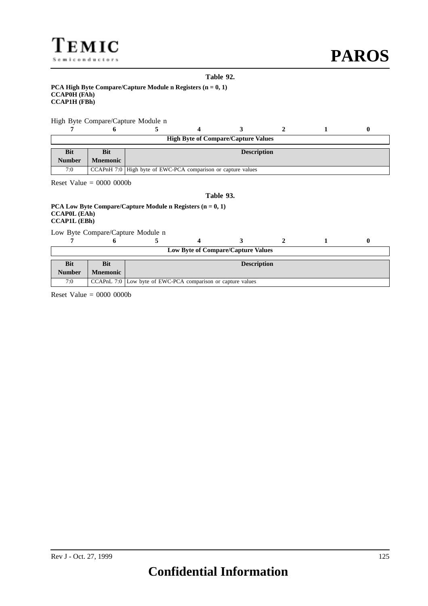#### **Table 92.**

#### **PCA High Byte Compare/Capture Module n Registers (n = 0, 1) CCAP0H (FAh) CCAP1H (FBh)**

#### High Byte Compare/Capture Module n

|               | <b>High Byte of Compare/Capture Values</b> |                                                              |  |  |  |  |  |  |  |  |
|---------------|--------------------------------------------|--------------------------------------------------------------|--|--|--|--|--|--|--|--|
| <b>Bit</b>    | Bit<br><b>Description</b>                  |                                                              |  |  |  |  |  |  |  |  |
| <b>Number</b> | <b>Mnemonic</b>                            |                                                              |  |  |  |  |  |  |  |  |
| 7:0           |                                            | CCAPnH 7:0 High byte of EWC-PCA comparison or capture values |  |  |  |  |  |  |  |  |

Reset Value = 0000 0000b

#### **Table 93.**

#### **PCA Low Byte Compare/Capture Module n Registers (n = 0, 1) CCAP0L (EAh) CCAP1L (EBh)**

Low Byte Compare/Capture Module n

|               | <b>Low Byte of Compare/Capture Values</b> |  |  |  |  |  |  |  |  |  |  |
|---------------|-------------------------------------------|--|--|--|--|--|--|--|--|--|--|
| <b>Bit</b>    | <b>Description</b><br><b>Bit</b>          |  |  |  |  |  |  |  |  |  |  |
| <b>Number</b> | <b>Mnemonic</b>                           |  |  |  |  |  |  |  |  |  |  |
|               |                                           |  |  |  |  |  |  |  |  |  |  |

Reset Value  $= 0000 0000$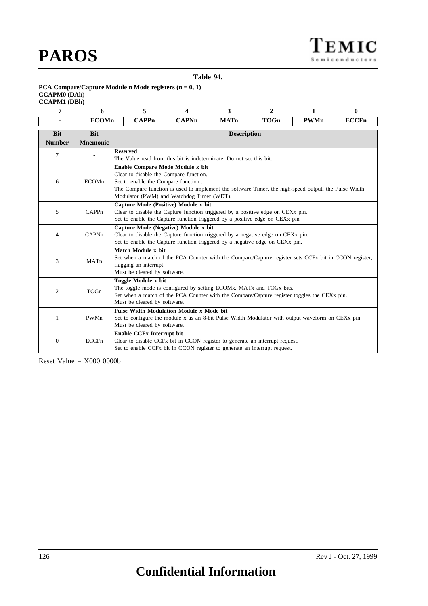**Table 94.**

|                     | PCA Compare/Capture Module n Mode registers $(n = 0, 1)$ |
|---------------------|----------------------------------------------------------|
| <b>CCAPM0</b> (DAh) |                                                          |
| <b>CCAPM1</b> (DBh) |                                                          |

| 7                           | 6                             | 5                                                                                                                                                                                      | $\boldsymbol{\Delta}$                                                                                                                                                                                                                                                 | 3           | 2           | 1           | $\bf{0}$     |  |  |  |  |
|-----------------------------|-------------------------------|----------------------------------------------------------------------------------------------------------------------------------------------------------------------------------------|-----------------------------------------------------------------------------------------------------------------------------------------------------------------------------------------------------------------------------------------------------------------------|-------------|-------------|-------------|--------------|--|--|--|--|
|                             | <b>ECOMn</b>                  | <b>CAPPn</b>                                                                                                                                                                           | <b>CAPNn</b>                                                                                                                                                                                                                                                          | <b>MATn</b> | <b>TOGn</b> | <b>PWMn</b> | <b>ECCFn</b> |  |  |  |  |
| <b>Bit</b><br><b>Number</b> | <b>Bit</b><br><b>Mnemonic</b> |                                                                                                                                                                                        | <b>Description</b>                                                                                                                                                                                                                                                    |             |             |             |              |  |  |  |  |
| $\tau$                      |                               | <b>Reserved</b><br>The Value read from this bit is indeterminate. Do not set this bit.                                                                                                 |                                                                                                                                                                                                                                                                       |             |             |             |              |  |  |  |  |
| 6                           | ECOMn                         |                                                                                                                                                                                        | Enable Compare Mode Module x bit<br>Clear to disable the Compare function.<br>Set to enable the Compare function<br>The Compare function is used to implement the software Timer, the high-speed output, the Pulse Width<br>Modulator (PWM) and Watchdog Timer (WDT). |             |             |             |              |  |  |  |  |
| 5                           | CAPPn                         |                                                                                                                                                                                        | Capture Mode (Positive) Module x bit<br>Clear to disable the Capture function triggered by a positive edge on CEX <sub>x</sub> pin.<br>Set to enable the Capture function triggered by a positive edge on CEX <sub>x</sub> pin                                        |             |             |             |              |  |  |  |  |
| 4                           | CAPNn                         |                                                                                                                                                                                        | Capture Mode (Negative) Module x bit<br>Clear to disable the Capture function triggered by a negative edge on CEX <sub>x</sub> pin.<br>Set to enable the Capture function triggered by a negative edge on CEX <sub>x</sub> pin.                                       |             |             |             |              |  |  |  |  |
| 3                           | MATn                          | Match Module x bit<br>Set when a match of the PCA Counter with the Compare/Capture register sets CCFx bit in CCON register,<br>flagging an interrupt.<br>Must be cleared by software.  |                                                                                                                                                                                                                                                                       |             |             |             |              |  |  |  |  |
| 2                           | TOGn                          |                                                                                                                                                                                        | Toggle Module x bit<br>The toggle mode is configured by setting ECOM <sub>x</sub> , MAT <sub>x</sub> and TOG <sub>x</sub> bits.<br>Set when a match of the PCA Counter with the Compare/Capture register toggles the CEXx pin.<br>Must be cleared by software.        |             |             |             |              |  |  |  |  |
| 1                           | PWMn                          | <b>Pulse Width Modulation Module x Mode bit</b><br>Set to configure the module x as an 8-bit Pulse Width Modulator with output waveform on CEXx pin.<br>Must be cleared by software.   |                                                                                                                                                                                                                                                                       |             |             |             |              |  |  |  |  |
| $\mathbf{0}$                | <b>ECCFn</b>                  | Enable CCFx Interrupt bit<br>Clear to disable CCFx bit in CCON register to generate an interrupt request.<br>Set to enable CCFx bit in CCON register to generate an interrupt request. |                                                                                                                                                                                                                                                                       |             |             |             |              |  |  |  |  |

Reset Value = X000 0000b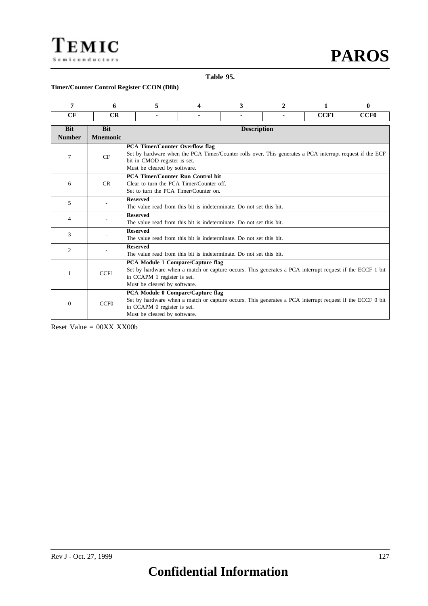

**Table 95.**

#### **Timer/Counter Control Register CCON (D8h)**

| 7                           | 6                             | 5                                                                                                                                                                                                            | Δ                                                                                                                                                                                                                  | 3 | 2 | 1    | 0           |  |  |  |  |  |
|-----------------------------|-------------------------------|--------------------------------------------------------------------------------------------------------------------------------------------------------------------------------------------------------------|--------------------------------------------------------------------------------------------------------------------------------------------------------------------------------------------------------------------|---|---|------|-------------|--|--|--|--|--|
| CF                          | CR                            |                                                                                                                                                                                                              |                                                                                                                                                                                                                    |   |   | CCF1 | <b>CCF0</b> |  |  |  |  |  |
| <b>Bit</b><br><b>Number</b> | <b>Bit</b><br><b>Mnemonic</b> |                                                                                                                                                                                                              | <b>Description</b>                                                                                                                                                                                                 |   |   |      |             |  |  |  |  |  |
| 7                           | CF                            |                                                                                                                                                                                                              | <b>PCA Timer/Counter Overflow flag</b><br>Set by hardware when the PCA Timer/Counter rolls over. This generates a PCA interrupt request if the ECF<br>bit in CMOD register is set.<br>Must be cleared by software. |   |   |      |             |  |  |  |  |  |
| 6                           | CR                            |                                                                                                                                                                                                              | <b>PCA Timer/Counter Run Control bit</b><br>Clear to turn the PCA Timer/Counter off.<br>Set to turn the PCA Timer/Counter on.                                                                                      |   |   |      |             |  |  |  |  |  |
| 5                           |                               | <b>Reserved</b>                                                                                                                                                                                              | The value read from this bit is indeterminate. Do not set this bit.                                                                                                                                                |   |   |      |             |  |  |  |  |  |
| 4                           |                               | <b>Reserved</b><br>The value read from this bit is indeterminate. Do not set this bit.                                                                                                                       |                                                                                                                                                                                                                    |   |   |      |             |  |  |  |  |  |
| 3                           |                               | <b>Reserved</b><br>The value read from this bit is indeterminate. Do not set this bit.                                                                                                                       |                                                                                                                                                                                                                    |   |   |      |             |  |  |  |  |  |
| 2                           |                               | <b>Reserved</b><br>The value read from this bit is indeterminate. Do not set this bit.                                                                                                                       |                                                                                                                                                                                                                    |   |   |      |             |  |  |  |  |  |
| 1                           | CCF1                          |                                                                                                                                                                                                              | PCA Module 1 Compare/Capture flag<br>Set by hardware when a match or capture occurs. This generates a PCA interrupt request if the ECCF 1 bit<br>in CCAPM 1 register is set.<br>Must be cleared by software.       |   |   |      |             |  |  |  |  |  |
| $\overline{0}$              | CCF <sub>0</sub>              | PCA Module 0 Compare/Capture flag<br>Set by hardware when a match or capture occurs. This generates a PCA interrupt request if the ECCF 0 bit<br>in CCAPM 0 register is set.<br>Must be cleared by software. |                                                                                                                                                                                                                    |   |   |      |             |  |  |  |  |  |

Reset Value = 00XX XX00b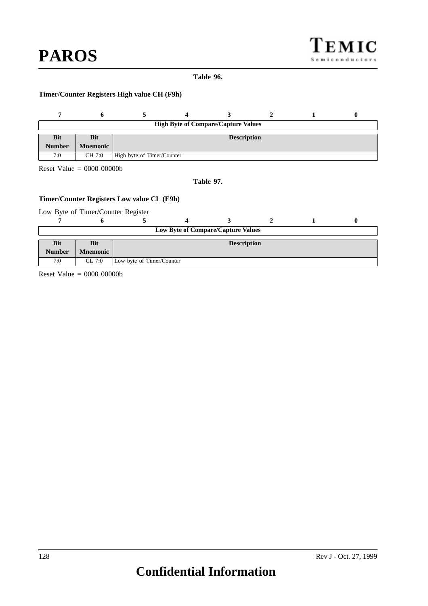**PAROS**

#### **Table 96.**

#### **Timer/Counter Registers High value CH (F9h)**

|                                                | <b>High Byte of Compare/Capture Values</b> |                            |  |  |  |  |  |  |  |  |
|------------------------------------------------|--------------------------------------------|----------------------------|--|--|--|--|--|--|--|--|
| <b>Bit</b><br><b>Bit</b><br><b>Description</b> |                                            |                            |  |  |  |  |  |  |  |  |
| <b>Number</b>                                  | <b>Mnemonic</b>                            |                            |  |  |  |  |  |  |  |  |
| 7:0                                            | CH 7:0                                     | High byte of Timer/Counter |  |  |  |  |  |  |  |  |

Reset Value = 0000 00000b

**Table 97.**

#### **Timer/Counter Registers Low value CL (E9h)**

Low Byte of Timer/Counter Register

|               | Low Byte of Compare/Capture Values |                           |  |                    |  |  |  |  |  |  |  |
|---------------|------------------------------------|---------------------------|--|--------------------|--|--|--|--|--|--|--|
|               |                                    |                           |  |                    |  |  |  |  |  |  |  |
| <b>Bit</b>    | <b>Bit</b>                         |                           |  | <b>Description</b> |  |  |  |  |  |  |  |
| <b>Number</b> | <b>Mnemonic</b>                    |                           |  |                    |  |  |  |  |  |  |  |
| 7:0           | CL 7:0                             | Low byte of Timer/Counter |  |                    |  |  |  |  |  |  |  |

Reset Value = 0000 00000b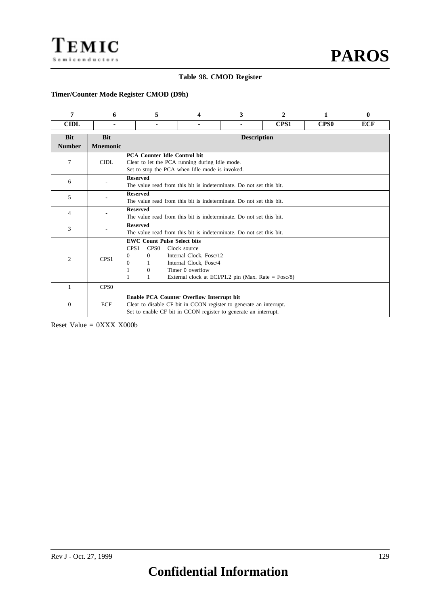

#### **Table 98. CMOD Register**

### **Timer/Counter Mode Register CMOD (D9h)**

| 7                           | 6                             | 5                                                                                                                                                                                                                                                 | Δ                                                                                                                                                                                  | 3 | $\mathbf{2}$ | 1           | 0          |  |  |  |  |
|-----------------------------|-------------------------------|---------------------------------------------------------------------------------------------------------------------------------------------------------------------------------------------------------------------------------------------------|------------------------------------------------------------------------------------------------------------------------------------------------------------------------------------|---|--------------|-------------|------------|--|--|--|--|
| <b>CIDL</b>                 |                               | ۰                                                                                                                                                                                                                                                 |                                                                                                                                                                                    |   | CPS1         | <b>CPS0</b> | <b>ECF</b> |  |  |  |  |
| <b>Bit</b><br><b>Number</b> | <b>Bit</b><br><b>Mnemonic</b> |                                                                                                                                                                                                                                                   | <b>Description</b>                                                                                                                                                                 |   |              |             |            |  |  |  |  |
| 7                           | CIDL.                         |                                                                                                                                                                                                                                                   | <b>PCA Counter Idle Control bit</b><br>Clear to let the PCA running during Idle mode.<br>Set to stop the PCA when Idle mode is invoked.                                            |   |              |             |            |  |  |  |  |
| 6                           |                               | <b>Reserved</b>                                                                                                                                                                                                                                   | The value read from this bit is indeterminate. Do not set this bit.                                                                                                                |   |              |             |            |  |  |  |  |
| 5                           |                               | <b>Reserved</b>                                                                                                                                                                                                                                   | The value read from this bit is indeterminate. Do not set this bit.                                                                                                                |   |              |             |            |  |  |  |  |
| 4                           |                               | <b>Reserved</b>                                                                                                                                                                                                                                   | The value read from this bit is indeterminate. Do not set this bit.                                                                                                                |   |              |             |            |  |  |  |  |
| 3                           |                               | <b>Reserved</b><br>The value read from this bit is indeterminate. Do not set this bit.                                                                                                                                                            |                                                                                                                                                                                    |   |              |             |            |  |  |  |  |
| $\overline{c}$              | CPS1                          | <b>EWC Count Pulse Select bits</b><br>CPS <sub>0</sub><br>CPS <sub>1</sub><br>Clock source<br>Internal Clock, Fosc/12<br>0<br>0<br>Internal Clock, Fosc/4<br>0<br>Timer 0 overflow<br>0<br>External clock at ECI/P1.2 pin (Max. Rate = $Fosc/8$ ) |                                                                                                                                                                                    |   |              |             |            |  |  |  |  |
| 1                           | CPS <sub>0</sub>              |                                                                                                                                                                                                                                                   |                                                                                                                                                                                    |   |              |             |            |  |  |  |  |
| $\theta$                    | <b>ECF</b>                    |                                                                                                                                                                                                                                                   | Enable PCA Counter Overflow Interrupt bit<br>Clear to disable CF bit in CCON register to generate an interrupt.<br>Set to enable CF bit in CCON register to generate an interrupt. |   |              |             |            |  |  |  |  |

Reset Value = 0XXX X000b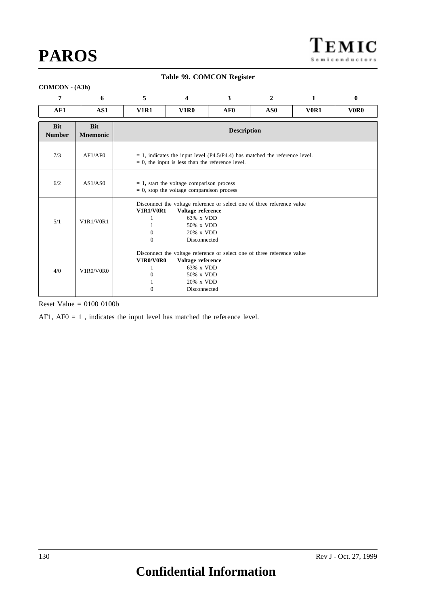#### **Table 99. COMCON Register**

#### **COMCON - (A3h)**

| 7                           | 6                             | 5                          | 4                                                                                                                                                                          | 3                                                                              | $\mathbf{2}$ | 1 | $\mathbf{0}$                  |  |  |  |  |  |
|-----------------------------|-------------------------------|----------------------------|----------------------------------------------------------------------------------------------------------------------------------------------------------------------------|--------------------------------------------------------------------------------|--------------|---|-------------------------------|--|--|--|--|--|
| AF1                         | AS1                           | <b>V1R1</b>                | <b>V1R0</b><br>AF0<br>AS0                                                                                                                                                  |                                                                                |              |   | V <sub>0</sub> R <sub>0</sub> |  |  |  |  |  |
| <b>Bit</b><br><b>Number</b> | <b>Bit</b><br><b>Mnemonic</b> |                            | <b>Description</b>                                                                                                                                                         |                                                                                |              |   |                               |  |  |  |  |  |
| 7/3                         | AF1/AF0                       |                            | $= 0$ , the input is less than the reference level.                                                                                                                        | $= 1$ , indicates the input level (P4.5/P4.4) has matched the reference level. |              |   |                               |  |  |  |  |  |
| 6/2                         | AS1/AS0                       |                            | $= 1$ , start the voltage comparison process<br>$= 0$ , stop the voltage comparaison process                                                                               |                                                                                |              |   |                               |  |  |  |  |  |
| 5/1                         | V1R1/V0R1                     | 0<br>0                     | Disconnect the voltage reference or select one of three reference value<br><b>V1R1/V0R1</b><br>Voltage reference<br>$63\%$ x VDD<br>50% x VDD<br>20% x VDD<br>Disconnected |                                                                                |              |   |                               |  |  |  |  |  |
| 4/0                         | V1R0/V0R0                     | <b>V1R0/V0R0</b><br>0<br>0 | Voltage reference<br>$63\%$ x VDD<br>50% x VDD<br>$20\%$ x VDD<br>Disconnected                                                                                             | Disconnect the voltage reference or select one of three reference value        |              |   |                               |  |  |  |  |  |

Reset Value = 0100 0100b

AF1,  $AF0 = 1$ , indicates the input level has matched the reference level.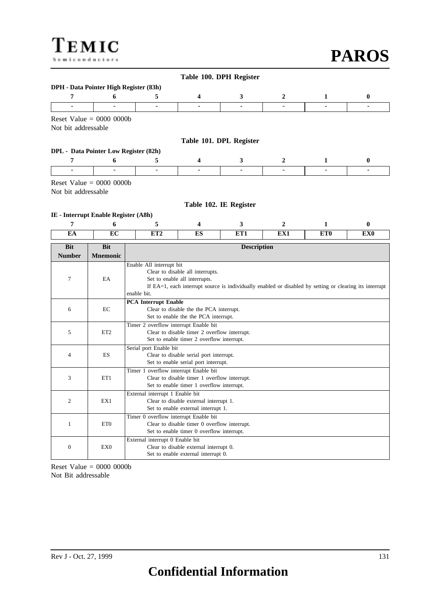# TEMIC Semiconductors

**PAROS**

|                     |                                       |                                            |                                                                                           | Table 100. DPH Register |                                                                                                         |                 |                 |
|---------------------|---------------------------------------|--------------------------------------------|-------------------------------------------------------------------------------------------|-------------------------|---------------------------------------------------------------------------------------------------------|-----------------|-----------------|
|                     |                                       | DPH - Data Pointer High Register (83h)     |                                                                                           |                         |                                                                                                         |                 |                 |
| 7                   | 6                                     | 5                                          | 4                                                                                         | 3                       | 2                                                                                                       | 1               | $\bf{0}$        |
|                     | ä,                                    |                                            | ä,                                                                                        | ä,                      | ä,                                                                                                      |                 | ÷.              |
|                     | Reset Value = $0000 0000$             |                                            |                                                                                           |                         |                                                                                                         |                 |                 |
| Not bit addressable |                                       |                                            |                                                                                           |                         |                                                                                                         |                 |                 |
|                     |                                       |                                            |                                                                                           | Table 101. DPL Register |                                                                                                         |                 |                 |
|                     | DPL - Data Pointer Low Register (82h) |                                            |                                                                                           |                         |                                                                                                         |                 |                 |
| 7                   | 6                                     | 5                                          | 4                                                                                         | 3                       | 2                                                                                                       | 1               | 0               |
| ٠                   | ٠                                     | ٠                                          | $\blacksquare$                                                                            | $\blacksquare$          | ٠                                                                                                       | $\blacksquare$  | $\blacksquare$  |
|                     | Reset Value = $0000 0000$             |                                            |                                                                                           |                         |                                                                                                         |                 |                 |
| Not bit addressable |                                       |                                            |                                                                                           |                         |                                                                                                         |                 |                 |
|                     |                                       |                                            |                                                                                           |                         |                                                                                                         |                 |                 |
|                     |                                       |                                            |                                                                                           | Table 102. IE Register  |                                                                                                         |                 |                 |
|                     | IE - Interrupt Enable Register (A8h)  |                                            |                                                                                           |                         |                                                                                                         |                 |                 |
| 7                   | 6                                     | 5<br>ET2                                   | 4                                                                                         | $\mathbf{3}$            | $\mathbf{2}$                                                                                            | 1               | 0               |
| EA                  | EC                                    |                                            | <b>ES</b>                                                                                 | ET1                     | EX1                                                                                                     | ET <sub>0</sub> | EX <sub>0</sub> |
| <b>Bit</b>          | <b>Bit</b>                            |                                            |                                                                                           | <b>Description</b>      |                                                                                                         |                 |                 |
| <b>Number</b>       | <b>Mnemonic</b>                       |                                            |                                                                                           |                         |                                                                                                         |                 |                 |
|                     |                                       | Enable All interrupt bit                   | Clear to disable all interrupts.                                                          |                         |                                                                                                         |                 |                 |
| 7                   | EA                                    |                                            | Set to enable all interrupts.                                                             |                         |                                                                                                         |                 |                 |
|                     |                                       |                                            |                                                                                           |                         | If EA=1, each interrupt source is individually enabled or disabled by setting or clearing its interrupt |                 |                 |
|                     |                                       | enable bit.<br><b>PCA</b> Interrupt Enable |                                                                                           |                         |                                                                                                         |                 |                 |
| 6                   | EC                                    |                                            | Clear to disable the the PCA interrupt.                                                   |                         |                                                                                                         |                 |                 |
|                     |                                       |                                            | Set to enable the the PCA interrupt.                                                      |                         |                                                                                                         |                 |                 |
|                     |                                       | Timer 2 overflow interrupt Enable bit      |                                                                                           |                         |                                                                                                         |                 |                 |
| 5                   | ET <sub>2</sub>                       |                                            | Clear to disable timer 2 overflow interrupt.<br>Set to enable timer 2 overflow interrupt. |                         |                                                                                                         |                 |                 |
|                     |                                       | Serial port Enable bit                     |                                                                                           |                         |                                                                                                         |                 |                 |
| 4                   | ES                                    |                                            | Clear to disable serial port interrupt.                                                   |                         |                                                                                                         |                 |                 |
|                     |                                       |                                            | Set to enable serial port interrupt.                                                      |                         |                                                                                                         |                 |                 |
| 3                   | ET1                                   | Timer 1 overflow interrupt Enable bit      | Clear to disable timer 1 overflow interrupt.                                              |                         |                                                                                                         |                 |                 |
|                     |                                       |                                            | Set to enable timer 1 overflow interrupt.                                                 |                         |                                                                                                         |                 |                 |
|                     |                                       | External interrupt 1 Enable bit            |                                                                                           |                         |                                                                                                         |                 |                 |
| $\boldsymbol{2}$    | EX1                                   |                                            | Clear to disable external interrupt 1.<br>Set to enable external interrupt 1.             |                         |                                                                                                         |                 |                 |
|                     |                                       | Timer 0 overflow interrupt Enable bit      |                                                                                           |                         |                                                                                                         |                 |                 |
| $\mathbf{1}$        | ET <sub>0</sub>                       |                                            | Clear to disable timer 0 overflow interrupt.                                              |                         |                                                                                                         |                 |                 |
|                     |                                       |                                            | Set to enable timer 0 overflow interrupt.                                                 |                         |                                                                                                         |                 |                 |
|                     |                                       | External interrupt 0 Enable bit            |                                                                                           |                         |                                                                                                         |                 |                 |
| $\boldsymbol{0}$    | EX <sub>0</sub>                       |                                            | Clear to disable external interrupt 0.<br>Set to enable external interrupt 0.             |                         |                                                                                                         |                 |                 |
|                     |                                       |                                            |                                                                                           |                         |                                                                                                         |                 |                 |

Reset Value = 0000 0000b Not Bit addressable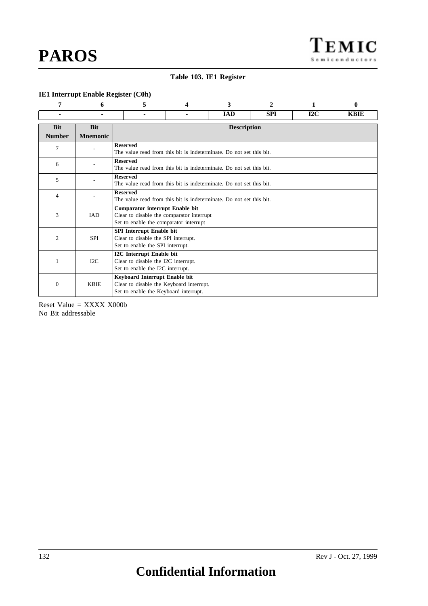#### **Table 103. IE1 Register**

#### **IE1 Interrupt Enable Register (C0h)**

| 7                           | 6                             | 5                                                                                                                  | Δ                                                                                                                      | 3   | $\mathbf{2}$ | 1 | $\mathbf{0}$ |  |  |  |  |  |
|-----------------------------|-------------------------------|--------------------------------------------------------------------------------------------------------------------|------------------------------------------------------------------------------------------------------------------------|-----|--------------|---|--------------|--|--|--|--|--|
| ۰                           |                               | ۰                                                                                                                  |                                                                                                                        | 12C | <b>KBIE</b>  |   |              |  |  |  |  |  |
| <b>Bit</b><br><b>Number</b> | <b>Bit</b><br><b>Mnemonic</b> |                                                                                                                    | <b>Description</b>                                                                                                     |     |              |   |              |  |  |  |  |  |
| 7                           |                               | <b>Reserved</b>                                                                                                    | The value read from this bit is indeterminate. Do not set this bit.                                                    |     |              |   |              |  |  |  |  |  |
| 6                           |                               | <b>Reserved</b>                                                                                                    | The value read from this bit is indeterminate. Do not set this bit.                                                    |     |              |   |              |  |  |  |  |  |
| 5                           |                               | <b>Reserved</b>                                                                                                    | The value read from this bit is indeterminate. Do not set this bit.                                                    |     |              |   |              |  |  |  |  |  |
| $\overline{4}$              |                               | <b>Reserved</b>                                                                                                    | The value read from this bit is indeterminate. Do not set this bit.                                                    |     |              |   |              |  |  |  |  |  |
| 3                           | IAD                           |                                                                                                                    | Comparator interrupt Enable bit<br>Clear to disable the comparator interrupt<br>Set to enable the comparator interrupt |     |              |   |              |  |  |  |  |  |
| $\overline{2}$              | <b>SPI</b>                    |                                                                                                                    | <b>SPI</b> Interrupt Enable bit<br>Clear to disable the SPI interrupt.<br>Set to enable the SPI interrupt.             |     |              |   |              |  |  |  |  |  |
| 1                           | I2C                           | <b>I2C</b> Interrupt Enable bit<br>Clear to disable the I2C interrupt.<br>Set to enable the I2C interrupt.         |                                                                                                                        |     |              |   |              |  |  |  |  |  |
| $\mathbf{0}$                | <b>KBIE</b>                   | Keyboard Interrupt Enable bit<br>Clear to disable the Keyboard interrupt.<br>Set to enable the Keyboard interrupt. |                                                                                                                        |     |              |   |              |  |  |  |  |  |

Reset Value = XXXX X000b No Bit addressable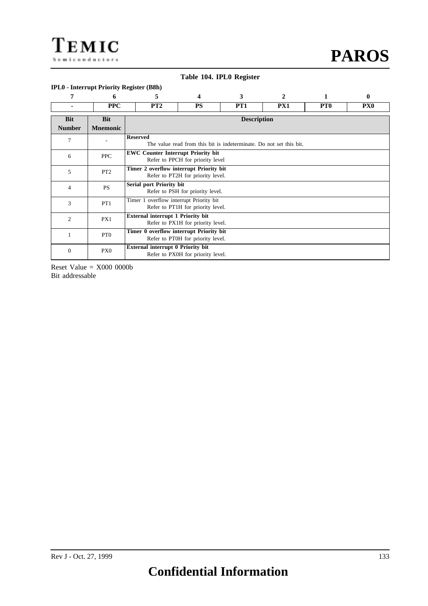# **TEMIC** Semiconductors

#### **Table 104. IPL0 Register**

#### **IPL0 - Interrupt Priority Register (B8h)**

| $\overline{7}$              | 6                             | 5                                       |                                                                               | 3   | $\mathcal{D}_{\mathcal{A}}$ |                 | 0               |  |  |  |  |  |
|-----------------------------|-------------------------------|-----------------------------------------|-------------------------------------------------------------------------------|-----|-----------------------------|-----------------|-----------------|--|--|--|--|--|
| ۰                           | <b>PPC</b>                    | PT <sub>2</sub>                         | <b>PS</b>                                                                     | PT1 | PX1                         | PT <sub>0</sub> | PX <sub>0</sub> |  |  |  |  |  |
| <b>Bit</b><br><b>Number</b> | <b>Bit</b><br><b>Mnemonic</b> |                                         | <b>Description</b>                                                            |     |                             |                 |                 |  |  |  |  |  |
| 7                           |                               | <b>Reserved</b>                         | The value read from this bit is indeterminate. Do not set this bit.           |     |                             |                 |                 |  |  |  |  |  |
| 6                           | <b>PPC</b>                    |                                         | <b>EWC Counter Interrupt Priority bit</b><br>Refer to PPCH for priority level |     |                             |                 |                 |  |  |  |  |  |
| 5                           | PT <sub>2</sub>               |                                         | Timer 2 overflow interrupt Priority bit<br>Refer to PT2H for priority level.  |     |                             |                 |                 |  |  |  |  |  |
| $\overline{4}$              | <b>PS</b>                     | Serial port Priority bit                | Refer to PSH for priority level.                                              |     |                             |                 |                 |  |  |  |  |  |
| 3                           | PT1                           | Timer 1 overflow interrupt Priority bit | Refer to PT1H for priority level.                                             |     |                             |                 |                 |  |  |  |  |  |
| $\overline{c}$              | PX1                           | External interrupt 1 Priority bit       | Refer to PX1H for priority level.                                             |     |                             |                 |                 |  |  |  |  |  |
|                             | PT <sub>0</sub>               | Timer 0 overflow interrupt Priority bit | Refer to PT0H for priority level.                                             |     |                             |                 |                 |  |  |  |  |  |
| $\theta$                    | PX0                           | External interrupt 0 Priority bit       | Refer to PX0H for priority level.                                             |     |                             |                 |                 |  |  |  |  |  |

Reset Value = X000 0000b Bit addressable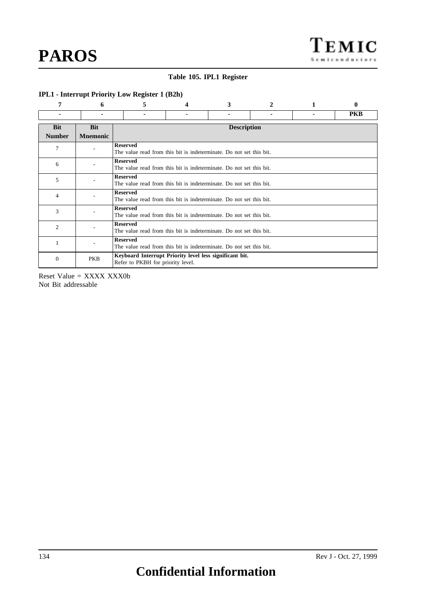#### **Table 105. IPL1 Register**

#### **IPL1 - Interrupt Priority Low Register 1 (B2h)**

| 7             | 6                        | 5                                                                                            |                                                                     | 3 |  |  | 0 |  |  |  |  |  |
|---------------|--------------------------|----------------------------------------------------------------------------------------------|---------------------------------------------------------------------|---|--|--|---|--|--|--|--|--|
|               |                          |                                                                                              |                                                                     |   |  |  |   |  |  |  |  |  |
| <b>Bit</b>    | <b>Bit</b>               |                                                                                              | <b>Description</b>                                                  |   |  |  |   |  |  |  |  |  |
| <b>Number</b> | <b>Mnemonic</b>          |                                                                                              |                                                                     |   |  |  |   |  |  |  |  |  |
| 7             | $\overline{\phantom{a}}$ | <b>Reserved</b>                                                                              | The value read from this bit is indeterminate. Do not set this bit. |   |  |  |   |  |  |  |  |  |
| 6             |                          | <b>Reserved</b>                                                                              | The value read from this bit is indeterminate. Do not set this bit. |   |  |  |   |  |  |  |  |  |
| 5             |                          | <b>Reserved</b>                                                                              | The value read from this bit is indeterminate. Do not set this bit. |   |  |  |   |  |  |  |  |  |
| 4             |                          | <b>Reserved</b>                                                                              | The value read from this bit is indeterminate. Do not set this bit. |   |  |  |   |  |  |  |  |  |
| 3             |                          | <b>Reserved</b><br>The value read from this bit is indeterminate. Do not set this bit.       |                                                                     |   |  |  |   |  |  |  |  |  |
| 2             |                          | <b>Reserved</b><br>The value read from this bit is indeterminate. Do not set this bit.       |                                                                     |   |  |  |   |  |  |  |  |  |
| 1             |                          | <b>Reserved</b><br>The value read from this bit is indeterminate. Do not set this bit.       |                                                                     |   |  |  |   |  |  |  |  |  |
| $\Omega$      | <b>PKB</b>               | Keyboard Interrupt Priority level less significant bit.<br>Refer to PKBH for priority level. |                                                                     |   |  |  |   |  |  |  |  |  |

Reset Value = XXXX XXX0b Not Bit addressable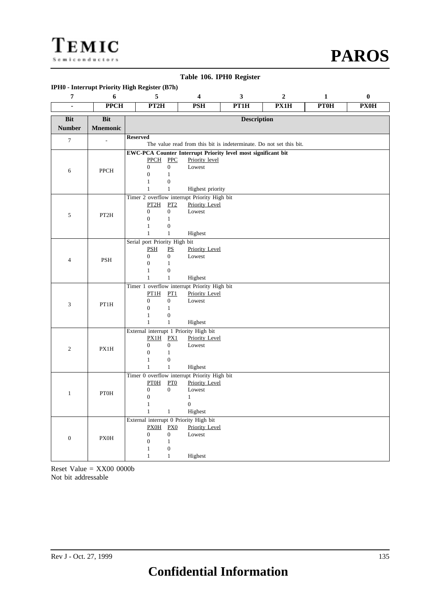

#### **Table 106. IPH0 Register**

#### **IPH0 - Interrupt Priority High Register (B7h)**

| 7              | 6               | 5                                            |                                  | $\overline{\mathbf{4}}$ | $\mathbf{3}$                                                         | $\mathbf 2$ | $\mathbf 1$ | $\pmb{0}$   |
|----------------|-----------------|----------------------------------------------|----------------------------------|-------------------------|----------------------------------------------------------------------|-------------|-------------|-------------|
|                | <b>PPCH</b>     | PT2H                                         |                                  | <b>PSH</b>              | PT1H                                                                 | <b>PX1H</b> | PTOH        | <b>PX0H</b> |
| <b>Bit</b>     | <b>Bit</b>      |                                              |                                  |                         | <b>Description</b>                                                   |             |             |             |
| <b>Number</b>  | <b>Mnemonic</b> |                                              |                                  |                         |                                                                      |             |             |             |
|                |                 | <b>Reserved</b>                              |                                  |                         |                                                                      |             |             |             |
| $\tau$         |                 |                                              |                                  |                         | The value read from this bit is indeterminate. Do not set this bit.  |             |             |             |
|                |                 |                                              |                                  |                         | <b>EWC-PCA Counter Interrupt Priority level most significant bit</b> |             |             |             |
|                |                 | PPCH PPC                                     |                                  | Priority level          |                                                                      |             |             |             |
| 6              | <b>PPCH</b>     | $\boldsymbol{0}$                             | $\boldsymbol{0}$                 | Lowest                  |                                                                      |             |             |             |
|                |                 | $\overline{0}$<br>$\mathbf{1}$               | $\mathbf{1}$<br>$\boldsymbol{0}$ |                         |                                                                      |             |             |             |
|                |                 | $\mathbf{1}$                                 | $\mathbf{1}$                     | Highest priority        |                                                                      |             |             |             |
|                |                 | Timer 2 overflow interrupt Priority High bit |                                  |                         |                                                                      |             |             |             |
|                |                 | PT2H                                         | PT <sub>2</sub>                  | <b>Priority Level</b>   |                                                                      |             |             |             |
|                |                 | $\boldsymbol{0}$                             | $\boldsymbol{0}$                 | Lowest                  |                                                                      |             |             |             |
| 5              | PT2H            | $\boldsymbol{0}$                             | $\mathbf{1}$                     |                         |                                                                      |             |             |             |
|                |                 | $\mathbf{1}$                                 | $\overline{0}$                   |                         |                                                                      |             |             |             |
|                |                 | $\mathbf{1}$                                 | $\mathbf{1}$                     | Highest                 |                                                                      |             |             |             |
|                |                 | Serial port Priority High bit                |                                  |                         |                                                                      |             |             |             |
|                |                 | PSH                                          | PS                               | <b>Priority Level</b>   |                                                                      |             |             |             |
| $\overline{4}$ | <b>PSH</b>      | $\overline{0}$                               | $\boldsymbol{0}$                 | Lowest                  |                                                                      |             |             |             |
|                |                 | $\overline{0}$                               | $\mathbf{1}$                     |                         |                                                                      |             |             |             |
|                |                 | $\mathbf{1}$                                 | $\boldsymbol{0}$                 |                         |                                                                      |             |             |             |
|                |                 | $\mathbf{1}$                                 | $\mathbf{1}$                     | Highest                 |                                                                      |             |             |             |
|                |                 | Timer 1 overflow interrupt Priority High bit |                                  |                         |                                                                      |             |             |             |
|                |                 | PT1H                                         | PT1                              | Priority Level          |                                                                      |             |             |             |
| $\mathfrak{Z}$ | PT1H            | $\overline{0}$                               | $\overline{0}$                   | Lowest                  |                                                                      |             |             |             |
|                |                 | $\boldsymbol{0}$<br>$\mathbf{1}$             | $\mathbf{1}$<br>$\boldsymbol{0}$ |                         |                                                                      |             |             |             |
|                |                 | $\mathbf{1}$                                 | $\mathbf{1}$                     | Highest                 |                                                                      |             |             |             |
|                |                 | External interrupt 1 Priority High bit       |                                  |                         |                                                                      |             |             |             |
|                |                 | PX1H PX1                                     |                                  | <b>Priority Level</b>   |                                                                      |             |             |             |
|                |                 | $\overline{0}$                               | $\boldsymbol{0}$                 | Lowest                  |                                                                      |             |             |             |
| $\mathfrak{2}$ | PX1H            | $\boldsymbol{0}$                             | $\mathbf{1}$                     |                         |                                                                      |             |             |             |
|                |                 | 1                                            | $\overline{0}$                   |                         |                                                                      |             |             |             |
|                |                 | $\mathbf{1}$                                 | $\mathbf{1}$                     | Highest                 |                                                                      |             |             |             |
|                |                 | Timer 0 overflow interrupt Priority High bit |                                  |                         |                                                                      |             |             |             |
|                |                 | <b>PTOH</b>                                  | PT0                              | <b>Priority Level</b>   |                                                                      |             |             |             |
| $\mathbf{1}$   | <b>PTOH</b>     | $\boldsymbol{0}$                             | $\boldsymbol{0}$                 | Lowest                  |                                                                      |             |             |             |
|                |                 | $\boldsymbol{0}$                             |                                  | $\mathbf{1}$            |                                                                      |             |             |             |
|                |                 | $\mathbf{1}$                                 |                                  | $\boldsymbol{0}$        |                                                                      |             |             |             |
|                |                 | $\mathbf{1}$                                 | $\mathbf{1}$                     | Highest                 |                                                                      |             |             |             |
|                |                 | External interrupt 0 Priority High bit       |                                  |                         |                                                                      |             |             |             |
|                |                 | PX0H PX0                                     |                                  | Priority Level          |                                                                      |             |             |             |
| $\mathbf{0}$   | <b>PX0H</b>     | $\overline{0}$                               | $\boldsymbol{0}$                 | Lowest                  |                                                                      |             |             |             |
|                |                 | $\boldsymbol{0}$                             | $\mathbf{1}$                     |                         |                                                                      |             |             |             |
|                |                 | $\mathbf{1}$<br>$\mathbf{1}$                 | $\boldsymbol{0}$<br>$\mathbf{1}$ |                         |                                                                      |             |             |             |
|                |                 |                                              |                                  | Highest                 |                                                                      |             |             |             |

Reset Value  $=$  XX00 0000b Not bit addressable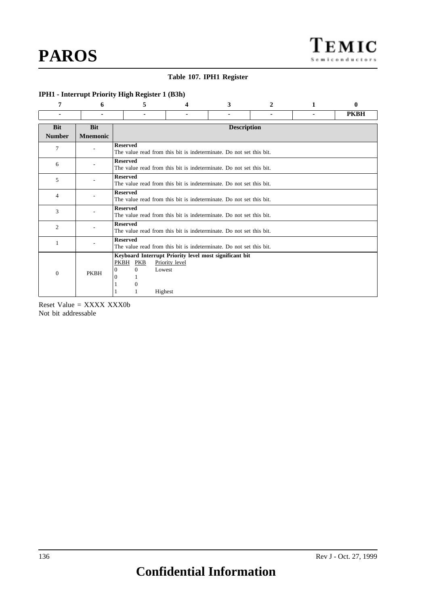#### **Table 107. IPH1 Register**

#### **IPH1 - Interrupt Priority High Register 1 (B3h)**

| 7                           | 6                             | 5                                                                                                              | 4                                                                   | 3 | 2 | 1 | $\bf{0}$    |  |  |  |  |
|-----------------------------|-------------------------------|----------------------------------------------------------------------------------------------------------------|---------------------------------------------------------------------|---|---|---|-------------|--|--|--|--|
|                             |                               |                                                                                                                |                                                                     |   |   | ۰ | <b>PKBH</b> |  |  |  |  |
| <b>Bit</b><br><b>Number</b> | <b>Bit</b><br><b>Mnemonic</b> |                                                                                                                | <b>Description</b>                                                  |   |   |   |             |  |  |  |  |
| 7                           |                               | <b>Reserved</b>                                                                                                | The value read from this bit is indeterminate. Do not set this bit. |   |   |   |             |  |  |  |  |
| 6                           |                               | <b>Reserved</b>                                                                                                | The value read from this bit is indeterminate. Do not set this bit. |   |   |   |             |  |  |  |  |
| 5                           |                               | <b>Reserved</b>                                                                                                | The value read from this bit is indeterminate. Do not set this bit. |   |   |   |             |  |  |  |  |
| 4                           |                               | <b>Reserved</b>                                                                                                | The value read from this bit is indeterminate. Do not set this bit. |   |   |   |             |  |  |  |  |
| 3                           |                               | <b>Reserved</b>                                                                                                | The value read from this bit is indeterminate. Do not set this bit. |   |   |   |             |  |  |  |  |
| 2                           |                               | <b>Reserved</b><br>The value read from this bit is indeterminate. Do not set this bit.                         |                                                                     |   |   |   |             |  |  |  |  |
| 1                           |                               | <b>Reserved</b><br>The value read from this bit is indeterminate. Do not set this bit.                         |                                                                     |   |   |   |             |  |  |  |  |
| $\mathbf{0}$                | <b>PKBH</b>                   | Keyboard Interrupt Priority level most significant bit<br>PKBH PKB<br>Lowest<br>$\Omega$<br>$\Omega$<br>0<br>0 | Priority level<br>Highest                                           |   |   |   |             |  |  |  |  |

Reset Value = XXXX XXX0b Not bit addressable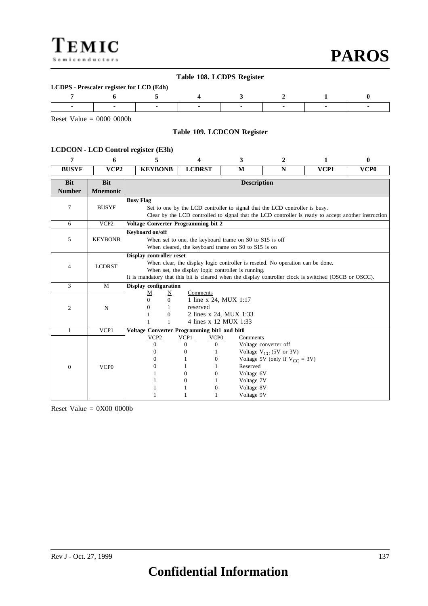# TEMIC Semiconductors

# **PAROS**

#### **Table 108. LCDPS Register**

**LCDPS - Prescaler register for LCD (E4h)**

|  |  | $\mathbf{A}$ |  |  |
|--|--|--------------|--|--|
|  |  |              |  |  |
|  |  |              |  |  |

Reset Value  $= 0000 0000$ 

#### **Table 109. LCDCON Register**

#### **LCDCON - LCD Control register (E3h)**

| 7             | 6                | 5                                                      |                                                                                                                                                                                                                                                                            | 4                                                                                  | 3                                                                                                              | 2                                                                                           | 1                                                                                                    | 0                |  |  |
|---------------|------------------|--------------------------------------------------------|----------------------------------------------------------------------------------------------------------------------------------------------------------------------------------------------------------------------------------------------------------------------------|------------------------------------------------------------------------------------|----------------------------------------------------------------------------------------------------------------|---------------------------------------------------------------------------------------------|------------------------------------------------------------------------------------------------------|------------------|--|--|
| <b>BUSYF</b>  | VCP <sub>2</sub> | <b>KEYBONB</b>                                         |                                                                                                                                                                                                                                                                            | <b>LCDRST</b>                                                                      | М                                                                                                              | N                                                                                           | VCP1                                                                                                 | VCP <sub>0</sub> |  |  |
| <b>Bit</b>    | <b>Bit</b>       |                                                        |                                                                                                                                                                                                                                                                            |                                                                                    | <b>Description</b>                                                                                             |                                                                                             |                                                                                                      |                  |  |  |
| <b>Number</b> | <b>Mnemonic</b>  |                                                        |                                                                                                                                                                                                                                                                            |                                                                                    |                                                                                                                |                                                                                             |                                                                                                      |                  |  |  |
| 7             | <b>BUSYF</b>     | <b>Busy Flag</b>                                       |                                                                                                                                                                                                                                                                            |                                                                                    |                                                                                                                | Set to one by the LCD controller to signal that the LCD controller is busy.                 | Clear by the LCD controlled to signal that the LCD controller is ready to accept another instruction |                  |  |  |
| 6             | VCP2             | Voltage Converter Programming bit 2                    |                                                                                                                                                                                                                                                                            |                                                                                    |                                                                                                                |                                                                                             |                                                                                                      |                  |  |  |
| 5             | <b>KEYBONB</b>   | Keyboard on/off                                        |                                                                                                                                                                                                                                                                            |                                                                                    | When set to one, the keyboard trame on S0 to S15 is off<br>When cleared, the keyboard trame on S0 to S15 is on |                                                                                             |                                                                                                      |                  |  |  |
| 4             | <b>LCDRST</b>    |                                                        | Display controller reset<br>When clear, the display logic controller is reseted. No operation can be done.<br>When set, the display logic controller is running.<br>It is mandatory that this bit is cleared when the display controller clock is switched (OSCB or OSCC). |                                                                                    |                                                                                                                |                                                                                             |                                                                                                      |                  |  |  |
| 3             | M                | <b>Display configuration</b>                           |                                                                                                                                                                                                                                                                            |                                                                                    |                                                                                                                |                                                                                             |                                                                                                      |                  |  |  |
| 2             | $\mathbf N$      | М<br>$\Omega$<br>$\Omega$<br>1                         | $\overline{\mathbf{N}}$<br>0<br>1<br>$\mathbf{0}$<br>1                                                                                                                                                                                                                     | Comments<br>reserved                                                               | 1 line x 24, MUX 1:17<br>2 lines x 24, MUX 1:33<br>4 lines x 12 MUX 1:33                                       |                                                                                             |                                                                                                      |                  |  |  |
| $\mathbf{1}$  | VCP1             | Voltage Converter Programming bit1 and bit0            |                                                                                                                                                                                                                                                                            |                                                                                    |                                                                                                                |                                                                                             |                                                                                                      |                  |  |  |
| $\mathbf{0}$  | VCP <sub>0</sub> | VCP <sub>2</sub><br>$\mathbf{0}$<br>$\Omega$<br>0<br>0 | VCP1<br>$\mathbf{0}$<br>$\mathbf{0}$<br>1<br>1<br>$\Omega$<br>$\Omega$                                                                                                                                                                                                     | VCP <sub>0</sub><br>$\boldsymbol{0}$<br>$\theta$<br>1<br>$\Omega$<br>$\theta$<br>1 | Comments<br>Reserved<br>Voltage 6V<br>Voltage 7V<br>Voltage 8V<br>Voltage 9V                                   | Voltage converter off<br>Voltage $V_{CC}$ (5V or 3V)<br>Voltage 5V (only if $V_{CC} = 3V$ ) |                                                                                                      |                  |  |  |

Reset Value  $= 0X00 0000b$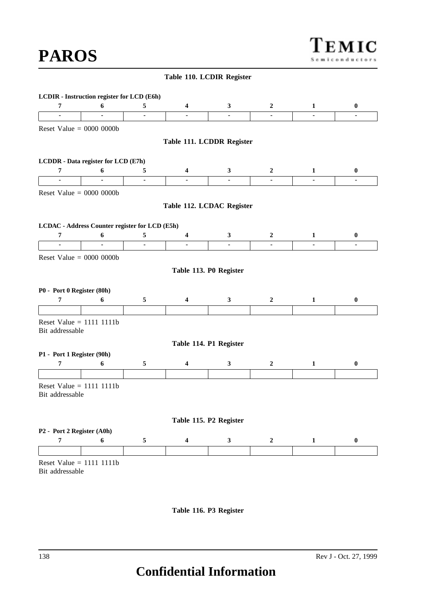**PAROS**

#### **Table 110. LCDIR Register**

| 6<br>5<br>7<br>$\overline{\mathbf{4}}$<br>3<br>$\boldsymbol{2}$<br>$\blacksquare$<br>$\blacksquare$<br>$\blacksquare$<br>ä,<br>ä,<br>Reset Value = $0000 0000$<br>Table 111. LCDDR Register<br>LCDDR - Data register for LCD (E7h)<br>7<br>6<br>5<br>$\overline{\mathbf{4}}$<br>$\mathbf{3}$<br>$\boldsymbol{2}$<br>$\blacksquare$<br>$\blacksquare$<br>$\blacksquare$<br>$\blacksquare$<br>ä,<br>Reset Value $= 0000 0000$<br>Table 112. LCDAC Register<br>LCDAC - Address Counter register for LCD (E5h)<br>7<br>$\sqrt{5}$<br>6<br>$\overline{\mathbf{4}}$<br>3<br>2<br>$\blacksquare$<br>$\blacksquare$<br>ä,<br>$\blacksquare$<br>$\blacksquare$<br>Reset Value = $0000 0000$<br>Table 113. P0 Register | $\mathbf{1}$<br>$\blacksquare$<br>$\mathbf{1}$<br>٠<br>1<br>$\blacksquare$ | $\bf{0}$<br>$\blacksquare$<br>$\bf{0}$<br>$\blacksquare$ |
|--------------------------------------------------------------------------------------------------------------------------------------------------------------------------------------------------------------------------------------------------------------------------------------------------------------------------------------------------------------------------------------------------------------------------------------------------------------------------------------------------------------------------------------------------------------------------------------------------------------------------------------------------------------------------------------------------------------|----------------------------------------------------------------------------|----------------------------------------------------------|
|                                                                                                                                                                                                                                                                                                                                                                                                                                                                                                                                                                                                                                                                                                              |                                                                            |                                                          |
|                                                                                                                                                                                                                                                                                                                                                                                                                                                                                                                                                                                                                                                                                                              |                                                                            |                                                          |
|                                                                                                                                                                                                                                                                                                                                                                                                                                                                                                                                                                                                                                                                                                              |                                                                            |                                                          |
|                                                                                                                                                                                                                                                                                                                                                                                                                                                                                                                                                                                                                                                                                                              |                                                                            |                                                          |
|                                                                                                                                                                                                                                                                                                                                                                                                                                                                                                                                                                                                                                                                                                              |                                                                            |                                                          |
|                                                                                                                                                                                                                                                                                                                                                                                                                                                                                                                                                                                                                                                                                                              |                                                                            |                                                          |
|                                                                                                                                                                                                                                                                                                                                                                                                                                                                                                                                                                                                                                                                                                              |                                                                            |                                                          |
|                                                                                                                                                                                                                                                                                                                                                                                                                                                                                                                                                                                                                                                                                                              |                                                                            |                                                          |
|                                                                                                                                                                                                                                                                                                                                                                                                                                                                                                                                                                                                                                                                                                              |                                                                            |                                                          |
|                                                                                                                                                                                                                                                                                                                                                                                                                                                                                                                                                                                                                                                                                                              |                                                                            |                                                          |
|                                                                                                                                                                                                                                                                                                                                                                                                                                                                                                                                                                                                                                                                                                              |                                                                            |                                                          |
|                                                                                                                                                                                                                                                                                                                                                                                                                                                                                                                                                                                                                                                                                                              |                                                                            | $\bf{0}$                                                 |
|                                                                                                                                                                                                                                                                                                                                                                                                                                                                                                                                                                                                                                                                                                              |                                                                            | $\blacksquare$                                           |
|                                                                                                                                                                                                                                                                                                                                                                                                                                                                                                                                                                                                                                                                                                              |                                                                            |                                                          |
|                                                                                                                                                                                                                                                                                                                                                                                                                                                                                                                                                                                                                                                                                                              |                                                                            |                                                          |
|                                                                                                                                                                                                                                                                                                                                                                                                                                                                                                                                                                                                                                                                                                              |                                                                            |                                                          |
| P0 - Port 0 Register (80h)                                                                                                                                                                                                                                                                                                                                                                                                                                                                                                                                                                                                                                                                                   |                                                                            |                                                          |
| 5<br>7<br>6<br>$\overline{\mathbf{4}}$<br>$\mathbf{3}$<br>$\overline{2}$                                                                                                                                                                                                                                                                                                                                                                                                                                                                                                                                                                                                                                     | $\mathbf{1}$                                                               | $\bf{0}$                                                 |
|                                                                                                                                                                                                                                                                                                                                                                                                                                                                                                                                                                                                                                                                                                              |                                                                            |                                                          |
| Reset Value = $1111$ 1111b<br>Bit addressable                                                                                                                                                                                                                                                                                                                                                                                                                                                                                                                                                                                                                                                                |                                                                            |                                                          |
| Table 114. P1 Register                                                                                                                                                                                                                                                                                                                                                                                                                                                                                                                                                                                                                                                                                       |                                                                            |                                                          |
| P1 - Port 1 Register (90h)                                                                                                                                                                                                                                                                                                                                                                                                                                                                                                                                                                                                                                                                                   |                                                                            |                                                          |
| 7<br>6<br>5<br>4<br>3<br>$\boldsymbol{2}$                                                                                                                                                                                                                                                                                                                                                                                                                                                                                                                                                                                                                                                                    | $\mathbf{1}$                                                               | $\bf{0}$                                                 |
|                                                                                                                                                                                                                                                                                                                                                                                                                                                                                                                                                                                                                                                                                                              |                                                                            |                                                          |
| Reset Value = $1111$ 1111b                                                                                                                                                                                                                                                                                                                                                                                                                                                                                                                                                                                                                                                                                   |                                                                            |                                                          |
| Bit addressable                                                                                                                                                                                                                                                                                                                                                                                                                                                                                                                                                                                                                                                                                              |                                                                            |                                                          |
|                                                                                                                                                                                                                                                                                                                                                                                                                                                                                                                                                                                                                                                                                                              |                                                                            |                                                          |
| Table 115. P2 Register                                                                                                                                                                                                                                                                                                                                                                                                                                                                                                                                                                                                                                                                                       |                                                                            |                                                          |
| P2 - Port 2 Register (A0h)                                                                                                                                                                                                                                                                                                                                                                                                                                                                                                                                                                                                                                                                                   |                                                                            |                                                          |
| $\boldsymbol{6}$<br>7<br>$\sqrt{5}$<br>$\mathbf{3}$<br>$\overline{\mathbf{4}}$<br>$\boldsymbol{2}$                                                                                                                                                                                                                                                                                                                                                                                                                                                                                                                                                                                                           | $\mathbf{1}$                                                               | $\pmb{0}$                                                |
|                                                                                                                                                                                                                                                                                                                                                                                                                                                                                                                                                                                                                                                                                                              |                                                                            |                                                          |
| Reset Value = $1111$ 1111b                                                                                                                                                                                                                                                                                                                                                                                                                                                                                                                                                                                                                                                                                   |                                                                            |                                                          |
| Bit addressable                                                                                                                                                                                                                                                                                                                                                                                                                                                                                                                                                                                                                                                                                              |                                                                            |                                                          |



# **Confidential Information**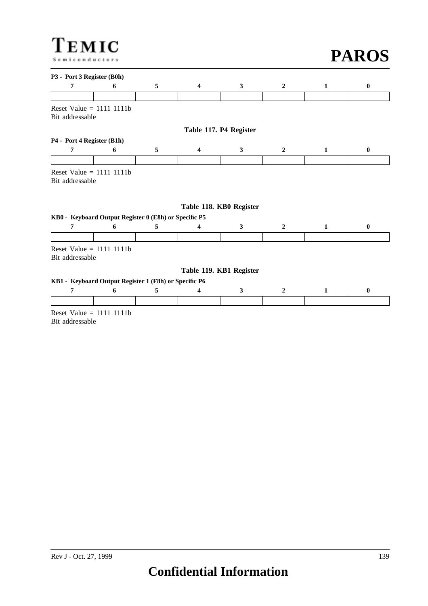# TEMIC Semiconductors

**PAROS**

| P3 - Port 3 Register (B0h) |                                                       |   |                         |                         |                |              |          |
|----------------------------|-------------------------------------------------------|---|-------------------------|-------------------------|----------------|--------------|----------|
| 7                          | 6                                                     | 5 | $\overline{\mathbf{4}}$ | $\mathbf{3}$            | $\overline{2}$ | 1            | $\bf{0}$ |
|                            |                                                       |   |                         |                         |                |              |          |
|                            | Reset Value = $1111$ 1111b                            |   |                         |                         |                |              |          |
| Bit addressable            |                                                       |   |                         |                         |                |              |          |
|                            |                                                       |   |                         | Table 117. P4 Register  |                |              |          |
| P4 - Port 4 Register (B1h) |                                                       |   |                         |                         |                |              |          |
| 7                          | 6                                                     | 5 | $\overline{\mathbf{4}}$ | $\mathbf{3}$            | $\overline{2}$ | $\mathbf{1}$ | $\bf{0}$ |
|                            |                                                       |   |                         |                         |                |              |          |
|                            | Reset Value = $1111$ 1111b                            |   |                         |                         |                |              |          |
| Bit addressable            |                                                       |   |                         |                         |                |              |          |
|                            |                                                       |   |                         |                         |                |              |          |
|                            |                                                       |   |                         |                         |                |              |          |
|                            |                                                       |   |                         | Table 118. KB0 Register |                |              |          |
|                            | KB0 - Keyboard Output Register 0 (E8h) or Specific P5 |   |                         |                         |                |              |          |
| 7                          | 6                                                     | 5 | 4                       | 3                       | $\overline{2}$ | 1            | $\bf{0}$ |
|                            |                                                       |   |                         |                         |                |              |          |
|                            | Reset Value = $1111$ 1111b                            |   |                         |                         |                |              |          |
| Bit addressable            |                                                       |   |                         |                         |                |              |          |
|                            |                                                       |   |                         | Table 119. KB1 Register |                |              |          |
|                            | KB1 - Keyboard Output Register 1 (F8h) or Specific P6 |   |                         |                         |                |              |          |
| 7                          | 6                                                     | 5 | 4                       | $\mathbf{3}$            | $\overline{2}$ | 1            | $\bf{0}$ |
|                            |                                                       |   |                         |                         |                |              |          |
|                            |                                                       |   |                         |                         |                |              |          |
|                            | Reset Value = $1111$ 1111b                            |   |                         |                         |                |              |          |
| Bit addressable            |                                                       |   |                         |                         |                |              |          |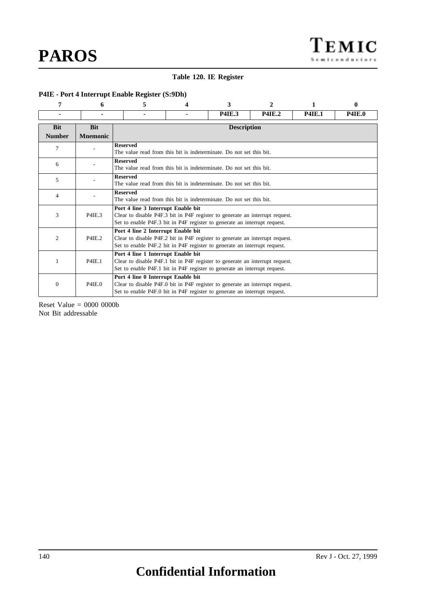#### **Table 120. IE Register**

#### **P4IE - Port 4 Interrupt Enable Register (S:9Dh)**

| 7                           | 6                             | 5                                                                                                                                                                                               | 4                                                                                                                                                                                               | 3                  | $\mathcal{D}_{\mathcal{L}}$ | 1             | $\mathbf{0}$  |  |  |  |  |
|-----------------------------|-------------------------------|-------------------------------------------------------------------------------------------------------------------------------------------------------------------------------------------------|-------------------------------------------------------------------------------------------------------------------------------------------------------------------------------------------------|--------------------|-----------------------------|---------------|---------------|--|--|--|--|
|                             |                               |                                                                                                                                                                                                 |                                                                                                                                                                                                 | <b>P4IE.3</b>      | <b>P4IE.2</b>               | <b>P4IE.1</b> | <b>P4IE.0</b> |  |  |  |  |
| <b>Bit</b><br><b>Number</b> | <b>Bit</b><br><b>Mnemonic</b> |                                                                                                                                                                                                 |                                                                                                                                                                                                 | <b>Description</b> |                             |               |               |  |  |  |  |
| 7                           |                               | <b>Reserved</b>                                                                                                                                                                                 | The value read from this bit is indeterminate. Do not set this bit.                                                                                                                             |                    |                             |               |               |  |  |  |  |
| 6                           |                               | <b>Reserved</b>                                                                                                                                                                                 | The value read from this bit is indeterminate. Do not set this bit.                                                                                                                             |                    |                             |               |               |  |  |  |  |
| 5                           |                               | <b>Reserved</b>                                                                                                                                                                                 | The value read from this bit is indeterminate. Do not set this bit.                                                                                                                             |                    |                             |               |               |  |  |  |  |
| $\overline{4}$              |                               | <b>Reserved</b>                                                                                                                                                                                 | The value read from this bit is indeterminate. Do not set this bit.                                                                                                                             |                    |                             |               |               |  |  |  |  |
| 3                           | <b>P4IE.3</b>                 |                                                                                                                                                                                                 | Port 4 line 3 Interrupt Enable bit<br>Clear to disable P4F.3 bit in P4F register to generate an interrupt request.<br>Set to enable P4F.3 bit in P4F register to generate an interrupt request. |                    |                             |               |               |  |  |  |  |
| $\overline{c}$              | <b>P4IE.2</b>                 | Port 4 line 2 Interrupt Enable bit<br>Clear to disable P4F.2 bit in P4F register to generate an interrupt request.<br>Set to enable P4F.2 bit in P4F register to generate an interrupt request. |                                                                                                                                                                                                 |                    |                             |               |               |  |  |  |  |
|                             | <b>P4IE.1</b>                 | Port 4 line 1 Interrupt Enable bit<br>Clear to disable P4F.1 bit in P4F register to generate an interrupt request.<br>Set to enable P4F.1 bit in P4F register to generate an interrupt request. |                                                                                                                                                                                                 |                    |                             |               |               |  |  |  |  |
| $\mathbf{0}$                | P4IE.0                        | Port 4 line 0 Interrupt Enable bit<br>Clear to disable P4F.0 bit in P4F register to generate an interrupt request.<br>Set to enable P4F.0 bit in P4F register to generate an interrupt request. |                                                                                                                                                                                                 |                    |                             |               |               |  |  |  |  |

Reset Value = 0000 0000b Not Bit addressable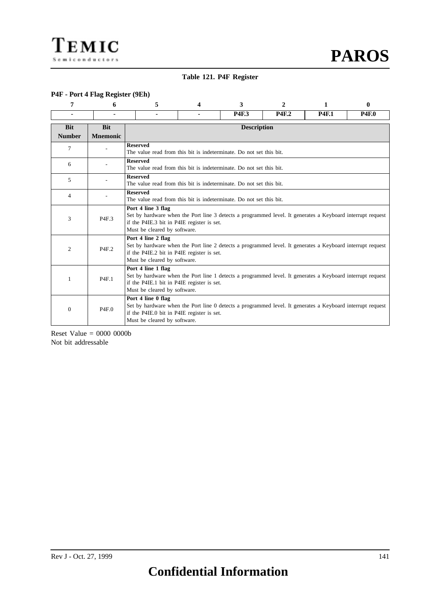#### **Table 121. P4F Register**

#### **P4F - Port 4 Flag Register (9Eh)**

| 7                           | 6                             | 5                                                                                                                                                                                                              | Δ                                                                   | 3            | $\mathfrak{p}$ | 1            | 0            |  |  |
|-----------------------------|-------------------------------|----------------------------------------------------------------------------------------------------------------------------------------------------------------------------------------------------------------|---------------------------------------------------------------------|--------------|----------------|--------------|--------------|--|--|
|                             |                               |                                                                                                                                                                                                                |                                                                     | <b>P4F.3</b> | <b>P4F.2</b>   | <b>P4F.1</b> | <b>P4F.0</b> |  |  |
| <b>Bit</b><br><b>Number</b> | <b>Bit</b><br><b>Mnemonic</b> | <b>Description</b>                                                                                                                                                                                             |                                                                     |              |                |              |              |  |  |
| 7                           |                               | <b>Reserved</b><br>The value read from this bit is indeterminate. Do not set this bit.                                                                                                                         |                                                                     |              |                |              |              |  |  |
| 6                           |                               | <b>Reserved</b>                                                                                                                                                                                                | The value read from this bit is indeterminate. Do not set this bit. |              |                |              |              |  |  |
| 5                           |                               | <b>Reserved</b>                                                                                                                                                                                                | The value read from this bit is indeterminate. Do not set this bit. |              |                |              |              |  |  |
| 4                           |                               | <b>Reserved</b>                                                                                                                                                                                                | The value read from this bit is indeterminate. Do not set this bit. |              |                |              |              |  |  |
| 3                           | P <sub>4F.3</sub>             | Port 4 line 3 flag<br>Set by hardware when the Port line 3 detects a programmed level. It generates a Keyboard interrupt request<br>if the P4IE.3 bit in P4IE register is set.<br>Must be cleared by software. |                                                                     |              |                |              |              |  |  |
| 2                           | P4F.2                         | Port 4 line 2 flag<br>Set by hardware when the Port line 2 detects a programmed level. It generates a Keyboard interrupt request<br>if the P4IE.2 bit in P4IE register is set.<br>Must be cleared by software. |                                                                     |              |                |              |              |  |  |
| 1                           | P <sub>4F.1</sub>             | Port 4 line 1 flag<br>Set by hardware when the Port line 1 detects a programmed level. It generates a Keyboard interrupt request<br>if the P4IE.1 bit in P4IE register is set.<br>Must be cleared by software. |                                                                     |              |                |              |              |  |  |
| $\theta$                    | P4F.0                         | Port 4 line 0 flag<br>Set by hardware when the Port line 0 detects a programmed level. It generates a Keyboard interrupt request<br>if the P4IE.0 bit in P4IE register is set.<br>Must be cleared by software. |                                                                     |              |                |              |              |  |  |

Reset Value = 0000 0000b Not bit addressable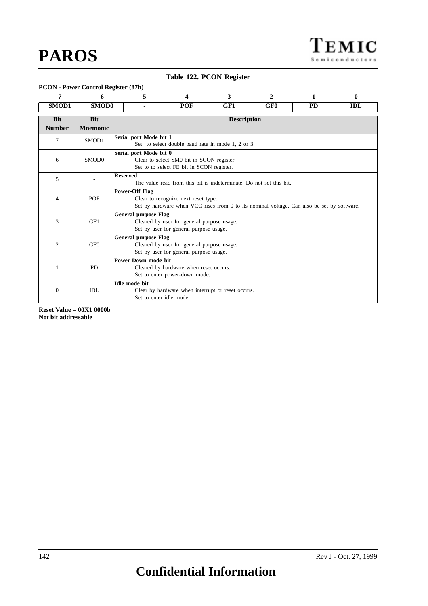#### **Table 122. PCON Register**

**PCON - Power Control Register (87h)**

| 7                           | 6                             | 5                                                                                                    | Δ                                                                                                                                 | 3   | $\mathbf{2}$    | 1         | $\bf{0}$   |  |  |  |
|-----------------------------|-------------------------------|------------------------------------------------------------------------------------------------------|-----------------------------------------------------------------------------------------------------------------------------------|-----|-----------------|-----------|------------|--|--|--|
| SMOD1                       | SMOD0                         |                                                                                                      | POF                                                                                                                               | GF1 | GF <sub>0</sub> | <b>PD</b> | <b>IDL</b> |  |  |  |
| <b>Bit</b><br><b>Number</b> | <b>Bit</b><br><b>Mnemonic</b> | <b>Description</b>                                                                                   |                                                                                                                                   |     |                 |           |            |  |  |  |
| 7                           | SMOD1                         |                                                                                                      | Serial port Mode bit 1<br>Set to select double baud rate in mode 1, 2 or 3.                                                       |     |                 |           |            |  |  |  |
| 6                           | SMOD0                         |                                                                                                      | Serial port Mode bit 0<br>Clear to select SM0 bit in SCON register.<br>Set to to select FE bit in SCON register.                  |     |                 |           |            |  |  |  |
| 5                           |                               | <b>Reserved</b>                                                                                      | The value read from this bit is indeterminate. Do not set this bit.                                                               |     |                 |           |            |  |  |  |
| 4                           | POF                           | <b>Power-Off Flag</b>                                                                                | Clear to recognize next reset type.<br>Set by hardware when VCC rises from 0 to its nominal voltage. Can also be set by software. |     |                 |           |            |  |  |  |
| 3                           | GF1                           |                                                                                                      | <b>General purpose Flag</b><br>Cleared by user for general purpose usage.<br>Set by user for general purpose usage.               |     |                 |           |            |  |  |  |
| $\overline{2}$              | GF <sub>0</sub>               |                                                                                                      | <b>General purpose Flag</b><br>Cleared by user for general purpose usage.<br>Set by user for general purpose usage.               |     |                 |           |            |  |  |  |
| 1                           | <b>PD</b>                     | Power-Down mode bit<br>Cleared by hardware when reset occurs.<br>Set to enter power-down mode.       |                                                                                                                                   |     |                 |           |            |  |  |  |
| $\mathbf{0}$                | IDL                           | <b>Idle mode bit</b><br>Clear by hardware when interrupt or reset occurs.<br>Set to enter idle mode. |                                                                                                                                   |     |                 |           |            |  |  |  |

**Reset Value = 00X1 0000b Not bit addressable**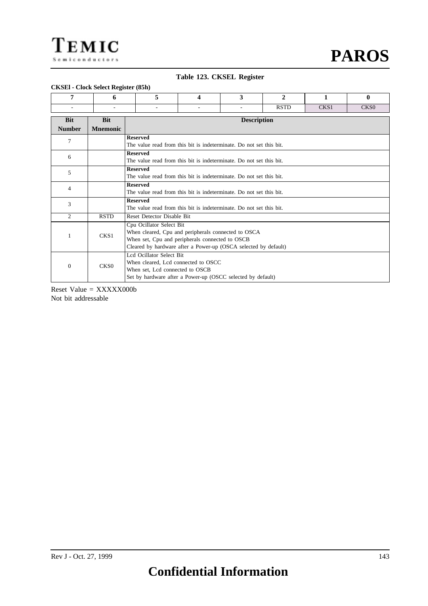#### **Table 123. CKSEL Register**

#### **CKSEl - Clock Select Register (85h)**

| 7                           | 6                             | 5                                                                                                                                                                                                     | 4                                                                   | 3 | $\mathbf{2}$ | 1    | $\mathbf{0}$     |  |  |
|-----------------------------|-------------------------------|-------------------------------------------------------------------------------------------------------------------------------------------------------------------------------------------------------|---------------------------------------------------------------------|---|--------------|------|------------------|--|--|
|                             |                               |                                                                                                                                                                                                       | $\overline{\phantom{a}}$                                            |   | <b>RSTD</b>  | CKS1 | CKS <sub>0</sub> |  |  |
| <b>Bit</b><br><b>Number</b> | <b>Bit</b><br><b>Mnemonic</b> | <b>Description</b>                                                                                                                                                                                    |                                                                     |   |              |      |                  |  |  |
| 7                           |                               | <b>Reserved</b>                                                                                                                                                                                       | The value read from this bit is indeterminate. Do not set this bit. |   |              |      |                  |  |  |
| 6                           |                               | <b>Reserved</b>                                                                                                                                                                                       | The value read from this bit is indeterminate. Do not set this bit. |   |              |      |                  |  |  |
| 5                           |                               | <b>Reserved</b>                                                                                                                                                                                       | The value read from this bit is indeterminate. Do not set this bit. |   |              |      |                  |  |  |
| $\overline{4}$              |                               | <b>Reserved</b><br>The value read from this bit is indeterminate. Do not set this bit.                                                                                                                |                                                                     |   |              |      |                  |  |  |
| 3                           |                               | <b>Reserved</b><br>The value read from this bit is indeterminate. Do not set this bit.                                                                                                                |                                                                     |   |              |      |                  |  |  |
| 2                           | <b>RSTD</b>                   | Reset Detector Disable Bit                                                                                                                                                                            |                                                                     |   |              |      |                  |  |  |
|                             | CKS1                          | Cpu Ocillator Select Bit<br>When cleared, Cpu and peripherals connected to OSCA<br>When set, Cpu and peripherals connected to OSCB<br>Cleared by hardware after a Power-up (OSCA selected by default) |                                                                     |   |              |      |                  |  |  |
| $\theta$                    | CKS <sub>0</sub>              | Lcd Ocillator Select Bit<br>When cleared, Lcd connected to OSCC<br>When set, Lcd connected to OSCB<br>Set by hardware after a Power-up (OSCC selected by default)                                     |                                                                     |   |              |      |                  |  |  |

Reset Value = XXXXX000b Not bit addressable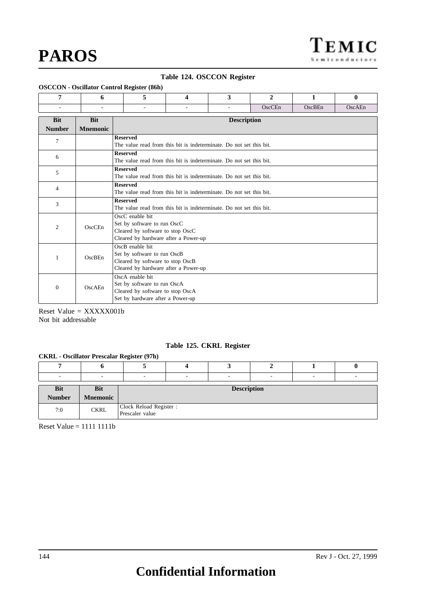#### **Table 124. OSCCON Register**

#### **OSCCON - Oscillator Control Register (86h)**

| 7              | 6               | 5                                                                                                                          | 4                                                                   | 3 | $\mathbf{2}$ | 1      | $\mathbf{0}$ |  |  |
|----------------|-----------------|----------------------------------------------------------------------------------------------------------------------------|---------------------------------------------------------------------|---|--------------|--------|--------------|--|--|
|                |                 |                                                                                                                            |                                                                     | ٠ | OscCEn       | OscBEn | OscAEn       |  |  |
| <b>Bit</b>     | <b>Bit</b>      | <b>Description</b>                                                                                                         |                                                                     |   |              |        |              |  |  |
| <b>Number</b>  | <b>Mnemonic</b> |                                                                                                                            |                                                                     |   |              |        |              |  |  |
| 7              |                 | <b>Reserved</b>                                                                                                            | The value read from this bit is indeterminate. Do not set this bit. |   |              |        |              |  |  |
| 6              |                 | <b>Reserved</b>                                                                                                            | The value read from this bit is indeterminate. Do not set this bit. |   |              |        |              |  |  |
| 5              |                 | <b>Reserved</b>                                                                                                            | The value read from this bit is indeterminate. Do not set this bit. |   |              |        |              |  |  |
| 4              |                 | <b>Reserved</b>                                                                                                            | The value read from this bit is indeterminate. Do not set this bit. |   |              |        |              |  |  |
| 3              |                 | <b>Reserved</b><br>The value read from this bit is indeterminate. Do not set this bit.                                     |                                                                     |   |              |        |              |  |  |
| $\overline{c}$ | OscCEn          | OscC enable bit<br>Set by software to run OscC<br>Cleared by software to stop OscC<br>Cleared by hardware after a Power-up |                                                                     |   |              |        |              |  |  |
| 1              | OscBEn          | OscB enable bit<br>Set by software to run OscB<br>Cleared by software to stop OscB<br>Cleared by hardware after a Power-up |                                                                     |   |              |        |              |  |  |
| $\mathbf{0}$   | OscAEn          | OscA enable bit<br>Set by software to run OscA<br>Cleared by software to stop OscA<br>Set by hardware after a Power-up     |                                                                     |   |              |        |              |  |  |

Reset Value = XXXXX001b Not bit addressable

#### **Table 125. CKRL Register**

#### **CKRL - Oscillator Prescalar Register (97h)**

|                             |                               | ٠.                                        | ٠.                 |  | $\overline{\phantom{a}}$ | $\overline{\phantom{a}}$ |  |  |  |
|-----------------------------|-------------------------------|-------------------------------------------|--------------------|--|--------------------------|--------------------------|--|--|--|
| <b>Bit</b><br><b>Number</b> | <b>Bit</b><br><b>Mnemonic</b> |                                           | <b>Description</b> |  |                          |                          |  |  |  |
| 7:0                         | <b>CKRL</b>                   | Clock Reload Register:<br>Prescaler value |                    |  |                          |                          |  |  |  |

Reset Value  $= 11111111b$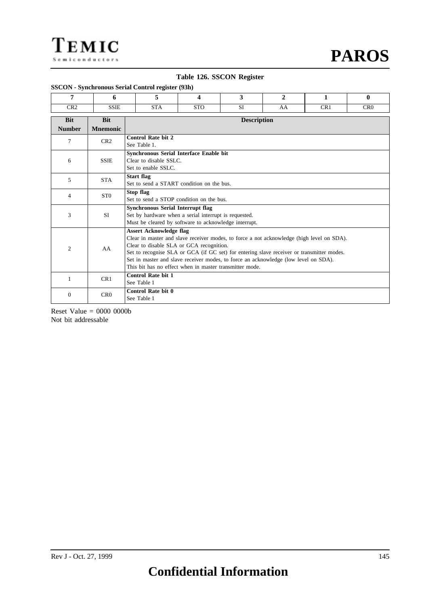#### **Table 126. SSCON Register**

#### **SSCON - Synchronous Serial Control register (93h)**

| 7                           | 6                             | 5                                                                                                                                                          | $\boldsymbol{4}$                                                                                                                                                                                                                                                                                                                                                                                                       | 3                  | $\mathbf{2}$ | $\mathbf{1}$ | $\mathbf{0}$    |  |  |  |
|-----------------------------|-------------------------------|------------------------------------------------------------------------------------------------------------------------------------------------------------|------------------------------------------------------------------------------------------------------------------------------------------------------------------------------------------------------------------------------------------------------------------------------------------------------------------------------------------------------------------------------------------------------------------------|--------------------|--------------|--------------|-----------------|--|--|--|
| CR <sub>2</sub>             | <b>SSIE</b>                   | <b>STA</b>                                                                                                                                                 | <b>STO</b>                                                                                                                                                                                                                                                                                                                                                                                                             | SI.                | AA           | CR1          | CR <sub>0</sub> |  |  |  |
| <b>Bit</b><br><b>Number</b> | <b>Bit</b><br><b>Mnemonic</b> |                                                                                                                                                            |                                                                                                                                                                                                                                                                                                                                                                                                                        | <b>Description</b> |              |              |                 |  |  |  |
| 7                           | CR2                           | <b>Control Rate bit 2</b><br>See Table 1.                                                                                                                  |                                                                                                                                                                                                                                                                                                                                                                                                                        |                    |              |              |                 |  |  |  |
| 6                           | <b>SSIE</b>                   | Set to enable SSLC.                                                                                                                                        | Synchronous Serial Interface Enable bit<br>Clear to disable SSLC.                                                                                                                                                                                                                                                                                                                                                      |                    |              |              |                 |  |  |  |
| 5                           | <b>STA</b>                    | Start flag                                                                                                                                                 | Set to send a START condition on the bus.                                                                                                                                                                                                                                                                                                                                                                              |                    |              |              |                 |  |  |  |
| 4                           | ST <sub>0</sub>               | Stop flag                                                                                                                                                  | Set to send a STOP condition on the bus.                                                                                                                                                                                                                                                                                                                                                                               |                    |              |              |                 |  |  |  |
| 3                           | <b>SI</b>                     | <b>Synchronous Serial Interrupt flag</b><br>Set by hardware when a serial interrupt is requested.<br>Must be cleared by software to acknowledge interrupt. |                                                                                                                                                                                                                                                                                                                                                                                                                        |                    |              |              |                 |  |  |  |
| 2                           | AA                            |                                                                                                                                                            | <b>Assert Acknowledge flag</b><br>Clear in master and slave receiver modes, to force a not acknowledge (high level on SDA).<br>Clear to disable SLA or GCA recognition.<br>Set to recognise SLA or GCA (if GC set) for entering slave receiver or transmitter modes.<br>Set in master and slave receiver modes, to force an acknowledge (low level on SDA).<br>This bit has no effect when in master transmitter mode. |                    |              |              |                 |  |  |  |
| 1                           | CR1                           | <b>Control Rate bit 1</b><br>See Table 1                                                                                                                   |                                                                                                                                                                                                                                                                                                                                                                                                                        |                    |              |              |                 |  |  |  |
| $\Omega$                    | CR <sub>0</sub>               | Control Rate bit 0<br>See Table 1                                                                                                                          |                                                                                                                                                                                                                                                                                                                                                                                                                        |                    |              |              |                 |  |  |  |

Reset Value = 0000 0000b Not bit addressable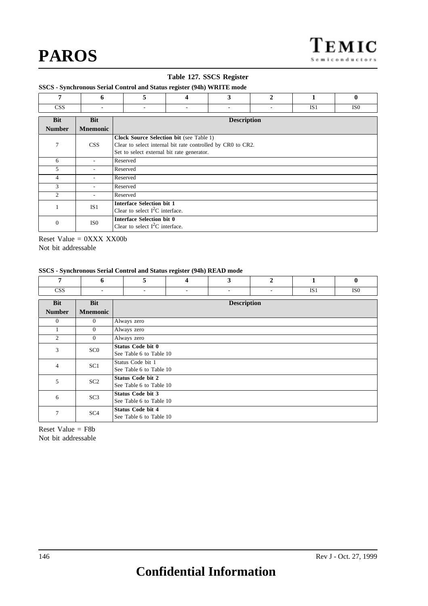#### **Table 127. SSCS Register**

**SSCS - Synchronous Serial Control and Status register (94h) WRITE mode**

| 7              | 6                        | 5                                                                    | 4                                                                                                                                                            | 3                        | 2                        | 1               | $\mathbf{0}$    |  |  |  |  |
|----------------|--------------------------|----------------------------------------------------------------------|--------------------------------------------------------------------------------------------------------------------------------------------------------------|--------------------------|--------------------------|-----------------|-----------------|--|--|--|--|
| <b>CSS</b>     |                          |                                                                      | $\overline{\phantom{a}}$                                                                                                                                     | $\overline{\phantom{a}}$ | $\overline{\phantom{a}}$ | IS <sub>1</sub> | IS <sub>0</sub> |  |  |  |  |
| <b>Bit</b>     | <b>Bit</b>               |                                                                      | <b>Description</b>                                                                                                                                           |                          |                          |                 |                 |  |  |  |  |
| <b>Number</b>  | <b>Mnemonic</b>          |                                                                      |                                                                                                                                                              |                          |                          |                 |                 |  |  |  |  |
| 7              | <b>CSS</b>               |                                                                      | <b>Clock Source Selection bit (see Table 1)</b><br>Clear to select internal bit rate controlled by CR0 to CR2.<br>Set to select external bit rate generator. |                          |                          |                 |                 |  |  |  |  |
| 6              |                          | Reserved                                                             |                                                                                                                                                              |                          |                          |                 |                 |  |  |  |  |
| 5              | -                        | Reserved                                                             |                                                                                                                                                              |                          |                          |                 |                 |  |  |  |  |
| 4              |                          | Reserved                                                             |                                                                                                                                                              |                          |                          |                 |                 |  |  |  |  |
| 3              |                          | Reserved                                                             |                                                                                                                                                              |                          |                          |                 |                 |  |  |  |  |
| $\mathfrak{D}$ | $\overline{\phantom{a}}$ | Reserved                                                             |                                                                                                                                                              |                          |                          |                 |                 |  |  |  |  |
|                | IS <sub>1</sub>          |                                                                      | <b>Interface Selection bit 1</b><br>Clear to select $I2C$ interface.                                                                                         |                          |                          |                 |                 |  |  |  |  |
| 0              | IS <sub>0</sub>          | <b>Interface Selection bit 0</b><br>Clear to select $I2C$ interface. |                                                                                                                                                              |                          |                          |                 |                 |  |  |  |  |

Reset Value = 0XXX XX00b Not bit addressable

#### **SSCS - Synchronous Serial Control and Status register (94h) READ mode**

| $\sim$ $\sim$ $\sim$<br>نتاليار |  |  | $ -$ | IS <sub>0</sub> |
|---------------------------------|--|--|------|-----------------|

| <b>Bit</b>    | <b>Bit</b>      | <b>Description</b>                                  |
|---------------|-----------------|-----------------------------------------------------|
| <b>Number</b> | <b>Mnemonic</b> |                                                     |
| $\theta$      | $\overline{0}$  | Always zero                                         |
| $\mathbf{1}$  | $\overline{0}$  | Always zero                                         |
| 2             | $\overline{0}$  | Always zero                                         |
| 3             | SC <sub>0</sub> | Status Code bit 0<br>See Table 6 to Table 10        |
| 4             | SC1             | Status Code bit 1<br>See Table 6 to Table 10        |
| 5             | SC2             | <b>Status Code bit 2</b><br>See Table 6 to Table 10 |
| 6             | SC3             | <b>Status Code bit 3</b><br>See Table 6 to Table 10 |
| 7             | SC <sub>4</sub> | <b>Status Code bit 4</b><br>See Table 6 to Table 10 |

Reset Value  $=$  F8b Not bit addressable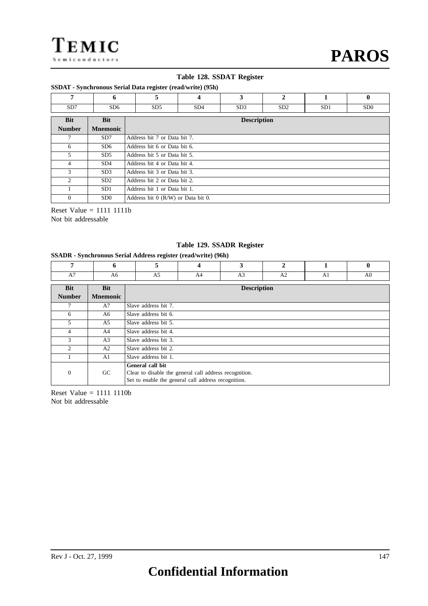#### **Table 128. SSDAT Register**

#### **SSDAT - Synchronous Serial Data register (read/write) (95h)**

| 7              | 6               | 5                                    | 3<br>4<br>$\mathbf{2}$        |  |  |     |                 |  |  |
|----------------|-----------------|--------------------------------------|-------------------------------|--|--|-----|-----------------|--|--|
| SD7            | SD <sub>6</sub> | SD5                                  | SD <sub>4</sub><br>SD3<br>SD2 |  |  | SD1 | SD <sub>0</sub> |  |  |
| <b>Bit</b>     | <b>Bit</b>      |                                      | <b>Description</b>            |  |  |     |                 |  |  |
| <b>Number</b>  | <b>Mnemonic</b> |                                      |                               |  |  |     |                 |  |  |
| 7              | SD7             |                                      | Address bit 7 or Data bit 7.  |  |  |     |                 |  |  |
| 6              | SD <sub>6</sub> |                                      | Address bit 6 or Data bit 6.  |  |  |     |                 |  |  |
| 5.             | SD5             |                                      | Address bit 5 or Data bit 5.  |  |  |     |                 |  |  |
| $\overline{4}$ | SD4             | Address bit 4 or Data bit 4.         |                               |  |  |     |                 |  |  |
| 3              | SD3             | Address bit 3 or Data bit 3.         |                               |  |  |     |                 |  |  |
| 2              | SD2             | Address bit 2 or Data bit 2.         |                               |  |  |     |                 |  |  |
|                | SD1             | Address bit 1 or Data bit 1.         |                               |  |  |     |                 |  |  |
| $\theta$       | SD <sub>0</sub> | Address bit $0$ (R/W) or Data bit 0. |                               |  |  |     |                 |  |  |

#### Reset Value = 1111 1111b

Not bit addressable

#### **Table 129. SSADR Register**

#### **SSADR - Synchronous Serial Address register (read/write) (96h)**

| 7             | 6               | 5                                                                                                                                 | 4  | 3  | 2  |                | $\bf{0}$       |  |  |  |
|---------------|-----------------|-----------------------------------------------------------------------------------------------------------------------------------|----|----|----|----------------|----------------|--|--|--|
| A7            | A6              | A5                                                                                                                                | A4 | A3 | A2 | A <sub>1</sub> | A <sub>0</sub> |  |  |  |
| <b>Bit</b>    | <b>Bit</b>      | <b>Description</b>                                                                                                                |    |    |    |                |                |  |  |  |
| <b>Number</b> | <b>Mnemonic</b> |                                                                                                                                   |    |    |    |                |                |  |  |  |
| 7             | A7              | Slave address bit 7.                                                                                                              |    |    |    |                |                |  |  |  |
| 6             | A6              | Slave address bit 6.                                                                                                              |    |    |    |                |                |  |  |  |
| 5             | A5              | Slave address bit 5.                                                                                                              |    |    |    |                |                |  |  |  |
| 4             | A4              | Slave address bit 4.                                                                                                              |    |    |    |                |                |  |  |  |
| 3             | A <sub>3</sub>  | Slave address bit 3.                                                                                                              |    |    |    |                |                |  |  |  |
| 2             | A2              | Slave address bit 2.                                                                                                              |    |    |    |                |                |  |  |  |
|               | A1              | Slave address bit 1.                                                                                                              |    |    |    |                |                |  |  |  |
| $\theta$      | GC              | General call bit<br>Clear to disable the general call address recognition.<br>Set to enable the general call address recognition. |    |    |    |                |                |  |  |  |

Reset Value  $= 1111 1110b$ Not bit addressable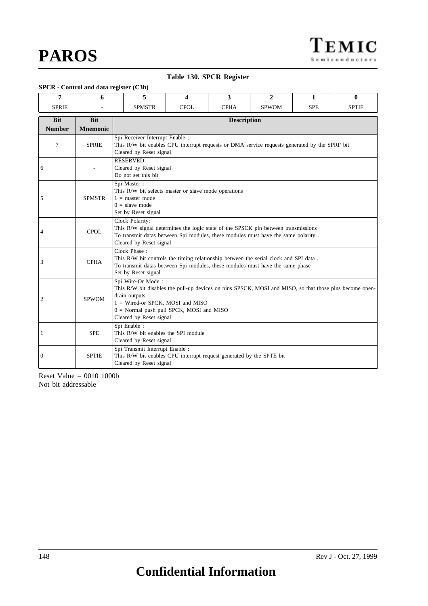#### **Table 130. SPCR Register**

#### **SPCR - Control and data register (C3h)**

| 7             | 6               | 5                                                                                                                                                                                                                                                          | 4                                                                                                                                                                                                 | 3                  | $\mathbf{2}$ | 1          | $\bf{0}$     |  |  |  |  |
|---------------|-----------------|------------------------------------------------------------------------------------------------------------------------------------------------------------------------------------------------------------------------------------------------------------|---------------------------------------------------------------------------------------------------------------------------------------------------------------------------------------------------|--------------------|--------------|------------|--------------|--|--|--|--|
| <b>SPRIE</b>  |                 | <b>SPMSTR</b>                                                                                                                                                                                                                                              | <b>CPOL</b>                                                                                                                                                                                       | <b>CPHA</b>        | <b>SPWOM</b> | <b>SPE</b> | <b>SPTIE</b> |  |  |  |  |
| <b>Bit</b>    | <b>Bit</b>      |                                                                                                                                                                                                                                                            |                                                                                                                                                                                                   | <b>Description</b> |              |            |              |  |  |  |  |
| <b>Number</b> | <b>Mnemonic</b> |                                                                                                                                                                                                                                                            |                                                                                                                                                                                                   |                    |              |            |              |  |  |  |  |
| 7             | <b>SPRIE</b>    | Spi Receiver Interrupt Enable ;<br>This R/W bit enables CPU interrupt requests or DMA service requests generated by the SPRF bit<br>Cleared by Reset signal                                                                                                |                                                                                                                                                                                                   |                    |              |            |              |  |  |  |  |
| 6             |                 | <b>RESERVED</b><br>Cleared by Reset signal<br>Do not set this bit                                                                                                                                                                                          |                                                                                                                                                                                                   |                    |              |            |              |  |  |  |  |
| 5             | <b>SPMSTR</b>   | Spi Master:<br>$1 =$ master mode<br>$0 =$ slave mode<br>Set by Reset signal                                                                                                                                                                                | This R/W bit selects master or slave mode operations                                                                                                                                              |                    |              |            |              |  |  |  |  |
| 4             | <b>CPOL</b>     | Clock Polarity:                                                                                                                                                                                                                                            | This R/W signal determines the logic state of the SPSCK pin between transmissions<br>To transmit datas between Spi modules, these modules must have the same polarity.<br>Cleared by Reset signal |                    |              |            |              |  |  |  |  |
| 3             | <b>CPHA</b>     | Clock Phase:<br>This R/W bit controls the timing relationship between the serial clock and SPI data.<br>To transmit datas between Spi modules, these modules must have the same phase<br>Set by Reset signal                                               |                                                                                                                                                                                                   |                    |              |            |              |  |  |  |  |
| 2             | <b>SPWOM</b>    | Spi Wire-Or Mode:<br>This R/W bit disables the pull-up devices on pins SPSCK, MOSI and MISO, so that those pins become open-<br>drain outputs<br>1 = Wired-or SPCK, MOSI and MISO<br>$0 =$ Normal push pull SPCK, MOSI and MISO<br>Cleared by Reset signal |                                                                                                                                                                                                   |                    |              |            |              |  |  |  |  |
| 1             | <b>SPE</b>      | Spi Enable :<br>This R/W bit enables the SPI module<br>Cleared by Reset signal                                                                                                                                                                             |                                                                                                                                                                                                   |                    |              |            |              |  |  |  |  |
| $\mathbf{0}$  | <b>SPTIE</b>    | Spi Transmit Interrupt Enable :<br>This R/W bit enables CPU interrupt request generated by the SPTE bit<br>Cleared by Reset signal                                                                                                                         |                                                                                                                                                                                                   |                    |              |            |              |  |  |  |  |

Reset Value = 0010 1000b Not bit addressable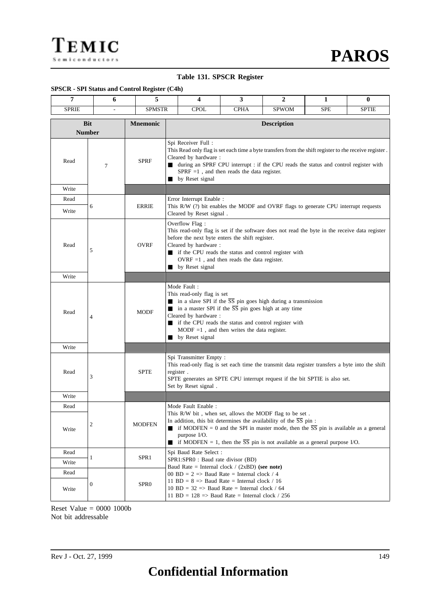#### **Table 131. SPSCR Register**

#### **SPSCR - SPI Status and Control Register (C4h)**

| 7             | 6                           | 5                | 4                                                                                                                                                                                                                                                                                                                                                                                          | 3                                              | $\mathbf 2$        | 1          | 0            |  |  |  |
|---------------|-----------------------------|------------------|--------------------------------------------------------------------------------------------------------------------------------------------------------------------------------------------------------------------------------------------------------------------------------------------------------------------------------------------------------------------------------------------|------------------------------------------------|--------------------|------------|--------------|--|--|--|
| <b>SPRIE</b>  | $\overline{\phantom{a}}$    | <b>SPMSTR</b>    | <b>CPOL</b>                                                                                                                                                                                                                                                                                                                                                                                | <b>CPHA</b>                                    | <b>SPWOM</b>       | <b>SPE</b> | <b>SPTIE</b> |  |  |  |
|               | <b>Bit</b><br><b>Number</b> | <b>Mnemonic</b>  |                                                                                                                                                                                                                                                                                                                                                                                            |                                                | <b>Description</b> |            |              |  |  |  |
| Read          | 7                           | <b>SPRF</b>      | Spi Receiver Full:<br>This Read only flag is set each time a byte transfers from the shift register to rhe receive register.<br>Cleared by hardware:<br>during an SPRF CPU interrupt : if the CPU reads the status and control register with<br>by Reset signal                                                                                                                            | $SPRF = 1$ , and then reads the data register. |                    |            |              |  |  |  |
| Write         |                             |                  |                                                                                                                                                                                                                                                                                                                                                                                            |                                                |                    |            |              |  |  |  |
| Read          |                             |                  | Error Interrupt Enable :                                                                                                                                                                                                                                                                                                                                                                   |                                                |                    |            |              |  |  |  |
| Write         | 6                           | <b>ERRIE</b>     | This R/W (?) bit enables the MODF and OVRF flags to generate CPU interrupt requests<br>Cleared by Reset signal.                                                                                                                                                                                                                                                                            |                                                |                    |            |              |  |  |  |
| Read          | 5                           | <b>OVRF</b>      | Overflow Flag:<br>This read-only flag is set if the software does not read the byte in the receive data register<br>before the next byte enters the shift register.<br>Cleared by hardware:<br>if the CPU reads the status and control register with<br>OVRF $=1$ , and then reads the data register.<br>by Reset signal                                                                   |                                                |                    |            |              |  |  |  |
| Write         |                             |                  |                                                                                                                                                                                                                                                                                                                                                                                            |                                                |                    |            |              |  |  |  |
| Read          | 4                           | <b>MODF</b>      | Mode Fault:<br>This read-only flag is set<br>in a slave SPI if the $\overline{SS}$ pin goes high during a transmission<br>■<br>$\blacksquare$ in a master SPI if the $\overline{SS}$ pin goes high at any time<br>Cleared by hardware:<br>if the CPU reads the status and control register with<br>$MODF = 1$ , and then writes the data register.<br>by Reset signal                      |                                                |                    |            |              |  |  |  |
| Write         |                             |                  |                                                                                                                                                                                                                                                                                                                                                                                            |                                                |                    |            |              |  |  |  |
| Read          | 3                           | <b>SPTE</b>      | Spi Transmitter Empty:<br>This read-only flag is set each time the transmit data register transfers a byte into the shift<br>register.<br>SPTE generates an SPTE CPU interrupt request if the bit SPTIE is also set.<br>Set by Reset signal.                                                                                                                                               |                                                |                    |            |              |  |  |  |
| Write         |                             |                  |                                                                                                                                                                                                                                                                                                                                                                                            |                                                |                    |            |              |  |  |  |
| Read<br>Write | 2                           | <b>MODFEN</b>    | Mode Fault Enable :<br>This R/W bit, when set, allows the MODF flag to be set.<br>In addition, this bit determines the availability of the $\overline{SS}$ pin:<br>if MODFEN = 0 and the SPI in master mode, then the $\overline{SS}$ pin is available as a general<br>■<br>purpose $I/O$ .<br>if MODFEN = 1, then the $\overline{SS}$ pin is not available as a general purpose I/O.<br>п |                                                |                    |            |              |  |  |  |
| Read          | 1                           | SPR1             | Spi Baud Rate Select:                                                                                                                                                                                                                                                                                                                                                                      |                                                |                    |            |              |  |  |  |
| Write         |                             |                  | SPR1:SPR0 : Baud rate divisor (BD)<br>Baud Rate = Internal clock / $(2xBD)$ (see note)                                                                                                                                                                                                                                                                                                     |                                                |                    |            |              |  |  |  |
| Read          |                             |                  | 00 BD = $2 \Rightarrow$ Baud Rate = Internal clock / 4                                                                                                                                                                                                                                                                                                                                     |                                                |                    |            |              |  |  |  |
| Write         | 0                           | SPR <sub>0</sub> | 11 BD = $8 \Rightarrow$ Baud Rate = Internal clock / 16<br>$10 BD = 32 \implies$ Baud Rate = Internal clock / 64<br>11 BD = $128$ => Baud Rate = Internal clock / 256                                                                                                                                                                                                                      |                                                |                    |            |              |  |  |  |

Reset Value  $= 0000 1000b$ Not bit addressable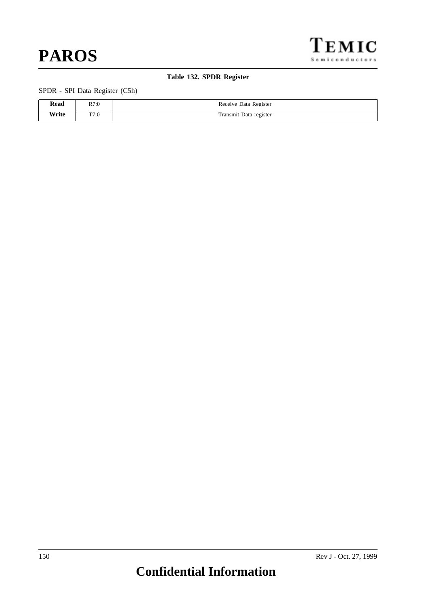

#### **Table 132. SPDR Register**

#### SPDR - SPI Data Register (C5h)

| <b>Read</b> | R7:0 | Receive Data Register  |
|-------------|------|------------------------|
| Vrite       | T7:0 | Transmit Data register |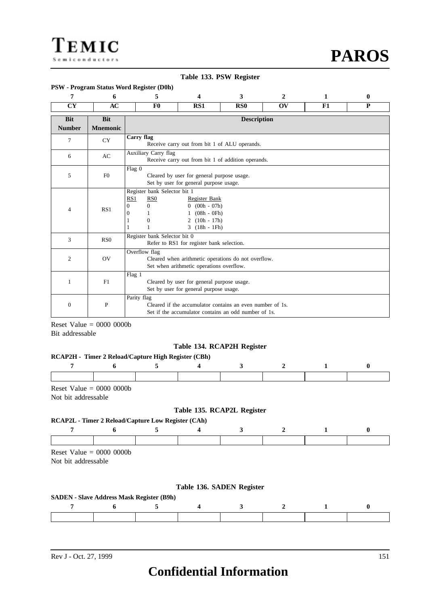#### **Table 133. PSW Register**

#### **PSW - Program Status Word Register (D0h)**

| 7                           | 6                             | 5                                           | 4                                                                                                                     | 3                                                                                                                 | $\mathbf{2}$           | 1  | 0 |  |  |  |
|-----------------------------|-------------------------------|---------------------------------------------|-----------------------------------------------------------------------------------------------------------------------|-------------------------------------------------------------------------------------------------------------------|------------------------|----|---|--|--|--|
| <b>CY</b>                   | AC                            | F <sub>0</sub>                              | RS1                                                                                                                   | R <sub>S0</sub>                                                                                                   | $\overline{\text{OV}}$ | F1 | P |  |  |  |
| <b>Bit</b><br><b>Number</b> | <b>Bit</b><br><b>Mnemonic</b> |                                             | <b>Description</b>                                                                                                    |                                                                                                                   |                        |    |   |  |  |  |
| 7                           | <b>CY</b>                     | Carry flag                                  | Receive carry out from bit 1 of ALU operands.                                                                         |                                                                                                                   |                        |    |   |  |  |  |
| 6                           | AC                            | Auxiliary Carry flag                        | Receive carry out from bit 1 of addition operands.                                                                    |                                                                                                                   |                        |    |   |  |  |  |
| 5                           | F <sub>0</sub>                | Flag 0                                      | Cleared by user for general purpose usage.<br>Set by user for general purpose usage.                                  |                                                                                                                   |                        |    |   |  |  |  |
| 4                           | RS1                           | RS1<br>R <sub>S</sub> O<br>0<br>0<br>0<br>0 | Register bank Selector bit 1<br>Register Bank<br>$0$ (00h - 07h)<br>$(08h - 0Fh)$<br>$2(10h - 17h)$<br>$3(18h - 1Fh)$ |                                                                                                                   |                        |    |   |  |  |  |
| 3                           | RS0                           | Register bank Selector bit 0                | Refer to RS1 for register bank selection.                                                                             |                                                                                                                   |                        |    |   |  |  |  |
| 2                           | OV                            | Overflow flag                               | Set when arithmetic operations overflow.                                                                              | Cleared when arithmetic operations do not overflow.                                                               |                        |    |   |  |  |  |
| 1                           | F1                            | Flag 1                                      | Cleared by user for general purpose usage.<br>Set by user for general purpose usage.                                  |                                                                                                                   |                        |    |   |  |  |  |
| $\theta$                    | $\mathbf{P}$                  | Parity flag                                 |                                                                                                                       | Cleared if the accumulator contains an even number of 1s.<br>Set if the accumulator contains an odd number of 1s. |                        |    |   |  |  |  |

Reset Value  $= 0000 0000$ Bit addressable

#### **Table 134. RCAP2H Register**

#### **RCAP2H - Timer 2 Reload/Capture High Register (CBh)**

Reset Value  $= 0000 0000$ 

Not bit addressable

#### **Table 135. RCAP2L Register**

#### **RCAP2L - Timer 2 Reload/Capture Low Register (CAh)**

Reset Value  $= 0000 0000$ Not bit addressable

#### **Table 136. SADEN Register**

#### **SADEN - Slave Address Mask Register (B9h)**

# **Confidential Information**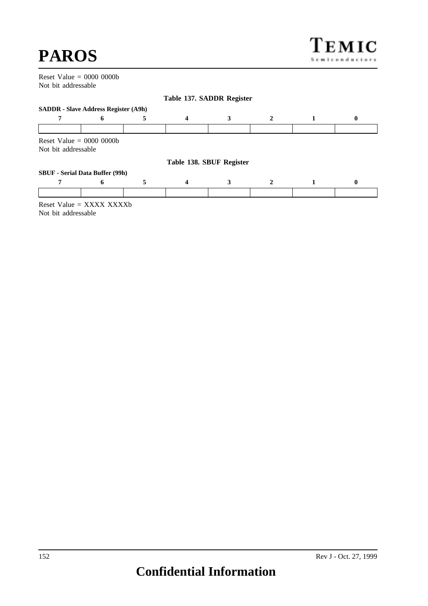**PAROS**

#### Reset Value = 0000 0000b Not bit addressable

|                                             |                                                 |   |                          | Table 137. SADDR Register |   |  |   |  |  |  |
|---------------------------------------------|-------------------------------------------------|---|--------------------------|---------------------------|---|--|---|--|--|--|
| <b>SADDR</b> - Slave Address Register (A9h) |                                                 |   |                          |                           |   |  |   |  |  |  |
|                                             | 6                                               | 5 | 4                        | 3                         | 2 |  | 0 |  |  |  |
|                                             |                                                 |   |                          |                           |   |  |   |  |  |  |
|                                             | Reset Value $= 0000 0000$                       |   |                          |                           |   |  |   |  |  |  |
| Not bit addressable                         |                                                 |   |                          |                           |   |  |   |  |  |  |
|                                             |                                                 |   | Table 138. SBUF Register |                           |   |  |   |  |  |  |
|                                             | <b>SBUF</b> - Serial Data Buffer (99h)          |   |                          |                           |   |  |   |  |  |  |
|                                             | 6                                               | 5 | 4                        | 3                         |   |  | 0 |  |  |  |
|                                             |                                                 |   |                          |                           |   |  |   |  |  |  |
|                                             | Reset Value = $\overline{XXX}$ $\overline{XXX}$ |   |                          |                           |   |  |   |  |  |  |
| Not bit addressable                         |                                                 |   |                          |                           |   |  |   |  |  |  |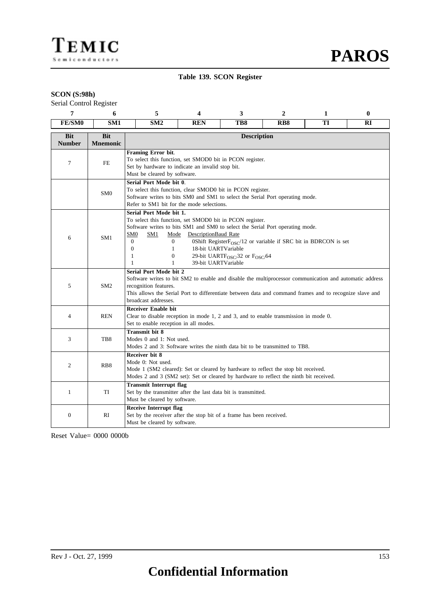#### **Table 139. SCON Register**

#### **SCON (S:98h)**

Serial Control Register

| 7                           | 6                             | 5                                                                                                                                                                                                                                                                                             | $\overline{\mathbf{4}}$                                                                                                                                                                                                                                                                                                                                                                 | 3   | $\boldsymbol{2}$ | 1  | $\bf{0}$ |  |  |  |
|-----------------------------|-------------------------------|-----------------------------------------------------------------------------------------------------------------------------------------------------------------------------------------------------------------------------------------------------------------------------------------------|-----------------------------------------------------------------------------------------------------------------------------------------------------------------------------------------------------------------------------------------------------------------------------------------------------------------------------------------------------------------------------------------|-----|------------------|----|----------|--|--|--|
| FE/SM0                      | SM <sub>1</sub>               | SM2                                                                                                                                                                                                                                                                                           | <b>REN</b>                                                                                                                                                                                                                                                                                                                                                                              | TB8 | R <sub>B</sub> 8 | TI | RI       |  |  |  |
| <b>Bit</b><br><b>Number</b> | <b>Bit</b><br><b>Mnemonic</b> | <b>Description</b>                                                                                                                                                                                                                                                                            |                                                                                                                                                                                                                                                                                                                                                                                         |     |                  |    |          |  |  |  |
| $\tau$                      | <b>FE</b>                     | Framing Error bit.<br>To select this function, set SMOD0 bit in PCON register.<br>Set by hardware to indicate an invalid stop bit.<br>Must be cleared by software.                                                                                                                            |                                                                                                                                                                                                                                                                                                                                                                                         |     |                  |    |          |  |  |  |
|                             | SM <sub>0</sub>               | Serial Port Mode bit 0.<br>To select this function, clear SMOD0 bit in PCON register.<br>Software writes to bits SM0 and SM1 to select the Serial Port operating mode.<br>Refer to SM1 bit for the mode selections.                                                                           |                                                                                                                                                                                                                                                                                                                                                                                         |     |                  |    |          |  |  |  |
| 6                           | SM1                           | SM <sub>0</sub><br><u>SM1</u><br>$\Omega$<br>0<br>$\mathbf{1}$<br>$\mathbf{0}$<br>$\mathbf{0}$<br>1<br>1<br>$\mathbf{1}$                                                                                                                                                                      | Serial Port Mode bit 1.<br>To select this function, set SMOD0 bit in PCON register.<br>Software writes to bits SM1 and SM0 to select the Serial Port operating mode.<br>DescriptionBaud Rate<br>Mode<br>0Shift Register $F_{OSC}/12$ or variable if SRC bit in BDRCON is set<br>18-bit UARTVariable<br>29-bit UARTF <sub>OSC</sub> $32$ or F <sub>OSC</sub> $64$<br>39-bit UARTVariable |     |                  |    |          |  |  |  |
| 5                           | SM <sub>2</sub>               | Serial Port Mode bit 2<br>Software writes to bit SM2 to enable and disable the multiprocessor communication and automatic address<br>recognition features.<br>This allows the Serial Port to differentiate between data and command frames and to recognize slave and<br>broadcast addresses. |                                                                                                                                                                                                                                                                                                                                                                                         |     |                  |    |          |  |  |  |
| $\overline{4}$              | REN                           | <b>Receiver Enable bit</b><br>Clear to disable reception in mode 1, 2 and 3, and to enable transmission in mode 0.<br>Set to enable reception in all modes.                                                                                                                                   |                                                                                                                                                                                                                                                                                                                                                                                         |     |                  |    |          |  |  |  |
| 3                           | TB8                           | <b>Transmit bit 8</b><br>Modes 0 and 1: Not used.<br>Modes 2 and 3: Software writes the ninth data bit to be transmitted to TB8.                                                                                                                                                              |                                                                                                                                                                                                                                                                                                                                                                                         |     |                  |    |          |  |  |  |
| 2                           | RB <sub>8</sub>               | Receiver bit 8<br>Mode 0: Not used.<br>Mode 1 (SM2 cleared): Set or cleared by hardware to reflect the stop bit received.<br>Modes 2 and 3 (SM2 set): Set or cleared by hardware to reflect the ninth bit received.                                                                           |                                                                                                                                                                                                                                                                                                                                                                                         |     |                  |    |          |  |  |  |
| 1                           | TI                            | <b>Transmit Interrupt flag</b><br>Set by the transmitter after the last data bit is transmitted.<br>Must be cleared by software.                                                                                                                                                              |                                                                                                                                                                                                                                                                                                                                                                                         |     |                  |    |          |  |  |  |
| $\boldsymbol{0}$            | RI                            | <b>Receive Interrupt flag</b><br>Set by the receiver after the stop bit of a frame has been received.<br>Must be cleared by software.                                                                                                                                                         |                                                                                                                                                                                                                                                                                                                                                                                         |     |                  |    |          |  |  |  |

Reset Value= 0000 0000b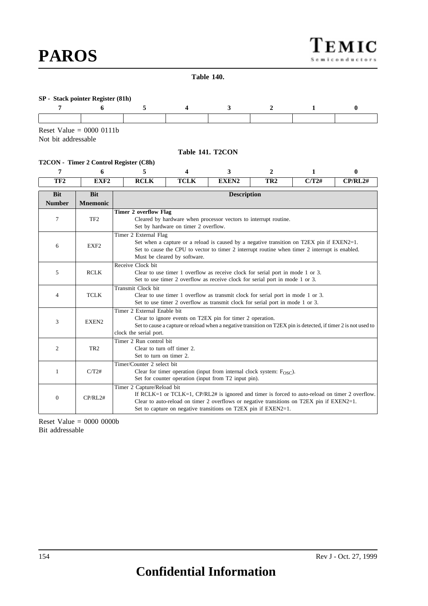

**Table 140.**

#### **SP - Stack pointer Register (81h)**

| 7                           | <b>Dinen political average</b><br>6                 | 5                                                                                                                                                                                                                                                    | $\boldsymbol{4}$                                                                                         | 3                                                                                                                                                                                                                                                                | $\mathbf{2}$ | 1            | $\bf{0}$     |  |  |  |
|-----------------------------|-----------------------------------------------------|------------------------------------------------------------------------------------------------------------------------------------------------------------------------------------------------------------------------------------------------------|----------------------------------------------------------------------------------------------------------|------------------------------------------------------------------------------------------------------------------------------------------------------------------------------------------------------------------------------------------------------------------|--------------|--------------|--------------|--|--|--|
|                             |                                                     |                                                                                                                                                                                                                                                      |                                                                                                          |                                                                                                                                                                                                                                                                  |              |              |              |  |  |  |
| Not bit addressable         | Reset Value = $0000 0111b$                          |                                                                                                                                                                                                                                                      |                                                                                                          |                                                                                                                                                                                                                                                                  |              |              |              |  |  |  |
|                             |                                                     |                                                                                                                                                                                                                                                      |                                                                                                          | Table 141. T2CON                                                                                                                                                                                                                                                 |              |              |              |  |  |  |
|                             |                                                     | T2CON - Timer 2 Control Register (C8h)                                                                                                                                                                                                               |                                                                                                          |                                                                                                                                                                                                                                                                  |              |              |              |  |  |  |
| 7                           | 6                                                   | 5                                                                                                                                                                                                                                                    |                                                                                                          | 3                                                                                                                                                                                                                                                                | $\mathbf{2}$ | $\mathbf{1}$ | $\mathbf{0}$ |  |  |  |
| TF <sub>2</sub>             | EXF <sub>2</sub>                                    | RCLK<br><b>TCLK</b><br>EXEN2<br>C/T2#<br>CP/RL2H<br>TR <sub>2</sub>                                                                                                                                                                                  |                                                                                                          |                                                                                                                                                                                                                                                                  |              |              |              |  |  |  |
| <b>Bit</b><br><b>Number</b> | <b>Bit</b><br><b>Description</b><br><b>Mnemonic</b> |                                                                                                                                                                                                                                                      |                                                                                                          |                                                                                                                                                                                                                                                                  |              |              |              |  |  |  |
| $\tau$                      | TF <sub>2</sub>                                     | <b>Timer 2 overflow Flag</b>                                                                                                                                                                                                                         | Cleared by hardware when processor vectors to interrupt routine.<br>Set by hardware on timer 2 overflow. |                                                                                                                                                                                                                                                                  |              |              |              |  |  |  |
| 6                           | EXF <sub>2</sub>                                    | Timer 2 External Flag<br>Set when a capture or a reload is caused by a negative transition on T2EX pin if EXEN2=1.<br>Set to cause the CPU to vector to timer 2 interrupt routine when timer 2 interrupt is enabled.<br>Must be cleared by software. |                                                                                                          |                                                                                                                                                                                                                                                                  |              |              |              |  |  |  |
| 5                           | <b>RCLK</b>                                         | Receive Clock bit                                                                                                                                                                                                                                    |                                                                                                          | Clear to use timer 1 overflow as receive clock for serial port in mode 1 or 3.<br>Set to use timer 2 overflow as receive clock for serial port in mode 1 or 3.                                                                                                   |              |              |              |  |  |  |
| $\overline{4}$              | <b>TCLK</b>                                         | Transmit Clock bit                                                                                                                                                                                                                                   |                                                                                                          | Clear to use timer 1 overflow as transmit clock for serial port in mode 1 or 3.<br>Set to use timer 2 overflow as transmit clock for serial port in mode 1 or 3.                                                                                                 |              |              |              |  |  |  |
| 3                           | EXEN2                                               | Timer 2 External Enable bit<br>clock the serial port.                                                                                                                                                                                                |                                                                                                          | Clear to ignore events on T2EX pin for timer 2 operation.<br>Set to cause a capture or reload when a negative transition on T2EX pin is detected, if timer 2 is not used to                                                                                      |              |              |              |  |  |  |
| 2                           | TR <sub>2</sub>                                     | Timer 2 Run control bit<br>Set to turn on timer 2.                                                                                                                                                                                                   | Clear to turn off timer 2.                                                                               |                                                                                                                                                                                                                                                                  |              |              |              |  |  |  |
| 1                           | C/T2#                                               | Timer/Counter 2 select bit                                                                                                                                                                                                                           |                                                                                                          | Clear for timer operation (input from internal clock system: $F_{\rm OSC}$ ).<br>Set for counter operation (input from T2 input pin).                                                                                                                            |              |              |              |  |  |  |
| $\mathbf{0}$                | CP/RI.2#                                            | Timer 2 Capture/Reload bit                                                                                                                                                                                                                           |                                                                                                          | If RCLK=1 or TCLK=1, $CP/RL2#$ is ignored and timer is forced to auto-reload on timer 2 overflow.<br>Clear to auto-reload on timer 2 overflows or negative transitions on T2EX pin if EXEN2=1.<br>Set to capture on negative transitions on T2EX pin if EXEN2=1. |              |              |              |  |  |  |

Reset Value  $= 0000 0000$ Bit addressable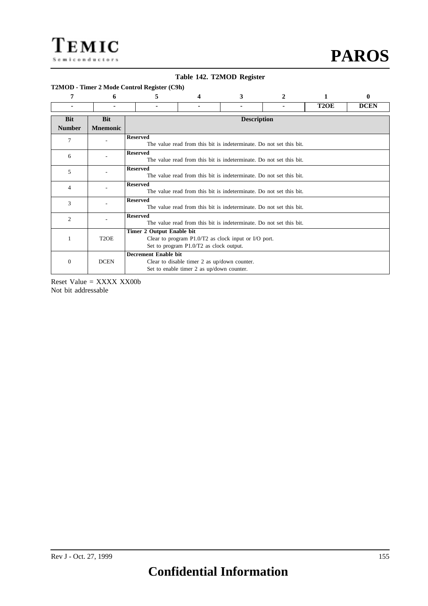#### **Table 142. T2MOD Register**

#### **T2MOD - Timer 2 Mode Control Register (C9h)**

| 7                           | 6                             | 5                           | 4                                                                                         | 3                                                                   |  |                   | 0           |  |  |
|-----------------------------|-------------------------------|-----------------------------|-------------------------------------------------------------------------------------------|---------------------------------------------------------------------|--|-------------------|-------------|--|--|
|                             |                               | ۰                           |                                                                                           |                                                                     |  | T <sub>2</sub> OE | <b>DCEN</b> |  |  |
| <b>Bit</b><br><b>Number</b> | <b>Bit</b><br><b>Mnemonic</b> | <b>Description</b>          |                                                                                           |                                                                     |  |                   |             |  |  |
| 7                           | ٠                             | <b>Reserved</b>             |                                                                                           | The value read from this bit is indeterminate. Do not set this bit. |  |                   |             |  |  |
| 6                           |                               | <b>Reserved</b>             |                                                                                           | The value read from this bit is indeterminate. Do not set this bit. |  |                   |             |  |  |
| 5                           |                               | <b>Reserved</b>             |                                                                                           | The value read from this bit is indeterminate. Do not set this bit. |  |                   |             |  |  |
| 4                           |                               | <b>Reserved</b>             |                                                                                           | The value read from this bit is indeterminate. Do not set this bit. |  |                   |             |  |  |
| 3                           |                               | <b>Reserved</b>             |                                                                                           | The value read from this bit is indeterminate. Do not set this bit. |  |                   |             |  |  |
| 2                           |                               | <b>Reserved</b>             |                                                                                           | The value read from this bit is indeterminate. Do not set this bit. |  |                   |             |  |  |
|                             | T <sub>2</sub> OE             | Timer 2 Output Enable bit   | Set to program P1.0/T2 as clock output.                                                   | Clear to program P1.0/T2 as clock input or I/O port.                |  |                   |             |  |  |
| $\theta$                    | <b>DCEN</b>                   | <b>Decrement Enable bit</b> | Clear to disable timer 2 as up/down counter.<br>Set to enable timer 2 as up/down counter. |                                                                     |  |                   |             |  |  |

Reset Value  $=$  XXXX XX00b Not bit addressable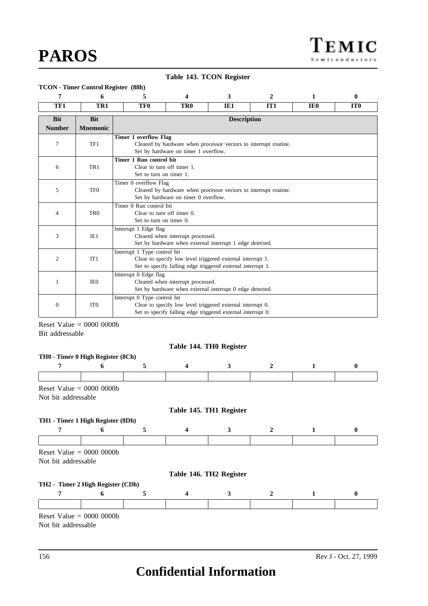#### **Table 143. TCON Register**

#### **TCON - Timer Control Register (88h)**

| 7                           | 6                             | 5                                                                                                                                 |                                                                                                                           | 3                  | $\mathbf{2}$                                                     | 1               | 0               |  |  |
|-----------------------------|-------------------------------|-----------------------------------------------------------------------------------------------------------------------------------|---------------------------------------------------------------------------------------------------------------------------|--------------------|------------------------------------------------------------------|-----------------|-----------------|--|--|
| TF1                         | TR <sub>1</sub>               | TF <sub>0</sub>                                                                                                                   | TR0                                                                                                                       | IE1                | IT <sub>1</sub>                                                  | IE <sub>0</sub> | IT <sub>0</sub> |  |  |
| <b>Bit</b><br><b>Number</b> | <b>Bit</b><br><b>Mnemonic</b> |                                                                                                                                   |                                                                                                                           | <b>Description</b> |                                                                  |                 |                 |  |  |
| 7                           | TF1                           | Timer 1 overflow Flag                                                                                                             | Set by hardware on timer 1 overflow.                                                                                      |                    | Cleared by hardware when processor vectors to interrupt routine. |                 |                 |  |  |
| 6                           | TR1                           |                                                                                                                                   | Timer 1 Run control bit<br>Clear to turn off timer 1.<br>Set to turn on timer 1.                                          |                    |                                                                  |                 |                 |  |  |
| 5                           | TF <sub>0</sub>               | Timer 0 overflow Flag<br>Cleared by hardware when processor vectors to interrupt routine.<br>Set by hardware on timer 0 overflow. |                                                                                                                           |                    |                                                                  |                 |                 |  |  |
| 4                           | TR <sub>0</sub>               | Timer 0 Run control bit<br>Set to turn on timer 0.                                                                                | Clear to turn off timer 0.                                                                                                |                    |                                                                  |                 |                 |  |  |
| 3                           | IE1                           | Interrupt 1 Edge flag                                                                                                             | Cleared when interrupt processed.<br>Set by hardware when external interrupt 1 edge detected.                             |                    |                                                                  |                 |                 |  |  |
| $\overline{c}$              | IT1                           | Interrupt 1 Type control bit                                                                                                      | Clear to specify low level triggered external interrupt 1.<br>Set to specify falling edge triggered external interrupt 1. |                    |                                                                  |                 |                 |  |  |
| 1                           | IE <sub>0</sub>               | Interrupt 0 Edge flag                                                                                                             | Cleared when interrupt processed.<br>Set by hardware when external interrupt 0 edge detected.                             |                    |                                                                  |                 |                 |  |  |
| $\mathbf{0}$                | IT <sub>0</sub>               | Interrupt 0 Type control bit                                                                                                      | Clear to specify low level triggered external interrupt 0.<br>Set to specify falling edge triggered external interrupt 0. |                    |                                                                  |                 |                 |  |  |

Reset Value  $= 0000 0000$ Bit addressable

#### **Table 144. TH0 Register**

| 5<br>6<br>Reset Value $= 0000 0000$ | $\overline{\mathbf{4}}$                                                                                       | 3                       | $\mathbf{2}$            | 1 | $\bf{0}$ |
|-------------------------------------|---------------------------------------------------------------------------------------------------------------|-------------------------|-------------------------|---|----------|
|                                     |                                                                                                               |                         |                         |   |          |
|                                     |                                                                                                               |                         |                         |   |          |
|                                     |                                                                                                               |                         |                         |   |          |
|                                     |                                                                                                               |                         |                         |   |          |
|                                     |                                                                                                               | Table 145. TH1 Register |                         |   |          |
|                                     |                                                                                                               |                         |                         |   |          |
| 5                                   | $\overline{4}$                                                                                                | 3                       | $\overline{2}$          | 1 | $\bf{0}$ |
|                                     |                                                                                                               |                         |                         |   |          |
|                                     |                                                                                                               |                         |                         |   |          |
|                                     |                                                                                                               |                         |                         |   |          |
|                                     |                                                                                                               |                         |                         |   |          |
|                                     |                                                                                                               |                         |                         |   |          |
| 5                                   | $\overline{\mathbf{4}}$                                                                                       | 3                       | $\mathbf{2}$            | 1 | $\bf{0}$ |
|                                     |                                                                                                               |                         |                         |   |          |
|                                     | TH1 - Timer 1 High Register (8Dh)<br>6<br>Reset Value $= 0000 0000$<br>TH2 - Timer 2 High Register (CDh)<br>6 |                         | Table 146. TH2 Register |   |          |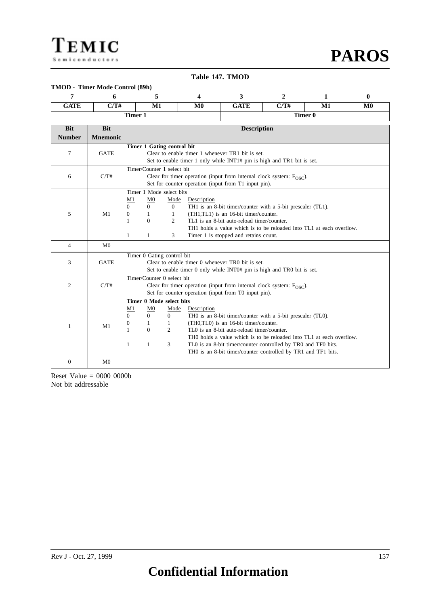#### **Table 147. TMOD**

#### **TMOD - Timer Mode Control (89h)**

| 7                           | 6                             |                                          | 5                                                                                                                                                                                                                                                                                                                                                                                                                                 | $\overline{\mathbf{4}}$ | 3                                                                                                                                                                                                                                                                                                                                                            | $\boldsymbol{2}$ | 1  | $\bf{0}$       |
|-----------------------------|-------------------------------|------------------------------------------|-----------------------------------------------------------------------------------------------------------------------------------------------------------------------------------------------------------------------------------------------------------------------------------------------------------------------------------------------------------------------------------------------------------------------------------|-------------------------|--------------------------------------------------------------------------------------------------------------------------------------------------------------------------------------------------------------------------------------------------------------------------------------------------------------------------------------------------------------|------------------|----|----------------|
| <b>GATE</b>                 | C/T#                          |                                          | M1                                                                                                                                                                                                                                                                                                                                                                                                                                | $\bf M0$                | <b>GATE</b>                                                                                                                                                                                                                                                                                                                                                  | C/T#             | M1 | M <sub>0</sub> |
|                             |                               | Timer 1                                  |                                                                                                                                                                                                                                                                                                                                                                                                                                   |                         |                                                                                                                                                                                                                                                                                                                                                              | Timer 0          |    |                |
| <b>Bit</b><br><b>Number</b> | <b>Bit</b><br><b>Mnemonic</b> |                                          |                                                                                                                                                                                                                                                                                                                                                                                                                                   |                         | <b>Description</b>                                                                                                                                                                                                                                                                                                                                           |                  |    |                |
| $\tau$                      | <b>GATE</b>                   |                                          | Timer 1 Gating control bit                                                                                                                                                                                                                                                                                                                                                                                                        |                         | Clear to enable timer 1 whenever TR1 bit is set.<br>Set to enable timer 1 only while INT1# pin is high and TR1 bit is set.                                                                                                                                                                                                                                   |                  |    |                |
| 6                           | C/T#                          |                                          | Timer/Counter 1 select bit                                                                                                                                                                                                                                                                                                                                                                                                        |                         | Clear for timer operation (input from internal clock system: F <sub>OSC</sub> ).<br>Set for counter operation (input from T1 input pin).                                                                                                                                                                                                                     |                  |    |                |
| 5                           | M1                            | M1<br>$\Omega$<br>$\mathbf{0}$<br>1<br>1 | Timer 1 Mode select bits<br>M <sub>0</sub><br>Description<br>Mode<br>TH1 is an 8-bit timer/counter with a 5-bit prescaler (TL1).<br>$\Omega$<br>$\overline{0}$<br>(TH1,TL1) is an 16-bit timer/counter.<br>$\mathbf{1}$<br>1<br>$\Omega$<br>2<br>TL1 is an 8-bit auto-reload timer/counter.<br>TH1 holds a value which is to be reloaded into TL1 at each overflow.<br>$\mathbf{1}$<br>3<br>Timer 1 is stopped and retains count. |                         |                                                                                                                                                                                                                                                                                                                                                              |                  |    |                |
| $\overline{4}$              | M <sub>0</sub>                |                                          |                                                                                                                                                                                                                                                                                                                                                                                                                                   |                         |                                                                                                                                                                                                                                                                                                                                                              |                  |    |                |
| 3                           | <b>GATE</b>                   |                                          | Timer 0 Gating control bit                                                                                                                                                                                                                                                                                                                                                                                                        |                         | Clear to enable timer 0 whenever TR0 bit is set.<br>Set to enable timer 0 only while INT0# pin is high and TR0 bit is set.                                                                                                                                                                                                                                   |                  |    |                |
| 2                           | C/T#                          |                                          | Timer/Counter 0 select bit                                                                                                                                                                                                                                                                                                                                                                                                        |                         | Clear for timer operation (input from internal clock system: $F_{OSC}$ ).<br>Set for counter operation (input from T0 input pin).                                                                                                                                                                                                                            |                  |    |                |
| $\mathbf{1}$                | M1                            | M1<br>$\Omega$<br>0<br>1<br>1            | Timer 0 Mode select bits<br>M <sub>0</sub><br>Mode<br>$\overline{0}$<br>$\boldsymbol{0}$<br>1<br>1<br>$\Omega$<br>2<br>3<br>$\mathbf{1}$                                                                                                                                                                                                                                                                                          | Description             | THO is an 8-bit timer/counter with a 5-bit prescaler (TLO).<br>(TH0,TL0) is an 16-bit timer/counter.<br>TL0 is an 8-bit auto-reload timer/counter.<br>THO holds a value which is to be reloaded into TL1 at each overflow.<br>TL0 is an 8-bit timer/counter controlled by TR0 and TF0 bits.<br>THO is an 8-bit timer/counter controlled by TR1 and TF1 bits. |                  |    |                |
| $\overline{0}$              | M <sub>0</sub>                |                                          |                                                                                                                                                                                                                                                                                                                                                                                                                                   |                         |                                                                                                                                                                                                                                                                                                                                                              |                  |    |                |

Reset Value = 0000 0000b Not bit addressable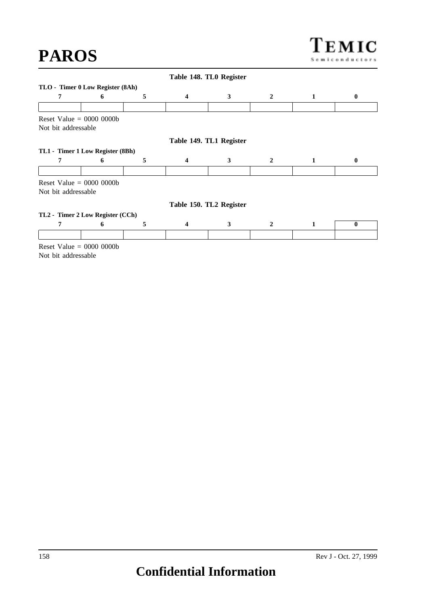# **PAROS**

|                           |                                  |   |                         | Table 148. TL0 Register |                |   |              |
|---------------------------|----------------------------------|---|-------------------------|-------------------------|----------------|---|--------------|
|                           | TLO - Timer 0 Low Register (8Ah) |   |                         |                         |                |   |              |
|                           | 6                                | 5 | $\overline{\mathbf{4}}$ | 3                       | $\overline{2}$ | 1 | $\mathbf{0}$ |
|                           |                                  |   |                         |                         |                |   |              |
|                           | Reset Value $= 0000 0000$        |   |                         |                         |                |   |              |
| Not bit addressable       |                                  |   |                         |                         |                |   |              |
|                           |                                  |   |                         | Table 149. TL1 Register |                |   |              |
|                           | TL1 - Timer 1 Low Register (8Bh) |   |                         |                         |                |   |              |
| 7                         | 6                                | 5 | $\overline{\mathbf{4}}$ | 3                       | $\mathbf{2}$   | 1 | $\bf{0}$     |
|                           |                                  |   |                         |                         |                |   |              |
| Reset Value $= 0000 0000$ |                                  |   |                         |                         |                |   |              |
| Not bit addressable       |                                  |   |                         |                         |                |   |              |
|                           |                                  |   |                         | Table 150. TL2 Register |                |   |              |
|                           | TL2 - Timer 2 Low Register (CCh) |   |                         |                         |                |   |              |
|                           |                                  |   | $\overline{\mathbf{4}}$ | 3                       | 2              | 1 | $\bf{0}$     |
| 7                         | 6                                | 5 |                         |                         |                |   |              |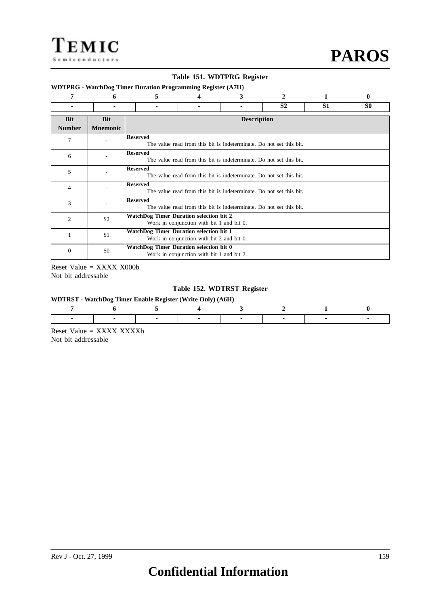#### **Table 151. WDTPRG Register**

**WDTPRG - WatchDog Timer Duration Programming Register (A7H)**

| 7              | 6               | 5                                                                                      | 4                                                                   | 3                                                                   |                | 1              | 0              |  |  |  |
|----------------|-----------------|----------------------------------------------------------------------------------------|---------------------------------------------------------------------|---------------------------------------------------------------------|----------------|----------------|----------------|--|--|--|
| ۰.             |                 | $\blacksquare$                                                                         | ٠                                                                   | ۰.                                                                  | S <sub>2</sub> | S <sub>1</sub> | S <sub>0</sub> |  |  |  |
| <b>Bit</b>     | <b>Bit</b>      |                                                                                        | <b>Description</b>                                                  |                                                                     |                |                |                |  |  |  |
| <b>Number</b>  | <b>Mnemonic</b> |                                                                                        |                                                                     |                                                                     |                |                |                |  |  |  |
| 7              |                 | <b>Reserved</b>                                                                        | The value read from this bit is indeterminate. Do not set this bit. |                                                                     |                |                |                |  |  |  |
| 6              |                 | <b>Reserved</b>                                                                        | The value read from this bit is indeterminate. Do not set this bit. |                                                                     |                |                |                |  |  |  |
| 5              |                 | <b>Reserved</b><br>The value read from this bit is indeterminate. Do not set this bit. |                                                                     |                                                                     |                |                |                |  |  |  |
| 4              |                 | <b>Reserved</b>                                                                        |                                                                     | The value read from this bit is indeterminate. Do not set this bit. |                |                |                |  |  |  |
| 3              |                 | <b>Reserved</b>                                                                        |                                                                     | The value read from this bit is indeterminate. Do not set this bit. |                |                |                |  |  |  |
| $\overline{c}$ | S <sub>2</sub>  | <b>WatchDog Timer Duration selection bit 2</b>                                         | Work in conjunction with bit 1 and bit 0.                           |                                                                     |                |                |                |  |  |  |
|                | S <sub>1</sub>  | <b>WatchDog Timer Duration selection bit 1</b>                                         | Work in conjunction with bit 2 and bit 0.                           |                                                                     |                |                |                |  |  |  |
| $\mathbf{0}$   | S <sub>0</sub>  | WatchDog Timer Duration selection bit 0                                                | Work in conjunction with bit 1 and bit 2.                           |                                                                     |                |                |                |  |  |  |

Reset Value = XXXX X000b Not bit addressable

#### **Table 152. WDTRST Register**

#### **WDTRST - WatchDog Timer Enable Register (Write Only) (A6H)**

Reset Value = XXXX XXXXb Not bit addressable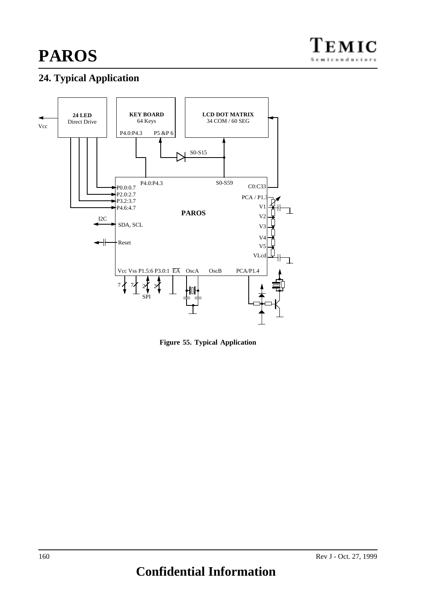### **24. Typical Application**



**Figure 55. Typical Application**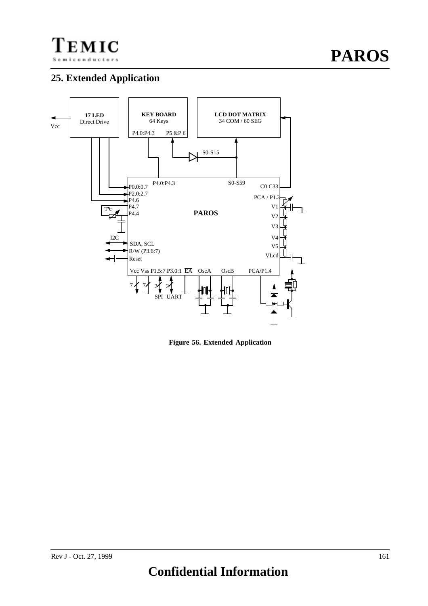

### **25. Extended Application**



**Figure 56. Extended Application**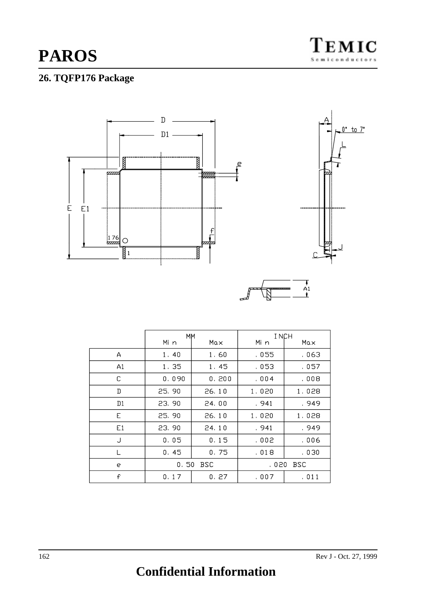### **26. TQFP176 Package**



|                | <b>MM</b> |          | <b>INCH</b>         |       |  |
|----------------|-----------|----------|---------------------|-------|--|
|                | Mi n      | Max      | Mi n                | Max   |  |
| A              | 1.40      | 1,60     | . 055               | . 063 |  |
| A1             | 1.35      | 1.45     | . 053               | . 057 |  |
| C              | 0.090     | 0.200    | . 004               | . 008 |  |
| D              | 25.90     | 26.10    | 1,020               | 1.028 |  |
| D <sub>1</sub> | 23.90     | 24.00    | . 941               | . 949 |  |
| Е              | 25, 90    | 26.10    | 1,020               | 1.028 |  |
| E1             | 23,90     | 24.10    | . 941               | . 949 |  |
| J              | 0.05      | 0.15     | . 002               | .006  |  |
|                | 0.45      | 0.75     | .018                | .030  |  |
| е              |           | 0.50 BSC | <b>BSC</b><br>, 020 |       |  |
| £              | 0.17      | 0.27     | .007                | .011  |  |

# **Confidential Information**